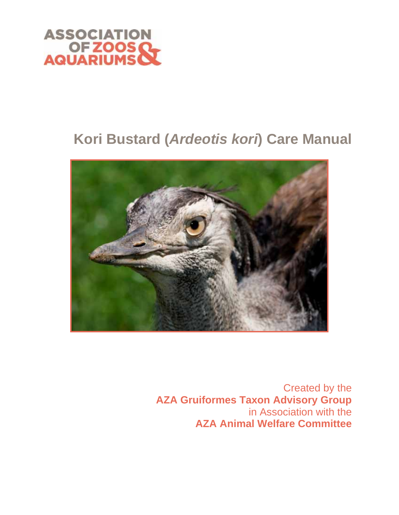

# **Kori Bustard (***Ardeotis kori***) Care Manual**



Created by the **AZA Gruiformes Taxon Advisory Group**  in Association with the **AZA Animal Welfare Committee**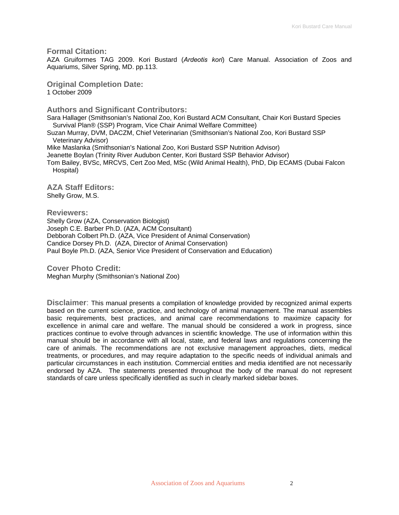**Formal Citation:** 

AZA Gruiformes TAG 2009. Kori Bustard (*Ardeotis kori*) Care Manual. Association of Zoos and Aquariums, Silver Spring, MD. pp.113.

**Original Completion Date:**  1 October 2009

**Authors and Significant Contributors:**

Sara Hallager (Smithsonian's National Zoo, Kori Bustard ACM Consultant, Chair Kori Bustard Species Survival Plan® (SSP) Program, Vice Chair Animal Welfare Committee)

Suzan Murray, DVM, DACZM, Chief Veterinarian (Smithsonian's National Zoo, Kori Bustard SSP Veterinary Advisor)

Mike Maslanka (Smithsonian's National Zoo, Kori Bustard SSP Nutrition Advisor) Jeanette Boylan (Trinity River Audubon Center, Kori Bustard SSP Behavior Advisor) Tom Bailey, BVSc, MRCVS, Cert Zoo Med, MSc (Wild Animal Health), PhD, Dip ECAMS (Dubai Falcon Hospital)

**AZA Staff Editors:** Shelly Grow, M.S.

**Reviewers:**  Shelly Grow (AZA, Conservation Biologist) Joseph C.E. Barber Ph.D. (AZA, ACM Consultant) Debborah Colbert Ph.D. (AZA, Vice President of Animal Conservation) Candice Dorsey Ph.D. (AZA, Director of Animal Conservation) Paul Boyle Ph.D. (AZA, Senior Vice President of Conservation and Education)

**Cover Photo Credit:** Meghan Murphy (Smithsonian's National Zoo)

**Disclaimer**: This manual presents a compilation of knowledge provided by recognized animal experts based on the current science, practice, and technology of animal management. The manual assembles basic requirements, best practices, and animal care recommendations to maximize capacity for excellence in animal care and welfare. The manual should be considered a work in progress, since practices continue to evolve through advances in scientific knowledge. The use of information within this manual should be in accordance with all local, state, and federal laws and regulations concerning the care of animals. The recommendations are not exclusive management approaches, diets, medical treatments, or procedures, and may require adaptation to the specific needs of individual animals and particular circumstances in each institution. Commercial entities and media identified are not necessarily endorsed by AZA. The statements presented throughout the body of the manual do not represent standards of care unless specifically identified as such in clearly marked sidebar boxes.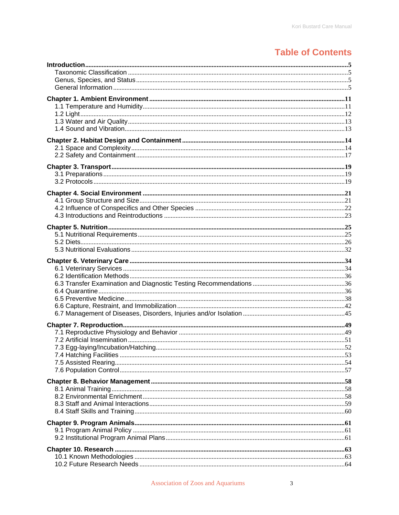## **Table of Contents**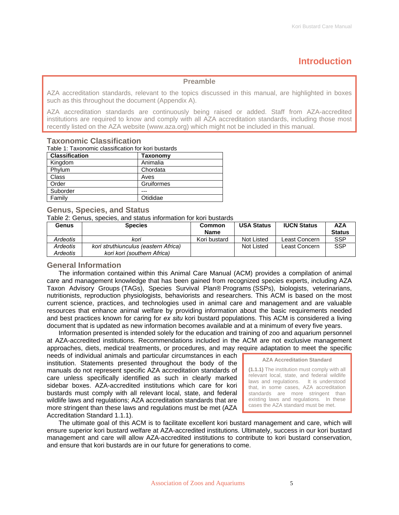## **Introduction**

#### **Preamble**

<span id="page-4-0"></span>AZA accreditation standards, relevant to the topics discussed in this manual, are highlighted in boxes such as this throughout the document (Appendix A).

AZA accreditation standards are continuously being raised or added. Staff from AZA-accredited institutions are required to know and comply with all AZA accreditation standards, including those most recently listed on the AZA website (www.aza.org) which might not be included in this manual.

| Table 1: Taxonomic classification for kori bustards |            |  |
|-----------------------------------------------------|------------|--|
| <b>Classification</b>                               | Taxonomy   |  |
| Kingdom                                             | Animalia   |  |
| Phylum                                              | Chordata   |  |
| Class                                               | Aves       |  |
| Order                                               | Gruiformes |  |
| Suborder                                            |            |  |
| Family                                              | Otididae   |  |

### **Taxonomic Classification**

### **Genus, Species, and Status**

Table 2: Genus, species, and status information for kori bustards

| Genus    | <b>Species</b>                       | Common       | <b>USA Status</b> | <b>IUCN Status</b> | AZA           |
|----------|--------------------------------------|--------------|-------------------|--------------------|---------------|
|          |                                      | <b>Name</b>  |                   |                    | <b>Status</b> |
| Ardeotis | kori                                 | Kori bustard | Not Listed        | Least Concern      | <b>SSP</b>    |
| Ardeotis | kori struthiunculus (eastern Africa) |              | Not Listed        | Least Concern      | <b>SSP</b>    |
| Ardeotis | kori kori (southern Africa)          |              |                   |                    |               |

### **General Information**

The information contained within this Animal Care Manual (ACM) provides a compilation of animal care and management knowledge that has been gained from recognized species experts, including AZA Taxon Advisory Groups (TAGs), Species Survival Plan® Programs (SSPs), biologists, veterinarians, nutritionists, reproduction physiologists, behaviorists and researchers. This ACM is based on the most current science, practices, and technologies used in animal care and management and are valuable resources that enhance animal welfare by providing information about the basic requirements needed and best practices known for caring for *ex situ* kori bustard populations. This ACM is considered a living document that is updated as new information becomes available and at a minimum of every five years.

Information presented is intended solely for the education and training of zoo and aquarium personnel at AZA-accredited institutions. Recommendations included in the ACM are not exclusive management approaches, diets, medical treatments, or procedures, and may require adaptation to meet the specific

needs of individual animals and particular circumstances in each institution. Statements presented throughout the body of the manuals do not represent specific AZA accreditation standards of care unless specifically identified as such in clearly marked sidebar boxes. AZA-accredited institutions which care for kori bustards must comply with all relevant local, state, and federal wildlife laws and regulations; AZA accreditation standards that are more stringent than these laws and regulations must be met (AZA Accreditation Standard 1.1.1).



The ultimate goal of this ACM is to facilitate excellent kori bustard management and care, which will ensure superior kori bustard welfare at AZA-accredited institutions. Ultimately, success in our kori bustard management and care will allow AZA-accredited institutions to contribute to kori bustard conservation, and ensure that kori bustards are in our future for generations to come.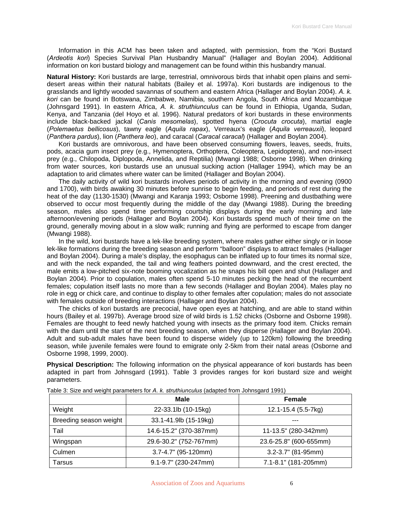Information in this ACM has been taken and adapted, with permission, from the "Kori Bustard (*Ardeotis kori*) Species Survival Plan Husbandry Manual" (Hallager and Boylan 2004). Additional information on kori bustard biology and management can be found within this husbandry manual.

**Natural History:** Kori bustards are large, terrestrial, omnivorous birds that inhabit open plains and semidesert areas within their natural habitats (Bailey et al. 1997a). Kori bustards are indigenous to the grasslands and lightly wooded savannas of southern and eastern Africa (Hallager and Boylan 2004). *A. k. kori* can be found in Botswana, Zimbabwe, Namibia, southern Angola, South Africa and Mozambique (Johnsgard 1991). In eastern Africa, *A. k. struthiunculus* can be found in Ethiopia, Uganda, Sudan, Kenya, and Tanzania (del Hoyo et al. 1996). Natural predators of kori bustards in these environments include black-backed jackal (*Canis mesomelas*), spotted hyena (*Crocuta crocuta*), martial eagle (*Polemaetus bellicosus*), tawny eagle (*Aquila rapax*), Verreaux's eagle (*Aquila verreauxii*), leopard (*Panthera pardus*), lion (*Panthera leo*), and caracal (*Caracal caracal*) (Hallager and Boylan 2004).

Kori bustards are omnivorous, and have been observed consuming flowers, leaves, seeds, fruits, pods, acacia gum insect prey (e.g., Hymenoptera, Orthoptera, Coleoptera, Lepidoptera), and non-insect prey (e.g., Chilopoda, Diplopoda, Annelida, and Reptilia) (Mwangi 1988; Osborne 1998). When drinking from water sources, kori bustards use an unusual sucking action (Hallager 1994), which may be an adaptation to arid climates where water can be limited (Hallager and Boylan 2004).

The daily activity of wild kori bustards involves periods of activity in the morning and evening (0900 and 1700), with birds awaking 30 minutes before sunrise to begin feeding, and periods of rest during the heat of the day (1130-1530) (Mwangi and Karanja 1993; Osborne 1998). Preening and dustbathing were observed to occur most frequently during the middle of the day (Mwangi 1988). During the breeding season, males also spend time performing courtship displays during the early morning and late afternoon/evening periods (Hallager and Boylan 2004). Kori bustards spend much of their time on the ground, generally moving about in a slow walk; running and flying are performed to escape from danger (Mwangi 1988).

In the wild, kori bustards have a lek-like breeding system, where males gather either singly or in loose lek-like formations during the breeding season and perform "balloon" displays to attract females (Hallager and Boylan 2004). During a male's display, the esophagus can be inflated up to four times its normal size, and with the neck expanded, the tail and wing feathers pointed downward, and the crest erected, the male emits a low-pitched six-note booming vocalization as he snaps his bill open and shut (Hallager and Boylan 2004). Prior to copulation, males often spend 5-10 minutes pecking the head of the recumbent females; copulation itself lasts no more than a few seconds (Hallager and Boylan 2004). Males play no role in egg or chick care, and continue to display to other females after copulation; males do not associate with females outside of breeding interactions (Hallager and Boylan 2004).

The chicks of kori bustards are precocial, have open eyes at hatching, and are able to stand within hours (Bailey et al. 1997b). Average brood size of wild birds is 1.52 chicks (Osborne and Osborne 1998). Females are thought to feed newly hatched young with insects as the primary food item. Chicks remain with the dam until the start of the next breeding season, when they disperse (Hallager and Boylan 2004). Adult and sub-adult males have been found to disperse widely (up to 120km) following the breeding season, while juvenile females were found to emigrate only 2-5km from their natal areas (Osborne and Osborne 1998, 1999, 2000).

**Physical Description:** The following information on the physical appearance of kori bustards has been adapted in part from Johnsgard (1991). Table 3 provides ranges for kori bustard size and weight parameters.

|                        | <b>Male</b>            | <b>Female</b>          |
|------------------------|------------------------|------------------------|
| Weight                 | 22-33.1lb (10-15kg)    | 12.1-15.4 (5.5-7kg)    |
| Breeding season weight | 33.1-41.9lb (15-19kg)  |                        |
| Tail                   | 14.6-15.2" (370-387mm) | 11-13.5" (280-342mm)   |
| Wingspan               | 29.6-30.2" (752-767mm) | 23.6-25.8" (600-655mm) |
| Culmen                 | 3.7-4.7" (95-120mm)    | 3.2-3.7" (81-95mm)     |
| Tarsus                 | 9.1-9.7" (230-247mm)   | 7.1-8.1" (181-205mm)   |

Table 3: Size and weight parameters for *A. k. struthiunculus* (adapted from Johnsgard 1991)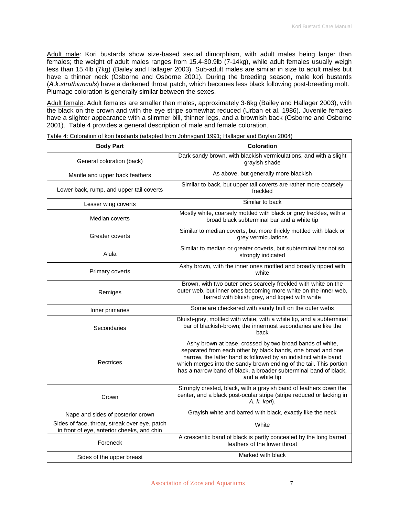Adult male: Kori bustards show size-based sexual dimorphism, with adult males being larger than females; the weight of adult males ranges from 15.4-30.9lb (7-14kg), while adult females usually weigh less than 15.4lb (7kg) (Bailey and Hallager 2003). Sub-adult males are similar in size to adult males but have a thinner neck (Osborne and Osborne 2001). During the breeding season, male kori bustards (*A.k.struthiunculs*) have a darkened throat patch, which becomes less black following post-breeding molt. Plumage coloration is generally similar between the sexes.

Adult female: Adult females are smaller than males, approximately 3-6kg (Bailey and Hallager 2003), with the black on the crown and with the eye stripe somewhat reduced (Urban et al. 1986). Juvenile females have a slighter appearance with a slimmer bill, thinner legs, and a brownish back (Osborne and Osborne 2001). Table 4 provides a general description of male and female coloration.

| <b>Body Part</b>                                                                            | Coloration                                                                                                                                                                                                                                                                                                                                              |
|---------------------------------------------------------------------------------------------|---------------------------------------------------------------------------------------------------------------------------------------------------------------------------------------------------------------------------------------------------------------------------------------------------------------------------------------------------------|
| General coloration (back)                                                                   | Dark sandy brown, with blackish vermiculations, and with a slight<br>grayish shade                                                                                                                                                                                                                                                                      |
| Mantle and upper back feathers                                                              | As above, but generally more blackish                                                                                                                                                                                                                                                                                                                   |
| Lower back, rump, and upper tail coverts                                                    | Similar to back, but upper tail coverts are rather more coarsely<br>freckled                                                                                                                                                                                                                                                                            |
| Lesser wing coverts                                                                         | Similar to back                                                                                                                                                                                                                                                                                                                                         |
| Median coverts                                                                              | Mostly white, coarsely mottled with black or grey freckles, with a<br>broad black subterminal bar and a white tip                                                                                                                                                                                                                                       |
| Greater coverts                                                                             | Similar to median coverts, but more thickly mottled with black or<br>grey vermiculations                                                                                                                                                                                                                                                                |
| Alula                                                                                       | Similar to median or greater coverts, but subterminal bar not so<br>strongly indicated                                                                                                                                                                                                                                                                  |
| Primary coverts                                                                             | Ashy brown, with the inner ones mottled and broadly tipped with<br>white                                                                                                                                                                                                                                                                                |
| Remiges                                                                                     | Brown, with two outer ones scarcely freckled with white on the<br>outer web, but inner ones becoming more white on the inner web,<br>barred with bluish grey, and tipped with white                                                                                                                                                                     |
| Inner primaries                                                                             | Some are checkered with sandy buff on the outer webs                                                                                                                                                                                                                                                                                                    |
| Secondaries                                                                                 | Bluish-gray, mottled with white, with a white tip, and a subterminal<br>bar of blackish-brown; the innermost secondaries are like the<br>back                                                                                                                                                                                                           |
| Rectrices                                                                                   | Ashy brown at base, crossed by two broad bands of white,<br>separated from each other by black bands, one broad and one<br>narrow, the latter band is followed by an indistinct white band<br>which merges into the sandy brown ending of the tail. This portion<br>has a narrow band of black, a broader subterminal band of black,<br>and a white tip |
| Crown                                                                                       | Strongly crested, black, with a grayish band of feathers down the<br>center, and a black post-ocular stripe (stripe reduced or lacking in<br>A. k. kori).                                                                                                                                                                                               |
| Nape and sides of posterior crown                                                           | Grayish white and barred with black, exactly like the neck                                                                                                                                                                                                                                                                                              |
| Sides of face, throat, streak over eye, patch<br>in front of eye, anterior cheeks, and chin | White                                                                                                                                                                                                                                                                                                                                                   |
| Foreneck                                                                                    | A crescentic band of black is partly concealed by the long barred<br>feathers of the lower throat                                                                                                                                                                                                                                                       |
| Sides of the upper breast                                                                   | Marked with black                                                                                                                                                                                                                                                                                                                                       |

Table 4: Coloration of kori bustards (adapted from Johnsgard 1991; Hallager and Boylan 2004)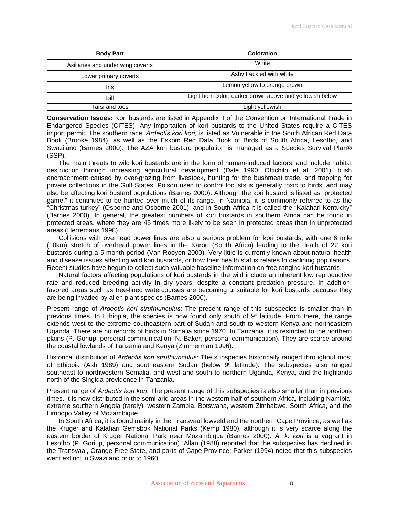| <b>Body Part</b>                  | Coloration                                               |
|-----------------------------------|----------------------------------------------------------|
| Axillaries and under wing coverts | White                                                    |
| Lower primary coverts             | Ashy freckled with white                                 |
| Iris                              | Lemon yellow to orange brown                             |
| Bill                              | Light horn color, darker brown above and yellowish below |
| Tarsi and toes                    | Light yellowish                                          |

**Conservation Issues:** Kori bustards are listed in Appendix II of the Convention on International Trade in Endangered Species (CITES). Any importation of kori bustards to the United States require a CITES import permit. The southern race, *Ardeotis kori kori,* is listed as Vulnerable in the South African Red Data Book (Brooke 1984), as well as the Eskom Red Data Book of Birds of South Africa, Lesotho, and Swaziland (Barnes 2000). The AZA kori bustard population is managed as a Species Survival Plan® (SSP).

The main threats to wild kori bustards are in the form of human-induced factors, and include habitat destruction through increasing agricultural development (Dale 1990; Ottichilo et al. 2001), bush encroachment caused by over-grazing from livestock, hunting for the bushmeat trade, and trapping for private collections in the Gulf States. Poison used to control locusts is generally toxic to birds, and may also be affecting kori bustard populations (Barnes 2000). Although the kori bustard is listed as "protected game," it continues to be hunted over much of its range. In Namibia, it is commonly referred to as the "Christmas turkey" (Osborne and Osborne 2001), and in South Africa it is called the "Kalahari Kentucky" (Barnes 2000). In general, the greatest numbers of kori bustards in southern Africa can be found in protected areas, where they are 45 times more likely to be seen in protected areas than in unprotected areas (Herremans 1998).

Collisions with overhead power lines are also a serious problem for kori bustards, with one 6 mile (10km) stretch of overhead power lines in the Karoo (South Africa) leading to the death of 22 kori bustards during a 5-month period (Van Rooyen 2000). Very little is currently known about natural health and disease issues affecting wild kori bustards, or how their health status relates to declining populations. Recent studies have begun to collect such valuable baseline information on free ranging kori bustards.

Natural factors affecting populations of kori bustards in the wild include an inherent low reproductive rate and reduced breeding activity in dry years, despite a constant predation pressure. In addition, favored areas such as tree-lined watercourses are becoming unsuitable for kori bustards because they are being invaded by alien plant species (Barnes 2000).

Present range of *Ardeotis kori struthiunculus*: The present range of this subspecies is smaller than in previous times. In Ethiopia, the species is now found only south of 9º latitude. From there, the range extends west to the extreme southeastern part of Sudan and south to western Kenya and northeastern Uganda. There are no records of birds in Somalia since 1970. In Tanzania, it is restricted to the northern plains (P. Goriup, personal communication; N. Baker, personal communication). They are scarce around the coastal lowlands of Tanzania and Kenya (Zimmerman 1996).

Historical distribution of *Ardeotis kori struthiunculus*: The subspecies historically ranged throughout most of Ethiopia (Ash 1989) and southeastern Sudan (below 9º latitude). The subspecies also ranged southeast to northwestern Somalia, and west and south to northern Uganda, Kenya, and the highlands north of the Singida providence in Tanzania.

Present range of *Ardeotis kori kori*: The present range of this subspecies is also smaller than in previous times. It is now distributed in the semi-arid areas in the western half of southern Africa, including Namibia, extreme southern Angola (rarely), western Zambia, Botswana, western Zimbabwe, South Africa, and the Limpopo Valley of Mozambique.

In South Africa, it is found mainly in the Transvaal lowveld and the northern Cape Province, as well as the Kruger and Kalahari Gemsbok National Parks (Kemp 1980), although it is very scarce along the eastern border of Kruger National Park near Mozambique (Barnes 2000). *A. k. kori* is a vagrant in Lesotho (P. Goriup, personal communication). Allan (1988) reported that the subspecies has declined in the Transvaal, Orange Free State, and parts of Cape Province; Parker (1994) noted that this subspecies went extinct in Swaziland prior to 1960.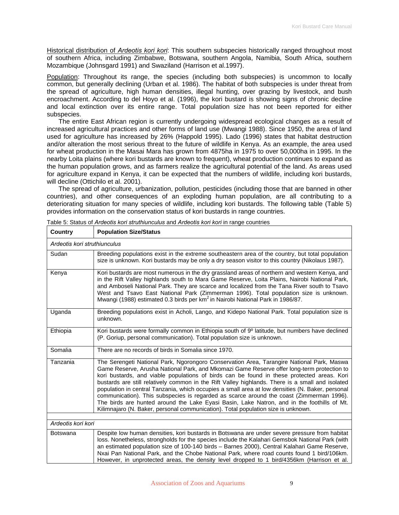Historical distribution of *Ardeotis kori kori*: This southern subspecies historically ranged throughout most of southern Africa, including Zimbabwe, Botswana, southern Angola, Namibia, South Africa, southern Mozambique (Johnsgard 1991) and Swaziland (Harrison et al.1997).

Population: Throughout its range, the species (including both subspecies) is uncommon to locally common, but generally declining (Urban et al. 1986). The habitat of both subspecies is under threat from the spread of agriculture, high human densities, illegal hunting, over grazing by livestock, and bush encroachment. According to del Hoyo et al. (1996), the kori bustard is showing signs of chronic decline and local extinction over its entire range. Total population size has not been reported for either subspecies.

The entire East African region is currently undergoing widespread ecological changes as a result of increased agricultural practices and other forms of land use (Mwangi 1988). Since 1950, the area of land used for agriculture has increased by 26% (Happold 1995). Lado (1996) states that habitat destruction and/or alteration the most serious threat to the future of wildlife in Kenya. As an example, the area used for wheat production in the Masai Mara has grown from 4875ha in 1975 to over 50,000ha in 1995. In the nearby Loita plains (where kori bustards are known to frequent), wheat production continues to expand as the human population grows, and as farmers realize the agricultural potential of the land. As areas used for agriculture expand in Kenya, it can be expected that the numbers of wildlife, including kori bustards, will decline (Ottichilo et al. 2001).

The spread of agriculture, urbanization, pollution, pesticides (including those that are banned in other countries), and other consequences of an exploding human population, are all contributing to a deteriorating situation for many species of wildlife, including kori bustards. The following table (Table 5) provides information on the conservation status of kori bustards in range countries.

| Country                      | <b>Population Size/Status</b>                                                                                                                                                                                                                                                                                                                                                                                                                                                                                                                                                                                                                                                                                                                                                |  |
|------------------------------|------------------------------------------------------------------------------------------------------------------------------------------------------------------------------------------------------------------------------------------------------------------------------------------------------------------------------------------------------------------------------------------------------------------------------------------------------------------------------------------------------------------------------------------------------------------------------------------------------------------------------------------------------------------------------------------------------------------------------------------------------------------------------|--|
| Ardeotis kori struthiunculus |                                                                                                                                                                                                                                                                                                                                                                                                                                                                                                                                                                                                                                                                                                                                                                              |  |
| Sudan                        | Breeding populations exist in the extreme southeastern area of the country, but total population<br>size is unknown. Kori bustards may be only a dry season visitor to this country (Nikolaus 1987).                                                                                                                                                                                                                                                                                                                                                                                                                                                                                                                                                                         |  |
| Kenya                        | Kori bustards are most numerous in the dry grassland areas of northern and western Kenya, and<br>in the Rift Valley highlands south to Mara Game Reserve, Loita Plains, Nairobi National Park,<br>and Amboseli National Park. They are scarce and localized from the Tana River south to Tsavo<br>West and Tsavo East National Park (Zimmerman 1996). Total population size is unknown.<br>Mwangi (1988) estimated 0.3 birds per km <sup>2</sup> in Nairobi National Park in 1986/87.                                                                                                                                                                                                                                                                                        |  |
| Uganda                       | Breeding populations exist in Acholi, Lango, and Kidepo National Park. Total population size is<br>unknown.                                                                                                                                                                                                                                                                                                                                                                                                                                                                                                                                                                                                                                                                  |  |
| Ethiopia                     | Kori bustards were formally common in Ethiopia south of 9º latitude, but numbers have declined<br>(P. Goriup, personal communication). Total population size is unknown.                                                                                                                                                                                                                                                                                                                                                                                                                                                                                                                                                                                                     |  |
| Somalia                      | There are no records of birds in Somalia since 1970.                                                                                                                                                                                                                                                                                                                                                                                                                                                                                                                                                                                                                                                                                                                         |  |
| Tanzania                     | The Serengeti National Park, Ngorongoro Conservation Area, Tarangire National Park, Maswa<br>Game Reserve, Arusha National Park, and Mkomazi Game Reserve offer long-term protection to<br>kori bustards, and viable populations of birds can be found in these protected areas. Kori<br>bustards are still relatively common in the Rift Valley highlands. There is a small and isolated<br>population in central Tanzania, which occupies a small area at low densities (N. Baker, personal<br>communication). This subspecies is regarded as scarce around the coast (Zimmerman 1996).<br>The birds are hunted around the Lake Eyasi Basin, Lake Natron, and in the foothills of Mt.<br>Kilimnajaro (N. Baker, personal communication). Total population size is unknown. |  |
| Ardeotis kori kori           |                                                                                                                                                                                                                                                                                                                                                                                                                                                                                                                                                                                                                                                                                                                                                                              |  |
| <b>Botswana</b>              | Despite low human densities, kori bustards in Botswana are under severe pressure from habitat<br>loss. Nonetheless, strongholds for the species include the Kalahari Gemsbok National Park (with<br>an estimated population size of 100-140 birds - Barnes 2000), Central Kalahari Game Reserve,<br>Nxai Pan National Park, and the Chobe National Park, where road counts found 1 bird/106km.<br>However, in unprotected areas, the density level dropped to 1 bird/4356km (Harrison et al.                                                                                                                                                                                                                                                                                 |  |

Table 5: Status of *Ardeotis kori struthiunculus* and *Ardeotis kori kori* in range countries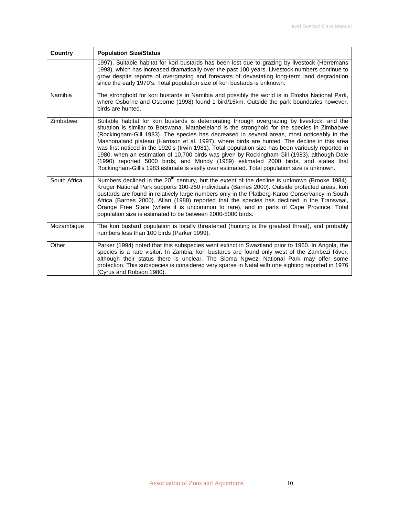| <b>Country</b> | <b>Population Size/Status</b>                                                                                                                                                                                                                                                                                                                                                                                                                                                                                                                                                                                                                                                                                                                                                         |
|----------------|---------------------------------------------------------------------------------------------------------------------------------------------------------------------------------------------------------------------------------------------------------------------------------------------------------------------------------------------------------------------------------------------------------------------------------------------------------------------------------------------------------------------------------------------------------------------------------------------------------------------------------------------------------------------------------------------------------------------------------------------------------------------------------------|
|                | 1997). Suitable habitat for kori bustards has been lost due to grazing by livestock (Herremans<br>1998), which has increased dramatically over the past 100 years. Livestock numbers continue to<br>grow despite reports of overgrazing and forecasts of devastating long-term land degradation<br>since the early 1970's. Total population size of kori bustards is unknown.                                                                                                                                                                                                                                                                                                                                                                                                         |
| Namibia        | The stronghold for kori bustards in Namibia and possibly the world is in Etosha National Park,<br>where Osborne and Osborne (1998) found 1 bird/16km. Outside the park boundaries however,<br>birds are hunted.                                                                                                                                                                                                                                                                                                                                                                                                                                                                                                                                                                       |
| Zimbabwe       | Suitable habitat for kori bustards is deteriorating through overgrazing by livestock, and the<br>situation is similar to Botswana. Matabeleland is the stronghold for the species in Zimbabwe<br>(Rockingham-Gill 1983). The species has decreased in several areas, most noticeably in the<br>Mashonaland plateau (Harrison et al. 1997), where birds are hunted. The decline in this area<br>was first noticed in the 1920's (Irwin 1981). Total population size has been variously reported in<br>1980, when an estimation of 10,700 birds was given by Rockingham-Gill (1983), although Dale<br>(1990) reported 5000 birds, and Mundy (1989) estimated 2000 birds, and states that<br>Rockingham-Gill's 1983 estimate is vastly over estimated. Total population size is unknown. |
| South Africa   | Numbers declined in the 20 <sup>th</sup> century, but the extent of the decline is unknown (Brooke 1984).<br>Kruger National Park supports 100-250 individuals (Barnes 2000). Outside protected areas, kori<br>bustards are found in relatively large numbers only in the Platberg-Karoo Conservancy in South<br>Africa (Barnes 2000). Allan (1988) reported that the species has declined in the Transvaal,<br>Orange Free State (where it is uncommon to rare), and in parts of Cape Province. Total<br>population size is estimated to be between 2000-5000 birds.                                                                                                                                                                                                                 |
| Mozambique     | The kori bustard population is locally threatened (hunting is the greatest threat), and probably<br>numbers less than 100 birds (Parker 1999).                                                                                                                                                                                                                                                                                                                                                                                                                                                                                                                                                                                                                                        |
| Other          | Parker (1994) noted that this subspecies went extinct in Swaziland prior to 1960. In Angola, the<br>species is a rare visitor. In Zambia, kori bustards are found only west of the Zambezi River,<br>although their status there is unclear. The Sioma Ngwezi National Park may offer some<br>protection. This subspecies is considered very sparse in Natal with one sighting reported in 1976<br>(Cyrus and Robson 1980).                                                                                                                                                                                                                                                                                                                                                           |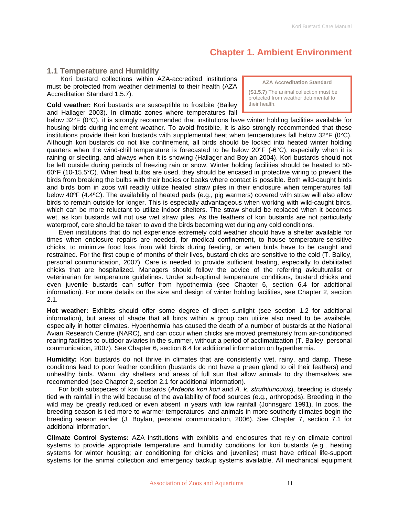## **Chapter 1. Ambient Environment**

## <span id="page-10-0"></span>**1.1 Temperature and Humidity**

 Kori bustard collections within AZA-accredited institutions must be protected from weather detrimental to their health (AZA Accreditation Standard 1.5.7).

**Cold weather:** Kori bustards are susceptible to frostbite (Bailey and Hallager 2003). In climatic zones where temperatures fall

below 32°F (0°C), it is strongly recommended that institutions have winter holding facilities available for housing birds during inclement weather. To avoid frostbite, it is also strongly recommended that these institutions provide their kori bustards with supplemental heat when temperatures fall below 32°F (0°C). Although kori bustards do not like confinement, all birds should be locked into heated winter holding quarters when the wind-chill temperature is forecasted to be below 20°F (-6°C), especially when it is raining or sleeting, and always when it is snowing (Hallager and Boylan 2004). Kori bustards should not be left outside during periods of freezing rain or snow. Winter holding facilities should be heated to 50- 60°F (10-15.5°C). When heat bulbs are used, they should be encased in protective wiring to prevent the birds from breaking the bulbs with their bodies or beaks where contact is possible. Both wild-caught birds and birds born in zoos will readily utilize heated straw piles in their enclosure when temperatures fall below 40ºF (4.4ºC). The availability of heated pads (e.g., pig warmers) covered with straw will also allow birds to remain outside for longer. This is especially advantageous when working with wild-caught birds, which can be more reluctant to utilize indoor shelters. The straw should be replaced when it becomes wet, as kori bustards will not use wet straw piles. As the feathers of kori bustards are not particularly waterproof, care should be taken to avoid the birds becoming wet during any cold conditions.

Even institutions that do not experience extremely cold weather should have a shelter available for times when enclosure repairs are needed, for medical confinement, to house temperature-sensitive chicks, to minimize food loss from wild birds during feeding, or when birds have to be caught and restrained. For the first couple of months of their lives, bustard chicks are sensitive to the cold (T. Bailey, personal communication, 2007). Care is needed to provide sufficient heating, especially to debilitated chicks that are hospitalized. Managers should follow the advice of the referring aviculturalist or veterinarian for temperature guidelines. Under sub-optimal temperature conditions, bustard chicks and even juvenile bustards can suffer from hypothermia (see Chapter 6, section 6.4 for additional information). For more details on the size and design of winter holding facilities, see Chapter 2, section 2.1.

**Hot weather:** Exhibits should offer some degree of direct sunlight (see section 1.2 for additional information), but areas of shade that all birds within a group can utilize also need to be available, especially in hotter climates. Hyperthermia has caused the death of a number of bustards at the National Avian Research Centre (NARC), and can occur when chicks are moved prematurely from air-conditioned rearing facilities to outdoor aviaries in the summer, without a period of acclimatization (T. Bailey, personal communication, 2007). See Chapter 6, section 6.4 for additional information on hyperthermia.

**Humidity:** Kori bustards do not thrive in climates that are consistently wet, rainy, and damp. These conditions lead to poor feather condition (bustards do not have a preen gland to oil their feathers) and unhealthy birds. Warm, dry shelters and areas of full sun that allow animals to dry themselves are recommended (see Chapter 2, section 2.1 for additional information).

For both subspecies of kori bustards (*Ardeotis kori kori* and *A. k. struthiunculus*), breeding is closely tied with rainfall in the wild because of the availability of food sources (e.g., arthropods). Breeding in the wild may be greatly reduced or even absent in years with low rainfall (Johnsgard 1991). In zoos, the breeding season is tied more to warmer temperatures, and animals in more southerly climates begin the breeding season earlier (J. Boylan, personal communication, 2006). See Chapter 7, section 7.1 for additional information.

**Climate Control Systems:** AZA institutions with exhibits and enclosures that rely on climate control systems to provide appropriate temperature and humidity conditions for kori bustards (e.g., heating systems for winter housing; air conditioning for chicks and juveniles) must have critical life-support systems for the animal collection and emergency backup systems available. All mechanical equipment

**AZA Accreditation Standard** 

**(S1.5.7)** The animal collection must be protected from weather detrimental to their health.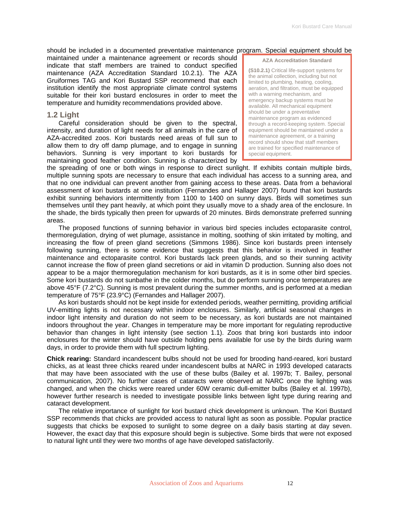#### <span id="page-11-0"></span>should be included in a documented preventative maintenance program. Special equipment should be

maintained under a maintenance agreement or records should indicate that staff members are trained to conduct specified maintenance (AZA Accreditation Standard 10.2.1). The AZA Gruiformes TAG and Kori Bustard SSP recommend that each institution identify the most appropriate climate control systems suitable for their kori bustard enclosures in order to meet the temperature and humidity recommendations provided above.

#### **1.2 Light**

Careful consideration should be given to the spectral, intensity, and duration of light needs for all animals in the care of AZA-accredited zoos. Kori bustards need areas of full sun to allow them to dry off damp plumage, and to engage in sunning behaviors. Sunning is very important to kori bustards for maintaining good feather condition. Sunning is characterized by

**AZA Accreditation Standard** 

**(S10.2.1)** Critical life-support systems for the animal collection, including but not limited to plumbing, heating, cooling, aeration, and filtration, must be equipped with a warning mechanism, and emergency backup systems must be available. All mechanical equipment should be under a preventative maintenance program as evidenced through a record-keeping system. Special equipment should be maintained under a maintenance agreement, or a training record should show that staff members are trained for specified maintenance of special equipment.

the spreading of one or both wings in response to direct sunlight. If exhibits contain multiple birds, multiple sunning spots are necessary to ensure that each individual has access to a sunning area, and that no one individual can prevent another from gaining access to these areas. Data from a behavioral assessment of kori bustards at one institution (Fernandes and Hallager 2007) found that kori bustards exhibit sunning behaviors intermittently from 1100 to 1400 on sunny days. Birds will sometimes sun themselves until they pant heavily, at which point they usually move to a shady area of the enclosure. In the shade, the birds typically then preen for upwards of 20 minutes. Birds demonstrate preferred sunning areas.

The proposed functions of sunning behavior in various bird species includes ectoparasite control, thermoregulation, drying of wet plumage, assistance in molting, soothing of skin irritated by molting, and increasing the flow of preen gland secretions (Simmons 1986). Since kori bustards preen intensely following sunning, there is some evidence that suggests that this behavior is involved in feather maintenance and ectoparasite control. Kori bustards lack preen glands, and so their sunning activity cannot increase the flow of preen gland secretions or aid in vitamin D production. Sunning also does not appear to be a major thermoregulation mechanism for kori bustards, as it is in some other bird species. Some kori bustards do not sunbathe in the colder months, but do perform sunning once temperatures are above 45°F (7.2°C). Sunning is most prevalent during the summer months, and is performed at a median temperature of 75°F (23.9°C) (Fernandes and Hallager 2007).

As kori bustards should not be kept inside for extended periods, weather permitting, providing artificial UV-emitting lights is not necessary within indoor enclosures. Similarly, artificial seasonal changes in indoor light intensity and duration do not seem to be necessary, as kori bustards are not maintained indoors throughout the year. Changes in temperature may be more important for regulating reproductive behavior than changes in light intensity (see section 1.1). Zoos that bring kori bustards into indoor enclosures for the winter should have outside holding pens available for use by the birds during warm days, in order to provide them with full spectrum lighting.

**Chick rearing:** Standard incandescent bulbs should not be used for brooding hand-reared, kori bustard chicks, as at least three chicks reared under incandescent bulbs at NARC in 1993 developed cataracts that may have been associated with the use of these bulbs (Bailey et al. 1997b; T. Bailey, personal communication, 2007). No further cases of cataracts were observed at NARC once the lighting was changed, and when the chicks were reared under 60W ceramic dull-emitter bulbs (Bailey et al. 1997b), however further research is needed to investigate possible links between light type during rearing and cataract development.

The relative importance of sunlight for kori bustard chick development is unknown. The Kori Bustard SSP recommends that chicks are provided access to natural light as soon as possible. Popular practice suggests that chicks be exposed to sunlight to some degree on a daily basis starting at day seven. However, the exact day that this exposure should begin is subjective. Some birds that were not exposed to natural light until they were two months of age have developed satisfactorily.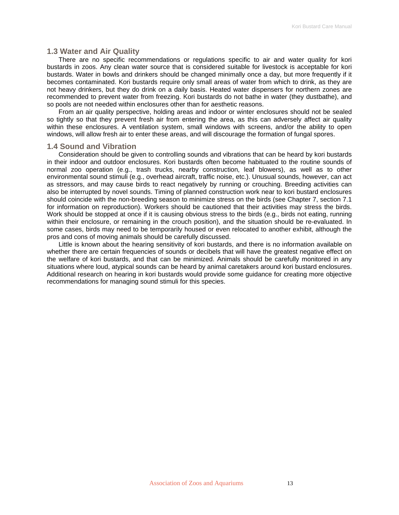### <span id="page-12-0"></span>**1.3 Water and Air Quality**

There are no specific recommendations or regulations specific to air and water quality for kori bustards in zoos. Any clean water source that is considered suitable for livestock is acceptable for kori bustards. Water in bowls and drinkers should be changed minimally once a day, but more frequently if it becomes contaminated. Kori bustards require only small areas of water from which to drink, as they are not heavy drinkers, but they do drink on a daily basis. Heated water dispensers for northern zones are recommended to prevent water from freezing. Kori bustards do not bathe in water (they dustbathe), and so pools are not needed within enclosures other than for aesthetic reasons.

From an air quality perspective, holding areas and indoor or winter enclosures should not be sealed so tightly so that they prevent fresh air from entering the area, as this can adversely affect air quality within these enclosures. A ventilation system, small windows with screens, and/or the ability to open windows, will allow fresh air to enter these areas, and will discourage the formation of fungal spores.

#### **1.4 Sound and Vibration**

Consideration should be given to controlling sounds and vibrations that can be heard by kori bustards in their indoor and outdoor enclosures. Kori bustards often become habituated to the routine sounds of normal zoo operation (e.g., trash trucks, nearby construction, leaf blowers), as well as to other environmental sound stimuli (e.g., overhead aircraft, traffic noise, etc.). Unusual sounds, however, can act as stressors, and may cause birds to react negatively by running or crouching. Breeding activities can also be interrupted by novel sounds. Timing of planned construction work near to kori bustard enclosures should coincide with the non-breeding season to minimize stress on the birds (see Chapter 7, section 7.1 for information on reproduction). Workers should be cautioned that their activities may stress the birds. Work should be stopped at once if it is causing obvious stress to the birds (e.g., birds not eating, running within their enclosure, or remaining in the crouch position), and the situation should be re-evaluated. In some cases, birds may need to be temporarily housed or even relocated to another exhibit, although the pros and cons of moving animals should be carefully discussed.

Little is known about the hearing sensitivity of kori bustards, and there is no information available on whether there are certain frequencies of sounds or decibels that will have the greatest negative effect on the welfare of kori bustards, and that can be minimized. Animals should be carefully monitored in any situations where loud, atypical sounds can be heard by animal caretakers around kori bustard enclosures. Additional research on hearing in kori bustards would provide some guidance for creating more objective recommendations for managing sound stimuli for this species.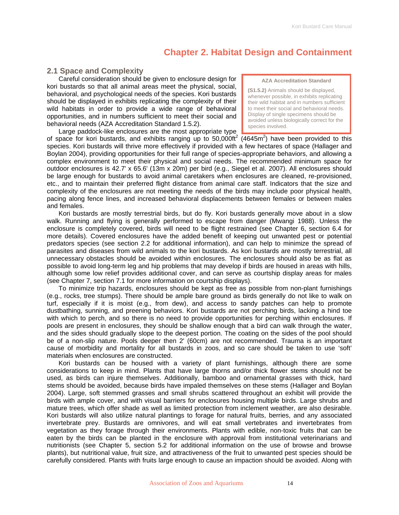## **Chapter 2. Habitat Design and Containment**

## <span id="page-13-0"></span>**2.1 Space and Complexity**

Careful consideration should be given to enclosure design for kori bustards so that all animal areas meet the physical, social, behavioral, and psychological needs of the species. Kori bustards should be displayed in exhibits replicating the complexity of their wild habitats in order to provide a wide range of behavioral opportunities, and in numbers sufficient to meet their social and behavioral needs (AZA Accreditation Standard 1.5.2).

Large paddock-like enclosures are the most appropriate type

**AZA Accreditation Standard** 

**(S1.5.2)** Animals should be displayed, whenever possible, in exhibits replicating their wild habitat and in numbers sufficient to meet their social and behavioral needs. Display of single specimens should be avoided unless biologically correct for the species involved.

of space for kori bustards, and exhibits ranging up to 50,000ft<sup>2</sup> (4645m<sup>2</sup>) have been provided to this species. Kori bustards will thrive more effectively if provided with a few hectares of space (Hallager and Boylan 2004), providing opportunities for their full range of species-appropriate behaviors, and allowing a complex environment to meet their physical and social needs. The recommended minimum space for outdoor enclosures is 42.7' x 65.6' (13m x 20m) per bird (e.g., Siegel et al. 2007). All enclosures should be large enough for bustards to avoid animal caretakers when enclosures are cleaned, re-provisioned, etc., and to maintain their preferred flight distance from animal care staff. Indicators that the size and complexity of the enclosures are not meeting the needs of the birds may include poor physical health, pacing along fence lines, and increased behavioral displacements between females or between males and females.

Kori bustards are mostly terrestrial birds, but do fly. Kori bustards generally move about in a slow walk. Running and flying is generally performed to escape from danger (Mwangi 1988). Unless the enclosure is completely covered, birds will need to be flight restrained (see Chapter 6, section 6.4 for more details). Covered enclosures have the added benefit of keeping out unwanted pest or potential predators species (see section 2.2 for additional information), and can help to minimize the spread of parasites and diseases from wild animals to the kori bustards. As kori bustards are mostly terrestrial, all unnecessary obstacles should be avoided within enclosures. The enclosures should also be as flat as possible to avoid long-term leg and hip problems that may develop if birds are housed in areas with hills, although some low relief provides additional cover, and can serve as courtship display areas for males (see Chapter 7, section 7.1 for more information on courtship displays).

To minimize trip hazards, enclosures should be kept as free as possible from non-plant furnishings (e.g., rocks, tree stumps). There should be ample bare ground as birds generally do not like to walk on turf, especially if it is moist (e.g., from dew), and access to sandy patches can help to promote dustbathing, sunning, and preening behaviors. Kori bustards are not perching birds, lacking a hind toe with which to perch, and so there is no need to provide opportunities for perching within enclosures. If pools are present in enclosures, they should be shallow enough that a bird can walk through the water, and the sides should gradually slope to the deepest portion. The coating on the sides of the pool should be of a non-slip nature. Pools deeper then 2' (60cm) are not recommended. Trauma is an important cause of morbidity and mortality for all bustards in zoos, and so care should be taken to use 'soft' materials when enclosures are constructed.

Kori bustards can be housed with a variety of plant furnishings, although there are some considerations to keep in mind. Plants that have large thorns and/or thick flower stems should not be used, as birds can injure themselves. Additionally, bamboo and ornamental grasses with thick, hard stems should be avoided, because birds have impaled themselves on these stems (Hallager and Boylan 2004). Large, soft stemmed grasses and small shrubs scattered throughout an exhibit will provide the birds with ample cover, and with visual barriers for enclosures housing multiple birds. Large shrubs and mature trees, which offer shade as well as limited protection from inclement weather, are also desirable. Kori bustards will also utilize natural plantings to forage for natural fruits, berries, and any associated invertebrate prey. Bustards are omnivores, and will eat small vertebrates and invertebrates from vegetation as they forage through their environments. Plants with edible, non-toxic fruits that can be eaten by the birds can be planted in the enclosure with approval from institutional veterinarians and nutritionists (see Chapter 5, section 5.2 for additional information on the use of browse and browse plants), but nutritional value, fruit size, and attractiveness of the fruit to unwanted pest species should be carefully considered. Plants with fruits large enough to cause an impaction should be avoided. Along with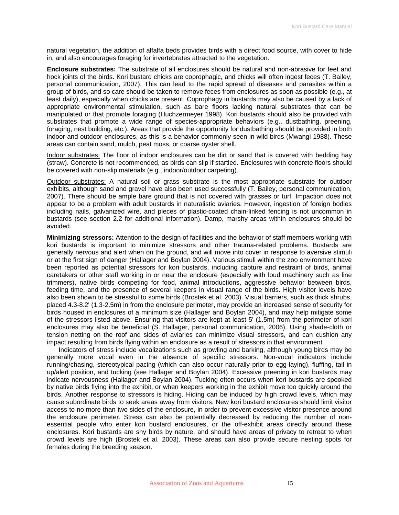natural vegetation, the addition of alfalfa beds provides birds with a direct food source, with cover to hide in, and also encourages foraging for invertebrates attracted to the vegetation.

**Enclosure substrates:** The substrate of all enclosures should be natural and non-abrasive for feet and hock joints of the birds. Kori bustard chicks are coprophagic, and chicks will often ingest feces (T. Bailey, personal communication, 2007). This can lead to the rapid spread of diseases and parasites within a group of birds, and so care should be taken to remove feces from enclosures as soon as possible (e.g., at least daily), especially when chicks are present. Coprophagy in bustards may also be caused by a lack of appropriate environmental stimulation, such as bare floors lacking natural substrates that can be manipulated or that promote foraging (Huchzermeyer 1998). Kori bustards should also be provided with substrates that promote a wide range of species-appropriate behaviors (e.g., dustbathing, preening, foraging, nest building, etc.). Areas that provide the opportunity for dustbathing should be provided in both indoor and outdoor enclosures, as this is a behavior commonly seen in wild birds (Mwangi 1988). These areas can contain sand, mulch, peat moss, or coarse oyster shell.

Indoor substrates: The floor of indoor enclosures can be dirt or sand that is covered with bedding hay (straw). Concrete is not recommended, as birds can slip if startled. Enclosures with concrete floors should be covered with non-slip materials (e.g., indoor/outdoor carpeting).

Outdoor substrates: A natural soil or grass substrate is the most appropriate substrate for outdoor exhibits, although sand and gravel have also been used successfully (T. Bailey, personal communication, 2007). There should be ample bare ground that is not covered with grasses or turf. Impaction does not appear to be a problem with adult bustards in naturalistic aviaries. However, ingestion of foreign bodies including nails, galvanized wire, and pieces of plastic-coated chain-linked fencing is not uncommon in bustards (see section 2.2 for additional information). Damp, marshy areas within enclosures should be avoided.

**Minimizing stressors:** Attention to the design of facilities and the behavior of staff members working with kori bustards is important to minimize stressors and other trauma-related problems. Bustards are generally nervous and alert when on the ground, and will move into cover in response to aversive stimuli or at the first sign of danger (Hallager and Boylan 2004). Various stimuli within the zoo environment have been reported as potential stressors for kori bustards, including capture and restraint of birds, animal caretakers or other staff working in or near the enclosure (especially with loud machinery such as line trimmers), native birds competing for food, animal introductions, aggressive behavior between birds, feeding time, and the presence of several keepers in visual range of the birds. High visitor levels have also been shown to be stressful to some birds (Brostek et al. 2003). Visual barriers, such as thick shrubs, placed 4.3-8.2' (1.3-2.5m) in from the enclosure perimeter, may provide an increased sense of security for birds housed in enclosures of a minimum size (Hallager and Boylan 2004), and may help mitigate some of the stressors listed above. Ensuring that visitors are kept at least 5' (1.5m) from the perimeter of kori enclosures may also be beneficial (S. Hallager, personal communication, 2006). Using shade-cloth or tension netting on the roof and sides of aviaries can minimize visual stressors, and can cushion any impact resulting from birds flying within an enclosure as a result of stressors in that environment.

Indicators of stress include vocalizations such as growling and barking, although young birds may be generally more vocal even in the absence of specific stressors. Non-vocal indicators include running/chasing, stereotypical pacing (which can also occur naturally prior to egg-laying), fluffing, tail in up/alert position, and tucking (see Hallager and Boylan 2004). Excessive preening in kori bustards may indicate nervousness (Hallager and Boylan 2004). Tucking often occurs when kori bustards are spooked by native birds flying into the exhibit, or when keepers working in the exhibit move too quickly around the birds. Another response to stressors is hiding. Hiding can be induced by high crowd levels, which may cause subordinate birds to seek areas away from visitors. New kori bustard enclosures should limit visitor access to no more than two sides of the enclosure, in order to prevent excessive visitor presence around the enclosure perimeter. Stress can also be potentially decreased by reducing the number of nonessential people who enter kori bustard enclosures, or the off-exhibit areas directly around these enclosures. Kori bustards are shy birds by nature, and should have areas of privacy to retreat to when crowd levels are high (Brostek et al. 2003). These areas can also provide secure nesting spots for females during the breeding season.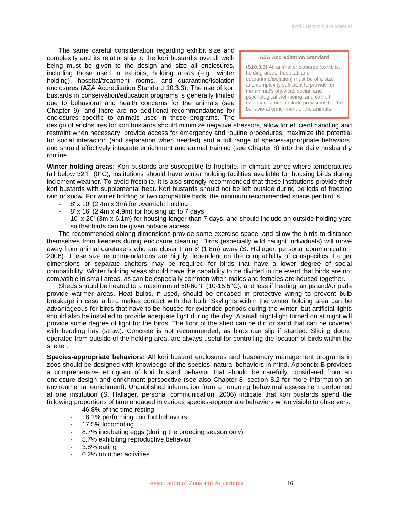The same careful consideration regarding exhibit size and complexity and its relationship to the kori bustard's overall wellbeing must be given to the design and size all enclosures, including those used in exhibits, holding areas (e.g., winter holding), hospital/treatment rooms, and quarantine/isolation enclosures (AZA Accreditation Standard 10.3.3). The use of kori bustards in conservation/education programs is generally limited due to behavioral and health concerns for the animals (see Chapter 9), and there are no additional recommendations for enclosures specific to animals used in these programs. The

#### **AZA Accreditation Standard**

**(S10.3.3)** All animal enclosures (exhibits, holding areas, hospital, and quarantine/isolation) must be of a size and complexity sufficient to provide for the animal's physical, social, and psychological well-being; and exhibit enclosures must include provisions for the behavioral enrichment of the animals.

design of enclosures for kori bustards should minimize negative stressors, allow for efficient handling and restraint when necessary, provide access for emergency and routine procedures, maximize the potential for social interaction (and separation when needed) and a full range of species-appropriate behaviors, and should effectively integrate enrichment and animal training (see Chapter 8) into the daily husbandry routine.

**Winter holding areas:** Kori bustards are susceptible to frostbite. In climatic zones where temperatures fall below 32°F (0°C), institutions should have winter holding facilities available for housing birds during inclement weather. To avoid frostbite, it is also strongly recommended that these institutions provide their kori bustards with supplemental heat. Kori bustards should not be left outside during periods of freezing rain or snow. For winter holding of two compatible birds, the minimum recommended space per bird is:

- 8' x 10' (2.4m x 3m) for overnight holding
- $8'$  x 16' (2.4m x 4.9m) for housing up to 7 days
- $10'$  x 20<sup>'</sup> (3m x 6.1m) for housing longer than 7 days, and should include an outside holding yard so that birds can be given outside access.

The recommended oblong dimensions provide some exercise space, and allow the birds to distance themselves from keepers during enclosure cleaning. Birds (especially wild caught individuals) will move away from animal caretakers who are closer than 6' (1.8m) away (S. Hallager, personal communication, 2006). These size recommendations are highly dependent on the compatibility of conspecifics. Larger dimensions or separate shelters may be required for birds that have a lower degree of social compatibility. Winter holding areas should have the capability to be divided in the event that birds are not compatible in small areas, as can be especially common when males and females are housed together.

Sheds should be heated to a maximum of 50-60°F (10-15.5°C), and less if heating lamps and/or pads provide warmer areas. Heat bulbs, if used, should be encased in protective wiring to prevent bulb breakage in case a bird makes contact with the bulb. Skylights within the winter holding area can be advantageous for birds that have to be housed for extended periods during the winter, but artificial lights should also be installed to provide adequate light during the day. A small night-light turned on at night will provide some degree of light for the birds. The floor of the shed can be dirt or sand that can be covered with bedding hay (straw). Concrete is not recommended, as birds can slip if startled. Sliding doors, operated from outside of the holding area, are always useful for controlling the location of birds within the shelter.

**Species-appropriate behaviors:** All kori bustard enclosures and husbandry management programs in zoos should be designed with knowledge of the species' natural behaviors in mind. Appendix B provides a comprehensive ethogram of kori bustard behavior that should be carefully considered from an enclosure design and enrichment perspective (see also Chapter 8, section 8.2 for more information on environmental enrichment). Unpublished information from an ongoing behavioral assessment performed at one institution (S. Hallager, personal communication, 2006) indicate that kori bustards spend the following proportions of time engaged in various species-appropriate behaviors when visible to observers:

- 46.8% of the time resting
- 18.1% performing comfort behaviors
- 17.5% locomoting
- 8.7% incubating eggs (during the breeding season only)
- 5.7% exhibiting reproductive behavior
- 3.8% eating
- 0.2% on other activities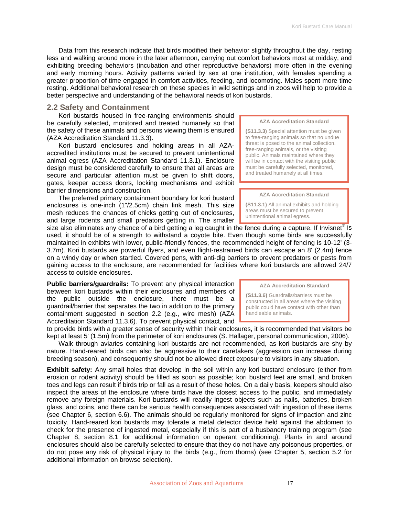<span id="page-16-0"></span>Data from this research indicate that birds modified their behavior slightly throughout the day, resting less and walking around more in the later afternoon, carrying out comfort behaviors most at midday, and exhibiting breeding behaviors (incubation and other reproductive behaviors) more often in the evening and early morning hours. Activity patterns varied by sex at one institution, with females spending a greater proportion of time engaged in comfort activities, feeding, and locomoting. Males spent more time resting. Additional behavioral research on these species in wild settings and in zoos will help to provide a better perspective and understanding of the behavioral needs of kori bustards.

## **2.2 Safety and Containment**

Kori bustards housed in free-ranging environments should be carefully selected, monitored and treated humanely so that the safety of these animals and persons viewing them is ensured (AZA Accreditation Standard 11.3.3).

Kori bustard enclosures and holding areas in all AZAaccredited institutions must be secured to prevent unintentional animal egress (AZA Accreditation Standard 11.3.1). Enclosure design must be considered carefully to ensure that all areas are secure and particular attention must be given to shift doors, gates, keeper access doors, locking mechanisms and exhibit barrier dimensions and construction.

The preferred primary containment boundary for kori bustard enclosures is one-inch (1"/2.5cm) chain link mesh. This size mesh reduces the chances of chicks getting out of enclosures, and large rodents and small predators getting in. The smaller

#### **AZA Accreditation Standard**

**(S11.3.3)** Special attention must be given to free-ranging animals so that no undue threat is posed to the animal collection, free-ranging animals, or the visiting public. Animals maintained where they will be in contact with the visiting public must be carefully selected, monitored, and treated humanely at all times.

#### **AZA Accreditation Standard**

**(S11.3.1)** All animal exhibits and holding areas must be secured to prevent unintentional animal egress.

size also eliminates any chance of a bird getting a leg caught in the fence during a capture. If Invisnet<sup>®</sup> is used, it should be of a strength to withstand a coyote bite. Even though some birds are successfully maintained in exhibits with lower, public-friendly fences, the recommended height of fencing is 10-12' (3- 3.7m). Kori bustards are powerful flyers, and even flight-restrained birds can escape an 8' (2.4m) fence on a windy day or when startled. Covered pens, with anti-dig barriers to prevent predators or pests from gaining access to the enclosure, are recommended for facilities where kori bustards are allowed 24/7 access to outside enclosures.

**Public barriers/guardrails:** To prevent any physical interaction between kori bustards within their enclosures and members of the public outside the enclosure, there must be a guardrail/barrier that separates the two in addition to the primary containment suggested in section 2.2 (e.g., wire mesh) (AZA Accreditation Standard 11.3.6). To prevent physical contact, and

to provide birds with a greater sense of security within their enclosures, it is recommended that visitors be kept at least 5' (1.5m) from the perimeter of kori enclosures (S. Hallager, personal communication, 2006).

Walk through aviaries containing kori bustards are not recommended, as kori bustards are shy by nature. Hand-reared birds can also be aggressive to their caretakers (aggression can increase during breeding season), and consequently should not be allowed direct exposure to visitors in any situation.

**Exhibit safety:** Any small holes that develop in the soil within any kori bustard enclosure (either from erosion or rodent activity) should be filled as soon as possible; kori bustard feet are small, and broken toes and legs can result if birds trip or fall as a result of these holes. On a daily basis, keepers should also inspect the areas of the enclosure where birds have the closest access to the public, and immediately remove any foreign materials. Kori bustards will readily ingest objects such as nails, batteries, broken glass, and coins, and there can be serious health consequences associated with ingestion of these items (see Chapter 6, section 6.6). The animals should be regularly monitored for signs of impaction and zinc toxicity. Hand-reared kori bustards may tolerate a metal detector device held against the abdomen to check for the presence of ingested metal, especially if this is part of a husbandry training program (see Chapter 8, section 8.1 for additional information on operant conditioning). Plants in and around enclosures should also be carefully selected to ensure that they do not have any poisonous properties, or do not pose any risk of physical injury to the birds (e.g., from thorns) (see Chapter 5, section 5.2 for additional information on browse selection).

#### **AZA Accreditation Standard**

**(S11.3.6)** Guardrails/barriers must be constructed in all areas where the visiting public could have contact with other than handleable animals.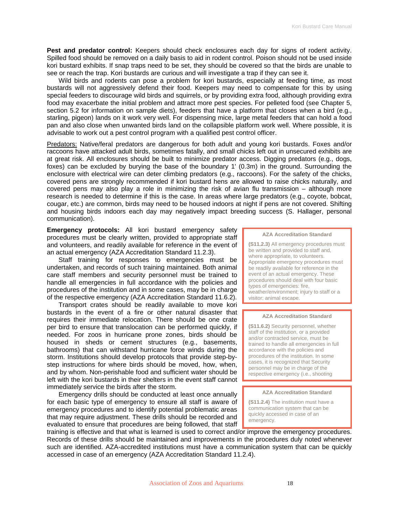Pest and predator control: Keepers should check enclosures each day for signs of rodent activity. Spilled food should be removed on a daily basis to aid in rodent control. Poison should not be used inside kori bustard exhibits. If snap traps need to be set, they should be covered so that the birds are unable to see or reach the trap. Kori bustards are curious and will investigate a trap if they can see it.

Wild birds and rodents can pose a problem for kori bustards, especially at feeding time, as most bustards will not aggressively defend their food. Keepers may need to compensate for this by using special feeders to discourage wild birds and squirrels, or by providing extra food, although providing extra food may exacerbate the initial problem and attract more pest species. For pelleted food (see Chapter 5, section 5.2 for information on sample diets), feeders that have a platform that closes when a bird (e.g., starling, pigeon) lands on it work very well. For dispensing mice, large metal feeders that can hold a food pan and also close when unwanted birds land on the collapsible platform work well. Where possible, it is advisable to work out a pest control program with a qualified pest control officer.

Predators: Native/feral predators are dangerous for both adult and young kori bustards. Foxes and/or raccoons have attacked adult birds, sometimes fatally, and small chicks left out in unsecured exhibits are at great risk. All enclosures should be built to minimize predator access. Digging predators (e.g., dogs, foxes) can be excluded by burying the base of the boundary 1' (0.3m) in the ground. Surrounding the enclosure with electrical wire can deter climbing predators (e.g., raccoons). For the safety of the chicks, covered pens are strongly recommended if kori bustard hens are allowed to raise chicks naturally, and covered pens may also play a role in minimizing the risk of avian flu transmission – although more research is needed to determine if this is the case. In areas where large predators (e.g., coyote, bobcat, cougar, etc.) are common, birds may need to be housed indoors at night if pens are not covered. Shifting and housing birds indoors each day may negatively impact breeding success (S. Hallager, personal communication).

**Emergency protocols:** All kori bustard emergency safety procedures must be clearly written, provided to appropriate staff and volunteers, and readily available for reference in the event of an actual emergency (AZA Accreditation Standard 11.2.3).

Staff training for responses to emergencies must be undertaken, and records of such training maintained. Both animal care staff members and security personnel must be trained to handle all emergencies in full accordance with the policies and procedures of the institution and in some cases, may be in charge of the respective emergency (AZA Accreditation Standard 11.6.2).

Transport crates should be readily available to move kori bustards in the event of a fire or other natural disaster that requires their immediate relocation. There should be one crate per bird to ensure that translocation can be performed quickly, if needed. For zoos in hurricane prone zones, birds should be housed in sheds or cement structures (e.g., basements, bathrooms) that can withstand hurricane force winds during the storm. Institutions should develop protocols that provide step-bystep instructions for where birds should be moved, how, when, and by whom. Non-perishable food and sufficient water should be left with the kori bustards in their shelters in the event staff cannot immediately service the birds after the storm.

Emergency drills should be conducted at least once annually for each basic type of emergency to ensure all staff is aware of emergency procedures and to identify potential problematic areas that may require adjustment. These drills should be recorded and evaluated to ensure that procedures are being followed, that staff **AZA Accreditation Standard** 

**(S11.2.3)** All emergency procedures must be written and provided to staff and, where appropriate, to volunteers. Appropriate emergency procedures must be readily available for reference in the event of an actual emergency. These procedures should deal with four basic types of emergencies: fire, weather/environment; injury to staff or a visitor; animal escape.

#### **AZA Accreditation Standard**

**(S11.6.2)** Security personnel, whether staff of the institution, or a provided and/or contracted service, must be trained to handle all emergencies in full accordance with the policies and procedures of the institution. In some cases, it is recognized that Security personnel may be in charge of the respective emergency (i.e., shooting

#### **AZA Accreditation Standard**

**(S11.2.4)** The institution must have a communication system that can be quickly accessed in case of an emergency.

training is effective and that what is learned is used to correct and/or improve the emergency procedures. Records of these drills should be maintained and improvements in the procedures duly noted whenever such are identified. AZA-accredited institutions must have a communication system that can be quickly accessed in case of an emergency (AZA Accreditation Standard 11.2.4).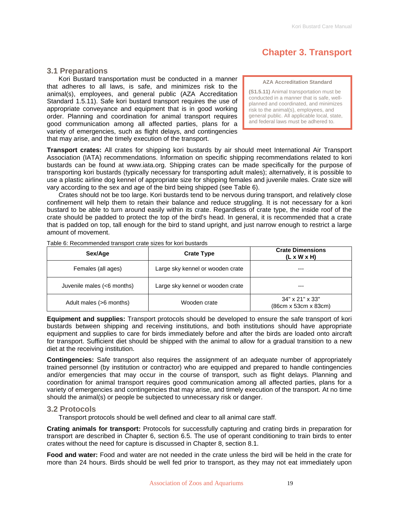## **Chapter 3. Transport**

### <span id="page-18-0"></span>**3.1 Preparations**

Kori Bustard transportation must be conducted in a manner that adheres to all laws, is safe, and minimizes risk to the animal(s), employees, and general public (AZA Accreditation Standard 1.5.11). Safe kori bustard transport requires the use of appropriate conveyance and equipment that is in good working order. Planning and coordination for animal transport requires good communication among all affected parties, plans for a variety of emergencies, such as flight delays, and contingencies that may arise, and the timely execution of the transport.

**AZA Accreditation Standard** 

**(S1.5.11)** Animal transportation must be conducted in a manner that is safe, wellplanned and coordinated, and minimizes risk to the animal(s), employees, and general public. All applicable local, state, and federal laws must be adhered to.

**Transport crates:** All crates for shipping kori bustards by air should meet International Air Transport Association (IATA) recommendations. Information on specific shipping recommendations related to kori bustards can be found at www.iata.org. Shipping crates can be made specifically for the purpose of transporting kori bustards (typically necessary for transporting adult males); alternatively, it is possible to use a plastic airline dog kennel of appropriate size for shipping females and juvenile males. Crate size will vary according to the sex and age of the bird being shipped (see Table 6).

Crates should not be too large. Kori bustards tend to be nervous during transport, and relatively close confinement will help them to retain their balance and reduce struggling. It is not necessary for a kori bustard to be able to turn around easily within its crate. Regardless of crate type, the inside roof of the crate should be padded to protect the top of the bird's head. In general, it is recommended that a crate that is padded on top, tall enough for the bird to stand upright, and just narrow enough to restrict a large amount of movement.

| Sex/Age                    | <b>Crate Type</b>                | <b>Crate Dimensions</b><br>$(L \times W \times H)$ |
|----------------------------|----------------------------------|----------------------------------------------------|
| Females (all ages)         | Large sky kennel or wooden crate |                                                    |
| Juvenile males (<6 months) | Large sky kennel or wooden crate |                                                    |
| Adult males (>6 months)    | Wooden crate                     | 34" x 21" x 33"<br>(86cm x 53cm x 83cm)            |

Table 6: Recommended transport crate sizes for kori bustards

**Equipment and supplies:** Transport protocols should be developed to ensure the safe transport of kori bustards between shipping and receiving institutions, and both institutions should have appropriate equipment and supplies to care for birds immediately before and after the birds are loaded onto aircraft for transport. Sufficient diet should be shipped with the animal to allow for a gradual transition to a new diet at the receiving institution.

**Contingencies:** Safe transport also requires the assignment of an adequate number of appropriately trained personnel (by institution or contractor) who are equipped and prepared to handle contingencies and/or emergencies that may occur in the course of transport, such as flight delays. Planning and coordination for animal transport requires good communication among all affected parties, plans for a variety of emergencies and contingencies that may arise, and timely execution of the transport. At no time should the animal(s) or people be subjected to unnecessary risk or danger.

#### **3.2 Protocols**

Transport protocols should be well defined and clear to all animal care staff.

**Crating animals for transport:** Protocols for successfully capturing and crating birds in preparation for transport are described in Chapter 6, section 6.5. The use of operant conditioning to train birds to enter crates without the need for capture is discussed in Chapter 8, section 8.1.

**Food and water:** Food and water are not needed in the crate unless the bird will be held in the crate for more than 24 hours. Birds should be well fed prior to transport, as they may not eat immediately upon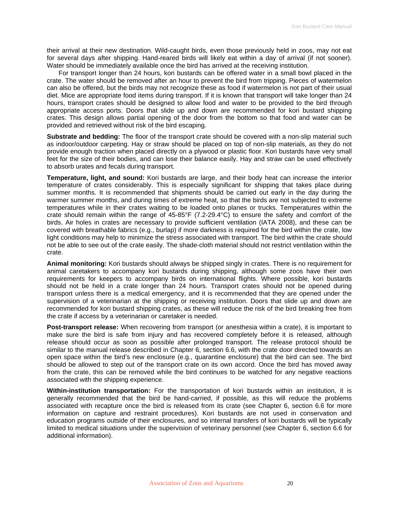their arrival at their new destination. Wild-caught birds, even those previously held in zoos, may not eat for several days after shipping. Hand-reared birds will likely eat within a day of arrival (if not sooner). Water should be immediately available once the bird has arrived at the receiving institution.

For transport longer than 24 hours, kori bustards can be offered water in a small bowl placed in the crate. The water should be removed after an hour to prevent the bird from tripping. Pieces of watermelon can also be offered, but the birds may not recognize these as food if watermelon is not part of their usual diet. Mice are appropriate food items during transport. If it is known that transport will take longer than 24 hours, transport crates should be designed to allow food and water to be provided to the bird through appropriate access ports. Doors that slide up and down are recommended for kori bustard shipping crates. This design allows partial opening of the door from the bottom so that food and water can be provided and retrieved without risk of the bird escaping.

**Substrate and bedding:** The floor of the transport crate should be covered with a non-slip material such as indoor/outdoor carpeting. Hay or straw should be placed on top of non-slip materials, as they do not provide enough traction when placed directly on a plywood or plastic floor. Kori bustards have very small feet for the size of their bodies, and can lose their balance easily. Hay and straw can be used effectively to absorb urates and fecals during transport.

**Temperature, light, and sound:** Kori bustards are large, and their body heat can increase the interior temperature of crates considerably. This is especially significant for shipping that takes place during summer months. It is recommended that shipments should be carried out early in the day during the warmer summer months, and during times of extreme heat, so that the birds are not subjected to extreme temperatures while in their crates waiting to be loaded onto planes or trucks. Temperatures within the crate should remain within the range of 45-85°F (7.2-29.4°C) to ensure the safety and comfort of the birds. Air holes in crates are necessary to provide sufficient ventilation (IATA 2008), and these can be covered with breathable fabrics (e.g., burlap) if more darkness is required for the bird within the crate, low light conditions may help to minimize the stress associated with transport. The bird within the crate should not be able to see out of the crate easily. The shade-cloth material should not restrict ventilation within the crate.

**Animal monitoring:** Kori bustards should always be shipped singly in crates. There is no requirement for animal caretakers to accompany kori bustards during shipping, although some zoos have their own requirements for keepers to accompany birds on international flights. Where possible, kori bustards should not be held in a crate longer than 24 hours. Transport crates should not be opened during transport unless there is a medical emergency, and it is recommended that they are opened under the supervision of a veterinarian at the shipping or receiving institution. Doors that slide up and down are recommended for kori bustard shipping crates, as these will reduce the risk of the bird breaking free from the crate if access by a veterinarian or caretaker is needed.

**Post-transport release:** When recovering from transport (or anesthesia within a crate), it is important to make sure the bird is safe from injury and has recovered completely before it is released, although release should occur as soon as possible after prolonged transport. The release protocol should be similar to the manual release described in Chapter 6, section 6.6, with the crate door directed towards an open space within the bird's new enclosure (e.g., quarantine enclosure) that the bird can see. The bird should be allowed to step out of the transport crate on its own accord. Once the bird has moved away from the crate, this can be removed while the bird continues to be watched for any negative reactions associated with the shipping experience.

**Within-institution transportation:** For the transportation of kori bustards within an institution, it is generally recommended that the bird be hand-carried, if possible, as this will reduce the problems associated with recapture once the bird is released from its crate (see Chapter 6, section 6.6 for more information on capture and restraint procedures). Kori bustards are not used in conservation and education programs outside of their enclosures, and so internal transfers of kori bustards will be typically limited to medical situations under the supervision of veterinary personnel (see Chapter 6, section 6.6 for additional information).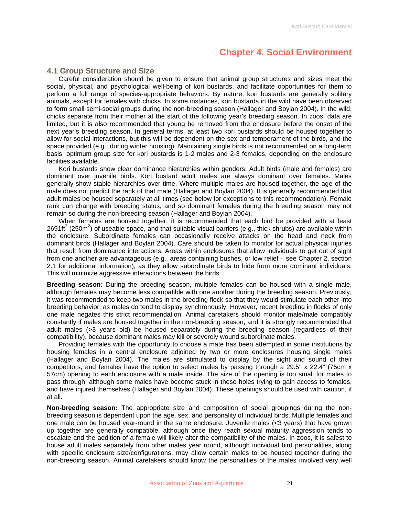## **Chapter 4. Social Environment**

### <span id="page-20-0"></span>**4.1 Group Structure and Size**

Careful consideration should be given to ensure that animal group structures and sizes meet the social, physical, and psychological well-being of kori bustards, and facilitate opportunities for them to perform a full range of species-appropriate behaviors. By nature, kori bustards are generally solitary animals, except for females with chicks. In some instances, kori bustards in the wild have been observed to form small semi-social groups during the non-breeding season (Hallager and Boylan 2004). In the wild, chicks separate from their mother at the start of the following year's breeding season. In zoos, data are limited, but it is also recommended that young be removed from the enclosure before the onset of the next year's breeding season. In general terms, at least two kori bustards should be housed together to allow for social interactions, but this will be dependent on the sex and temperament of the birds, and the space provided (e.g., during winter housing). Maintaining single birds is not recommended on a long-term basis; optimum group size for kori bustards is 1-2 males and 2-3 females, depending on the enclosure facilities available.

Kori bustards show clear dominance hierarchies within genders. Adult birds (male and females) are dominant over juvenile birds. Kori bustard adult males are always dominant over females. Males generally show stable hierarchies over time. Where multiple males are housed together, the age of the male does not predict the rank of that male (Hallager and Boylan 2004). It is generally recommended that adult males be housed separately at all times (see below for exceptions to this recommendation). Female rank can change with breeding status, and so dominant females during the breeding season may not remain so during the non-breeding season (Hallager and Boylan 2004).

When females are housed together, it is recommended that each bird be provided with at least 2691ft<sup>2</sup> (250m<sup>2</sup>) of useable space, and that suitable visual barriers (e.g., thick shrubs) are available within the enclosure. Subordinate females can occasionally receive attacks on the head and neck from dominant birds (Hallager and Boylan 2004). Care should be taken to monitor for actual physical injuries that result from dominance interactions. Areas within enclosures that allow individuals to get out of sight from one another are advantageous (e.g., areas containing bushes, or low relief – see Chapter 2, section 2.1 for additional information), as they allow subordinate birds to hide from more dominant individuals. This will minimize aggressive interactions between the birds.

**Breeding season:** During the breeding season, multiple females can be housed with a single male, although females may become less compatible with one another during the breeding season. Previously, it was recommended to keep two males in the breeding flock so that they would stimulate each other into breeding behavior, as males do tend to display synchronously. However, recent breeding in flocks of only one male negates this strict recommendation. Animal caretakers should monitor male/male compatibly constantly if males are housed together in the non-breeding season, and it is strongly recommended that adult males (>3 years old) be housed separately during the breeding season (regardless of their compatibility), because dominant males may kill or severely wound subordinate males.

Providing females with the opportunity to choose a mate has been attempted in some institutions by housing females in a central enclosure adjoined by two or more enclosures housing single males (Hallager and Boylan 2004). The males are stimulated to display by the sight and sound of their competitors, and females have the option to select males by passing through a 29.5" x 22.4" (75cm x 57cm) opening to each enclosure with a male inside. The size of the opening is too small for males to pass through, although some males have become stuck in these holes trying to gain access to females, and have injured themselves (Hallager and Boylan 2004). These openings should be used with caution, if at all.

**Non-breeding season:** The appropriate size and composition of social groupings during the nonbreeding season is dependent upon the age, sex, and personality of individual birds. Multiple females and one male can be housed year-round in the same enclosure. Juvenile males (<3 years) that have grown up together are generally compatible, although once they reach sexual maturity aggression tends to escalate and the addition of a female will likely alter the compatibility of the males. In zoos, it is safest to house adult males separately from other males year round, although individual bird personalities, along with specific enclosure size/configurations, may allow certain males to be housed together during the non-breeding season. Animal caretakers should know the personalities of the males involved very well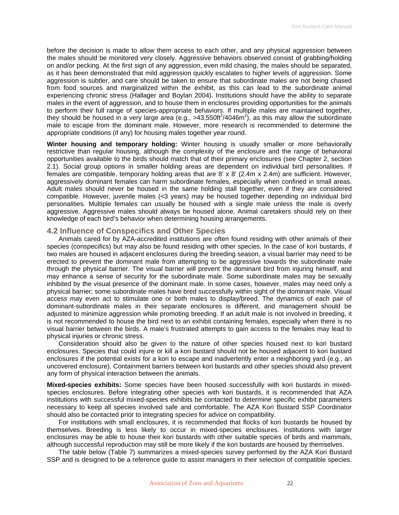<span id="page-21-0"></span>before the decision is made to allow them access to each other, and any physical aggression between the males should be monitored very closely. Aggressive behaviors observed consist of grabbing/holding on and/or pecking. At the first sign of any aggression, even mild chasing, the males should be separated, as it has been demonstrated that mild aggression quickly escalates to higher levels of aggression. Some aggression is subtler, and care should be taken to ensure that subordinate males are not being chased from food sources and marginalized within the exhibit, as this can lead to the subordinate animal experiencing chronic stress (Hallager and Boylan 2004). Institutions should have the ability to separate males in the event of aggression, and to house them in enclosures providing opportunities for the animals to perform their full range of species-appropriate behaviors. If multiple males are maintained together, they should be housed in a very large area (e.g., >43,550ft<sup>2</sup>/4046m<sup>2</sup>), as this may allow the subordinate male to escape from the dominant male. However, more research is recommended to determine the appropriate conditions (if any) for housing males together year round.

**Winter housing and temporary holding:** Winter housing is usually smaller or more behaviorally restrictive than regular housing, although the complexity of the enclosure and the range of behavioral opportunities available to the birds should match that of their primary enclosures (see Chapter 2, section 2.1). Social group options in smaller holding areas are dependent on individual bird personalities. If females are compatible, temporary holding areas that are 8' x 8' (2.4m x 2.4m) are sufficient. However, aggressively dominant females can harm subordinate females, especially when confined in small areas. Adult males should never be housed in the same holding stall together, even if they are considered compatible. However, juvenile males (<3 years) may be housed together depending on individual bird personalities. Multiple females can usually be housed with a single male unless the male is overly aggressive. Aggressive males should always be housed alone. Animal caretakers should rely on their knowledge of each bird's behavior when determining housing arrangements.

### **4.2 Influence of Conspecifics and Other Species**

Animals cared for by AZA-accredited institutions are often found residing with other animals of their species (conspecifics) but may also be found residing with other species. In the case of kori bustards, if two males are housed in adjacent enclosures during the breeding season, a visual barrier may need to be erected to prevent the dominant male from attempting to be aggressive towards the subordinate male through the physical barrier. The visual barrier will prevent the dominant bird from injuring himself, and may enhance a sense of security for the subordinate male. Some subordinate males may be sexually inhibited by the visual presence of the dominant male. In some cases, however, males may need only a physical barrier; some subordinate males have bred successfully within sight of the dominant male. Visual access may even act to stimulate one or both males to display/breed. The dynamics of each pair of dominant-subordinate males in their separate enclosures is different, and management should be adjusted to minimize aggression while promoting breeding. If an adult male is not involved in breeding, it is not recommended to house the bird next to an exhibit containing females, especially when there is no visual barrier between the birds. A male's frustrated attempts to gain access to the females may lead to physical injuries or chronic stress.

Consideration should also be given to the nature of other species housed next to kori bustard enclosures. Species that could injure or kill a kori bustard should not be housed adjacent to kori bustard enclosures if the potential exists for a kori to escape and inadvertently enter a neighboring yard (e.g., an uncovered enclosure). Containment barriers between kori bustards and other species should also prevent any form of physical interaction between the animals.

**Mixed-species exhibits:** Some species have been housed successfully with kori bustards in mixedspecies enclosures. Before integrating other species with kori bustards, it is recommended that AZA institutions with successful mixed-species exhibits be contacted to determine specific exhibit parameters necessary to keep all species involved safe and comfortable. The AZA Kori Bustard SSP Coordinator should also be contacted prior to integrating species for advice on compatibility.

For institutions with small enclosures, it is recommended that flocks of kori bustards be housed by themselves. Breeding is less likely to occur in mixed-species enclosures. Institutions with larger enclosures may be able to house their kori bustards with other suitable species of birds and mammals, although successful reproduction may still be more likely if the kori bustards are housed by themselves.

The table below (Table 7) summarizes a mixed-species survey performed by the AZA Kori Bustard SSP and is designed to be a reference guide to assist managers in their selection of compatible species.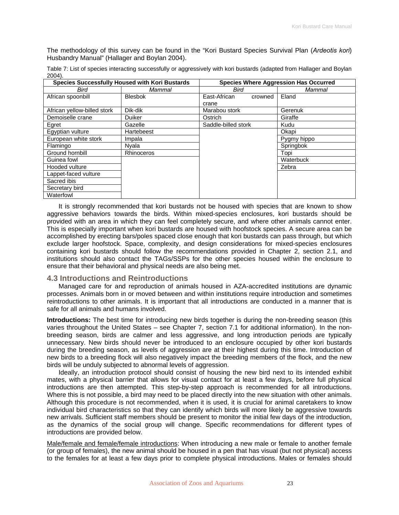<span id="page-22-0"></span>The methodology of this survey can be found in the "Kori Bustard Species Survival Plan (*Ardeotis kori*) Husbandry Manual" (Hallager and Boylan 2004).

Table 7: List of species interacting successfully or aggressively with kori bustards (adapted from Hallager and Boylan 2004).

| Species Successfully Housed with Kori Bustards |                   | <b>Species Where Aggression Has Occurred</b> |             |
|------------------------------------------------|-------------------|----------------------------------------------|-------------|
| Bird                                           | Mammal            | Bird                                         | Mammal      |
| African spoonbill                              | <b>Blesbok</b>    | East-African<br>crowned                      | Eland       |
|                                                |                   | crane                                        |             |
| African yellow-billed stork                    | Dik-dik           | Marabou stork                                | Gerenuk     |
| Demoiselle crane                               | Duiker            | Ostrich                                      | Giraffe     |
| Egret                                          | Gazelle           | Saddle-billed stork                          | Kudu        |
| Egyptian vulture                               | Hartebeest        |                                              | Okapi       |
| European white stork                           | Impala            |                                              | Pygmy hippo |
| Flamingo                                       | Nyala             |                                              | Springbok   |
| Ground hornbill                                | <b>Rhinoceros</b> |                                              | Topi        |
| Guinea fowl                                    |                   |                                              | Waterbuck   |
| Hooded vulture                                 |                   |                                              | Zebra       |
| Lappet-faced vulture                           |                   |                                              |             |
| Sacred ibis                                    |                   |                                              |             |
| Secretary bird                                 |                   |                                              |             |
| Waterfowl                                      |                   |                                              |             |

It is strongly recommended that kori bustards not be housed with species that are known to show aggressive behaviors towards the birds. Within mixed-species enclosures, kori bustards should be provided with an area in which they can feel completely secure, and where other animals cannot enter. This is especially important when kori bustards are housed with hoofstock species. A secure area can be accomplished by erecting bars/poles spaced close enough that kori bustards can pass through, but which exclude larger hoofstock. Space, complexity, and design considerations for mixed-species enclosures containing kori bustards should follow the recommendations provided in Chapter 2, section 2.1, and institutions should also contact the TAGs/SSPs for the other species housed within the enclosure to ensure that their behavioral and physical needs are also being met.

## **4.3 Introductions and Reintroductions**

Managed care for and reproduction of animals housed in AZA-accredited institutions are dynamic processes. Animals born in or moved between and within institutions require introduction and sometimes reintroductions to other animals. It is important that all introductions are conducted in a manner that is safe for all animals and humans involved.

**Introductions:** The best time for introducing new birds together is during the non-breeding season (this varies throughout the United States – see Chapter 7, section 7.1 for additional information). In the nonbreeding season, birds are calmer and less aggressive, and long introduction periods are typically unnecessary. New birds should never be introduced to an enclosure occupied by other kori bustards during the breeding season, as levels of aggression are at their highest during this time. Introduction of new birds to a breeding flock will also negatively impact the breeding members of the flock, and the new birds will be unduly subjected to abnormal levels of aggression.

Ideally, an introduction protocol should consist of housing the new bird next to its intended exhibit mates, with a physical barrier that allows for visual contact for at least a few days, before full physical introductions are then attempted. This step-by-step approach is recommended for all introductions. Where this is not possible, a bird may need to be placed directly into the new situation with other animals. Although this procedure is not recommended, when it is used, it is crucial for animal caretakers to know individual bird characteristics so that they can identify which birds will more likely be aggressive towards new arrivals. Sufficient staff members should be present to monitor the initial few days of the introduction, as the dynamics of the social group will change. Specific recommendations for different types of introductions are provided below.

Male/female and female/female introductions: When introducing a new male or female to another female (or group of females), the new animal should be housed in a pen that has visual (but not physical) access to the females for at least a few days prior to complete physical introductions. Males or females should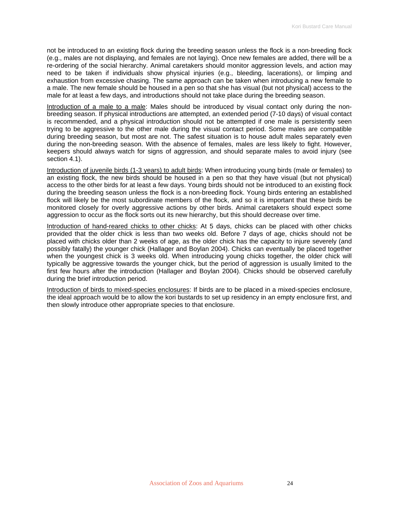not be introduced to an existing flock during the breeding season unless the flock is a non-breeding flock (e.g., males are not displaying, and females are not laying). Once new females are added, there will be a re-ordering of the social hierarchy. Animal caretakers should monitor aggression levels, and action may need to be taken if individuals show physical injuries (e.g., bleeding, lacerations), or limping and exhaustion from excessive chasing. The same approach can be taken when introducing a new female to a male. The new female should be housed in a pen so that she has visual (but not physical) access to the male for at least a few days, and introductions should not take place during the breeding season.

Introduction of a male to a male: Males should be introduced by visual contact only during the nonbreeding season. If physical introductions are attempted, an extended period (7-10 days) of visual contact is recommended, and a physical introduction should not be attempted if one male is persistently seen trying to be aggressive to the other male during the visual contact period. Some males are compatible during breeding season, but most are not. The safest situation is to house adult males separately even during the non-breeding season. With the absence of females, males are less likely to fight. However, keepers should always watch for signs of aggression, and should separate males to avoid injury (see section 4.1).

Introduction of juvenile birds (1-3 years) to adult birds: When introducing young birds (male or females) to an existing flock, the new birds should be housed in a pen so that they have visual (but not physical) access to the other birds for at least a few days. Young birds should not be introduced to an existing flock during the breeding season unless the flock is a non-breeding flock. Young birds entering an established flock will likely be the most subordinate members of the flock, and so it is important that these birds be monitored closely for overly aggressive actions by other birds. Animal caretakers should expect some aggression to occur as the flock sorts out its new hierarchy, but this should decrease over time.

Introduction of hand-reared chicks to other chicks: At 5 days, chicks can be placed with other chicks provided that the older chick is less than two weeks old. Before 7 days of age, chicks should not be placed with chicks older than 2 weeks of age, as the older chick has the capacity to injure severely (and possibly fatally) the younger chick (Hallager and Boylan 2004). Chicks can eventually be placed together when the youngest chick is 3 weeks old. When introducing young chicks together, the older chick will typically be aggressive towards the younger chick, but the period of aggression is usually limited to the first few hours after the introduction (Hallager and Boylan 2004). Chicks should be observed carefully during the brief introduction period.

Introduction of birds to mixed-species enclosures: If birds are to be placed in a mixed-species enclosure, the ideal approach would be to allow the kori bustards to set up residency in an empty enclosure first, and then slowly introduce other appropriate species to that enclosure.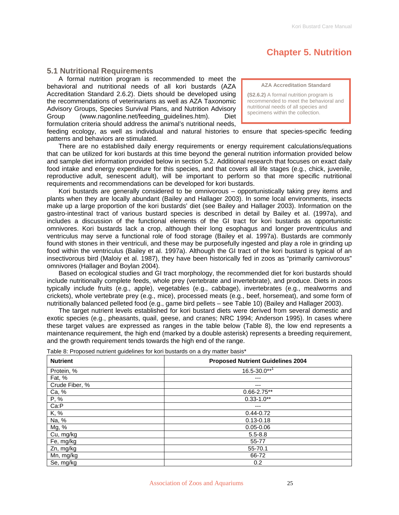## **Chapter 5. Nutrition**

## <span id="page-24-0"></span>**5.1 Nutritional Requirements**

A formal nutrition program is recommended to meet the behavioral and nutritional needs of all kori bustards (AZA Accreditation Standard 2.6.2). Diets should be developed using the recommendations of veterinarians as well as AZA Taxonomic Advisory Groups, Species Survival Plans, and Nutrition Advisory Group (www.nagonline.net/feeding\_guidelines.htm). Diet formulation criteria should address the animal's nutritional needs,

**AZA Accreditation Standard** 

**(S2.6.2)** A formal nutrition program is recommended to meet the behavioral and nutritional needs of all species and specimens within the collection.

feeding ecology, as well as individual and natural histories to ensure that species-specific feeding patterns and behaviors are stimulated.

There are no established daily energy requirements or energy requirement calculations/equations that can be utilized for kori bustards at this time beyond the general nutrition information provided below and sample diet information provided below in section 5.2. Additional research that focuses on exact daily food intake and energy expenditure for this species, and that covers all life stages (e.g., chick, juvenile, reproductive adult, senescent adult), will be important to perform so that more specific nutritional requirements and recommendations can be developed for kori bustards.

Kori bustards are generally considered to be omnivorous – opportunistically taking prey items and plants when they are locally abundant (Bailey and Hallager 2003). In some local environments, insects make up a large proportion of the kori bustards' diet (see Bailey and Hallager 2003). Information on the gastro-intestinal tract of various bustard species is described in detail by Bailey et al. (1997a), and includes a discussion of the functional elements of the GI tract for kori bustards as opportunistic omnivores. Kori bustards lack a crop, although their long esophagus and longer proventriculus and ventriculus may serve a functional role of food storage (Bailey et al. 1997a). Bustards are commonly found with stones in their ventriculi, and these may be purposefully ingested and play a role in grinding up food within the ventriculus (Bailey et al. 1997a). Although the GI tract of the kori bustard is typical of an insectivorous bird (Maloiy et al. 1987), they have been historically fed in zoos as "primarily carnivorous" omnivores (Hallager and Boylan 2004).

Based on ecological studies and GI tract morphology, the recommended diet for kori bustards should include nutritionally complete feeds, whole prey (vertebrate and invertebrate), and produce. Diets in zoos typically include fruits (e.g., apple), vegetables (e.g., cabbage), invertebrates (e.g., mealworms and crickets), whole vertebrate prey (e.g., mice), processed meats (e.g., beef, horsemeat), and some form of nutritionally balanced pelleted food (e.g., game bird pellets – see Table 10) (Bailey and Hallager 2003).

The target nutrient levels established for kori bustard diets were derived from several domestic and exotic species (e.g., pheasants, quail, geese, and cranes; NRC 1994; Anderson 1995). In cases where these target values are expressed as ranges in the table below (Table 8), the low end represents a maintenance requirement, the high end (marked by a double asterisk) represents a breeding requirement, and the growth requirement tends towards the high end of the range.

| <b>Nutrient</b> | <b>Proposed Nutrient Guidelines 2004</b> |  |
|-----------------|------------------------------------------|--|
| Protein, %      | $16.5 - 30.0***$                         |  |
| Fat, %          | ---                                      |  |
| Crude Fiber, %  | ---                                      |  |
| Ca, %           | $0.66 - 2.75**$                          |  |
| P, %            | $0.33 - 1.0**$                           |  |
| Ca:P            | ---                                      |  |
| K, %            | $0.44 - 0.72$                            |  |
| Na, %           | $0.13 - 0.18$                            |  |
| Mg, %           | $0.05 - 0.06$                            |  |
| Cu, mg/kg       | $5.5 - 8.8$                              |  |
| Fe, mg/kg       | 55-77                                    |  |
| Zn, mg/kg       | 55-70.1                                  |  |
| Mn, mg/kg       | 66-72                                    |  |
| Se, mg/kg       | 0.2                                      |  |

Table 8: Proposed nutrient guidelines for kori bustards on a dry matter basis\*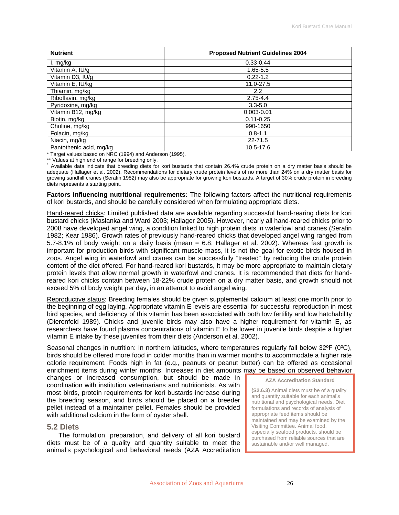<span id="page-25-0"></span>

| <b>Nutrient</b>         | <b>Proposed Nutrient Guidelines 2004</b> |
|-------------------------|------------------------------------------|
| I, mg/kg                | $0.33 - 0.44$                            |
| Vitamin A, IU/g         | 1.65-5.5                                 |
| Vitamin D3, IU/g        | $0.22 - 1.2$                             |
| Vitamin E, IU/kg        | 11.0-27.5                                |
| Thiamin, mg/kg          | $2.2\phantom{0}$                         |
| Riboflavin, mg/kg       | $2.75 - 4.4$                             |
| Pyridoxine, mg/kg       | $3.3 - 5.0$                              |
| Vitamin B12, mg/kg      | $0.003 - 0.01$                           |
| Biotin, mg/kg           | $0.11 - 0.25$                            |
| Choline, mg/kg          | 990-1650                                 |
| Folacin, mg/kg          | $0.8 - 1.1$                              |
| Niacin, mg/kg           | 22-71.5                                  |
| Pantothenic acid, mg/kg | 10.5-17.6                                |

\* Target values based on NRC (1994) and Anderson (1995).

\*\* Values at high end of range for breeding only.

<sup>1</sup> Available data indicate that breeding diets for kori bustards that contain 26.4% crude protein on a dry matter basis should be adequate (Hallager et al. 2002). Recommendations for dietary crude protein levels of no more than 24% on a dry matter basis for growing sandhill cranes (Serafin 1982) may also be appropriate for growing kori bustards. A target of 30% crude protein in breeding diets represents a starting point.

**Factors influencing nutritional requirements:** The following factors affect the nutritional requirements of kori bustards, and should be carefully considered when formulating appropriate diets.

Hand-reared chicks: Limited published data are available regarding successful hand-rearing diets for kori bustard chicks (Maslanka and Ward 2003; Hallager 2005). However, nearly all hand-reared chicks prior to 2008 have developed angel wing, a condition linked to high protein diets in waterfowl and cranes (Serafin 1982; Kear 1986). Growth rates of previously hand-reared chicks that developed angel wing ranged from 5.7-8.1% of body weight on a daily basis (mean = 6.8; Hallager et al. 2002). Whereas fast growth is important for production birds with significant muscle mass, it is not the goal for exotic birds housed in zoos. Angel wing in waterfowl and cranes can be successfully "treated" by reducing the crude protein content of the diet offered. For hand-reared kori bustards, it may be more appropriate to maintain dietary protein levels that allow normal growth in waterfowl and cranes. It is recommended that diets for handreared kori chicks contain between 18-22% crude protein on a dry matter basis, and growth should not exceed 5% of body weight per day, in an attempt to avoid angel wing.

Reproductive status: Breeding females should be given supplemental calcium at least one month prior to the beginning of egg laying. Appropriate vitamin E levels are essential for successful reproduction in most bird species, and deficiency of this vitamin has been associated with both low fertility and low hatchability (Dierenfeld 1989). Chicks and juvenile birds may also have a higher requirement for vitamin E, as researchers have found plasma concentrations of vitamin E to be lower in juvenile birds despite a higher vitamin E intake by these juveniles from their diets (Anderson et al. 2002).

Seasonal changes in nutrition: In northern latitudes, where temperatures regularly fall below 32°F (0°C), birds should be offered more food in colder months than in warmer months to accommodate a higher rate calorie requirement. Foods high in fat (e.g., peanuts or peanut butter) can be offered as occasional enrichment items during winter months. Increases in diet amounts may be based on observed behavior

changes or increased consumption, but should be made in coordination with institution veterinarians and nutritionists. As with most birds, protein requirements for kori bustards increase during the breeding season, and birds should be placed on a breeder pellet instead of a maintainer pellet. Females should be provided with additional calcium in the form of oyster shell.

#### **5.2 Diets**

The formulation, preparation, and delivery of all kori bustard diets must be of a quality and quantity suitable to meet the animal's psychological and behavioral needs (AZA Accreditation **AZA Accreditation Standard** 

**(S2.6.3)** Animal diets must be of a quality and quantity suitable for each animal's nutritional and psychological needs. Diet formulations and records of analysis of appropriate feed items should be maintained and may be examined by the Visiting Committee. Animal food, especially seafood products, should be purchased from reliable sources that are sustainable and/or well managed.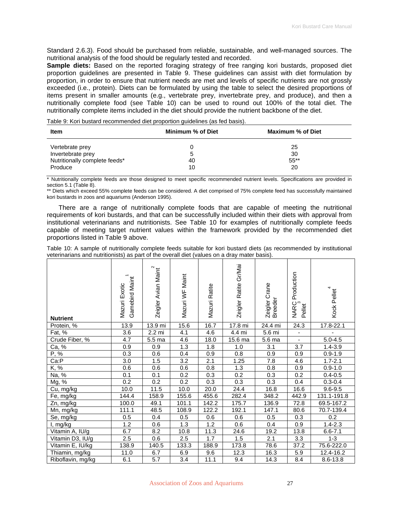Standard 2.6.3). Food should be purchased from reliable, sustainable, and well-managed sources. The nutritional analysis of the food should be regularly tested and recorded.

**Sample diets:** Based on the reported foraging strategy of free ranging kori bustards, proposed diet proportion guidelines are presented in Table 9. These guidelines can assist with diet formulation by proportion, in order to ensure that nutrient needs are met and levels of specific nutrients are not grossly exceeded (i.e., protein). Diets can be formulated by using the table to select the desired proportions of items present in smaller amounts (e.g., vertebrate prey, invertebrate prey, and produce), and then a nutritionally complete food (see Table 10) can be used to round out 100% of the total diet. The nutritionally complete items included in the diet should provide the nutrient backbone of the diet.

Table 9: Kori bustard recommended diet proportion guidelines (as fed basis).

| Item                                                                             | Minimum % of Diet | Maximum % of Diet         |
|----------------------------------------------------------------------------------|-------------------|---------------------------|
| Vertebrate prey<br>Invertebrate prey<br>Nutritionally complete feeds*<br>Produce | 5.<br>40<br>10    | 25<br>30<br>$55***$<br>20 |

\* Nutritionally complete feeds are those designed to meet specific recommended nutrient levels. Specifications are provided in section 5.1 (Table 8).

\*\* Diets which exceed 55% complete feeds can be considered. A diet comprised of 75% complete feed has successfully maintained kori bustards in zoos and aquariums (Anderson 1995).

There are a range of nutritionally complete foods that are capable of meeting the nutritional requirements of kori bustards, and that can be successfully included within their diets with approval from institutional veterinarians and nutritionists. See Table 10 for examples of nutritionally complete feeds capable of meeting target nutrient values within the framework provided by the recommended diet proportions listed in Table 9 above.

Table 10: A sample of nutritionally complete feeds suitable for kori bustard diets (as recommended by institutional veterinarians and nutritionists) as part of the overall diet (values on a dray mater basis).

| <b>Nutrient</b>   | Gamebird Maint<br>Mazuri Exotic | Zeigler Avian Maint | Mazuri WF Maint  | Mazuri Ratite | Zeigler Ratite Gr/Mai | Zeigler Crane<br>Breeder | Production<br>NARC<br>3<br>Pellet | Kock Pellet   |
|-------------------|---------------------------------|---------------------|------------------|---------------|-----------------------|--------------------------|-----------------------------------|---------------|
| Protein, %        | 13.9                            | 13.9 mi             | 15.6             | 16.7          | 17.8 mi               | 24.4 mi                  | 24.3                              | $17.8 - 22.1$ |
| Fat, %            | 3.6                             | 2.2 mi              | 4.1              | 4.6           | $\overline{4.4}$ mi   | 5.6 mi                   | $\blacksquare$                    |               |
| Crude Fiber, %    | 4.7                             | 5.5 ma              | 4.6              | 18.0          | 15.6 ma               | 5.6 ma                   | $\blacksquare$                    | $5.0 - 4.5$   |
| Ca, %             | 0.9                             | 0.9                 | 1.3              | 1.8           | 1.0                   | 3.1                      | 3.7                               | $1.4 - 3.9$   |
| P, %              | 0.3                             | 0.6                 | 0.4              | 0.9           | 0.8                   | 0.9                      | 0.9                               | $0.9 - 1.9$   |
| Ca:P              | 3.0                             | 1.5                 | 3.2              | 2.1           | 1.25                  | 7.8                      | 4.6                               | $1.7 - 2.1$   |
| K, %              | 0.6                             | 0.6                 | 0.6              | 0.8           | 1.3                   | 0.8                      | 0.9                               | $0.9 - 1.0$   |
| Na, %             | 0.1                             | 0.1                 | 0.2              | 0.3           | 0.2                   | 0.3                      | 0.2                               | $0.4 - 0.5$   |
| Mg, %             | 0.2                             | 0.2                 | 0.2              | 0.3           | 0.3                   | 0.3                      | 0.4                               | $0.3 - 0.4$   |
| Cu, mg/kg         | 10.0                            | 11.5                | 10.0             | 20.0          | 24.4                  | 16.8                     | 16.6                              | $9.6 - 9.5$   |
| Fe, mg/kg         | 144.4                           | 158.9               | 155.6            | 455.6         | 282.4                 | 348.2                    | 442.9                             | 131.1-191.8   |
| Zn, mg/kg         | 100.0                           | 49.1                | 101.1            | 142.2         | 175.7                 | 136.9                    | 72.8                              | 69.5-167.2    |
| Mn, mg/kg         | 111.1                           | 48.5                | 108.9            | 122.2         | 192.1                 | 147.1                    | 80.6                              | 70.7-139.4    |
| Se, mg/kg         | 0.5                             | 0.4                 | 0.5              | 0.6           | 0.6                   | 0.5                      | 0.3                               | 0.2           |
| I, mg/kg          | 1.2                             | 0.6                 | 1.3              | 1.2           | 0.6                   | 0.4                      | 0.9                               | $1.4 - 2.3$   |
| Vitamin A, IU/g   | 6.7                             | 8.2                 | 10.8             | 11.3          | 24.6                  | 19.2                     | 13.8                              | $6.6 - 7.1$   |
| Vitamin D3, IU/g  | 2.5                             | 0.6                 | $\overline{2.5}$ | 1.7           | 1.5                   | 2.1                      | 3.3                               | $1 - 3$       |
| Vitamin E, IU/kg  | 138.9                           | 140.5               | 133.3            | 188.9         | 173.8                 | 78.6                     | 37.2                              | 75.6-222.0    |
| Thiamin, mg/kg    | 11.0                            | 6.7                 | 6.9              | 9.6           | 12.3                  | 16.3                     | 5.9                               | $12.4 - 16.2$ |
| Riboflavin, mg/kg | 6.1                             | 5.7                 | 3.4              | 11.1          | 9.4                   | 14.3                     | 8.4                               | 8.6-13.8      |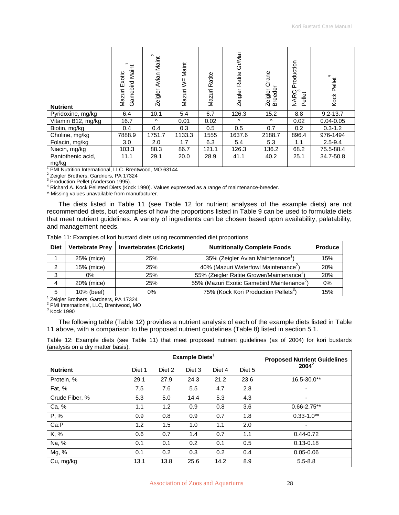| <b>Nutrient</b>            | Maint<br>Exotic<br>Gamebird<br>Mazuri | Maint<br>Avian<br>Zeigler | Maint<br>ξ<br>Mazuri | Ratite<br>Mazuri | Gr/Mai<br>Ratite<br><b>Zeigler</b> | Crane<br>Breeder<br>Zeigler | Production<br><b>NARC</b><br>Pellet | Kock Pellet   |
|----------------------------|---------------------------------------|---------------------------|----------------------|------------------|------------------------------------|-----------------------------|-------------------------------------|---------------|
| Pyridoxine, mg/kg          | 6.4                                   | 10.1                      | 5.4                  | 6.7              | 126.3                              | 15.2                        | 8.8                                 | $9.2 - 13.7$  |
| Vitamin B12, mg/kg         | 16.7                                  | $\wedge$                  | 0.01                 | 0.02             | $\wedge$                           | Λ                           | 0.02                                | $0.04 - 0.05$ |
| Biotin, mg/kg              | 0.4                                   | 0.4                       | 0.3                  | 0.5              | 0.5                                | 0.7                         | 0.2                                 | $0.3 - 1.2$   |
| Choline, mg/kg             | 7888.9                                | 1751.7                    | 1133.3               | 1555             | 1637.6                             | 2188.7                      | 896.4                               | 976-1494      |
| Folacin, mg/kg             | 3.0                                   | 2.0                       | 1.7                  | 6.3              | 5.4                                | 5.3                         | 1.1                                 | $2.5 - 9.4$   |
| Niacin, mg/kg              | 103.3                                 | 88.3                      | 86.7                 | 121.1            | 126.3                              | 136.2                       | 68.2                                | 75.5-88.4     |
| Pantothenic acid,<br>mg/kg | 11.1                                  | 29.1                      | 20.0                 | 28.9             | 41.1                               | 40.2                        | 25.1                                | 34.7-50.8     |

<sup>1</sup> PMI Nutrition International, LLC. Brentwood, MO 63144

<sup>2</sup> Zeigler Brothers, Gardners, PA 17324

<sup>3</sup> Production Pellet (Anderson 1995).

4 Richard A. Kock Pelleted Diets (Kock 1990). Values expressed as a range of maintenance-breeder.

^ Missing values unavailable from manufacturer.

The diets listed in Table 11 (see Table 12 for nutrient analyses of the example diets) are not recommended diets, but examples of how the proportions listed in Table 9 can be used to formulate diets that meet nutrient guidelines. A variety of ingredients can be chosen based upon availability, palatability, and management needs.

| Table 11: Examples of kori bustard diets using recommended diet proportions |  |  |
|-----------------------------------------------------------------------------|--|--|
|                                                                             |  |  |

| <b>Diet</b> | <b>Vertebrate Prey</b>                             | <b>Invertebrates (Crickets)</b> | <b>Nutritionally Complete Foods</b>                    | Produce |
|-------------|----------------------------------------------------|---------------------------------|--------------------------------------------------------|---------|
|             | 25% (mice)                                         | 25%                             | 35% (Zeigler Avian Maintenance'                        | 15%     |
| 2           | 15% (mice)                                         | 25%                             | 40% (Mazuri Waterfowl Maintenance <sup>2</sup> )       | 20%     |
| 3           | $0\%$                                              | 25%                             | 55% (Zeigler Ratite Grower/Maintenance <sup>1</sup>    | 20%     |
| 4           | 20% (mice)                                         | 25%                             | 55% (Mazuri Exotic Gamebird Maintenance <sup>2</sup> ) | 0%      |
| 5           | 10% (beef)                                         | 0%                              | 75% (Kock Kori Production Pellets <sup>3</sup> )       | 15%     |
|             | Zeigler Brothers, Gardners, PA 17324               |                                 |                                                        |         |
|             | <sup>2</sup> PMI International, LLC, Brentwood, MO |                                 |                                                        |         |

 $3$  Kock 1990

The following table (Table 12) provides a nutrient analysis of each of the example diets listed in Table 11 above, with a comparison to the proposed nutrient guidelines (Table 8) listed in section 5.1.

Table 12: Example diets (see Table 11) that meet proposed nutrient guidelines (as of 2004) for kori bustards (analysis on a dry matter basis).

|                 |        |        | Example Diets $1$ | <b>Proposed Nutrient Guidelines</b> |        |                 |  |
|-----------------|--------|--------|-------------------|-------------------------------------|--------|-----------------|--|
| <b>Nutrient</b> | Diet 1 | Diet 2 | Diet 3            | Diet 4                              | Diet 5 | $2004^2$        |  |
| Protein, %      | 29.1   | 27.9   | 24.3              | 21.2                                | 23.6   | 16.5-30.0**     |  |
| Fat, %          | 7.5    | 7.6    | 5.5               | 4.7                                 | 2.8    | ٠               |  |
| Crude Fiber, %  | 5.3    | 5.0    | 14.4              | 5.3                                 | 4.3    | ۰               |  |
| Ca, %           | 1.1    | 1.2    | 0.9               | 0.8                                 | 3.6    | $0.66 - 2.75**$ |  |
| P, %            | 0.9    | 0.8    | 0.9               | 0.7                                 | 1.8    | $0.33 - 1.0**$  |  |
| Ca:P            | 1.2    | 1.5    | 1.0               | 1.1                                 | 2.0    | ٠               |  |
| K, %            | 0.6    | 0.7    | 1.4               | 0.7                                 | 1.1    | $0.44 - 0.72$   |  |
| Na, %           | 0.1    | 0.1    | 0.2               | 0.1                                 | 0.5    | $0.13 - 0.18$   |  |
| Mg, %           | 0.1    | 0.2    | 0.3               | 0.2                                 | 0.4    | $0.05 - 0.06$   |  |
| Cu, mg/kg       | 13.1   | 13.8   | 25.6              | 14.2                                | 8.9    | $5.5 - 8.8$     |  |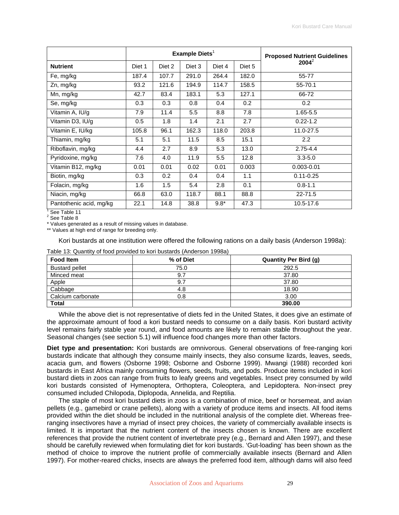|                         | Example Diets $1$ |        |        |        |        | <b>Proposed Nutrient Guidelines</b> |  |
|-------------------------|-------------------|--------|--------|--------|--------|-------------------------------------|--|
| <b>Nutrient</b>         | Diet 1            | Diet 2 | Diet 3 | Diet 4 | Diet 5 | $2004^2$                            |  |
| Fe, mg/kg               | 187.4             | 107.7  | 291.0  | 264.4  | 182.0  | 55-77                               |  |
| Zn, mg/kg               | 93.2              | 121.6  | 194.9  | 114.7  | 158.5  | 55-70.1                             |  |
| Mn, mg/kg               | 42.7              | 83.4   | 183.1  | 5.3    | 127.1  | 66-72                               |  |
| Se, mg/kg               | 0.3               | 0.3    | 0.8    | 0.4    | 0.2    | 0.2                                 |  |
| Vitamin A, IU/g         | 7.9               | 11.4   | 5.5    | 8.8    | 7.8    | $1.65 - 5.5$                        |  |
| Vitamin D3, IU/g        | 0.5               | 1.8    | 1.4    | 2.1    | 2.7    | $0.22 - 1.2$                        |  |
| Vitamin E, IU/kg        | 105.8             | 96.1   | 162.3  | 118.0  | 203.8  | 11.0-27.5                           |  |
| Thiamin, mg/kg          | 5.1               | 5.1    | 11.5   | 8.5    | 15.1   | 2.2                                 |  |
| Riboflavin, mg/kg       | 4.4               | 2.7    | 8.9    | 5.3    | 13.0   | $2.75 - 4.4$                        |  |
| Pyridoxine, mg/kg       | 7.6               | 4.0    | 11.9   | 5.5    | 12.8   | $3.3 - 5.0$                         |  |
| Vitamin B12, mg/kg      | 0.01              | 0.01   | 0.02   | 0.01   | 0.003  | $0.003 - 0.01$                      |  |
| Biotin, mg/kg           | 0.3               | 0.2    | 0.4    | 0.4    | 1.1    | $0.11 - 0.25$                       |  |
| Folacin, mg/kg          | 1.6               | 1.5    | 5.4    | 2.8    | 0.1    | $0.8 - 1.1$                         |  |
| Niacin, mg/kg           | 66.8              | 63.0   | 118.7  | 88.1   | 88.8   | $22 - 71.5$                         |  |
| Pantothenic acid, mg/kg | 22.1              | 14.8   | 38.8   | $9.8*$ | 47.3   | 10.5-17.6                           |  |

<sup>1</sup> See Table 11

<sup>2</sup> See Table 8

\* Values generated as a result of missing values in database.

\*\* Values at high end of range for breeding only.

Kori bustards at one institution were offered the following rations on a daily basis (Anderson 1998a):

Table 13: Quantity of food provided to kori bustards (Anderson 1998a)

| <b>Food Item</b>      | % of Diet | <b>Quantity Per Bird (g)</b> |
|-----------------------|-----------|------------------------------|
| <b>Bustard pellet</b> | 75.0      | 292.5                        |
| Minced meat           | 9.7       | 37.80                        |
| Apple                 | 9.7       | 37.80                        |
| Cabbage               | 4.8       | 18.90                        |
| Calcium carbonate     | 0.8       | 3.00                         |
| <b>Total</b>          |           | 390.00                       |

While the above diet is not representative of diets fed in the United States, it does give an estimate of the approximate amount of food a kori bustard needs to consume on a daily basis. Kori bustard activity level remains fairly stable year round, and food amounts are likely to remain stable throughout the year. Seasonal changes (see section 5.1) will influence food changes more than other factors.

**Diet type and presentation:** Kori bustards are omnivorous. General observations of free-ranging kori bustards indicate that although they consume mainly insects, they also consume lizards, leaves, seeds, acacia gum, and flowers (Osborne 1998; Osborne and Osborne 1999). Mwangi (1988) recorded kori bustards in East Africa mainly consuming flowers, seeds, fruits, and pods. Produce items included in kori bustard diets in zoos can range from fruits to leafy greens and vegetables. Insect prey consumed by wild kori bustards consisted of Hymenoptera, Orthoptera, Coleoptera, and Lepidoptera. Non-insect prey consumed included Chilopoda, Diplopoda, Annelida, and Reptilia.

The staple of most kori bustard diets in zoos is a combination of mice, beef or horsemeat, and avian pellets (e.g., gamebird or crane pellets), along with a variety of produce items and insects. All food items provided within the diet should be included in the nutritional analysis of the complete diet. Whereas freeranging insectivores have a myriad of insect prey choices, the variety of commercially available insects is limited. It is important that the nutrient content of the insects chosen is known. There are excellent references that provide the nutrient content of invertebrate prey (e.g., Bernard and Allen 1997), and these should be carefully reviewed when formulating diet for kori bustards. 'Gut-loading' has been shown as the method of choice to improve the nutrient profile of commercially available insects (Bernard and Allen 1997). For mother-reared chicks, insects are always the preferred food item, although dams will also feed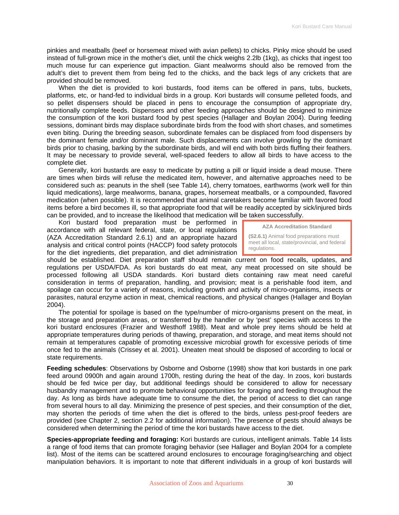pinkies and meatballs (beef or horsemeat mixed with avian pellets) to chicks. Pinky mice should be used instead of full-grown mice in the mother's diet, until the chick weighs 2.2lb (1kg), as chicks that ingest too much mouse fur can experience gut impaction. Giant mealworms should also be removed from the adult's diet to prevent them from being fed to the chicks, and the back legs of any crickets that are provided should be removed.

When the diet is provided to kori bustards, food items can be offered in pans, tubs, buckets, platforms, etc, or hand-fed to individual birds in a group. Kori bustards will consume pelleted foods, and so pellet dispensers should be placed in pens to encourage the consumption of appropriate dry, nutritionally complete feeds. Dispensers and other feeding approaches should be designed to minimize the consumption of the kori bustard food by pest species (Hallager and Boylan 2004). During feeding sessions, dominant birds may displace subordinate birds from the food with short chases, and sometimes even biting. During the breeding season, subordinate females can be displaced from food dispensers by the dominant female and/or dominant male. Such displacements can involve growling by the dominant birds prior to chasing, barking by the subordinate birds, and will end with both birds fluffing their feathers. It may be necessary to provide several, well-spaced feeders to allow all birds to have access to the complete diet.

Generally, kori bustards are easy to medicate by putting a pill or liquid inside a dead mouse. There are times when birds will refuse the medicated item, however, and alternative approaches need to be considered such as: peanuts in the shell (see Table 14), cherry tomatoes, earthworms (work well for thin liquid medications), large mealworms, banana, grapes, horsemeat meatballs, or a compounded, flavored medication (when possible). It is recommended that animal caretakers become familiar with favored food items before a bird becomes ill, so that appropriate food that will be readily accepted by sick/injured birds can be provided, and to increase the likelihood that medication will be taken successfully.

Kori bustard food preparation must be performed in accordance with all relevant federal, state, or local regulations (AZA Accreditation Standard 2.6.1) and an appropriate hazard analysis and critical control points (HACCP) food safety protocols for the diet ingredients, diet preparation, and diet administration

**AZA Accreditation Standard** 

**(S2.6.1)** Animal food preparations must meet all local, state/provincial, and federal regulations.

should be established. Diet preparation staff should remain current on food recalls, updates, and regulations per USDA/FDA. As kori bustards do eat meat, any meat processed on site should be processed following all USDA standards. Kori bustard diets containing raw meat need careful consideration in terms of preparation, handling, and provision; meat is a perishable food item, and spoilage can occur for a variety of reasons, including growth and activity of micro-organisms, insects or parasites, natural enzyme action in meat, chemical reactions, and physical changes (Hallager and Boylan 2004).

The potential for spoilage is based on the type/number of micro-organisms present on the meat, in the storage and preparation areas, or transferred by the handler or by 'pest' species with access to the kori bustard enclosures (Frazier and Westhoff 1988). Meat and whole prey items should be held at appropriate temperatures during periods of thawing, preparation, and storage, and meat items should not remain at temperatures capable of promoting excessive microbial growth for excessive periods of time once fed to the animals (Crissey et al. 2001). Uneaten meat should be disposed of according to local or state requirements.

**Feeding schedules**: Observations by Osborne and Osborne (1998) show that kori bustards in one park feed around 0900h and again around 1700h, resting during the heat of the day. In zoos, kori bustards should be fed twice per day, but additional feedings should be considered to allow for necessary husbandry management and to promote behavioral opportunities for foraging and feeding throughout the day. As long as birds have adequate time to consume the diet, the period of access to diet can range from several hours to all day. Minimizing the presence of pest species, and their consumption of the diet, may shorten the periods of time when the diet is offered to the birds, unless pest-proof feeders are provided (see Chapter 2, section 2.2 for additional information). The presence of pests should always be considered when determining the period of time the kori bustards have access to the diet.

**Species-appropriate feeding and foraging:** Kori bustards are curious, intelligent animals. Table 14 lists a range of food items that can promote foraging behavior (see Hallager and Boylan 2004 for a complete list). Most of the items can be scattered around enclosures to encourage foraging/searching and object manipulation behaviors. It is important to note that different individuals in a group of kori bustards will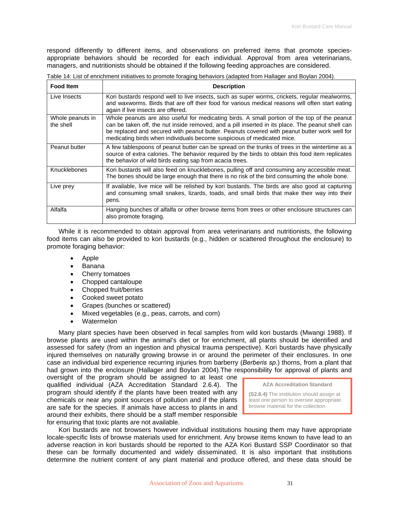respond differently to different items, and observations on preferred items that promote speciesappropriate behaviors should be recorded for each individual. Approval from area veterinarians, managers, and nutritionists should be obtained if the following feeding approaches are considered.

Table 14: List of enrichment initiatives to promote foraging behaviors (adapted from Hallager and Boylan 2004).

| <b>Food Item</b>              | <b>Description</b>                                                                                                                                                                                                                                                                                                                                                         |
|-------------------------------|----------------------------------------------------------------------------------------------------------------------------------------------------------------------------------------------------------------------------------------------------------------------------------------------------------------------------------------------------------------------------|
| Live Insects                  | Kori bustards respond well to live insects, such as super worms, crickets, regular mealworms,<br>and waxworms. Birds that are off their food for various medical reasons will often start eating<br>again if live insects are offered.                                                                                                                                     |
| Whole peanuts in<br>the shell | Whole peanuts are also useful for medicating birds. A small portion of the top of the peanut<br>can be taken off, the nut inside removed, and a pill inserted in its place. The peanut shell can<br>be replaced and secured with peanut butter. Peanuts covered with peanut butter work well for<br>medicating birds when individuals become suspicious of medicated mice. |
| Peanut butter                 | A few tablespoons of peanut butter can be spread on the trunks of trees in the wintertime as a<br>source of extra calories. The behavior required by the birds to obtain this food item replicates<br>the behavior of wild birds eating sap from acacia trees.                                                                                                             |
| <b>Knucklebones</b>           | Kori bustards will also feed on knucklebones, pulling off and consuming any accessible meat.<br>The bones should be large enough that there is no risk of the bird consuming the whole bone.                                                                                                                                                                               |
| Live prey                     | If available, live mice will be relished by kori bustards. The birds are also good at capturing<br>and consuming small snakes, lizards, toads, and small birds that make their way into their<br>pens.                                                                                                                                                                     |
| Alfalfa                       | Hanging bunches of alfalfa or other browse items from trees or other enclosure structures can<br>also promote foraging.                                                                                                                                                                                                                                                    |

While it is recommended to obtain approval from area veterinarians and nutritionists, the following food items can also be provided to kori bustards (e.g., hidden or scattered throughout the enclosure) to promote foraging behavior:

- Apple
- Banana
- Cherry tomatoes
- Chopped cantaloupe
- Chopped fruit/berries
- Cooked sweet potato
- Grapes (bunches or scattered)
- Mixed vegetables (e.g., peas, carrots, and corn)
- Watermelon

Many plant species have been observed in fecal samples from wild kori bustards (Mwangi 1988). If browse plants are used within the animal's diet or for enrichment, all plants should be identified and assessed for safety (from an ingestion and physical trauma perspective). Kori bustards have physically injured themselves on naturally growing browse in or around the perimeter of their enclosures. In one case an individual bird experience recurring injuries from barberry (*Berberis sp*.) thorns, from a plant that had grown into the enclosure (Hallager and Boylan 2004).The responsibility for approval of plants and

oversight of the program should be assigned to at least one qualified individual (AZA Accreditation Standard 2.6.4). The program should identify if the plants have been treated with any chemicals or near any point sources of pollution and if the plants are safe for the species. If animals have access to plants in and around their exhibits, there should be a staff member responsible for ensuring that toxic plants are not available.



Kori bustards are not browsers however individual institutions housing them may have appropriate locale-specific lists of browse materials used for enrichment. Any browse items known to have lead to an adverse reaction in kori bustards should be reported to the AZA Kori Bustard SSP Coordinator so that these can be formally documented and widely disseminated. It is also important that institutions determine the nutrient content of any plant material and produce offered, and these data should be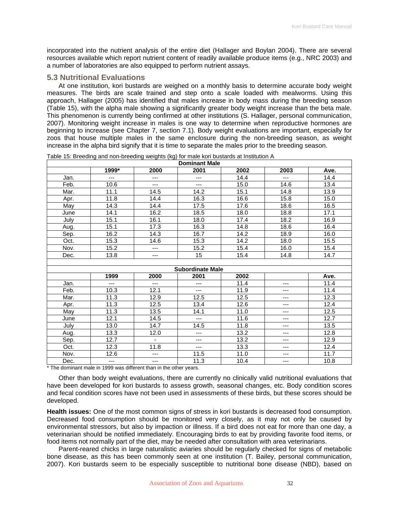<span id="page-31-0"></span>incorporated into the nutrient analysis of the entire diet (Hallager and Boylan 2004). There are several resources available which report nutrient content of readily available produce items (e.g., NRC 2003) and a number of laboratories are also equipped to perform nutrient assays.

### **5.3 Nutritional Evaluations**

At one institution, kori bustards are weighed on a monthly basis to determine accurate body weight measures. The birds are scale trained and step onto a scale loaded with mealworms. Using this approach, Hallager (2005) has identified that males increase in body mass during the breeding season (Table 15), with the alpha male showing a significantly greater body weight increase than the beta male. This phenomenon is currently being confirmed at other institutions (S. Hallager, personal communication, 2007). Monitoring weight increase in males is one way to determine when reproductive hormones are beginning to increase (see Chapter 7, section 7.1). Body weight evaluations are important, especially for zoos that house multiple males in the same enclosure during the non-breeding season, as weight increase in the alpha bird signify that it is time to separate the males prior to the breeding season.

|      | <b>Dominant Male</b> |                |                         |      |      |      |  |  |
|------|----------------------|----------------|-------------------------|------|------|------|--|--|
|      | 1999*                | 2000           | 2001                    | 2002 | 2003 | Ave. |  |  |
| Jan. | $---$                | ---            | ---                     | 14.4 | ---  | 14.4 |  |  |
| Feb. | 10.6                 | ---            | $---$                   | 15.0 | 14.6 | 13.4 |  |  |
| Mar. | 11.1                 | 14.5           | 14.2                    | 15.1 | 14.8 | 13.9 |  |  |
| Apr. | 11.8                 | 14.4           | 16.3                    | 16.6 | 15.8 | 15.0 |  |  |
| May  | 14.3                 | 14.4           | 17.5                    | 17.6 | 18.6 | 16.5 |  |  |
| June | 14.1                 | 16.2           | 18.5                    | 18.0 | 18.8 | 17.1 |  |  |
| July | 15.1                 | 16.1           | 18.0                    | 17.4 | 18.2 | 16.9 |  |  |
| Aug. | 15.1                 | 17.3           | 16.3                    | 14.8 | 18.6 | 16.4 |  |  |
| Sep. | 16.2                 | 14.3           | 16.7                    | 14.2 | 18.9 | 16.0 |  |  |
| Oct. | 15.3                 | 14.6           | 15.3                    | 14.2 | 18.0 | 15.5 |  |  |
| Nov. | 15.2                 | $---$          | 15.2                    | 15.4 | 16.0 | 15.4 |  |  |
| Dec. | 13.8                 | ---            | 15                      | 15.4 | 14.8 | 14.7 |  |  |
|      |                      |                |                         |      |      |      |  |  |
|      |                      |                | <b>Subordinate Male</b> |      |      |      |  |  |
|      | 1999                 | 2000           | 2001                    | 2002 |      | Ave. |  |  |
| Jan. | ---                  | $---$          | $---$                   | 11.4 | ---  | 11.4 |  |  |
| Feb. | 10.3                 | 12.1           | $---$                   | 11.9 | ---  | 11.4 |  |  |
| Mar. | 11.3                 | 12.9           | 12.5                    | 12.5 | ---  | 12.3 |  |  |
| Apr. | 11.3                 | 12.5           | 13.4                    | 12.6 | ---  | 12.4 |  |  |
| May  | 11.3                 | 13.5           | 14.1                    | 11.0 | ---  | 12.5 |  |  |
| June | 12.1                 | 14.5           | $\overline{a}$          | 11.6 | ---  | 12.7 |  |  |
| July | 13.0                 | 14.7           | 14.5                    | 11.8 | ---  | 13.5 |  |  |
| Aug. | 13.3                 | 12.0           | $---$                   | 13.2 | ---  | 12.8 |  |  |
| Sep. | 12.7                 | $\blacksquare$ | ---                     | 13.2 | ---  | 12.9 |  |  |
| Oct. | 12.3                 | 11.8           | $---$                   | 13.3 | ---  | 12.4 |  |  |
| Nov. | 12.6                 | ---            | 11.5                    | 11.0 | ---  | 11.7 |  |  |
| Dec. | $\cdots$             | ---            | 11.3                    | 10.4 | ---  | 10.8 |  |  |

Table 15: Breeding and non-breeding weights (kg) for male kori bustards at Institution A

\* The dominant male in 1999 was different than in the other years.

Other than body weight evaluations, there are currently no clinically valid nutritional evaluations that have been developed for kori bustards to assess growth, seasonal changes, etc. Body condition scores and fecal condition scores have not been used in assessments of these birds, but these scores should be developed.

**Health issues:** One of the most common signs of stress in kori bustards is decreased food consumption. Decreased food consumption should be monitored very closely, as it may not only be caused by environmental stressors, but also by impaction or illness. If a bird does not eat for more than one day, a veterinarian should be notified immediately. Encouraging birds to eat by providing favorite food items, or food items not normally part of the diet, may be needed after consultation with area veterinarians.

Parent-reared chicks in large naturalistic aviaries should be regularly checked for signs of metabolic bone disease, as this has been commonly seen at one institution (T. Bailey, personal communication, 2007). Kori bustards seem to be especially susceptible to nutritional bone disease (NBD), based on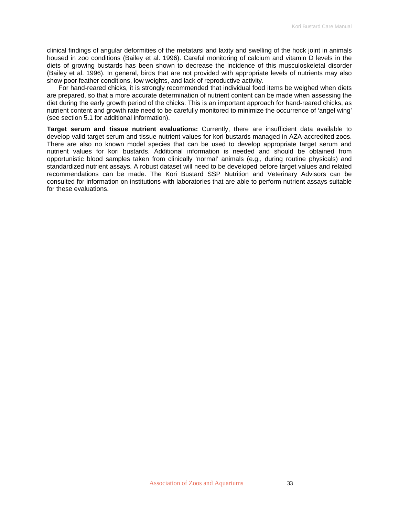clinical findings of angular deformities of the metatarsi and laxity and swelling of the hock joint in animals housed in zoo conditions (Bailey et al. 1996). Careful monitoring of calcium and vitamin D levels in the diets of growing bustards has been shown to decrease the incidence of this musculoskeletal disorder (Bailey et al. 1996). In general, birds that are not provided with appropriate levels of nutrients may also show poor feather conditions, low weights, and lack of reproductive activity.

For hand-reared chicks, it is strongly recommended that individual food items be weighed when diets are prepared, so that a more accurate determination of nutrient content can be made when assessing the diet during the early growth period of the chicks. This is an important approach for hand-reared chicks, as nutrient content and growth rate need to be carefully monitored to minimize the occurrence of 'angel wing' (see section 5.1 for additional information).

**Target serum and tissue nutrient evaluations:** Currently, there are insufficient data available to develop valid target serum and tissue nutrient values for kori bustards managed in AZA-accredited zoos. There are also no known model species that can be used to develop appropriate target serum and nutrient values for kori bustards. Additional information is needed and should be obtained from opportunistic blood samples taken from clinically 'normal' animals (e.g., during routine physicals) and standardized nutrient assays. A robust dataset will need to be developed before target values and related recommendations can be made. The Kori Bustard SSP Nutrition and Veterinary Advisors can be consulted for information on institutions with laboratories that are able to perform nutrient assays suitable for these evaluations.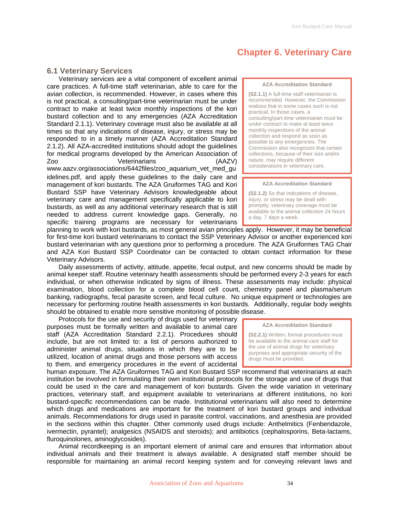## **Chapter 6. Veterinary Care**

## <span id="page-33-0"></span>**6.1 Veterinary Services**

Veterinary services are a vital component of excellent animal care practices. A full-time staff veterinarian, able to care for the avian collection, is recommended. However, in cases where this is not practical, a consulting/part-time veterinarian must be under contract to make at least twice monthly inspections of the kori bustard collection and to any emergencies (AZA Accreditation Standard 2.1.1). Veterinary coverage must also be available at all times so that any indications of disease, injury, or stress may be responded to in a timely manner (AZA Accreditation Standard 2.1.2). All AZA-accredited institutions should adopt the guidelines for medical programs developed by the American Association of Zoo Veterinarians (AAZV)

[www.aazv.org/associations/6442files/zoo\\_aquarium\\_vet\\_med\\_gu](http://www.aazv.org/associations/6442files/zoo_aquarium_vet_med_guidelines.pdf) [idelines.pdf,](http://www.aazv.org/associations/6442files/zoo_aquarium_vet_med_guidelines.pdf) and apply these guidelines to the daily care and management of kori bustards. The AZA Gruiformes TAG and Kori Bustard SSP have Veterinary Advisors knowledgeable about veterinary care and management specifically applicable to kori bustards, as well as any additional veterinary research that is still needed to address current knowledge gaps. Generally, no specific training programs are necessary for veterinarians

#### **AZA Accreditation Standard**

**(S2.1.1)** A full-time staff veterinarian is recommended. However, the Commission realizes that in some cases such is not practical. In those cases, a consulting/part-time veterinarian must be under contract to make at least twice monthly inspections of the animal collection and respond as soon as possible to any emergencies. The Commission also recognizes that certain collections, because of their size and/or nature, may require different considerations in veterinary care.

#### **AZA Accreditation Standard**

**(S2.1.2)** So that indications of disease, injury, or stress may be dealt with promptly, veterinary coverage must be available to the animal collection 24 hours a day, 7 days a week.

planning to work with kori bustards, as most general avian principles apply. However, it may be beneficial for first-time kori bustard veterinarians to contact the SSP Veterinary Advisor or another experienced kori bustard veterinarian with any questions prior to performing a procedure. The AZA Gruiformes TAG Chair and AZA Kori Bustard SSP Coordinator can be contacted to obtain contact information for these Veterinary Advisors.

Daily assessments of activity, attitude, appetite, fecal output, and new concerns should be made by animal keeper staff. Routine veterinary health assessments should be performed every 2-3 years for each individual, or when otherwise indicated by signs of illness. These assessments may include: physical examination, blood collection for a complete blood cell count, chemistry panel and plasma/serum banking, radiographs, fecal parasite screen, and fecal culture. No unique equipment or technologies are necessary for performing routine health assessments in kori bustards. Additionally, regular body weights should be obtained to enable more sensitive monitoring of possible disease.

Protocols for the use and security of drugs used for veterinary purposes must be formally written and available to animal care staff (AZA Accreditation Standard 2.2.1). Procedures should include, but are not limited to: a list of persons authorized to administer animal drugs, situations in which they are to be utilized, location of animal drugs and those persons with access to them, and emergency procedures in the event of accidental

human exposure. The AZA Gruiformes TAG and Kori Bustard SSP recommend that veterinarians at each institution be involved in formulating their own institutional protocols for the storage and use of drugs that could be used in the care and management of kori bustards. Given the wide variation in veterinary practices, veterinary staff, and equipment available to veterinarians at different institutions, no kori bustard-specific recommendations can be made. Institutional veterinarians will also need to determine which drugs and medications are important for the treatment of kori bustard groups and individual animals. Recommendations for drugs used in parasite control, vaccinations, and anesthesia are provided in the sections within this chapter. Other commonly used drugs include: Anthelmitics (Fenbendazole, ivermectin, pyrantel); analgesics (NSAIDS and steroids); and antibiotics (cephalosporins, Beta-lactams, fluroquinolones, aminoglycosides).

Animal recordkeeping is an important element of animal care and ensures that information about individual animals and their treatment is always available. A designated staff member should be responsible for maintaining an animal record keeping system and for conveying relevant laws and

#### **AZA Accreditation Standard**

**(S2.2.1)** Written, formal procedures must be available to the animal care staff for the use of animal drugs for veterinary purposes and appropriate security of the drugs must be provided.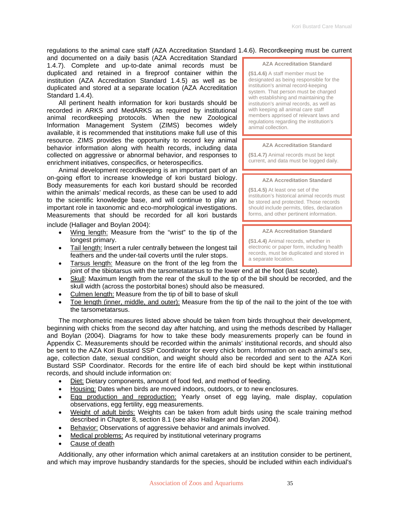regulations to the animal care staff (AZA Accreditation Standard 1.4.6). Recordkeeping must be current

and documented on a daily basis (AZA Accreditation Standard 1.4.7). Complete and up-to-date animal records must be duplicated and retained in a fireproof container within the institution (AZA Accreditation Standard 1.4.5) as well as be duplicated and stored at a separate location (AZA Accreditation Standard 1.4.4).

All pertinent health information for kori bustards should be recorded in ARKS and MedARKS as required by institutional animal recordkeeping protocols. When the new Zoological Information Management System (ZIMS) becomes widely available, it is recommended that institutions make full use of this resource. ZIMS provides the opportunity to record key animal behavior information along with health records, including data collected on aggressive or abnormal behavior, and responses to enrichment initiatives, conspecifics, or heterospecifics.

Animal development recordkeeping is an important part of an on-going effort to increase knowledge of kori bustard biology. Body measurements for each kori bustard should be recorded within the animals' medical records, as these can be used to add to the scientific knowledge base, and will continue to play an important role in taxonomic and eco-morphological investigations. Measurements that should be recorded for all kori bustards include (Hallager and Boylan 2004):

- Wing length: Measure from the "wrist" to the tip of the longest primary.
- Tail length: Insert a ruler centrally between the longest tail feathers and the under-tail coverts until the ruler stops.
- Tarsus length: Measure on the front of the leg from the joint of the tibiotarsus with the tarsometatarsus to the lower end at the foot (last scute).
- Skull: Maximum length from the rear of the skull to the tip of the bill should be recorded, and the skull width (across the postorbital bones) should also be measured.
- Culmen length: Measure from the tip of bill to base of skull
- Toe length (inner, middle, and outer): Measure from the tip of the nail to the joint of the toe with the tarsometatarsus.

The morphometric measures listed above should be taken from birds throughout their development, beginning with chicks from the second day after hatching, and using the methods described by Hallager and Boylan (2004). Diagrams for how to take these body measurements properly can be found in Appendix C. Measurements should be recorded within the animals' institutional records, and should also be sent to the AZA Kori Bustard SSP Coordinator for every chick born. Information on each animal's sex, age, collection date, sexual condition, and weight should also be recorded and sent to the AZA Kori Bustard SSP Coordinator. Records for the entire life of each bird should be kept within institutional records, and should include information on:

- Diet: Dietary components, amount of food fed, and method of feeding.
- Housing: Dates when birds are moved indoors, outdoors, or to new enclosures.
- Egg production and reproduction: Yearly onset of egg laying, male display, copulation observations, egg fertility, egg measurements.
- Weight of adult birds: Weights can be taken from adult birds using the scale training method described in Chapter 8, section 8.1 (see also Hallager and Boylan 2004).
- Behavior: Observations of aggressive behavior and animals involved.
- Medical problems: As required by institutional veterinary programs
- Cause of death

Additionally, any other information which animal caretakers at an institution consider to be pertinent, and which may improve husbandry standards for the species, should be included within each individual's

#### **AZA Accreditation Standard**

**(S1.4.6)** A staff member must be designated as being responsible for the institution's animal record-keeping system. That person must be charged with establishing and maintaining the institution's animal records, as well as with keeping all animal care staff members apprised of relevant laws and regulations regarding the institution's animal collection.

#### **AZA Accreditation Standard**

**(S1.4.7)** Animal records must be kept current, and data must be logged daily.

#### **AZA Accreditation Standard**

**(S1.4.5)** At least one set of the institution's historical animal records must be stored and protected. Those records should include permits, titles, declaration forms, and other pertinent information.

#### **AZA Accreditation Standard**

**(S1.4.4)** Animal records, whether in electronic or paper form, including health records, must be duplicated and stored in a separate location.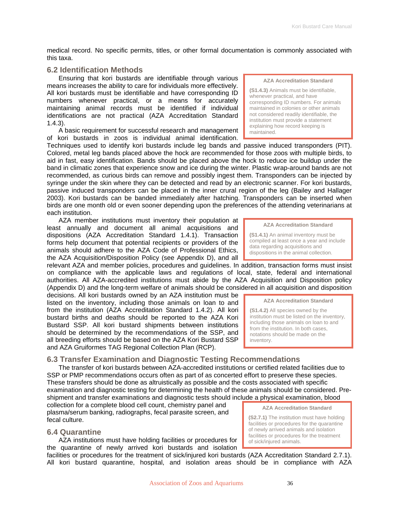<span id="page-35-0"></span>medical record. No specific permits, titles, or other formal documentation is commonly associated with this taxa.

## **6.2 Identification Methods**

Ensuring that kori bustards are identifiable through various means increases the ability to care for individuals more effectively. All kori bustards must be identifiable and have corresponding ID numbers whenever practical, or a means for accurately maintaining animal records must be identified if individual identifications are not practical (AZA Accreditation Standard 1.4.3).

A basic requirement for successful research and management of kori bustards in zoos is individual animal identification.

Techniques used to identify kori bustards include leg bands and passive induced transponders (PIT). Colored, metal leg bands placed above the hock are recommended for those zoos with multiple birds, to aid in fast, easy identification. Bands should be placed above the hock to reduce ice buildup under the band in climatic zones that experience snow and ice during the winter. Plastic wrap-around bands are not recommended, as curious birds can remove and possibly ingest them. Transponders can be injected by syringe under the skin where they can be detected and read by an electronic scanner. For kori bustards, passive induced transponders can be placed in the inner crural region of the leg (Bailey and Hallager 2003). Kori bustards can be banded immediately after hatching. Transponders can be inserted when birds are one month old or even sooner depending upon the preferences of the attending veterinarians at each institution.

#### AZA member institutions must inventory their population at least annually and document all animal acquisitions and dispositions (AZA Accreditation Standard 1.4.1). Transaction forms help document that potential recipients or providers of the animals should adhere to the AZA Code of Professional Ethics, the AZA Acquisition/Disposition Policy (see Appendix D), and all

relevant AZA and member policies, procedures and guidelines. In addition, transaction forms must insist on compliance with the applicable laws and regulations of local, state, federal and international authorities. All AZA-accredited institutions must abide by the AZA Acquisition and Disposition policy (Appendix D) and the long-term welfare of animals should be considered in all acquisition and disposition

decisions. All kori bustards owned by an AZA institution must be listed on the inventory, including those animals on loan to and from the institution (AZA Accreditation Standard 1.4.2). All kori bustard births and deaths should be reported to the AZA Kori Bustard SSP. All kori bustard shipments between institutions should be determined by the recommendations of the SSP, and all breeding efforts should be based on the AZA Kori Bustard SSP and AZA Gruiformes TAG Regional Collection Plan (RCP).

## **6.3 Transfer Examination and Diagnostic Testing Recommendations**

The transfer of kori bustards between AZA-accredited institutions or certified related facilities due to SSP or PMP recommendations occurs often as part of as concerted effort to preserve these species. These transfers should be done as altruistically as possible and the costs associated with specific examination and diagnostic testing for determining the health of these animals should be considered. Preshipment and transfer examinations and diagnostic tests should include a physical examination, blood

collection for a complete blood cell count, chemistry panel and plasma/serum banking, radiographs, fecal parasite screen, and fecal culture.

### **6.4 Quarantine**

AZA institutions must have holding facilities or procedures for the quarantine of newly arrived kori bustards and isolation

facilities or procedures for the treatment of sick/injured kori bustards (AZA Accreditation Standard 2.7.1). All kori bustard quarantine, hospital, and isolation areas should be in compliance with AZA

**AZA Accreditation Standard** 

**(S1.4.3)** Animals must be identifiable, whenever practical, and have corresponding ID numbers. For animals maintained in colonies or other animals not considered readily identifiable, the institution must provide a statement explaining how record keeping is maintained.

**AZA Accreditation Standard** 

**(S1.4.1)** An animal inventory must be compiled at least once a year and include data regarding acquisitions and dispositions in the animal collection.

#### **AZA Accreditation Standard**

**(S1.4.2)** All species owned by the institution must be listed on the inventory, including those animals on loan to and from the institution. In both cases, notations should be made on the inventory.

**AZA Accreditation Standard (S2.7.1)** The institution must have holding facilities or procedures for the quarantine of newly arrived animals and isolation facilities or procedures for the treatment

of sick/injured animals.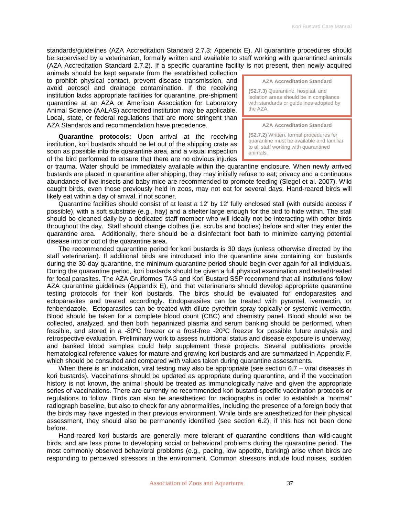standards/guidelines (AZA Accreditation Standard 2.7.3; Appendix E). All quarantine procedures should be supervised by a veterinarian, formally written and available to staff working with quarantined animals (AZA Accreditation Standard 2.7.2). If a specific quarantine facility is not present, then newly acquired

animals should be kept separate from the established collection to prohibit physical contact, prevent disease transmission, and avoid aerosol and drainage contamination. If the receiving institution lacks appropriate facilities for quarantine, pre-shipment quarantine at an AZA or American Association for Laboratory Animal Science (AALAS) accredited institution may be applicable. Local, state, or federal regulations that are more stringent than AZA Standards and recommendation have precedence.

**Quarantine protocols:** Upon arrival at the receiving institution, kori bustards should be let out of the shipping crate as soon as possible into the quarantine area, and a visual inspection of the bird performed to ensure that there are no obvious injuries **AZA Accreditation Standard** 

**(S2.7.3)** Quarantine, hospital, and isolation areas should be in compliance with standards or guidelines adopted by the AZA.

#### **AZA Accreditation Standard**

**(S2.7.2)** Written, formal procedures for quarantine must be available and familiar to all staff working with quarantined animals.

or trauma. Water should be immediately available within the quarantine enclosure. When newly arrived bustards are placed in quarantine after shipping, they may initially refuse to eat; privacy and a continuous abundance of live insects and baby mice are recommended to promote feeding (Siegel et al. 2007). Wild caught birds, even those previously held in zoos, may not eat for several days. Hand-reared birds will likely eat within a day of arrival, if not sooner.

Quarantine facilities should consist of at least a 12' by 12' fully enclosed stall (with outside access if possible), with a soft substrate (e.g., hay) and a shelter large enough for the bird to hide within. The stall should be cleaned daily by a dedicated staff member who will ideally not be interacting with other birds throughout the day. Staff should change clothes (i.e. scrubs and booties) before and after they enter the quarantine area. Additionally, there should be a disinfectant foot bath to minimize carrying potential disease into or out of the quarantine area.

The recommended quarantine period for kori bustards is 30 days (unless otherwise directed by the staff veterinarian). If additional birds are introduced into the quarantine area containing kori bustards during the 30-day quarantine, the minimum quarantine period should begin over again for all individuals. During the quarantine period, kori bustards should be given a full physical examination and tested/treated for fecal parasites. The AZA Gruiformes TAG and Kori Bustard SSP recommend that all institutions follow AZA quarantine guidelines (Appendix E), and that veterinarians should develop appropriate quarantine testing protocols for their kori bustards. The birds should be evaluated for endoparasites and ectoparasites and treated accordingly. Endoparasites can be treated with pyrantel, ivermectin, or fenbendazole. Ectoparasites can be treated with dilute pyrethrin spray topically or systemic ivermectin. Blood should be taken for a complete blood count (CBC) and chemistry panel. Blood should also be collected, analyzed, and then both heparinized plasma and serum banking should be performed, when feasible, and stored in a -80ºC freezer or a frost-free -20ºC freezer for possible future analysis and retrospective evaluation. Preliminary work to assess nutritional status and disease exposure is underway, and banked blood samples could help supplement these projects. Several publications provide hematological reference values for mature and growing kori bustards and are summarized in Appendix F, which should be consulted and compared with values taken during quarantine assessments.

When there is an indication, viral testing may also be appropriate (see section 6.7 – viral diseases in kori bustards). Vaccinations should be updated as appropriate during quarantine, and if the vaccination history is not known, the animal should be treated as immunologically naive and given the appropriate series of vaccinations. There are currently no recommended kori bustard-specific vaccination protocols or regulations to follow. Birds can also be anesthetized for radiographs in order to establish a "normal" radiograph baseline, but also to check for any abnormalities, including the presence of a foreign body that the birds may have ingested in their previous environment. While birds are anesthetized for their physical assessment, they should also be permanently identified (see section 6.2), if this has not been done before.

Hand-reared kori bustards are generally more tolerant of quarantine conditions than wild-caught birds, and are less prone to developing social or behavioral problems during the quarantine period. The most commonly observed behavioral problems (e.g., pacing, low appetite, barking) arise when birds are responding to perceived stressors in the environment. Common stressors include loud noises, sudden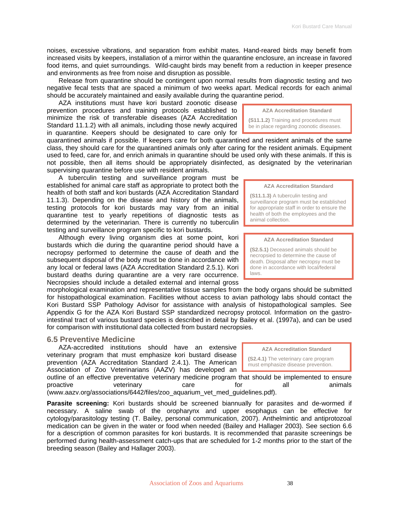noises, excessive vibrations, and separation from exhibit mates. Hand-reared birds may benefit from increased visits by keepers, installation of a mirror within the quarantine enclosure, an increase in favored food items, and quiet surroundings. Wild-caught birds may benefit from a reduction in keeper presence and environments as free from noise and disruption as possible.

Release from quarantine should be contingent upon normal results from diagnostic testing and two negative fecal tests that are spaced a minimum of two weeks apart. Medical records for each animal should be accurately maintained and easily available during the quarantine period.

AZA institutions must have kori bustard zoonotic disease prevention procedures and training protocols established to minimize the risk of transferable diseases (AZA Accreditation Standard 11.1.2) with all animals, including those newly acquired in quarantine. Keepers should be designated to care only for

quarantined animals if possible. If keepers care for both quarantined and resident animals of the same class, they should care for the quarantined animals only after caring for the resident animals. Equipment used to feed, care for, and enrich animals in quarantine should be used only with these animals. If this is not possible, then all items should be appropriately disinfected, as designated by the veterinarian supervising quarantine before use with resident animals.

A tuberculin testing and surveillance program must be established for animal care staff as appropriate to protect both the health of both staff and kori bustards (AZA Accreditation Standard 11.1.3). Depending on the disease and history of the animals, testing protocols for kori bustards may vary from an initial quarantine test to yearly repetitions of diagnostic tests as determined by the veterinarian. There is currently no tuberculin testing and surveillance program specific to kori bustards.

Although every living organism dies at some point, kori bustards which die during the quarantine period should have a necropsy performed to determine the cause of death and the subsequent disposal of the body must be done in accordance with any local or federal laws (AZA Accreditation Standard 2.5.1). Kori bustard deaths during quarantine are a very rare occurrence. Necropsies should include a detailed external and internal gross

morphological examination and representative tissue samples from the body organs should be submitted for histopathological examination. Facilities without access to avian pathology labs should contact the Kori Bustard SSP Pathology Advisor for assistance with analysis of histopathological samples. See Appendix G for the AZA Kori Bustard SSP standardized necropsy protocol. Information on the gastrointestinal tract of various bustard species is described in detail by Bailey et al. (1997a), and can be used for comparison with institutional data collected from bustard necropsies.

# **6.5 Preventive Medicine**

AZA-accredited institutions should have an extensive veterinary program that must emphasize kori bustard disease prevention (AZA Accreditation Standard 2.4.1). The American Association of Zoo Veterinarians (AAZV) has developed an

outline of an effective preventative veterinary medicine program that should be implemented to ensure proactive veterinary care for all animals (www.aazv.org/associations/6442/files/zoo\_aquarium\_vet\_med\_guidelines.pdf).

**Parasite screening:** Kori bustards should be screened biannually for parasites and de-wormed if necessary. A saline swab of the oropharynx and upper esophagus can be effective for cytology/parasitology testing (T. Bailey, personal communication, 2007). Anthelmintic and antiprotozoal medication can be given in the water or food when needed (Bailey and Hallager 2003). See section 6.6 for a description of common parasites for kori bustards. It is recommended that parasite screenings be performed during health-assessment catch-ups that are scheduled for 1-2 months prior to the start of the breeding season (Bailey and Hallager 2003).

**AZA Accreditation Standard** 

**(S11.1.2)** Training and procedures must be in place regarding zoonotic diseases.

**AZA Accreditation Standard** 

**(S11.1.3)** A tuberculin testing and surveillance program must be established for appropriate staff in order to ensure the health of both the employees and the animal collection.

#### **AZA Accreditation Standard**

**(S2.5.1)** Deceased animals should be necropsied to determine the cause of death. Disposal after necropsy must be done in accordance with local/federal laws.

**AZA Accreditation Standard (S2.4.1)** The veterinary care program must emphasize disease prevention.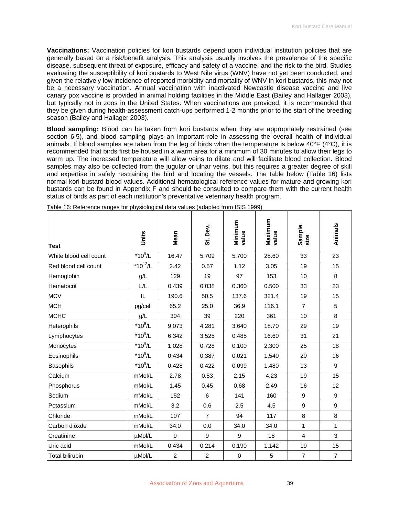**Vaccinations:** Vaccination policies for kori bustards depend upon individual institution policies that are generally based on a risk/benefit analysis. This analysis usually involves the prevalence of the specific disease, subsequent threat of exposure, efficacy and safety of a vaccine, and the risk to the bird. Studies evaluating the susceptibility of kori bustards to West Nile virus (WNV) have not yet been conducted, and given the relatively low incidence of reported morbidity and mortality of WNV in kori bustards, this may not be a necessary vaccination. Annual vaccination with inactivated Newcastle disease vaccine and live canary pox vaccine is provided in animal holding facilities in the Middle East (Bailey and Hallager 2003), but typically not in zoos in the United States. When vaccinations are provided, it is recommended that they be given during health-assessment catch-ups performed 1-2 months prior to the start of the breeding season (Bailey and Hallager 2003).

**Blood sampling:** Blood can be taken from kori bustards when they are appropriately restrained (see section 6.5), and blood sampling plays an important role in assessing the overall health of individual animals. If blood samples are taken from the leg of birds when the temperature is below  $40^{\circ}$ F ( $4^{\circ}$ C), it is recommended that birds first be housed in a warm area for a minimum of 30 minutes to allow their legs to warm up. The increased temperature will allow veins to dilate and will facilitate blood collection. Blood samples may also be collected from the jugular or ulnar veins, but this requires a greater degree of skill and expertise in safely restraining the bird and locating the vessels. The table below (Table 16) lists normal kori bustard blood values. Additional hematological reference values for mature and growing kori bustards can be found in Appendix F and should be consulted to compare them with the current health status of birds as part of each institution's preventative veterinary health program.

| <b>Test</b>            | Units          | Mean           | St. Dev.       | Minimum<br>value | Maximum<br>value | Sample<br>size | Animals        |
|------------------------|----------------|----------------|----------------|------------------|------------------|----------------|----------------|
| White blood cell count | $*10^9$ /L     | 16.47          | 5.709          | 5.700            | 28.60            | 33             | 23             |
| Red blood cell count   | * $10^{12}$ /L | 2.42           | 0.57           | 1.12             | 3.05             | 19             | 15             |
| Hemoglobin             | g/L            | 129            | 19             | 97               | 153              | 10             | 8              |
| Hematocrit             | L/L            | 0.439          | 0.038          | 0.360            | 0.500            | 33             | 23             |
| <b>MCV</b>             | fL             | 190.6          | 50.5           | 137.6            | 321.4            | 19             | 15             |
| <b>MCH</b>             | pg/cell        | 65.2           | 25.0           | 36.9             | 116.1            | $\overline{7}$ | 5              |
| <b>MCHC</b>            | g/L            | 304            | 39             | 220              | 361              | 10             | 8              |
| Heterophils            | $*10^9$ /L     | 9.073          | 4.281          | 3.640            | 18.70            | 29             | 19             |
| Lymphocytes            | $*10^9$ /L     | 6.342          | 3.525          | 0.485            | 16.60            | 31             | 21             |
| Monocytes              | $*10^9$ /L     | 1.028          | 0.728          | 0.100            | 2.300            | 25             | 18             |
| Eosinophils            | $*10^9$ /L     | 0.434          | 0.387          | 0.021            | 1.540            | 20             | 16             |
| Basophils              | $*10^9$ /L     | 0.428          | 0.422          | 0.099            | 1.480            | 13             | $9\,$          |
| Calcium                | mMol/L         | 2.78           | 0.53           | 2.15             | 4.23             | 19             | 15             |
| Phosphorus             | mMol/L         | 1.45           | 0.45           | 0.68             | 2.49             | 16             | 12             |
| Sodium                 | mMol/L         | 152            | 6              | 141              | 160              | 9              | 9              |
| Potassium              | mMol/L         | 3.2            | 0.6            | 2.5              | 4.5              | 9              | 9              |
| Chloride               | mMol/L         | 107            | $\overline{7}$ | 94               | 117              | 8              | 8              |
| Carbon dioxde          | mMol/L         | 34.0           | 0.0            | 34.0             | 34.0             | $\mathbf{1}$   | 1              |
| Creatinine             | µMol/L         | 9              | 9              | 9                | 18               | $\overline{4}$ | 3              |
| Uric acid              | mMol/L         | 0.434          | 0.214          | 0.190            | 1.142            | 19             | 15             |
| <b>Total bilirubin</b> | µMol/L         | $\overline{2}$ | $\overline{c}$ | $\pmb{0}$        | 5                | $\overline{7}$ | $\overline{7}$ |

Table 16: Reference ranges for physiological data values (adapted from ISIS 1999)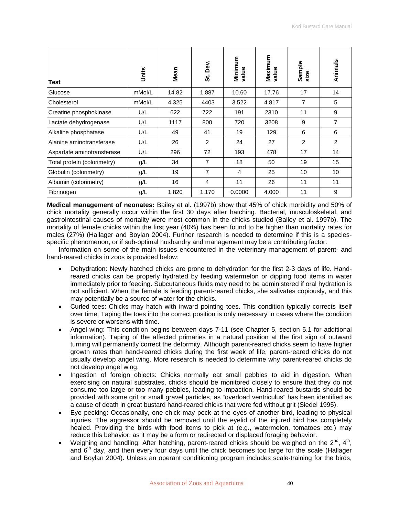| <b>Test</b>                 | Units  | Mean  | Dev.<br>ູ່ຜ່   | Minimum<br>value | Maximum<br>value | Sample<br>size | Animals        |
|-----------------------------|--------|-------|----------------|------------------|------------------|----------------|----------------|
| Glucose                     | mMol/L | 14.82 | 1.887          | 10.60            | 17.76            | 17             | 14             |
| Cholesterol                 | mMol/L | 4.325 | .4403          | 3.522            | 4.817            | 7              | 5              |
| Creatine phosphokinase      | U/L    | 622   | 722            | 191              | 2310             | 11             | 9              |
| Lactate dehydrogenase       | U/L    | 1117  | 800            | 720              | 3208             | 9              | $\overline{7}$ |
| Alkaline phosphatase        | U/L    | 49    | 41             | 19               | 129              | 6              | 6              |
| Alanine aminotransferase    | U/L    | 26    | 2              | 24               | 27               | $\overline{2}$ | 2              |
| Aspartate aminotransferase  | U/L    | 296   | 72             | 193              | 478              | 17             | 14             |
| Total protein (colorimetry) | g/L    | 34    | $\overline{7}$ | 18               | 50               | 19             | 15             |
| Globulin (colorimetry)      | g/L    | 19    | 7              | 4                | 25               | 10             | 10             |
| Albumin (colorimetry)       | g/L    | 16    | 4              | 11               | 26               | 11             | 11             |
| Fibrinogen                  | g/L    | 1.820 | 1.170          | 0.0000           | 4.000            | 11             | 9              |

**Medical management of neonates:** Bailey et al. (1997b) show that 45% of chick morbidity and 50% of chick mortality generally occur within the first 30 days after hatching. Bacterial, musculoskeletal, and gastrointestinal causes of mortality were most common in the chicks studied (Bailey et al. 1997b). The mortality of female chicks within the first year (40%) has been found to be higher than mortality rates for males (27%) (Hallager and Boylan 2004). Further research is needed to determine if this is a speciesspecific phenomenon, or if sub-optimal husbandry and management may be a contributing factor.

Information on some of the main issues encountered in the veterinary management of parent- and hand-reared chicks in zoos is provided below:

- Dehydration: Newly hatched chicks are prone to dehydration for the first 2-3 days of life. Handreared chicks can be properly hydrated by feeding watermelon or dipping food items in water immediately prior to feeding. Subcutaneous fluids may need to be administered if oral hydration is not sufficient. When the female is feeding parent-reared chicks, she salivates copiously, and this may potentially be a source of water for the chicks.
- Curled toes: Chicks may hatch with inward pointing toes. This condition typically corrects itself over time. Taping the toes into the correct position is only necessary in cases where the condition is severe or worsens with time.
- Angel wing: This condition begins between days 7-11 (see Chapter 5, section 5.1 for additional information). Taping of the affected primaries in a natural position at the first sign of outward turning will permanently correct the deformity. Although parent-reared chicks seem to have higher growth rates than hand-reared chicks during the first week of life, parent-reared chicks do not usually develop angel wing. More research is needed to determine why parent-reared chicks do not develop angel wing.
- Ingestion of foreign objects: Chicks normally eat small pebbles to aid in digestion. When exercising on natural substrates, chicks should be monitored closely to ensure that they do not consume too large or too many pebbles, leading to impaction. Hand-reared bustards should be provided with some grit or small gravel particles, as "overload ventriculus" has been identified as a cause of death in great bustard hand-reared chicks that were fed without grit (Siedel 1995).
- Eye pecking: Occasionally, one chick may peck at the eyes of another bird, leading to physical injuries. The aggressor should be removed until the eyelid of the injured bird has completely healed. Providing the birds with food items to pick at (e.g., watermelon, tomatoes etc.) may reduce this behavior, as it may be a form or redirected or displaced foraging behavior.
- Weighing and handling: After hatching, parent-reared chicks should be weighed on the 2<sup>nd</sup>, 4<sup>th</sup>, and  $6<sup>th</sup>$  day, and then every four days until the chick becomes too large for the scale (Hallager and Boylan 2004). Unless an operant conditioning program includes scale-training for the birds,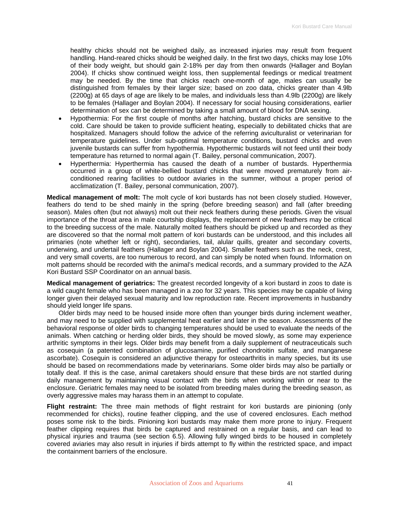healthy chicks should not be weighed daily, as increased injuries may result from frequent handling. Hand-reared chicks should be weighed daily. In the first two days, chicks may lose 10% of their body weight, but should gain 2-18% per day from then onwards (Hallager and Boylan 2004). If chicks show continued weight loss, then supplemental feedings or medical treatment may be needed. By the time that chicks reach one-month of age, males can usually be distinguished from females by their larger size; based on zoo data, chicks greater than 4.9lb (2200g) at 65 days of age are likely to be males, and individuals less than 4.9lb (2200g) are likely to be females (Hallager and Boylan 2004). If necessary for social housing considerations, earlier determination of sex can be determined by taking a small amount of blood for DNA sexing.

- Hypothermia: For the first couple of months after hatching, bustard chicks are sensitive to the cold. Care should be taken to provide sufficient heating, especially to debilitated chicks that are hospitalized. Managers should follow the advice of the referring aviculturalist or veterinarian for temperature guidelines. Under sub-optimal temperature conditions, bustard chicks and even juvenile bustards can suffer from hypothermia. Hypothermic bustards will not feed until their body temperature has returned to normal again (T. Bailey, personal communication, 2007).
- Hyperthermia: Hyperthermia has caused the death of a number of bustards. Hyperthermia occurred in a group of white-bellied bustard chicks that were moved prematurely from airconditioned rearing facilities to outdoor aviaries in the summer, without a proper period of acclimatization (T. Bailey, personal communication, 2007).

**Medical management of molt:** The molt cycle of kori bustards has not been closely studied. However, feathers do tend to be shed mainly in the spring (before breeding season) and fall (after breeding season). Males often (but not always) molt out their neck feathers during these periods. Given the visual importance of the throat area in male courtship displays, the replacement of new feathers may be critical to the breeding success of the male. Naturally molted feathers should be picked up and recorded as they are discovered so that the normal molt pattern of kori bustards can be understood, and this includes all primaries (note whether left or right), secondaries, tail, alular quills, greater and secondary coverts, underwing, and undertail feathers (Hallager and Boylan 2004). Smaller feathers such as the neck, crest, and very small coverts, are too numerous to record, and can simply be noted when found. Information on molt patterns should be recorded with the animal's medical records, and a summary provided to the AZA Kori Bustard SSP Coordinator on an annual basis.

**Medical management of geriatrics:** The greatest recorded longevity of a kori bustard in zoos to date is a wild caught female who has been managed in a zoo for 32 years. This species may be capable of living longer given their delayed sexual maturity and low reproduction rate. Recent improvements in husbandry should yield longer life spans.

Older birds may need to be housed inside more often than younger birds during inclement weather, and may need to be supplied with supplemental heat earlier and later in the season. Assessments of the behavioral response of older birds to changing temperatures should be used to evaluate the needs of the animals. When catching or herding older birds, they should be moved slowly, as some may experience arthritic symptoms in their legs. Older birds may benefit from a daily supplement of neutraceuticals such as cosequin (a patented combination of glucosamine, purified chondroitin sulfate, and manganese ascorbate). Cosequin is considered an adjunctive therapy for osteoarthritis in many species, but its use should be based on recommendations made by veterinarians. Some older birds may also be partially or totally deaf. If this is the case, animal caretakers should ensure that these birds are not startled during daily management by maintaining visual contact with the birds when working within or near to the enclosure. Geriatric females may need to be isolated from breeding males during the breeding season, as overly aggressive males may harass them in an attempt to copulate.

**Flight restraint:** The three main methods of flight restraint for kori bustards are pinioning (only recommended for chicks), routine feather clipping, and the use of covered enclosures. Each method poses some risk to the birds. Pinioning kori bustards may make them more prone to injury. Frequent feather clipping requires that birds be captured and restrained on a regular basis, and can lead to physical injuries and trauma (see section 6.5). Allowing fully winged birds to be housed in completely covered aviaries may also result in injuries if birds attempt to fly within the restricted space, and impact the containment barriers of the enclosure.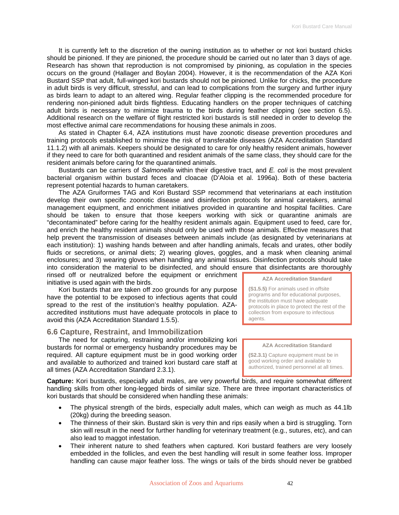It is currently left to the discretion of the owning institution as to whether or not kori bustard chicks should be pinioned. If they are pinioned, the procedure should be carried out no later than 3 days of age. Research has shown that reproduction is not compromised by pinioning, as copulation in the species occurs on the ground (Hallager and Boylan 2004). However, it is the recommendation of the AZA Kori Bustard SSP that adult, full-winged kori bustards should not be pinioned. Unlike for chicks, the procedure in adult birds is very difficult, stressful, and can lead to complications from the surgery and further injury as birds learn to adapt to an altered wing. Regular feather clipping is the recommended procedure for rendering non-pinioned adult birds flightless. Educating handlers on the proper techniques of catching adult birds is necessary to minimize trauma to the birds during feather clipping (see section 6.5). Additional research on the welfare of flight restricted kori bustards is still needed in order to develop the most effective animal care recommendations for housing these animals in zoos.

As stated in Chapter 6.4, AZA institutions must have zoonotic disease prevention procedures and training protocols established to minimize the risk of transferable diseases (AZA Accreditation Standard 11.1.2) with all animals. Keepers should be designated to care for only healthy resident animals, however if they need to care for both quarantined and resident animals of the same class, they should care for the resident animals before caring for the quarantined animals.

Bustards can be carriers of *Salmonella* within their digestive tract, and *E. coli* is the most prevalent bacterial organism within bustard feces and cloacae (D'Aloia et al. 1996a). Both of these bacteria represent potential hazards to human caretakers.

The AZA Gruiformes TAG and Kori Bustard SSP recommend that veterinarians at each institution develop their own specific zoonotic disease and disinfection protocols for animal caretakers, animal management equipment, and enrichment initiatives provided in quarantine and hospital facilities. Care should be taken to ensure that those keepers working with sick or quarantine animals are "decontaminated" before caring for the healthy resident animals again. Equipment used to feed, care for, and enrich the healthy resident animals should only be used with those animals. Effective measures that help prevent the transmission of diseases between animals include (as designated by veterinarians at each institution): 1) washing hands between and after handling animals, fecals and urates, other bodily fluids or secretions, or animal diets; 2) wearing gloves, goggles, and a mask when cleaning animal enclosures; and 3) wearing gloves when handling any animal tissues. Disinfection protocols should take into consideration the material to be disinfected, and should ensure that disinfectants are thoroughly

rinsed off or neutralized before the equipment or enrichment initiative is used again with the birds.

Kori bustards that are taken off zoo grounds for any purpose have the potential to be exposed to infectious agents that could spread to the rest of the institution's healthy population. AZAaccredited institutions must have adequate protocols in place to avoid this (AZA Accreditation Standard 1.5.5).

# **6.6 Capture, Restraint, and Immobilization**

The need for capturing, restraining and/or immobilizing kori bustards for normal or emergency husbandry procedures may be required. All capture equipment must be in good working order and available to authorized and trained kori bustard care staff at all times (AZA Accreditation Standard 2.3.1).

**Capture:** Kori bustards, especially adult males, are very powerful birds, and require somewhat different handling skills from other long-legged birds of similar size. There are three important characteristics of kori bustards that should be considered when handling these animals:

- The physical strength of the birds, especially adult males, which can weigh as much as 44.1lb (20kg) during the breeding season.
- The thinness of their skin. Bustard skin is very thin and rips easily when a bird is struggling. Torn skin will result in the need for further handling for veterinary treatment (e.g., sutures, etc), and can also lead to maggot infestation.
- Their inherent nature to shed feathers when captured. Kori bustard feathers are very loosely embedded in the follicles, and even the best handling will result in some feather loss. Improper handling can cause major feather loss. The wings or tails of the birds should never be grabbed

**AZA Accreditation Standard** 

**(S1.5.5)** For animals used in offsite programs and for educational purposes, the institution must have adequate protocols in place to protect the rest of the collection from exposure to infectious agents.

**AZA Accreditation Standard** 

**(S2.3.1)** Capture equipment must be in good working order and available to authorized, trained personnel at all times.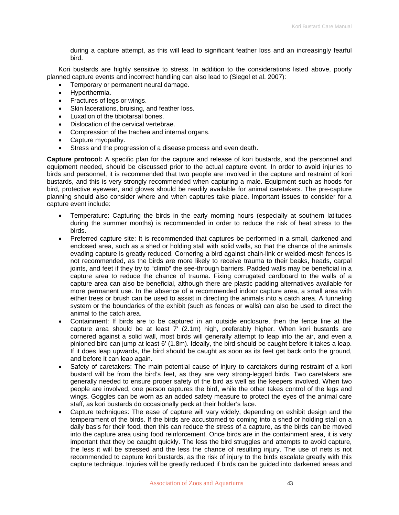during a capture attempt, as this will lead to significant feather loss and an increasingly fearful bird.

Kori bustards are highly sensitive to stress. In addition to the considerations listed above, poorly planned capture events and incorrect handling can also lead to (Siegel et al. 2007):

- Temporary or permanent neural damage.
- Hyperthermia.
- Fractures of legs or wings.
- Skin lacerations, bruising, and feather loss.
- Luxation of the tibiotarsal bones.
- Dislocation of the cervical vertebrae.
- Compression of the trachea and internal organs.
- Capture myopathy.
- Stress and the progression of a disease process and even death.

**Capture protocol:** A specific plan for the capture and release of kori bustards, and the personnel and equipment needed, should be discussed prior to the actual capture event. In order to avoid injuries to birds and personnel, it is recommended that two people are involved in the capture and restraint of kori bustards, and this is very strongly recommended when capturing a male. Equipment such as hoods for bird, protective eyewear, and gloves should be readily available for animal caretakers. The pre-capture planning should also consider where and when captures take place. Important issues to consider for a capture event include:

- Temperature: Capturing the birds in the early morning hours (especially at southern latitudes during the summer months) is recommended in order to reduce the risk of heat stress to the birds.
- Preferred capture site: It is recommended that captures be performed in a small, darkened and enclosed area, such as a shed or holding stall with solid walls, so that the chance of the animals evading capture is greatly reduced. Cornering a bird against chain-link or welded-mesh fences is not recommended, as the birds are more likely to receive trauma to their beaks, heads, carpal joints, and feet if they try to "climb" the see-through barriers. Padded walls may be beneficial in a capture area to reduce the chance of trauma. Fixing corrugated cardboard to the walls of a capture area can also be beneficial, although there are plastic padding alternatives available for more permanent use. In the absence of a recommended indoor capture area, a small area with either trees or brush can be used to assist in directing the animals into a catch area. A funneling system or the boundaries of the exhibit (such as fences or walls) can also be used to direct the animal to the catch area.
- Containment: If birds are to be captured in an outside enclosure, then the fence line at the capture area should be at least  $7'$  (2.1m) high, preferably higher. When kori bustards are cornered against a solid wall, most birds will generally attempt to leap into the air, and even a pinioned bird can jump at least 6' (1.8m). Ideally, the bird should be caught before it takes a leap. If it does leap upwards, the bird should be caught as soon as its feet get back onto the ground, and before it can leap again.
- Safety of caretakers: The main potential cause of injury to caretakers during restraint of a kori bustard will be from the bird's feet, as they are very strong-legged birds. Two caretakers are generally needed to ensure proper safety of the bird as well as the keepers involved. When two people are involved, one person captures the bird, while the other takes control of the legs and wings. Goggles can be worn as an added safety measure to protect the eyes of the animal care staff, as kori bustards do occasionally peck at their holder's face.
- Capture techniques: The ease of capture will vary widely, depending on exhibit design and the temperament of the birds. If the birds are accustomed to coming into a shed or holding stall on a daily basis for their food, then this can reduce the stress of a capture, as the birds can be moved into the capture area using food reinforcement. Once birds are in the containment area, it is very important that they be caught quickly. The less the bird struggles and attempts to avoid capture, the less it will be stressed and the less the chance of resulting injury. The use of nets is not recommended to capture kori bustards, as the risk of injury to the birds escalate greatly with this capture technique. Injuries will be greatly reduced if birds can be guided into darkened areas and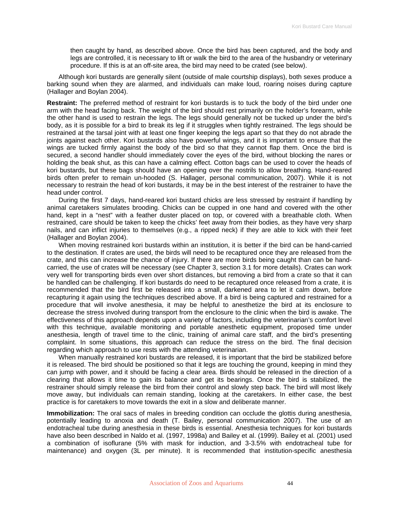then caught by hand, as described above. Once the bird has been captured, and the body and legs are controlled, it is necessary to lift or walk the bird to the area of the husbandry or veterinary procedure. If this is at an off-site area, the bird may need to be crated (see below).

Although kori bustards are generally silent (outside of male courtship displays), both sexes produce a barking sound when they are alarmed, and individuals can make loud, roaring noises during capture (Hallager and Boylan 2004).

**Restraint:** The preferred method of restraint for kori bustards is to tuck the body of the bird under one arm with the head facing back. The weight of the bird should rest primarily on the holder's forearm, while the other hand is used to restrain the legs. The legs should generally not be tucked up under the bird's body, as it is possible for a bird to break its leg if it struggles when tightly restrained. The legs should be restrained at the tarsal joint with at least one finger keeping the legs apart so that they do not abrade the joints against each other. Kori bustards also have powerful wings, and it is important to ensure that the wings are tucked firmly against the body of the bird so that they cannot flap them. Once the bird is secured, a second handler should immediately cover the eyes of the bird, without blocking the nares or holding the beak shut, as this can have a calming effect. Cotton bags can be used to cover the heads of kori bustards, but these bags should have an opening over the nostrils to allow breathing. Hand-reared birds often prefer to remain un-hooded (S. Hallager, personal communication, 2007). While it is not necessary to restrain the head of kori bustards, it may be in the best interest of the restrainer to have the head under control.

During the first 7 days, hand-reared kori bustard chicks are less stressed by restraint if handling by animal caretakers simulates brooding. Chicks can be cupped in one hand and covered with the other hand, kept in a "nest" with a feather duster placed on top, or covered with a breathable cloth. When restrained, care should be taken to keep the chicks' feet away from their bodies, as they have very sharp nails, and can inflict injuries to themselves (e.g., a ripped neck) if they are able to kick with their feet (Hallager and Boylan 2004).

When moving restrained kori bustards within an institution, it is better if the bird can be hand-carried to the destination. If crates are used, the birds will need to be recaptured once they are released from the crate, and this can increase the chance of injury. If there are more birds being caught than can be handcarried, the use of crates will be necessary (see Chapter 3, section 3.1 for more details). Crates can work very well for transporting birds even over short distances, but removing a bird from a crate so that it can be handled can be challenging. If kori bustards do need to be recaptured once released from a crate, it is recommended that the bird first be released into a small, darkened area to let it calm down, before recapturing it again using the techniques described above. If a bird is being captured and restrained for a procedure that will involve anesthesia, it may be helpful to anesthetize the bird at its enclosure to decrease the stress involved during transport from the enclosure to the clinic when the bird is awake. The effectiveness of this approach depends upon a variety of factors, including the veterinarian's comfort level with this technique, available monitoring and portable anesthetic equipment, proposed time under anesthesia, length of travel time to the clinic, training of animal care staff, and the bird's presenting complaint. In some situations, this approach can reduce the stress on the bird. The final decision regarding which approach to use rests with the attending veterinarian.

When manually restrained kori bustards are released, it is important that the bird be stabilized before it is released. The bird should be positioned so that it legs are touching the ground, keeping in mind they can jump with power, and it should be facing a clear area. Birds should be released in the direction of a clearing that allows it time to gain its balance and get its bearings. Once the bird is stabilized, the restrainer should simply release the bird from their control and slowly step back. The bird will most likely move away, but individuals can remain standing, looking at the caretakers. In either case, the best practice is for caretakers to move towards the exit in a slow and deliberate manner.

**Immobilization:** The oral sacs of males in breeding condition can occlude the glottis during anesthesia, potentially leading to anoxia and death (T. Bailey, personal communication 2007). The use of an endotracheal tube during anesthesia in these birds is essential. Anesthesia techniques for kori bustards have also been described in Naldo et al. (1997, 1998a) and Bailey et al. (1999). Bailey et al. (2001) used a combination of isoflurane (5% with mask for induction, and 3-3.5% with endotracheal tube for maintenance) and oxygen (3L per minute). It is recommended that institution-specific anesthesia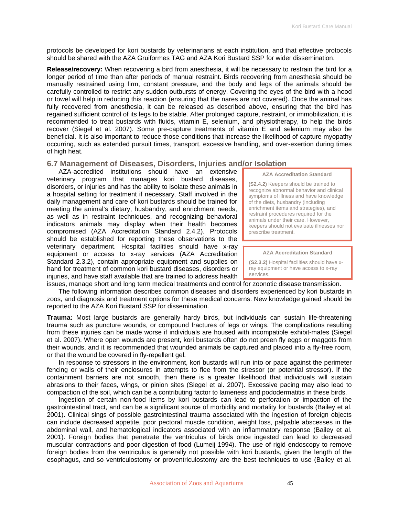protocols be developed for kori bustards by veterinarians at each institution, and that effective protocols should be shared with the AZA Gruiformes TAG and AZA Kori Bustard SSP for wider dissemination.

**Release/recovery:** When recovering a bird from anesthesia, it will be necessary to restrain the bird for a longer period of time than after periods of manual restraint. Birds recovering from anesthesia should be manually restrained using firm, constant pressure, and the body and legs of the animals should be carefully controlled to restrict any sudden outbursts of energy. Covering the eyes of the bird with a hood or towel will help in reducing this reaction (ensuring that the nares are not covered). Once the animal has fully recovered from anesthesia, it can be released as described above, ensuring that the bird has regained sufficient control of its legs to be stable. After prolonged capture, restraint, or immobilization, it is recommended to treat bustards with fluids, vitamin E, selenium, and physiotherapy, to help the birds recover (Siegel et al. 2007). Some pre-capture treatments of vitamin E and selenium may also be beneficial. It is also important to reduce those conditions that increase the likelihood of capture myopathy occurring, such as extended pursuit times, transport, excessive handling, and over-exertion during times of high heat.

# **6.7 Management of Diseases, Disorders, Injuries and/or Isolation**

AZA-accredited institutions should have an extensive veterinary program that manages kori bustard diseases, disorders, or injuries and has the ability to isolate these animals in a hospital setting for treatment if necessary. Staff involved in the daily management and care of kori bustards should be trained for meeting the animal's dietary, husbandry, and enrichment needs, as well as in restraint techniques, and recognizing behavioral indicators animals may display when their health becomes compromised (AZA Accreditation Standard 2.4.2). Protocols should be established for reporting these observations to the veterinary department. Hospital facilities should have x-ray equipment or access to x-ray services (AZA Accreditation Standard 2.3.2), contain appropriate equipment and supplies on hand for treatment of common kori bustard diseases, disorders or injuries, and have staff available that are trained to address health

**AZA Accreditation Standard** 

**(S2.4.2)** Keepers should be trained to recognize abnormal behavior and clinical symptoms of illness and have knowledge of the diets, husbandry (including enrichment items and strategies), and restraint procedures required for the animals under their care. However, keepers should not evaluate illnesses nor prescribe treatment.

#### **AZA Accreditation Standard**

**(S2.3.2)** Hospital facilities should have xray equipment or have access to x-ray services.

issues, manage short and long term medical treatments and control for zoonotic disease transmission. The following information describes common diseases and disorders experienced by kori bustards in zoos, and diagnosis and treatment options for these medical concerns. New knowledge gained should be reported to the AZA Kori Bustard SSP for dissemination.

**Trauma:** Most large bustards are generally hardy birds, but individuals can sustain life-threatening trauma such as puncture wounds, or compound fractures of legs or wings. The complications resulting from these injuries can be made worse if individuals are housed with incompatible exhibit-mates (Siegel et al. 2007). Where open wounds are present, kori bustards often do not preen fly eggs or maggots from their wounds, and it is recommended that wounded animals be captured and placed into a fly-free room, or that the wound be covered in fly-repellent gel.

In response to stressors in the environment, kori bustards will run into or pace against the perimeter fencing or walls of their enclosures in attempts to flee from the stressor (or potential stressor). If the containment barriers are not smooth, then there is a greater likelihood that individuals will sustain abrasions to their faces, wings, or pinion sites (Siegel et al. 2007). Excessive pacing may also lead to compaction of the soil, which can be a contributing factor to lameness and pododermatitis in these birds.

Ingestion of certain non-food items by kori bustards can lead to perforation or impaction of the gastrointestinal tract, and can be a significant source of morbidity and mortality for bustards (Bailey et al. 2001). Clinical sings of possible gastrointestinal trauma associated with the ingestion of foreign objects can include decreased appetite, poor pectoral muscle condition, weight loss, palpable abscesses in the abdominal wall, and hematological indicators associated with an inflammatory response (Bailey et al. 2001). Foreign bodies that penetrate the ventriculus of birds once ingested can lead to decreased muscular contractions and poor digestion of food (Lumeij 1994). The use of rigid endoscopy to remove foreign bodies from the ventriculus is generally not possible with kori bustards, given the length of the esophagus, and so ventriculostomy or proventriculostomy are the best techniques to use (Bailey et al.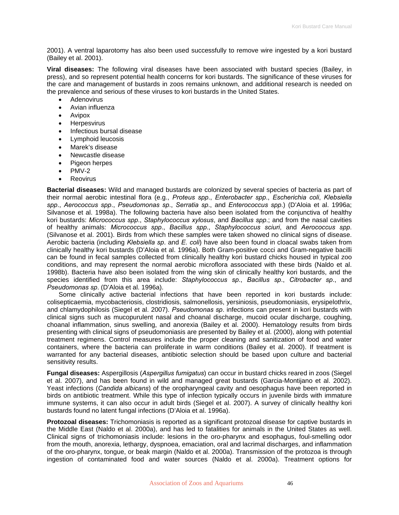2001). A ventral laparotomy has also been used successfully to remove wire ingested by a kori bustard (Bailey et al. 2001).

**Viral diseases:** The following viral diseases have been associated with bustard species (Bailey, in press), and so represent potential health concerns for kori bustards. The significance of these viruses for the care and management of bustards in zoos remains unknown, and additional research is needed on the prevalence and serious of these viruses to kori bustards in the United States.

- **Adenovirus**
- Avian influenza
- Avipox
- Herpesvirus
- Infectious bursal disease
- Lymphoid leucosis
- Marek's disease
- Newcastle disease
- Pigeon herpes
- $\bullet$  PMV-2
- **Reovirus**

**Bacterial diseases:** Wild and managed bustards are colonized by several species of bacteria as part of their normal aerobic intestinal flora (e.g., *Proteus spp*., *Enterobacter spp*., *Escherichia coli*, *Klebsiella spp*., *Aerococcus spp*., *Pseudomonas sp*., *Serratia sp*., and *Enterococcus spp*.) (D'Aloia et al. 1996a; Silvanose et al. 1998a). The following bacteria have also been isolated from the conjunctiva of healthy kori bustards: *Micrococcus spp*., *Staphylococcus xylosus*, and *Bacillus spp*.; and from the nasal cavities of healthy animals: *Micrococcus spp*., *Bacillus spp*., *Staphylococcus sciuri*, and *Aerococcus spp*. (Silvanose et al. 2001). Birds from which these samples were taken showed no clinical signs of disease. Aerobic bacteria (including *Klebsiella sp*. and *E. coli*) have also been found in cloacal swabs taken from clinically healthy kori bustards (D'Aloia et al. 1996a). Both Gram-positive cocci and Gram-negative bacilli can be found in fecal samples collected from clinically healthy kori bustard chicks housed in typical zoo conditions, and may represent the normal aerobic microflora associated with these birds (Naldo et al. 1998b). Bacteria have also been isolated from the wing skin of clinically healthy kori bustards, and the species identified from this area include: *Staphylococcus sp*., *Bacillus sp*., *Citrobacter sp*., and *Pseudomonas sp*. (D'Aloia et al. 1996a).

Some clinically active bacterial infections that have been reported in kori bustards include: colisepticaemia, mycobacteriosis, clostridiosis, salmonellosis, yersiniosis, pseudomoniasis, erysipelothrix, and chlamydophilosis (Siegel et al. 2007). *Pseudomonas sp*. infections can present in kori bustards with clinical signs such as mucopurulent nasal and choanal discharge, mucoid ocular discharge, coughing, choanal inflammation, sinus swelling, and anorexia (Bailey et al. 2000). Hematology results from birds presenting with clinical signs of pseudomoniasis are presented by Bailey et al. (2000), along with potential treatment regimens. Control measures include the proper cleaning and sanitization of food and water containers, where the bacteria can proliferate in warm conditions (Bailey et al. 2000). If treatment is warranted for any bacterial diseases, antibiotic selection should be based upon culture and bacterial sensitivity results.

**Fungal diseases:** Aspergillosis (*Aspergillus fumigatus*) can occur in bustard chicks reared in zoos (Siegel et al. 2007), and has been found in wild and managed great bustards (Garcia-Montijano et al. 2002). Yeast infections (*Candida albicans*) of the oropharyngeal cavity and oesophagus have been reported in birds on antibiotic treatment. While this type of infection typically occurs in juvenile birds with immature immune systems, it can also occur in adult birds (Siegel et al. 2007). A survey of clinically healthy kori bustards found no latent fungal infections (D'Aloia et al. 1996a).

**Protozoal diseases:** Trichomoniasis is reported as a significant protozoal disease for captive bustards in the Middle East (Naldo et al. 2000a), and has led to fatalities for animals in the United States as well. Clinical signs of trichomoniasis include: lesions in the oro-pharynx and esophagus, foul-smelling odor from the mouth, anorexia, lethargy, dyspnoea, emaciation, oral and lacrimal discharges, and inflammation of the oro-pharynx, tongue, or beak margin (Naldo et al. 2000a). Transmission of the protozoa is through ingestion of contaminated food and water sources (Naldo et al. 2000a). Treatment options for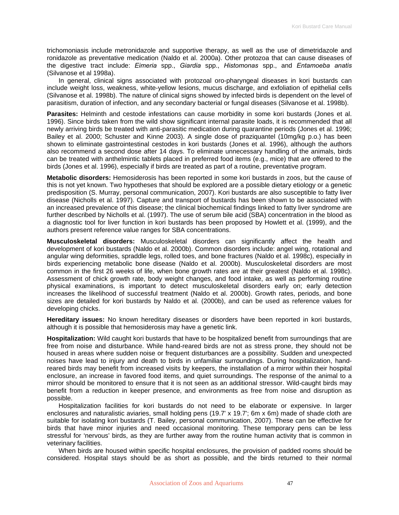trichomoniasis include metronidazole and supportive therapy, as well as the use of dimetridazole and ronidazole as preventative medication (Naldo et al. 2000a). Other protozoa that can cause diseases of the digestive tract include: *Eimeria* spp., *Giardia* spp., *Histomonas* spp., and *Entamoeba anatis* (Silvanose et al 1998a).

In general, clinical signs associated with protozoal oro-pharyngeal diseases in kori bustards can include weight loss, weakness, white-yellow lesions, mucus discharge, and exfoliation of epithelial cells (Silvanose et al. 1998b). The nature of clinical signs showed by infected birds is dependent on the level of parasitism, duration of infection, and any secondary bacterial or fungal diseases (Silvanose et al. 1998b).

**Parasites:** Helminth and cestode infestations can cause morbidity in some kori bustards (Jones et al. 1996). Since birds taken from the wild show significant internal parasite loads, it is recommended that all newly arriving birds be treated with anti-parasitic medication during quarantine periods (Jones et al. 1996; Bailey et al. 2000; Schuster and Kinne 2003). A single dose of praziquantel (10mg/kg p.o.) has been shown to eliminate gastrointestinal cestodes in kori bustards (Jones et al. 1996), although the authors also recommend a second dose after 14 days. To eliminate unnecessary handling of the animals, birds can be treated with anthelmintic tablets placed in preferred food items (e.g., mice) that are offered to the birds (Jones et al. 1996), especially if birds are treated as part of a routine, preventative program.

**Metabolic disorders:** Hemosiderosis has been reported in some kori bustards in zoos, but the cause of this is not yet known. Two hypotheses that should be explored are a possible dietary etiology or a genetic predisposition (S. Murray, personal communication, 2007). Kori bustards are also susceptible to fatty liver disease (Nicholls et al. 1997). Capture and transport of bustards has been shown to be associated with an increased prevalence of this disease; the clinical biochemical findings linked to fatty liver syndrome are further described by Nicholls et al. (1997). The use of serum bile acid (SBA) concentration in the blood as a diagnostic tool for liver function in kori bustards has been proposed by Howlett et al. (1999), and the authors present reference value ranges for SBA concentrations.

**Musculoskeletal disorders:** Musculoskeletal disorders can significantly affect the health and development of kori bustards (Naldo et al. 2000b). Common disorders include: angel wing, rotational and angular wing deformities, spraddle legs, rolled toes, and bone fractures (Naldo et al. 1998c), especially in birds experiencing metabolic bone disease (Naldo et al. 2000b). Musculoskeletal disorders are most common in the first 26 weeks of life, when bone growth rates are at their greatest (Naldo et al. 1998c). Assessment of chick growth rate, body weight changes, and food intake, as well as performing routine physical examinations, is important to detect musculoskeletal disorders early on; early detection increases the likelihood of successful treatment (Naldo et al. 2000b). Growth rates, periods, and bone sizes are detailed for kori bustards by Naldo et al. (2000b), and can be used as reference values for developing chicks.

**Hereditary issues:** No known hereditary diseases or disorders have been reported in kori bustards, although it is possible that hemosiderosis may have a genetic link.

**Hospitalization:** Wild caught kori bustards that have to be hospitalized benefit from surroundings that are free from noise and disturbance. While hand-reared birds are not as stress prone, they should not be housed in areas where sudden noise or frequent disturbances are a possibility. Sudden and unexpected noises have lead to injury and death to birds in unfamiliar surroundings. During hospitalization, handreared birds may benefit from increased visits by keepers, the installation of a mirror within their hospital enclosure, an increase in favored food items, and quiet surroundings. The response of the animal to a mirror should be monitored to ensure that it is not seen as an additional stressor. Wild-caught birds may benefit from a reduction in keeper presence, and environments as free from noise and disruption as possible.

Hospitalization facilities for kori bustards do not need to be elaborate or expensive. In larger enclosures and naturalistic aviaries, small holding pens (19.7' x 19.7'; 6m x 6m) made of shade cloth are suitable for isolating kori bustards (T. Bailey, personal communication, 2007). These can be effective for birds that have minor injuries and need occasional monitoring. These temporary pens can be less stressful for 'nervous' birds, as they are further away from the routine human activity that is common in veterinary facilities.

When birds are housed within specific hospital enclosures, the provision of padded rooms should be considered. Hospital stays should be as short as possible, and the birds returned to their normal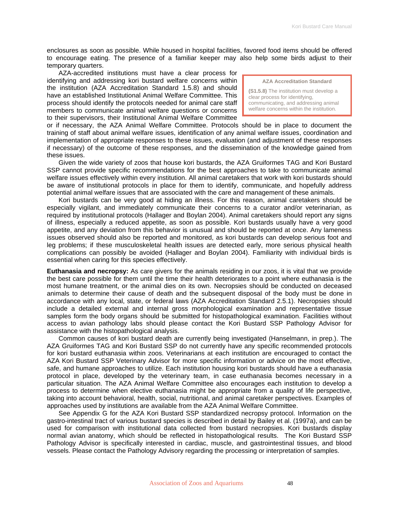enclosures as soon as possible. While housed in hospital facilities, favored food items should be offered to encourage eating. The presence of a familiar keeper may also help some birds adjust to their temporary quarters.

AZA-accredited institutions must have a clear process for identifying and addressing kori bustard welfare concerns within the institution (AZA Accreditation Standard 1.5.8) and should have an established Institutional Animal Welfare Committee. This process should identify the protocols needed for animal care staff members to communicate animal welfare questions or concerns to their supervisors, their Institutional Animal Welfare Committee

**AZA Accreditation Standard** 

**(S1.5.8)** The institution must develop a clear process for identifying, communicating, and addressing animal welfare concerns within the institution.

or if necessary, the AZA Animal Welfare Committee. Protocols should be in place to document the training of staff about animal welfare issues, identification of any animal welfare issues, coordination and implementation of appropriate responses to these issues, evaluation (and adjustment of these responses if necessary) of the outcome of these responses, and the dissemination of the knowledge gained from these issues.

Given the wide variety of zoos that house kori bustards, the AZA Gruiformes TAG and Kori Bustard SSP cannot provide specific recommendations for the best approaches to take to communicate animal welfare issues effectively within every institution. All animal caretakers that work with kori bustards should be aware of institutional protocols in place for them to identify, communicate, and hopefully address potential animal welfare issues that are associated with the care and management of these animals.

Kori bustards can be very good at hiding an illness. For this reason, animal caretakers should be especially vigilant, and immediately communicate their concerns to a curator and/or veterinarian, as required by institutional protocols (Hallager and Boylan 2004). Animal caretakers should report any signs of illness, especially a reduced appetite, as soon as possible. Kori bustards usually have a very good appetite, and any deviation from this behavior is unusual and should be reported at once. Any lameness issues observed should also be reported and monitored, as kori bustards can develop serious foot and leg problems; if these musculoskeletal health issues are detected early, more serious physical health complications can possibly be avoided (Hallager and Boylan 2004). Familiarity with individual birds is essential when caring for this species effectively.

**Euthanasia and necropsy:** As care givers for the animals residing in our zoos, it is vital that we provide the best care possible for them until the time their health deteriorates to a point where euthanasia is the most humane treatment, or the animal dies on its own. Necropsies should be conducted on deceased animals to determine their cause of death and the subsequent disposal of the body must be done in accordance with any local, state, or federal laws (AZA Accreditation Standard 2.5.1). Necropsies should include a detailed external and internal gross morphological examination and representative tissue samples form the body organs should be submitted for histopathological examination. Facilities without access to avian pathology labs should please contact the Kori Bustard SSP Pathology Advisor for assistance with the histopathological analysis.

Common causes of kori bustard death are currently being investigated (Hanselmann, in prep.). The AZA Gruiformes TAG and Kori Bustard SSP do not currently have any specific recommended protocols for kori bustard euthanasia within zoos. Veterinarians at each institution are encouraged to contact the AZA Kori Bustard SSP Veterinary Advisor for more specific information or advice on the most effective, safe, and humane approaches to utilize. Each institution housing kori bustards should have a euthanasia protocol in place, developed by the veterinary team, in case euthanasia becomes necessary in a particular situation. The AZA Animal Welfare Committee also encourages each institution to develop a process to determine when elective euthanasia might be appropriate from a quality of life perspective, taking into account behavioral, health, social, nutritional, and animal caretaker perspectives. Examples of approaches used by institutions are available from the AZA Animal Welfare Committee.

See Appendix G for the AZA Kori Bustard SSP standardized necropsy protocol. Information on the gastro-intestinal tract of various bustard species is described in detail by Bailey et al. (1997a), and can be used for comparison with institutional data collected from bustard necropsies. Kori bustards display normal avian anatomy, which should be reflected in histopathological results. The Kori Bustard SSP Pathology Advisor is specifically interested in cardiac, muscle, and gastrointestinal tissues, and blood vessels. Please contact the Pathology Advisory regarding the processing or interpretation of samples.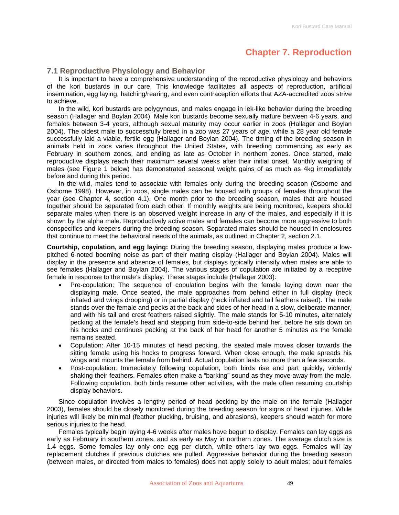# **Chapter 7. Reproduction**

# **7.1 Reproductive Physiology and Behavior**

It is important to have a comprehensive understanding of the reproductive physiology and behaviors of the kori bustards in our care. This knowledge facilitates all aspects of reproduction, artificial insemination, egg laying, hatching/rearing, and even contraception efforts that AZA-accredited zoos strive to achieve.

In the wild, kori bustards are polygynous, and males engage in lek-like behavior during the breeding season (Hallager and Boylan 2004). Male kori bustards become sexually mature between 4-6 years, and females between 3-4 years, although sexual maturity may occur earlier in zoos (Hallager and Boylan 2004). The oldest male to successfully breed in a zoo was 27 years of age, while a 28 year old female successfully laid a viable, fertile egg (Hallager and Boylan 2004). The timing of the breeding season in animals held in zoos varies throughout the United States, with breeding commencing as early as February in southern zones, and ending as late as October in northern zones. Once started, male reproductive displays reach their maximum several weeks after their initial onset. Monthly weighing of males (see Figure 1 below) has demonstrated seasonal weight gains of as much as 4kg immediately before and during this period.

In the wild, males tend to associate with females only during the breeding season (Osborne and Osborne 1998). However, in zoos, single males can be housed with groups of females throughout the year (see Chapter 4, section 4.1). One month prior to the breeding season, males that are housed together should be separated from each other. If monthly weights are being monitored, keepers should separate males when there is an observed weight increase in any of the males, and especially if it is shown by the alpha male. Reproductively active males and females can become more aggressive to both conspecifics and keepers during the breeding season. Separated males should be housed in enclosures that continue to meet the behavioral needs of the animals, as outlined in Chapter 2, section 2.1.

**Courtship, copulation, and egg laying:** During the breeding season, displaying males produce a lowpitched 6-noted booming noise as part of their mating display (Hallager and Boylan 2004). Males will display in the presence and absence of females, but displays typically intensify when males are able to see females (Hallager and Boylan 2004). The various stages of copulation are initiated by a receptive female in response to the male's display. These stages include (Hallager 2003):

- Pre-copulation: The sequence of copulation begins with the female laying down near the displaying male. Once seated, the male approaches from behind either in full display (neck inflated and wings drooping) or in partial display (neck inflated and tail feathers raised). The male stands over the female and pecks at the back and sides of her head in a slow, deliberate manner, and with his tail and crest feathers raised slightly. The male stands for 5-10 minutes, alternately pecking at the female's head and stepping from side-to-side behind her, before he sits down on his hocks and continues pecking at the back of her head for another 5 minutes as the female remains seated.
- Copulation: After 10-15 minutes of head pecking, the seated male moves closer towards the sitting female using his hocks to progress forward. When close enough, the male spreads his wings and mounts the female from behind. Actual copulation lasts no more than a few seconds.
- Post-copulation: Immediately following copulation, both birds rise and part quickly, violently shaking their feathers. Females often make a "barking" sound as they move away from the male. Following copulation, both birds resume other activities, with the male often resuming courtship display behaviors.

Since copulation involves a lengthy period of head pecking by the male on the female (Hallager 2003), females should be closely monitored during the breeding season for signs of head injuries. While injuries will likely be minimal (feather plucking, bruising, and abrasions), keepers should watch for more serious injuries to the head.

Females typically begin laying 4-6 weeks after males have begun to display. Females can lay eggs as early as February in southern zones, and as early as May in northern zones. The average clutch size is 1.4 eggs. Some females lay only one egg per clutch, while others lay two eggs. Females will lay replacement clutches if previous clutches are pulled. Aggressive behavior during the breeding season (between males, or directed from males to females) does not apply solely to adult males; adult females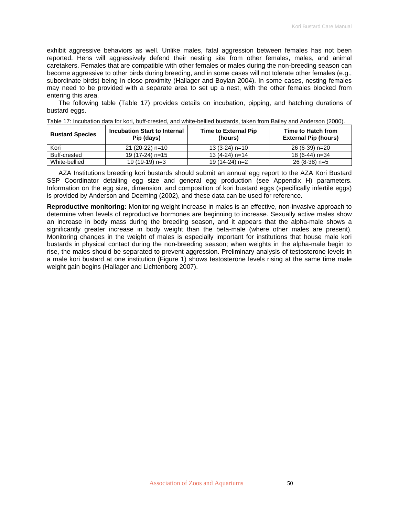exhibit aggressive behaviors as well. Unlike males, fatal aggression between females has not been reported. Hens will aggressively defend their nesting site from other females, males, and animal caretakers. Females that are compatible with other females or males during the non-breeding season can become aggressive to other birds during breeding, and in some cases will not tolerate other females (e.g., subordinate birds) being in close proximity (Hallager and Boylan 2004). In some cases, nesting females may need to be provided with a separate area to set up a nest, with the other females blocked from entering this area.

The following table (Table 17) provides details on incubation, pipping, and hatching durations of bustard eggs.

| <b>Bustard Species</b> | Incubation Start to Internal<br>Pip (days) | <b>Time to External Pip</b><br>(hours) | Time to Hatch from<br><b>External Pip (hours)</b> |
|------------------------|--------------------------------------------|----------------------------------------|---------------------------------------------------|
| Kori                   | $21(20-22)$ n=10                           | $13(3-24)$ n=10                        | 26 (6-39) n=20                                    |
| Buff-crested           | $19(17-24)$ n=15                           | $13(4-24)$ n=14                        | 18 (6-44) n=34                                    |
| White-bellied          | 19 (19-19) n=3                             | 19 (14-24) n=2                         | 26 (8-38) n=5                                     |

|  |  | Table 17: Incubation data for kori, buff-crested, and white-bellied bustards, taken from Bailey and Anderson (2000). |  |  |  |
|--|--|----------------------------------------------------------------------------------------------------------------------|--|--|--|
|--|--|----------------------------------------------------------------------------------------------------------------------|--|--|--|

AZA Institutions breeding kori bustards should submit an annual egg report to the AZA Kori Bustard SSP Coordinator detailing egg size and general egg production (see Appendix H) parameters. Information on the egg size, dimension, and composition of kori bustard eggs (specifically infertile eggs) is provided by Anderson and Deeming (2002), and these data can be used for reference.

**Reproductive monitoring:** Monitoring weight increase in males is an effective, non-invasive approach to determine when levels of reproductive hormones are beginning to increase. Sexually active males show an increase in body mass during the breeding season, and it appears that the alpha-male shows a significantly greater increase in body weight than the beta-male (where other males are present). Monitoring changes in the weight of males is especially important for institutions that house male kori bustards in physical contact during the non-breeding season; when weights in the alpha-male begin to rise, the males should be separated to prevent aggression. Preliminary analysis of testosterone levels in a male kori bustard at one institution (Figure 1) shows testosterone levels rising at the same time male weight gain begins (Hallager and Lichtenberg 2007).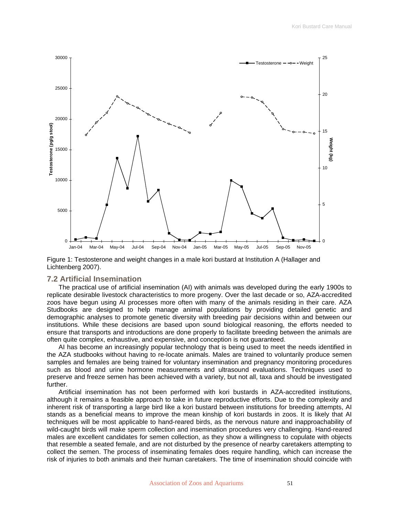

Figure 1: Testosterone and weight changes in a male kori bustard at Institution A (Hallager and Lichtenberg 2007).

### **7.2 Artificial Insemination**

The practical use of artificial insemination (AI) with animals was developed during the early 1900s to replicate desirable livestock characteristics to more progeny. Over the last decade or so, AZA-accredited zoos have begun using AI processes more often with many of the animals residing in their care. AZA Studbooks are designed to help manage animal populations by providing detailed genetic and demographic analyses to promote genetic diversity with breeding pair decisions within and between our institutions. While these decisions are based upon sound biological reasoning, the efforts needed to ensure that transports and introductions are done properly to facilitate breeding between the animals are often quite complex, exhaustive, and expensive, and conception is not guaranteed.

AI has become an increasingly popular technology that is being used to meet the needs identified in the AZA studbooks without having to re-locate animals. Males are trained to voluntarily produce semen samples and females are being trained for voluntary insemination and pregnancy monitoring procedures such as blood and urine hormone measurements and ultrasound evaluations. Techniques used to preserve and freeze semen has been achieved with a variety, but not all, taxa and should be investigated further.

Artificial insemination has not been performed with kori bustards in AZA-accredited institutions, although it remains a feasible approach to take in future reproductive efforts. Due to the complexity and inherent risk of transporting a large bird like a kori bustard between institutions for breeding attempts, AI stands as a beneficial means to improve the mean kinship of kori bustards in zoos. It is likely that AI techniques will be most applicable to hand-reared birds, as the nervous nature and inapproachability of wild-caught birds will make sperm collection and insemination procedures very challenging. Hand-reared males are excellent candidates for semen collection, as they show a willingness to copulate with objects that resemble a seated female, and are not disturbed by the presence of nearby caretakers attempting to collect the semen. The process of inseminating females does require handling, which can increase the risk of injuries to both animals and their human caretakers. The time of insemination should coincide with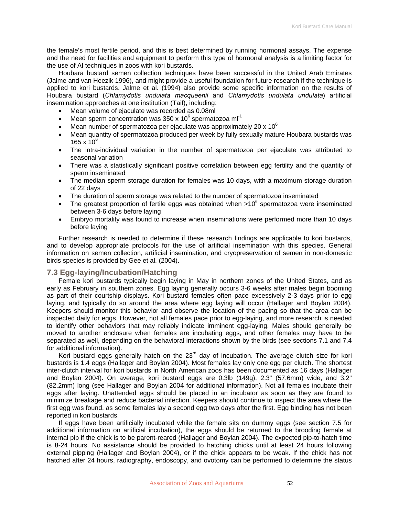the female's most fertile period, and this is best determined by running hormonal assays. The expense and the need for facilities and equipment to perform this type of hormonal analysis is a limiting factor for the use of AI techniques in zoos with kori bustards.

Houbara bustard semen collection techniques have been successful in the United Arab Emirates (Jalme and van Heezik 1996), and might provide a useful foundation for future research if the technique is applied to kori bustards. Jalme et al. (1994) also provide some specific information on the results of Houbara bustard (*Chlamydotis undulata macqueenii* and *Chlamydotis undulata undulata*) artificial insemination approaches at one institution (Taif), including:

- Mean volume of ejaculate was recorded as 0.08ml
- Mean sperm concentration was 350 x 10 $^6$  spermatozoa ml<sup>-1</sup>
- Mean number of spermatozoa per ejaculate was approximately 20 x 10 $^6$
- Mean quantity of spermatozoa produced per week by fully sexually mature Houbara bustards was 165 x  $10^6$
- The intra-individual variation in the number of spermatozoa per ejaculate was attributed to seasonal variation
- There was a statistically significant positive correlation between egg fertility and the quantity of sperm inseminated
- The median sperm storage duration for females was 10 days, with a maximum storage duration of 22 days
- The duration of sperm storage was related to the number of spermatozoa inseminated
- The greatest proportion of fertile eggs was obtained when  $>10^6$  spermatozoa were inseminated between 3-6 days before laying
- Embryo mortality was found to increase when inseminations were performed more than 10 days before laying

Further research is needed to determine if these research findings are applicable to kori bustards, and to develop appropriate protocols for the use of artificial insemination with this species. General information on semen collection, artificial insemination, and cryopreservation of semen in non-domestic birds species is provided by Gee et al. (2004).

# **7.3 Egg-laying/Incubation/Hatching**

Female kori bustards typically begin laying in May in northern zones of the United States, and as early as February in southern zones. Egg laying generally occurs 3-6 weeks after males begin booming as part of their courtship displays. Kori bustard females often pace excessively 2-3 days prior to egg laying, and typically do so around the area where egg laying will occur (Hallager and Boylan 2004). Keepers should monitor this behavior and observe the location of the pacing so that the area can be inspected daily for eggs. However, not all females pace prior to egg-laying, and more research is needed to identify other behaviors that may reliably indicate imminent egg-laying. Males should generally be moved to another enclosure when females are incubating eggs, and other females may have to be separated as well, depending on the behavioral interactions shown by the birds (see sections 7.1 and 7.4 for additional information).

Kori bustard eggs generally hatch on the 23 $^{rd}$  day of incubation. The average clutch size for kori bustards is 1.4 eggs (Hallager and Boylan 2004). Most females lay only one egg per clutch. The shortest inter-clutch interval for kori bustards in North American zoos has been documented as 16 days (Hallager and Boylan 2004). On average, kori bustard eggs are 0.3lb (149g), 2.3" (57.6mm) wide, and 3.2" (82.2mm) long (see Hallager and Boylan 2004 for additional information). Not all females incubate their eggs after laying. Unattended eggs should be placed in an incubator as soon as they are found to minimize breakage and reduce bacterial infection. Keepers should continue to inspect the area where the first egg was found, as some females lay a second egg two days after the first. Egg binding has not been reported in kori bustards.

If eggs have been artificially incubated while the female sits on dummy eggs (see section 7.5 for additional information on artificial incubation), the eggs should be returned to the brooding female at internal pip if the chick is to be parent-reared (Hallager and Boylan 2004). The expected pip-to-hatch time is 8-24 hours. No assistance should be provided to hatching chicks until at least 24 hours following external pipping (Hallager and Boylan 2004), or if the chick appears to be weak. If the chick has not hatched after 24 hours, radiography, endoscopy, and ovotomy can be performed to determine the status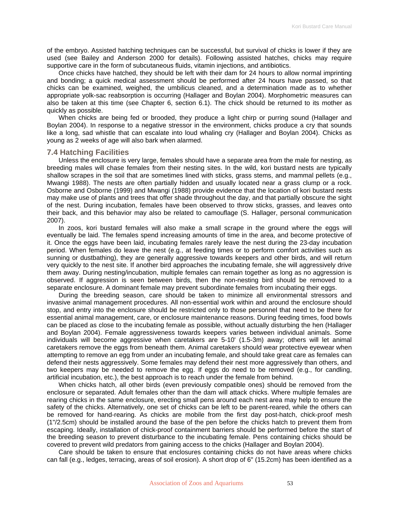of the embryo. Assisted hatching techniques can be successful, but survival of chicks is lower if they are used (see Bailey and Anderson 2000 for details). Following assisted hatches, chicks may require supportive care in the form of subcutaneous fluids, vitamin injections, and antibiotics.

Once chicks have hatched, they should be left with their dam for 24 hours to allow normal imprinting and bonding; a quick medical assessment should be performed after 24 hours have passed, so that chicks can be examined, weighed, the umbilicus cleaned, and a determination made as to whether appropriate yolk-sac reabsorption is occurring (Hallager and Boylan 2004). Morphometric measures can also be taken at this time (see Chapter 6, section 6.1). The chick should be returned to its mother as quickly as possible.

When chicks are being fed or brooded, they produce a light chirp or purring sound (Hallager and Boylan 2004). In response to a negative stressor in the environment, chicks produce a cry that sounds like a long, sad whistle that can escalate into loud whaling cry (Hallager and Boylan 2004). Chicks as young as 2 weeks of age will also bark when alarmed.

# **7.4 Hatching Facilities**

Unless the enclosure is very large, females should have a separate area from the male for nesting, as breeding males will chase females from their nesting sites. In the wild, kori bustard nests are typically shallow scrapes in the soil that are sometimes lined with sticks, grass stems, and mammal pellets (e.g., Mwangi 1988). The nests are often partially hidden and usually located near a grass clump or a rock. Osborne and Osborne (1999) and Mwangi (1988) provide evidence that the location of kori bustard nests may make use of plants and trees that offer shade throughout the day, and that partially obscure the sight of the nest. During incubation, females have been observed to throw sticks, grasses, and leaves onto their back, and this behavior may also be related to camouflage (S. Hallager, personal communication 2007).

In zoos, kori bustard females will also make a small scrape in the ground where the eggs will eventually be laid. The females spend increasing amounts of time in the area, and become protective of it. Once the eggs have been laid, incubating females rarely leave the nest during the 23-day incubation period. When females do leave the nest (e.g., at feeding times or to perform comfort activities such as sunning or dustbathing), they are generally aggressive towards keepers and other birds, and will return very quickly to the nest site. If another bird approaches the incubating female, she will aggressively drive them away. During nesting/incubation, multiple females can remain together as long as no aggression is observed. If aggression is seen between birds, then the non-nesting bird should be removed to a separate enclosure. A dominant female may prevent subordinate females from incubating their eggs.

During the breeding season, care should be taken to minimize all environmental stressors and invasive animal management procedures. All non-essential work within and around the enclosure should stop, and entry into the enclosure should be restricted only to those personnel that need to be there for essential animal management, care, or enclosure maintenance reasons. During feeding times, food bowls can be placed as close to the incubating female as possible, without actually disturbing the hen (Hallager and Boylan 2004). Female aggressiveness towards keepers varies between individual animals. Some individuals will become aggressive when caretakers are 5-10' (1.5-3m) away; others will let animal caretakers remove the eggs from beneath them. Animal caretakers should wear protective eyewear when attempting to remove an egg from under an incubating female, and should take great care as females can defend their nests aggressively. Some females may defend their nest more aggressively than others, and two keepers may be needed to remove the egg. If eggs do need to be removed (e.g., for candling, artificial incubation, etc.), the best approach is to reach under the female from behind.

When chicks hatch, all other birds (even previously compatible ones) should be removed from the enclosure or separated. Adult females other than the dam will attack chicks. Where multiple females are rearing chicks in the same enclosure, erecting small pens around each nest area may help to ensure the safety of the chicks. Alternatively, one set of chicks can be left to be parent-reared, while the others can be removed for hand-rearing. As chicks are mobile from the first day post-hatch, chick-proof mesh (1"/2.5cm) should be installed around the base of the pen before the chicks hatch to prevent them from escaping. Ideally, installation of chick-proof containment barriers should be performed before the start of the breeding season to prevent disturbance to the incubating female. Pens containing chicks should be covered to prevent wild predators from gaining access to the chicks (Hallager and Boylan 2004).

Care should be taken to ensure that enclosures containing chicks do not have areas where chicks can fall (e.g., ledges, terracing, areas of soil erosion). A short drop of 6" (15.2cm) has been identified as a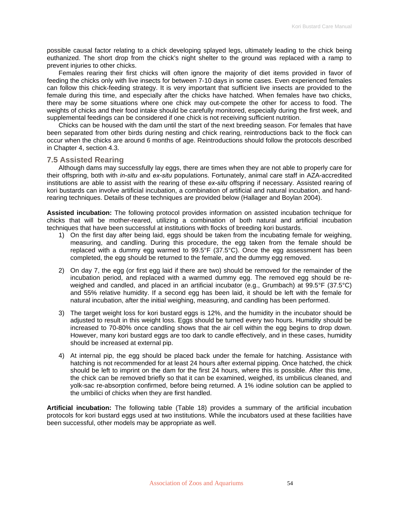possible causal factor relating to a chick developing splayed legs, ultimately leading to the chick being euthanized. The short drop from the chick's night shelter to the ground was replaced with a ramp to prevent injuries to other chicks.

Females rearing their first chicks will often ignore the majority of diet items provided in favor of feeding the chicks only with live insects for between 7-10 days in some cases. Even experienced females can follow this chick-feeding strategy. It is very important that sufficient live insects are provided to the female during this time, and especially after the chicks have hatched. When females have two chicks, there may be some situations where one chick may out-compete the other for access to food. The weights of chicks and their food intake should be carefully monitored, especially during the first week, and supplemental feedings can be considered if one chick is not receiving sufficient nutrition.

Chicks can be housed with the dam until the start of the next breeding season. For females that have been separated from other birds during nesting and chick rearing, reintroductions back to the flock can occur when the chicks are around 6 months of age. Reintroductions should follow the protocols described in Chapter 4, section 4.3.

### **7.5 Assisted Rearing**

Although dams may successfully lay eggs, there are times when they are not able to properly care for their offspring, both with *in-situ* and *ex-situ* populations. Fortunately, animal care staff in AZA-accredited institutions are able to assist with the rearing of these *ex-situ* offspring if necessary. Assisted rearing of kori bustards can involve artificial incubation, a combination of artificial and natural incubation, and handrearing techniques. Details of these techniques are provided below (Hallager and Boylan 2004).

**Assisted incubation:** The following protocol provides information on assisted incubation technique for chicks that will be mother-reared, utilizing a combination of both natural and artificial incubation techniques that have been successful at institutions with flocks of breeding kori bustards.

- 1) On the first day after being laid, eggs should be taken from the incubating female for weighing, measuring, and candling. During this procedure, the egg taken from the female should be replaced with a dummy egg warmed to 99.5°F (37.5°C). Once the egg assessment has been completed, the egg should be returned to the female, and the dummy egg removed.
- 2) On day 7, the egg (or first egg laid if there are two) should be removed for the remainder of the incubation period, and replaced with a warmed dummy egg. The removed egg should be reweighed and candled, and placed in an artificial incubator (e.g., Grumbach) at 99.5°F (37.5°C) and 55% relative humidity. If a second egg has been laid, it should be left with the female for natural incubation, after the initial weighing, measuring, and candling has been performed.
- 3) The target weight loss for kori bustard eggs is 12%, and the humidity in the incubator should be adjusted to result in this weight loss. Eggs should be turned every two hours. Humidity should be increased to 70-80% once candling shows that the air cell within the egg begins to drop down. However, many kori bustard eggs are too dark to candle effectively, and in these cases, humidity should be increased at external pip.
- 4) At internal pip, the egg should be placed back under the female for hatching. Assistance with hatching is not recommended for at least 24 hours after external pipping. Once hatched, the chick should be left to imprint on the dam for the first 24 hours, where this is possible. After this time, the chick can be removed briefly so that it can be examined, weighed, its umbilicus cleaned, and yolk-sac re-absorption confirmed, before being returned. A 1% iodine solution can be applied to the umbilici of chicks when they are first handled.

**Artificial incubation:** The following table (Table 18) provides a summary of the artificial incubation protocols for kori bustard eggs used at two institutions. While the incubators used at these facilities have been successful, other models may be appropriate as well.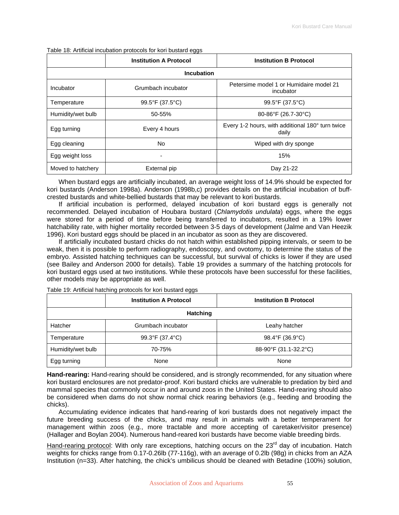|                   | <b>Institution A Protocol</b><br><b>Institution B Protocol</b> |                                                           |  |  |  |  |
|-------------------|----------------------------------------------------------------|-----------------------------------------------------------|--|--|--|--|
| <b>Incubation</b> |                                                                |                                                           |  |  |  |  |
| Incubator         | Grumbach incubator                                             | Petersime model 1 or Humidaire model 21<br>incubator      |  |  |  |  |
| Temperature       | 99.5°F (37.5°C)                                                | 99.5°F (37.5°C)                                           |  |  |  |  |
| Humidity/wet bulb | 50-55%                                                         | 80-86°F (26.7-30°C)                                       |  |  |  |  |
| Egg turning       | Every 4 hours                                                  | Every 1-2 hours, with additional 180° turn twice<br>daily |  |  |  |  |
| Egg cleaning      | No                                                             | Wiped with dry sponge                                     |  |  |  |  |
| Egg weight loss   |                                                                | 15%                                                       |  |  |  |  |
| Moved to hatchery | External pip                                                   | Day 21-22                                                 |  |  |  |  |

Table 18: Artificial incubation protocols for kori bustard eggs

When bustard eggs are artificially incubated, an average weight loss of 14.9% should be expected for kori bustards (Anderson 1998a). Anderson (1998b,c) provides details on the artificial incubation of buffcrested bustards and white-bellied bustards that may be relevant to kori bustards.

If artificial incubation is performed, delayed incubation of kori bustard eggs is generally not recommended. Delayed incubation of Houbara bustard (*Chlamydotis undulata*) eggs, where the eggs were stored for a period of time before being transferred to incubators, resulted in a 19% lower hatchability rate, with higher mortality recorded between 3-5 days of development (Jalme and Van Heezik 1996). Kori bustard eggs should be placed in an incubator as soon as they are discovered.

If artificially incubated bustard chicks do not hatch within established pipping intervals, or seem to be weak, then it is possible to perform radiography, endoscopy, and ovotomy, to determine the status of the embryo. Assisted hatching techniques can be successful, but survival of chicks is lower if they are used (see Bailey and Anderson 2000 for details). Table 19 provides a summary of the hatching protocols for kori bustard eggs used at two institutions. While these protocols have been successful for these facilities, other models may be appropriate as well.

**Institution A Protocol Constitution B Protocol Hatching** Hatcher **Crumbach incubator Leahy hatcher** Leahy hatcher Temperature 99.3°F (37.4°C) 98.4°F (36.9°C) Humidity/wet bulb | 70-75% 70-75% 88-90°F (31.1-32.2°C) Egg turning and the None None None None None

Table 19: Artificial hatching protocols for kori bustard eggs

**Hand-rearing:** Hand-rearing should be considered, and is strongly recommended, for any situation where kori bustard enclosures are not predator-proof. Kori bustard chicks are vulnerable to predation by bird and mammal species that commonly occur in and around zoos in the United States. Hand-rearing should also be considered when dams do not show normal chick rearing behaviors (e.g., feeding and brooding the chicks).

Accumulating evidence indicates that hand-rearing of kori bustards does not negatively impact the future breeding success of the chicks, and may result in animals with a better temperament for management within zoos (e.g., more tractable and more accepting of caretaker/visitor presence) (Hallager and Boylan 2004). Numerous hand-reared kori bustards have become viable breeding birds.

Hand-rearing protocol: With only rare exceptions, hatching occurs on the 23<sup>rd</sup> day of incubation. Hatch weights for chicks range from 0.17-0.26lb (77-116g), with an average of 0.2lb (98g) in chicks from an AZA Institution (n=33). After hatching, the chick's umbilicus should be cleaned with Betadine (100%) solution,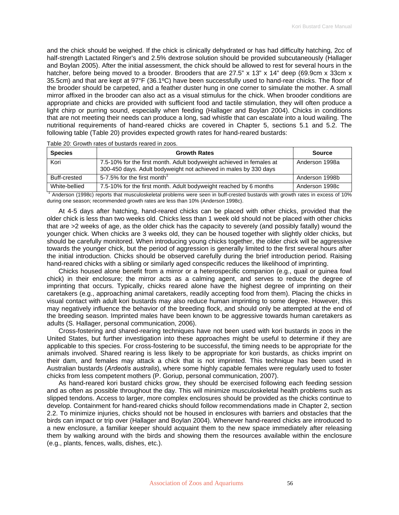and the chick should be weighed. If the chick is clinically dehydrated or has had difficulty hatching, 2cc of half-strength Lactated Ringer's and 2.5% dextrose solution should be provided subcutaneously (Hallager and Boylan 2005). After the initial assessment, the chick should be allowed to rest for several hours in the hatcher, before being moved to a brooder. Brooders that are 27.5" x 13" x 14" deep (69.9cm x 33cm x 35.5cm) and that are kept at 97°F (36.1ºC) have been successfully used to hand-rear chicks. The floor of the brooder should be carpeted, and a feather duster hung in one corner to simulate the mother. A small mirror affixed in the brooder can also act as a visual stimulus for the chick. When brooder conditions are appropriate and chicks are provided with sufficient food and tactile stimulation, they will often produce a light chirp or purring sound, especially when feeding (Hallager and Boylan 2004). Chicks in conditions that are not meeting their needs can produce a long, sad whistle that can escalate into a loud wailing. The nutritional requirements of hand-reared chicks are covered in Chapter 5, sections 5.1 and 5.2. The following table (Table 20) provides expected growth rates for hand-reared bustards:

| <b>Species</b>                                                                                                               | <b>Growth Rates</b>                                                                                                                      | <b>Source</b>  |  |  |
|------------------------------------------------------------------------------------------------------------------------------|------------------------------------------------------------------------------------------------------------------------------------------|----------------|--|--|
| Kori                                                                                                                         | 7.5-10% for the first month. Adult bodyweight achieved in females at<br>300-450 days. Adult bodyweight not achieved in males by 330 days | Anderson 1998a |  |  |
| Buff-crested                                                                                                                 | 5-7.5% for the first month                                                                                                               | Anderson 1998b |  |  |
| White-bellied                                                                                                                | 7.5-10% for the first month. Adult bodyweight reached by 6 months                                                                        | Anderson 1998c |  |  |
| Anderson (1998c) reports that musculoskeletal problems were seen in buff-crested bustards with growth rates in excess of 10% |                                                                                                                                          |                |  |  |

Table 20: Growth rates of bustards reared in zoos.

during one season; recommended growth rates are less than 10% (Anderson 1998c).

At 4-5 days after hatching, hand-reared chicks can be placed with other chicks, provided that the older chick is less than two weeks old. Chicks less than 1 week old should not be placed with other chicks that are >2 weeks of age, as the older chick has the capacity to severely (and possibly fatally) wound the younger chick. When chicks are 3 weeks old, they can be housed together with slightly older chicks, but should be carefully monitored. When introducing young chicks together, the older chick will be aggressive towards the younger chick, but the period of aggression is generally limited to the first several hours after the initial introduction. Chicks should be observed carefully during the brief introduction period. Raising hand-reared chicks with a sibling or similarly aged conspecific reduces the likelihood of imprinting.

Chicks housed alone benefit from a mirror or a heterospecific companion (e.g., quail or guinea fowl chick) in their enclosure; the mirror acts as a calming agent, and serves to reduce the degree of imprinting that occurs. Typically, chicks reared alone have the highest degree of imprinting on their caretakers (e.g., approaching animal caretakers, readily accepting food from them). Placing the chicks in visual contact with adult kori bustards may also reduce human imprinting to some degree. However, this may negatively influence the behavior of the breeding flock, and should only be attempted at the end of the breeding season. Imprinted males have been known to be aggressive towards human caretakers as adults (S. Hallager, personal communication, 2006).

Cross-fostering and shared-rearing techniques have not been used with kori bustards in zoos in the United States, but further investigation into these approaches might be useful to determine if they are applicable to this species. For cross-fostering to be successful, the timing needs to be appropriate for the animals involved. Shared rearing is less likely to be appropriate for kori bustards, as chicks imprint on their dam, and females may attack a chick that is not imprinted. This technique has been used in Australian bustards (*Ardeotis australis*), where some highly capable females were regularly used to foster chicks from less competent mothers (P. Goriup, personal communication, 2007).

As hand-reared kori bustard chicks grow, they should be exercised following each feeding session and as often as possible throughout the day. This will minimize musculoskeletal health problems such as slipped tendons. Access to larger, more complex enclosures should be provided as the chicks continue to develop. Containment for hand-reared chicks should follow recommendations made in Chapter 2, section 2.2. To minimize injuries, chicks should not be housed in enclosures with barriers and obstacles that the birds can impact or trip over (Hallager and Boylan 2004). Whenever hand-reared chicks are introduced to a new enclosure, a familiar keeper should acquaint them to the new space immediately after releasing them by walking around with the birds and showing them the resources available within the enclosure (e.g., plants, fences, walls, dishes, etc.).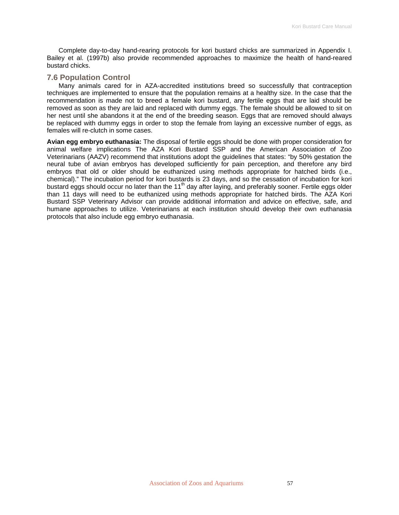Complete day-to-day hand-rearing protocols for kori bustard chicks are summarized in Appendix I. Bailey et al. (1997b) also provide recommended approaches to maximize the health of hand-reared bustard chicks.

# **7.6 Population Control**

Many animals cared for in AZA-accredited institutions breed so successfully that contraception techniques are implemented to ensure that the population remains at a healthy size. In the case that the recommendation is made not to breed a female kori bustard, any fertile eggs that are laid should be removed as soon as they are laid and replaced with dummy eggs. The female should be allowed to sit on her nest until she abandons it at the end of the breeding season. Eggs that are removed should always be replaced with dummy eggs in order to stop the female from laying an excessive number of eggs, as females will re-clutch in some cases.

**Avian egg embryo euthanasia:** The disposal of fertile eggs should be done with proper consideration for animal welfare implications The AZA Kori Bustard SSP and the American Association of Zoo Veterinarians (AAZV) recommend that institutions adopt the guidelines that states: "by 50% gestation the neural tube of avian embryos has developed sufficiently for pain perception, and therefore any bird embryos that old or older should be euthanized using methods appropriate for hatched birds (i.e., chemical)." The incubation period for kori bustards is 23 days, and so the cessation of incubation for kori bustard eggs should occur no later than the 11<sup>th</sup> day after laying, and preferably sooner. Fertile eggs older than 11 days will need to be euthanized using methods appropriate for hatched birds. The AZA Kori Bustard SSP Veterinary Advisor can provide additional information and advice on effective, safe, and humane approaches to utilize. Veterinarians at each institution should develop their own euthanasia protocols that also include egg embryo euthanasia.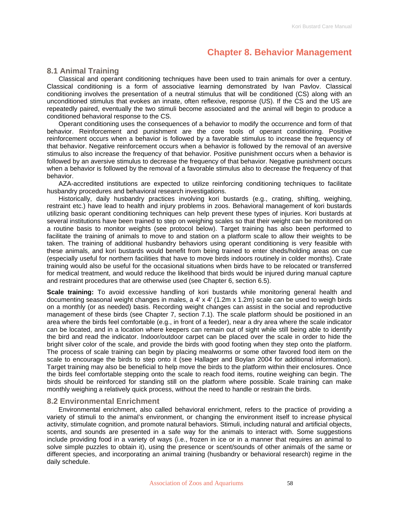# **Chapter 8. Behavior Management**

# **8.1 Animal Training**

Classical and operant conditioning techniques have been used to train animals for over a century. Classical conditioning is a form of [associative learning](http://en.wikipedia.org/wiki/Associative_learning) demonstrated by Ivan Pavlov. Classical conditioning involves the presentation of a neutral [stimulus](http://en.wikipedia.org/wiki/Stimulus_(physiology)) that will be conditioned (CS) along with an unconditioned stimulus that evokes an innate, often reflexive, response (US). If the CS and the US are repeatedly paired, eventually the two stimuli become associated and the animal will begin to produce a conditioned behavioral response to the CS.

Operant conditioning uses the consequences of a behavior to modify the occurrence and form of that [behavior](http://en.wikipedia.org/wiki/Behavior). [Reinforcement](http://en.wikipedia.org/wiki/Reinforcement) and [punishment](http://en.wikipedia.org/wiki/Punishment) are the core tools of operant conditioning. Positive reinforcement occurs when a behavior is followed by a favorable stimulus to increase the frequency of that behavior. Negative reinforcement occurs when a behavior is followed by the removal of an aversive stimulus to also increase the frequency of that behavior. Positive punishment occurs when a behavior is followed by an aversive stimulus to decrease the frequency of that behavior. Negative punishment occurs when a behavior is followed by the removal of a favorable stimulus also to decrease the frequency of that behavior.

AZA-accredited institutions are expected to utilize reinforcing conditioning techniques to facilitate husbandry procedures and behavioral research investigations.

Historically, daily husbandry practices involving kori bustards (e.g., crating, shifting, weighing, restraint etc.) have lead to health and injury problems in zoos. Behavioral management of kori bustards utilizing basic operant conditioning techniques can help prevent these types of injuries. Kori bustards at several institutions have been trained to step on weighing scales so that their weight can be monitored on a routine basis to monitor weights (see protocol below). Target training has also been performed to facilitate the training of animals to move to and station on a platform scale to allow their weights to be taken. The training of additional husbandry behaviors using operant conditioning is very feasible with these animals, and kori bustards would benefit from being trained to enter sheds/holding areas on cue (especially useful for northern facilities that have to move birds indoors routinely in colder months). Crate training would also be useful for the occasional situations when birds have to be relocated or transferred for medical treatment, and would reduce the likelihood that birds would be injured during manual capture and restraint procedures that are otherwise used (see Chapter 6, section 6.5).

**Scale training:** To avoid excessive handling of kori bustards while monitoring general health and documenting seasonal weight changes in males, a 4' x 4' (1.2m x 1.2m) scale can be used to weigh birds on a monthly (or as needed) basis. Recording weight changes can assist in the social and reproductive management of these birds (see Chapter 7, section 7.1). The scale platform should be positioned in an area where the birds feel comfortable (e.g., in front of a feeder), near a dry area where the scale indicator can be located, and in a location where keepers can remain out of sight while still being able to identify the bird and read the indicator. Indoor/outdoor carpet can be placed over the scale in order to hide the bright silver color of the scale, and provide the birds with good footing when they step onto the platform. The process of scale training can begin by placing mealworms or some other favored food item on the scale to encourage the birds to step onto it (see Hallager and Boylan 2004 for additional information). Target training may also be beneficial to help move the birds to the platform within their enclosures. Once the birds feel comfortable stepping onto the scale to reach food items, routine weighing can begin. The birds should be reinforced for standing still on the platform where possible. Scale training can make monthly weighing a relatively quick process, without the need to handle or restrain the birds.

# **8.2 Environmental Enrichment**

Environmental enrichment, also called behavioral enrichment, refers to the practice of providing a variety of stimuli to the animal's environment, or changing the environment itself to increase physical activity, stimulate cognition, and promote natural behaviors. Stimuli, including natural and artificial objects, scents, and sounds are presented in a safe way for the animals to interact with. Some suggestions include providing food in a variety of ways (i.e., frozen in ice or in a manner that requires an animal to solve simple puzzles to obtain it), using the presence or scent/sounds of other animals of the same or different species, and incorporating an animal training (husbandry or behavioral research) regime in the daily schedule.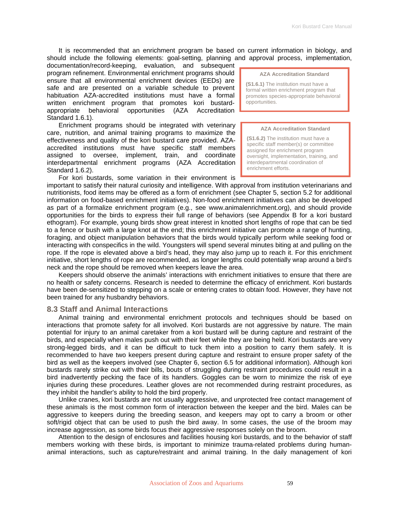It is recommended that an enrichment program be based on current information in biology, and should include the following elements: goal-setting, planning and approval process, implementation,

documentation/record-keeping, evaluation, and subsequent program refinement. Environmental enrichment programs should ensure that all environmental enrichment devices (EEDs) are safe and are presented on a variable schedule to prevent habituation AZA-accredited institutions must have a formal written enrichment program that promotes kori bustardappropriate behavioral opportunities (AZA Accreditation Standard 1.6.1).

Enrichment programs should be integrated with veterinary care, nutrition, and animal training programs to maximize the effectiveness and quality of the kori bustard care provided. AZAaccredited institutions must have specific staff members assigned to oversee, implement, train, and coordinate interdepartmental enrichment programs (AZA Accreditation Standard 1.6.2).

For kori bustards, some variation in their environment is

**AZA Accreditation Standard** 

**(S1.6.1)** The institution must have a formal written enrichment program that promotes species-appropriate behavioral opportunities.

#### **AZA Accreditation Standard**

**(S1.6.2)** The institution must have a specific staff member(s) or committee assigned for enrichment program oversight, implementation, training, and interdepartmental coordination of enrichment efforts.

important to satisfy their natural curiosity and intelligence. With approval from institution veterinarians and nutritionists, food items may be offered as a form of enrichment (see Chapter 5, section 5.2 for additional information on food-based enrichment initiatives). Non-food enrichment initiatives can also be developed as part of a formalize enrichment program (e.g., see www.animalenrichment.org), and should provide opportunities for the birds to express their full range of behaviors (see Appendix B for a kori bustard ethogram). For example, young birds show great interest in knotted short lengths of rope that can be tied to a fence or bush with a large knot at the end; this enrichment initiative can promote a range of hunting, foraging, and object manipulation behaviors that the birds would typically perform while seeking food or interacting with conspecifics in the wild. Youngsters will spend several minutes biting at and pulling on the rope. If the rope is elevated above a bird's head, they may also jump up to reach it. For this enrichment initiative, short lengths of rope are recommended, as longer lengths could potentially wrap around a bird's neck and the rope should be removed when keepers leave the area.

Keepers should observe the animals' interactions with enrichment initiatives to ensure that there are no health or safety concerns. Research is needed to determine the efficacy of enrichment. Kori bustards have been de-sensitized to stepping on a scale or entering crates to obtain food. However, they have not been trained for any husbandry behaviors.

# **8.3 Staff and Animal Interactions**

Animal training and environmental enrichment protocols and techniques should be based on interactions that promote safety for all involved. Kori bustards are not aggressive by nature. The main potential for injury to an animal caretaker from a kori bustard will be during capture and restraint of the birds, and especially when males push out with their feet while they are being held. Kori bustards are very strong-legged birds, and it can be difficult to tuck them into a position to carry them safely. It is recommended to have two keepers present during capture and restraint to ensure proper safety of the bird as well as the keepers involved (see Chapter 6, section 6.5 for additional information). Although kori bustards rarely strike out with their bills, bouts of struggling during restraint procedures could result in a bird inadvertently pecking the face of its handlers. Goggles can be worn to minimize the risk of eye injuries during these procedures. Leather gloves are not recommended during restraint procedures, as they inhibit the handler's ability to hold the bird properly.

Unlike cranes, kori bustards are not usually aggressive, and unprotected free contact management of these animals is the most common form of interaction between the keeper and the bird. Males can be aggressive to keepers during the breeding season, and keepers may opt to carry a broom or other soft/rigid object that can be used to push the bird away. In some cases, the use of the broom may increase aggression, as some birds focus their aggressive responses solely on the broom.

Attention to the design of enclosures and facilities housing kori bustards, and to the behavior of staff members working with these birds, is important to minimize trauma-related problems during humananimal interactions, such as capture/restraint and animal training. In the daily management of kori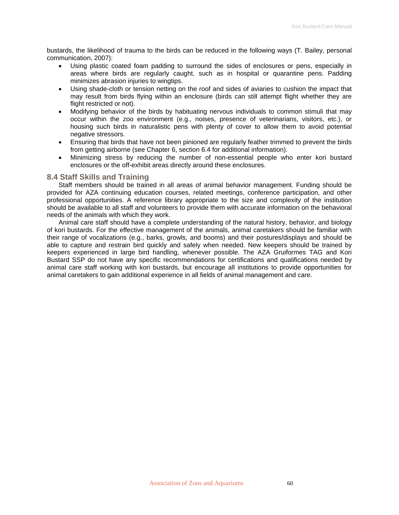bustards, the likelihood of trauma to the birds can be reduced in the following ways (T. Bailey, personal communication, 2007):

- Using plastic coated foam padding to surround the sides of enclosures or pens, especially in areas where birds are regularly caught, such as in hospital or quarantine pens. Padding minimizes abrasion injuries to wingtips.
- Using shade-cloth or tension netting on the roof and sides of aviaries to cushion the impact that may result from birds flying within an enclosure (birds can still attempt flight whether they are flight restricted or not).
- Modifying behavior of the birds by habituating nervous individuals to common stimuli that may occur within the zoo environment (e.g., noises, presence of veterinarians, visitors, etc.), or housing such birds in naturalistic pens with plenty of cover to allow them to avoid potential negative stressors.
- Ensuring that birds that have not been pinioned are regularly feather trimmed to prevent the birds from getting airborne (see Chapter 6, section 6.4 for additional information).
- Minimizing stress by reducing the number of non-essential people who enter kori bustard enclosures or the off-exhibit areas directly around these enclosures.

### **8.4 Staff Skills and Training**

Staff members should be trained in all areas of animal behavior management. Funding should be provided for AZA continuing education courses, related meetings, conference participation, and other professional opportunities. A reference library appropriate to the size and complexity of the institution should be available to all staff and volunteers to provide them with accurate information on the behavioral needs of the animals with which they work.

Animal care staff should have a complete understanding of the natural history, behavior, and biology of kori bustards. For the effective management of the animals, animal caretakers should be familiar with their range of vocalizations (e.g., barks, growls, and booms) and their postures/displays and should be able to capture and restrain bird quickly and safely when needed. New keepers should be trained by keepers experienced in large bird handling, whenever possible. The AZA Gruiformes TAG and Kori Bustard SSP do not have any specific recommendations for certifications and qualifications needed by animal care staff working with kori bustards, but encourage all institutions to provide opportunities for animal caretakers to gain additional experience in all fields of animal management and care.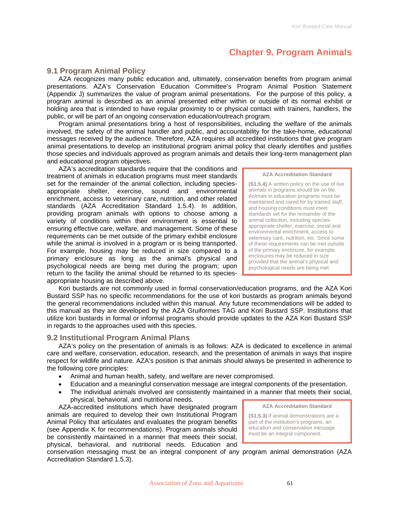# **Chapter 9. Program Animals**

# **9.1 Program Animal Policy**

AZA recognizes many public education and, ultimately, conservation benefits from program animal presentations. AZA's Conservation Education Committee's Program Animal Position Statement (Appendix J) summarizes the value of program animal presentations. For the purpose of this policy, a program animal is described as an animal presented either within or outside of its normal exhibit or holding area that is intended to have regular proximity to or physical contact with trainers, handlers, the public, or will be part of an ongoing conservation education/outreach program.

Program animal presentations bring a host of responsibilities, including the welfare of the animals involved, the safety of the animal handler and public, and accountability for the take-home, educational messages received by the audience. Therefore, AZA requires all accredited institutions that give program animal presentations to develop an institutional program animal policy that clearly identifies and justifies those species and individuals approved as program animals and details their long-term management plan and educational program objectives.

AZA's accreditation standards require that the conditions and treatment of animals in education programs must meet standards set for the remainder of the animal collection, including speciesappropriate shelter, exercise, sound and environmental enrichment, access to veterinary care, nutrition, and other related standards (AZA Accreditation Standard 1.5.4). In addition, providing program animals with options to choose among a variety of conditions within their environment is essential to ensuring effective care, welfare, and management. Some of these requirements can be met outside of the primary exhibit enclosure while the animal is involved in a program or is being transported. For example, housing may be reduced in size compared to a primary enclosure as long as the animal's physical and psychological needs are being met during the program; upon return to the facility the animal should be returned to its speciesappropriate housing as described above.

**(S1.5.4)** A written policy on the use of live animals in programs should be on file. Animals in education programs must be maintained and cared for by trained staff, and housing conditions must meet standards set for the remainder of the animal collection, including speciesappropriate shelter, exercise, social and environmental enrichment, access to veterinary care, nutrition, etc. Since some of these requirements can be met outside of the primary enclosure, for example, enclosures may be reduced in size provided that the animal's physical and psychological needs are being met.

**AZA Accreditation Standard** 

Kori bustards are not commonly used in formal conservation/education programs, and the AZA Kori Bustard SSP has no specific recommendations for the use of kori bustards as program animals beyond the general recommendations included within this manual. Any future recommendations will be added to this manual as they are developed by the AZA Gruiformes TAG and Kori Bustard SSP. Institutions that utilize kori bustards in formal or informal programs should provide updates to the AZA Kori Bustard SSP in regards to the approaches used with this species.

# **9.2 Institutional Program Animal Plans**

AZA's policy on the presentation of animals is as follows: AZA is dedicated to excellence in animal care and welfare, conservation, education, research, and the presentation of animals in ways that inspire respect for wildlife and nature. AZA's position is that animals should always be presented in adherence to the following core principles:

- Animal and human health, safety, and welfare are never compromised.
- Education and a meaningful conservation message are integral components of the presentation.
- The individual animals involved are consistently maintained in a manner that meets their social, physical, behavioral, and nutritional needs.

AZA-accredited institutions which have designated program animals are required to develop their own Institutional Program Animal Policy that articulates and evaluates the program benefits (see Appendix K for recommendations). Program animals should be consistently maintained in a manner that meets their social, physical, behavioral, and nutritional needs. Education and

**AZA Accreditation Standard** 

**(S1.5.3)** If animal demonstrations are a part of the institution's programs, an education and conservation message must be an integral component.

conservation messaging must be an integral component of any program animal demonstration (AZA Accreditation Standard 1.5.3).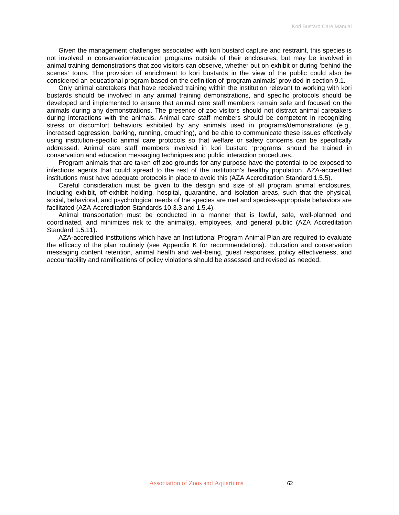Given the management challenges associated with kori bustard capture and restraint, this species is not involved in conservation/education programs outside of their enclosures, but may be involved in animal training demonstrations that zoo visitors can observe, whether out on exhibit or during 'behind the scenes' tours. The provision of enrichment to kori bustards in the view of the public could also be considered an educational program based on the definition of 'program animals' provided in section 9.1.

Only animal caretakers that have received training within the institution relevant to working with kori bustards should be involved in any animal training demonstrations, and specific protocols should be developed and implemented to ensure that animal care staff members remain safe and focused on the animals during any demonstrations. The presence of zoo visitors should not distract animal caretakers during interactions with the animals. Animal care staff members should be competent in recognizing stress or discomfort behaviors exhibited by any animals used in programs/demonstrations (e.g., increased aggression, barking, running, crouching), and be able to communicate these issues effectively using institution-specific animal care protocols so that welfare or safety concerns can be specifically addressed. Animal care staff members involved in kori bustard 'programs' should be trained in conservation and education messaging techniques and public interaction procedures.

Program animals that are taken off zoo grounds for any purpose have the potential to be exposed to infectious agents that could spread to the rest of the institution's healthy population. AZA-accredited institutions must have adequate protocols in place to avoid this (AZA Accreditation Standard 1.5.5).

Careful consideration must be given to the design and size of all program animal enclosures, including exhibit, off-exhibit holding, hospital, quarantine, and isolation areas, such that the physical, social, behavioral, and psychological needs of the species are met and species-appropriate behaviors are facilitated (AZA Accreditation Standards 10.3.3 and 1.5.4).

Animal transportation must be conducted in a manner that is lawful, safe, well-planned and coordinated, and minimizes risk to the animal(s), employees, and general public (AZA Accreditation Standard 1.5.11).

AZA-accredited institutions which have an Institutional Program Animal Plan are required to evaluate the efficacy of the plan routinely (see Appendix K for recommendations). Education and conservation messaging content retention, animal health and well-being, guest responses, policy effectiveness, and accountability and ramifications of policy violations should be assessed and revised as needed.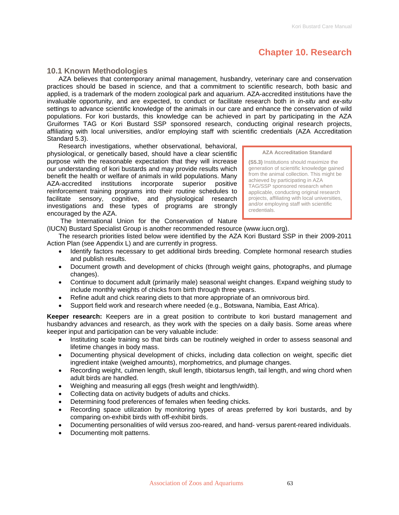# **Chapter 10. Research**

# **10.1 Known Methodologies**

AZA believes that contemporary animal management, husbandry, veterinary care and conservation practices should be based in science, and that a commitment to scientific research, both basic and applied, is a trademark of the modern zoological park and aquarium. AZA-accredited institutions have the invaluable opportunity, and are expected, to conduct or facilitate research both in *in-situ* and *ex-situ* settings to advance scientific knowledge of the animals in our care and enhance the conservation of wild populations. For kori bustards, this knowledge can be achieved in part by participating in the AZA Gruiformes TAG or Kori Bustard SSP sponsored research, conducting original research projects, affiliating with local universities, and/or employing staff with scientific credentials (AZA Accreditation Standard 5.3).

Research investigations, whether observational, behavioral, physiological, or genetically based, should have a clear scientific purpose with the reasonable expectation that they will increase our understanding of kori bustards and may provide results which benefit the health or welfare of animals in wild populations. Many AZA-accredited institutions incorporate superior positive reinforcement training programs into their routine schedules to facilitate sensory, cognitive, and physiological research investigations and these types of programs are strongly encouraged by the AZA.

**AZA Accreditation Standard** 

**(S5.3)** Institutions should maximize the generation of scientific knowledge gained from the animal collection. This might be achieved by participating in AZA TAG/SSP sponsored research when applicable, conducting original research projects, affiliating with local universities, and/or employing staff with scientific credentials.

The International Union for the Conservation of Nature

(IUCN) Bustard Specialist Group is another recommended resource (www.iucn.org).

The research priorities listed below were identified by the AZA Kori Bustard SSP in their 2009-2011 Action Plan (see Appendix L) and are currently in progress.

- Identify factors necessary to get additional birds breeding. Complete hormonal research studies and publish results.
- Document growth and development of chicks (through weight gains, photographs, and plumage changes).
- Continue to document adult (primarily male) seasonal weight changes. Expand weighing study to include monthly weights of chicks from birth through three years.
- Refine adult and chick rearing diets to that more appropriate of an omnivorous bird.
- Support field work and research where needed (e.g., Botswana, Namibia, East Africa).

**Keeper research:** Keepers are in a great position to contribute to kori bustard management and husbandry advances and research, as they work with the species on a daily basis. Some areas where keeper input and participation can be very valuable include:

- Instituting scale training so that birds can be routinely weighed in order to assess seasonal and lifetime changes in body mass.
- Documenting physical development of chicks, including data collection on weight, specific diet ingredient intake (weighed amounts), morphometrics, and plumage changes.
- Recording weight, culmen length, skull length, tibiotarsus length, tail length, and wing chord when adult birds are handled.
- Weighing and measuring all eggs (fresh weight and length/width).
- Collecting data on activity budgets of adults and chicks.
- Determining food preferences of females when feeding chicks.
- Recording space utilization by monitoring types of areas preferred by kori bustards, and by comparing on-exhibit birds with off-exhibit birds.
- Documenting personalities of wild versus zoo-reared, and hand- versus parent-reared individuals.
- Documenting molt patterns.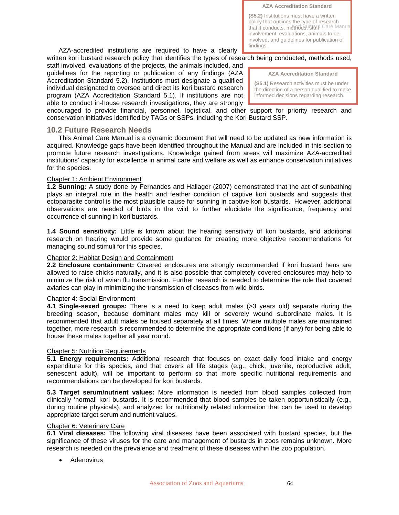**AZA Accreditation Standard** 

that it conducts, methods, stard Care Manual **(S5.2)** Institutions must have a written policy that outlines the type of research involvement, evaluations, animals to be involved, and guidelines for publication of findings.

AZA-accredited institutions are required to have a clearly written kori bustard research policy that identifies the types of research being conducted, methods used,

staff involved, evaluations of the projects, the animals included, and guidelines for the reporting or publication of any findings (AZA Accreditation Standard 5.2). Institutions must designate a qualified individual designated to oversee and direct its kori bustard research program (AZA Accreditation Standard 5.1). If institutions are not able to conduct in-house research investigations, they are strongly

**AZA Accreditation Standard** 

**(S5.1)** Research activities must be under the direction of a person qualified to make informed decisions regarding research.

encouraged to provide financial, personnel, logistical, and other support for priority research and conservation initiatives identified by TAGs or SSPs, including the Kori Bustard SSP.

# **10.2 Future Research Needs**

This Animal Care Manual is a dynamic document that will need to be updated as new information is acquired. Knowledge gaps have been identified throughout the Manual and are included in this section to promote future research investigations. Knowledge gained from areas will maximize AZA-accredited institutions' capacity for excellence in animal care and welfare as well as enhance conservation initiatives for the species.

# Chapter 1: Ambient Environment

**1.2 Sunning:** A study done by Fernandes and Hallager (2007) demonstrated that the act of sunbathing plays an integral role in the health and feather condition of captive kori bustards and suggests that ectoparasite control is the most plausible cause for sunning in captive kori bustards. However, additional observations are needed of birds in the wild to further elucidate the significance, frequency and occurrence of sunning in kori bustards.

**1.4 Sound sensitivity:** Little is known about the hearing sensitivity of kori bustards, and additional research on hearing would provide some guidance for creating more objective recommendations for managing sound stimuli for this species.

# Chapter 2: Habitat Design and Containment

**2.2 Enclosure containment:** Covered enclosures are strongly recommended if kori bustard hens are allowed to raise chicks naturally, and it is also possible that completely covered enclosures may help to minimize the risk of avian flu transmission. Further research is needed to determine the role that covered aviaries can play in minimizing the transmission of diseases from wild birds.

# Chapter 4: Social Environment

**4.1 Single-sexed groups:** There is a need to keep adult males (>3 years old) separate during the breeding season, because dominant males may kill or severely wound subordinate males. It is recommended that adult males be housed separately at all times. Where multiple males are maintained together, more research is recommended to determine the appropriate conditions (if any) for being able to house these males together all year round.

# Chapter 5: Nutrition Requirements

**5.1 Energy requirements:** Additional research that focuses on exact daily food intake and energy expenditure for this species, and that covers all life stages (e.g., chick, juvenile, reproductive adult, senescent adult), will be important to perform so that more specific nutritional requirements and recommendations can be developed for kori bustards.

**5.3 Target serum/nutrient values:** More information is needed from blood samples collected from clinically 'normal' kori bustards. It is recommended that blood samples be taken opportunistically (e.g., during routine physicals), and analyzed for nutritionally related information that can be used to develop appropriate target serum and nutrient values.

# Chapter 6: Veterinary Care

**6.1 Viral diseases:** The following viral diseases have been associated with bustard species, but the significance of these viruses for the care and management of bustards in zoos remains unknown. More research is needed on the prevalence and treatment of these diseases within the zoo population.

• Adenovirus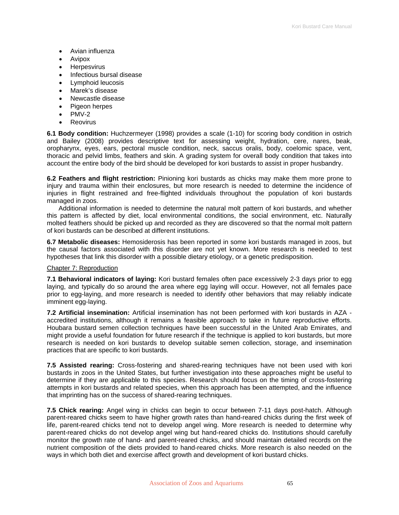- Avian influenza
- Avipox
- Herpesvirus
- Infectious bursal disease
- Lymphoid leucosis
- Marek's disease
- Newcastle disease
- Pigeon herpes
- PMV-2
- **Reovirus**

**6.1 Body condition:** Huchzermeyer (1998) provides a scale (1-10) for scoring body condition in ostrich and Bailey (2008) provides descriptive text for assessing weight, hydration, cere, nares, beak, oropharynx, eyes, ears, pectoral muscle condition, neck, saccus oralis, body, coelomic space, vent, thoracic and pelvid limbs, feathers and skin. A grading system for overall body condition that takes into account the entire body of the bird should be developed for kori bustards to assist in proper husbandry.

**6.2 Feathers and flight restriction:** Pinioning kori bustards as chicks may make them more prone to injury and trauma within their enclosures, but more research is needed to determine the incidence of injuries in flight restrained and free-flighted individuals throughout the population of kori bustards managed in zoos.

Additional information is needed to determine the natural molt pattern of kori bustards, and whether this pattern is affected by diet, local environmental conditions, the social environment, etc. Naturally molted feathers should be picked up and recorded as they are discovered so that the normal molt pattern of kori bustards can be described at different institutions.

**6.7 Metabolic diseases:** Hemosiderosis has been reported in some kori bustards managed in zoos, but the causal factors associated with this disorder are not yet known. More research is needed to test hypotheses that link this disorder with a possible dietary etiology, or a genetic predisposition.

### Chapter 7: Reproduction

**7.1 Behavioral indicators of laying:** Kori bustard females often pace excessively 2-3 days prior to egg laying, and typically do so around the area where egg laying will occur. However, not all females pace prior to egg-laying, and more research is needed to identify other behaviors that may reliably indicate imminent egg-laying.

**7.2 Artificial insemination:** Artificial insemination has not been performed with kori bustards in AZA accredited institutions, although it remains a feasible approach to take in future reproductive efforts. Houbara bustard semen collection techniques have been successful in the United Arab Emirates, and might provide a useful foundation for future research if the technique is applied to kori bustards, but more research is needed on kori bustards to develop suitable semen collection, storage, and insemination practices that are specific to kori bustards.

**7.5 Assisted rearing:** Cross-fostering and shared-rearing techniques have not been used with kori bustards in zoos in the United States, but further investigation into these approaches might be useful to determine if they are applicable to this species. Research should focus on the timing of cross-fostering attempts in kori bustards and related species, when this approach has been attempted, and the influence that imprinting has on the success of shared-rearing techniques.

**7.5 Chick rearing:** Angel wing in chicks can begin to occur between 7-11 days post-hatch. Although parent-reared chicks seem to have higher growth rates than hand-reared chicks during the first week of life, parent-reared chicks tend not to develop angel wing. More research is needed to determine why parent-reared chicks do not develop angel wing but hand-reared chicks do. Institutions should carefully monitor the growth rate of hand- and parent-reared chicks, and should maintain detailed records on the nutrient composition of the diets provided to hand-reared chicks. More research is also needed on the ways in which both diet and exercise affect growth and development of kori bustard chicks.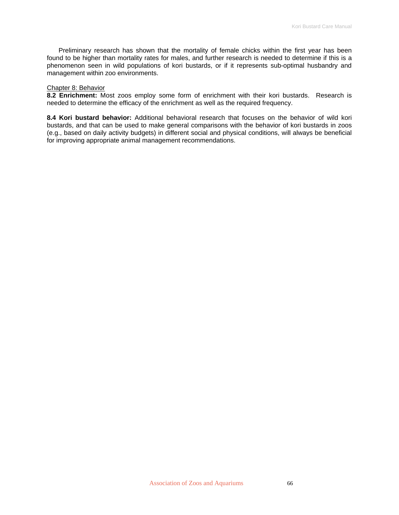Preliminary research has shown that the mortality of female chicks within the first year has been found to be higher than mortality rates for males, and further research is needed to determine if this is a phenomenon seen in wild populations of kori bustards, or if it represents sub-optimal husbandry and management within zoo environments.

#### Chapter 8: Behavior

**8.2 Enrichment:** Most zoos employ some form of enrichment with their kori bustards. Research is needed to determine the efficacy of the enrichment as well as the required frequency.

**8.4 Kori bustard behavior:** Additional behavioral research that focuses on the behavior of wild kori bustards, and that can be used to make general comparisons with the behavior of kori bustards in zoos (e.g., based on daily activity budgets) in different social and physical conditions, will always be beneficial for improving appropriate animal management recommendations.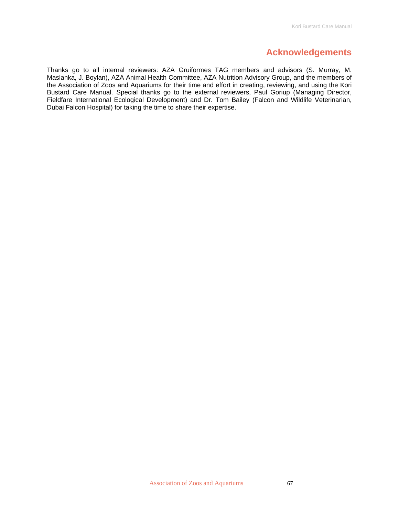# **Acknowledgements**

Thanks go to all internal reviewers: AZA Gruiformes TAG members and advisors (S. Murray, M. Maslanka, J. Boylan), AZA Animal Health Committee, AZA Nutrition Advisory Group, and the members of the Association of Zoos and Aquariums for their time and effort in creating, reviewing, and using the Kori Bustard Care Manual. Special thanks go to the external reviewers, Paul Goriup (Managing Director, Fieldfare International Ecological Development) and Dr. Tom Bailey (Falcon and Wildlife Veterinarian, Dubai Falcon Hospital) for taking the time to share their expertise.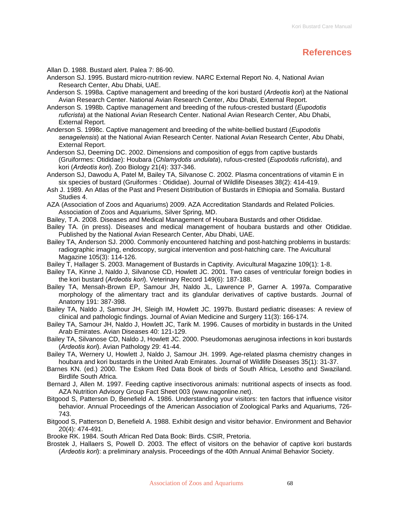# **References**

Allan D. 1988. Bustard alert. Palea 7: 86-90.

- Anderson SJ. 1995. Bustard micro-nutrition review. NARC External Report No. 4, National Avian Research Center, Abu Dhabi, UAE.
- Anderson S. 1998a. Captive management and breeding of the kori bustard (*Ardeotis kor*i) at the National Avian Research Center. National Avian Research Center, Abu Dhabi, External Report.
- Anderson S. 1998b. Captive management and breeding of the rufous-crested bustard (*Eupodotis ruficrista*) at the National Avian Research Center. National Avian Research Center, Abu Dhabi, External Report.
- Anderson S. 1998c. Captive management and breeding of the white-bellied bustard (*Eupodotis senagelensis*) at the National Avian Research Center. National Avian Research Center, Abu Dhabi, External Report.
- Anderson SJ, Deeming DC. 2002. Dimensions and composition of eggs from captive bustards (Gruiformes: Otididae): Houbara (*Chlamydotis undulata*), rufous-crested (*Eupodotis ruficrista*), and kori (*Ardeotis kori*). Zoo Biology 21(4): 337-346.
- Anderson SJ, Dawodu A, Patel M, Bailey TA, Silvanose C. 2002. Plasma concentrations of vitamin E in six species of bustard (Gruiformes : Otididae). Journal of Wildlife Diseases 38(2): 414-419.
- Ash J. 1989. An Atlas of the Past and Present Distribution of Bustards in Ethiopia and Somalia. Bustard Studies 4.
- AZA (Association of Zoos and Aquariums) 2009. AZA Accreditation Standards and Related Policies. Association of Zoos and Aquariums, Silver Spring, MD.
- Bailey, T.A. 2008. Diseases and Medical Management of Houbara Bustards and other Otididae.
- Bailey TA. (in press). Diseases and medical management of houbara bustards and other Otididae. Published by the National Avian Research Center, Abu Dhabi, UAE.
- Bailey TA, Anderson SJ. 2000. Commonly encountered hatching and post-hatching problems in bustards: radiographic imaging, endoscopy, surgical intervention and post-hatching care. The Avicultural Magazine 105(3): 114-126.
- Bailey T, Hallager S. 2003. Management of Bustards in Captivity. Avicultural Magazine 109(1): 1-8.
- Bailey TA, Kinne J, Naldo J, Silvanose CD, Howlett JC. 2001. Two cases of ventricular foreign bodies in the kori bustard (*Ardeotis kori*). Veterinary Record 149(6): 187-188.
- Bailey TA, Mensah-Brown EP, Samour JH, Naldo JL, Lawrence P, Garner A. 1997a. Comparative morphology of the alimentary tract and its glandular derivatives of captive bustards. Journal of Anatomy 191: 387-398.
- Bailey TA, Naldo J, Samour JH, Sleigh IM, Howlett JC. 1997b. Bustard pediatric diseases: A review of clinical and pathologic findings. Journal of Avian Medicine and Surgery 11(3): 166-174.
- Bailey TA, Samour JH, Naldo J, Howlett JC, Tarik M. 1996. Causes of morbidity in bustards in the United Arab Emirates. Avian Diseases 40: 121-129.
- Bailey TA, Silvanose CD, Naldo J, Howlett JC. 2000. Pseudomonas aeruginosa infections in kori bustards (*Ardeotis kori*). Avian Pathology 29: 41-44.
- Bailey TA, Wernery U, Howlett J, Naldo J, Samour JH. 1999. Age-related plasma chemistry changes in houbara and kori bustards in the United Arab Emirates. Journal of Wildlife Diseases 35(1): 31-37.
- Barnes KN. (ed.) 2000. The Eskom Red Data Book of birds of South Africa, Lesotho and Swaziland. Birdlife South Africa.
- Bernard J, Allen M. 1997. Feeding captive insectivorous animals: nutritional aspects of insects as food. AZA Nutrition Advisory Group Fact Sheet 003 (www.nagonline.net).
- Bitgood S, Patterson D, Benefield A. 1986. Understanding your visitors: ten factors that influence visitor behavior. Annual Proceedings of the American Association of Zoological Parks and Aquariums, 726- 743.
- Bitgood S, Patterson D, Benefield A. 1988. Exhibit design and visitor behavior. Environment and Behavior 20(4): 474-491.
- Brooke RK. 1984. South African Red Data Book: Birds. CSIR, Pretoria.
- Brostek J, Hallaers S, Powell D. 2003. The effect of visitors on the behavior of captive kori bustards (*Ardeotis kori*): a preliminary analysis. Proceedings of the 40th Annual Animal Behavior Society.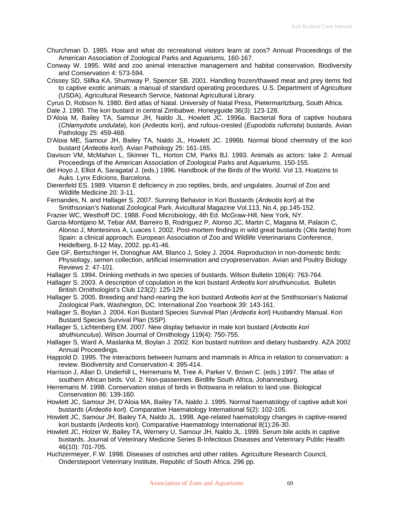- Churchman D. 1985. How and what do recreational visitors learn at zoos? Annual Proceedings of the American Association of Zoological Parks and Aquariums, 160-167.
- Conway W. 1995. Wild and zoo animal interactive management and habitat conservation. Biodiversity and Conservation 4: 573-594.
- Crissey SD, Slifka KA, Shumway P, Spencer SB. 2001. Handling frozen/thawed meat and prey items fed to captive exotic animals: a manual of standard operating procedures. U.S. Department of Agriculture (USDA), Agricultural Research Service, National Agricultural Library.
- Cyrus D, Robson N. 1980. Bird atlas of Natal. University of Natal Press, Pietermaritzburg, South Africa.

Dale J. 1990. The kori bustard in central Zimbabwe. Honeyguide 36(3): 123-128.

- D'Aloia M, Bailey TA, Samour JH, Naldo JL, Howlett JC. 1996a. Bacterial flora of captive houbara (*Chlamydotis undulata*), kori (Ardeotis kori), and rufous-crested (*Eupodotis ruficrista*) bustards. Avian Pathology 25: 459-468.
- D'Aloia ME, Samour JH, Bailey TA, Naldo JL, Howlett JC. 1996b. Normal blood chemistry of the kori bustard (*Ardeotis kori*). Avian Pathology 25: 161-165.
- Davison VM, McMahon L, Skinner TL, Horton CM, Parks BJ. 1993. Animals as actors: take 2. Annual Proceedings of the American Association of Zoological Parks and Aquariums, 150-155.
- del Hoyo J, Elliot A, Saragatal J. (eds.) 1996. Handbook of the Birds of the World. Vol 13. Hoatzins to Auks. Lynx Edicions, Barcelona.
- Dierenfeld ES. 1989. Vitamin E deficiency in zoo reptiles, birds, and ungulates. Journal of Zoo and Wildlife Medicine 20: 3-11.
- Fernandes, N. and Hallager S. 2007. Sunning Behavior in Kori Bustards (*Ardeotis kori*) at the Smithsonian's National Zoological Park. Avicultural Magazine Vol.113, No.4, pp.145-152.
- Frazier WC, Westhoff DC. 1988. Food Microbiology, 4th Ed. McGraw-Hill, New York, NY.
- Garcia-Montijano M, Tebar AM, Barreiro B, Rodriguez P, Alonso JC, Martin C, Magana M, Palacin C, Alonso J, Montesinos A, Luaces I. 2002. Post-mortem findings in wild great bustards (*Otis tarda*) from Spain: a clinical approach. European Association of Zoo and Wildlife Veterinarians Conference, Heidelberg, 8-12 May, 2002. pp.41-46.
- Gee GF, Bertschinger H, Donoghue AM, Blanco J, Soley J. 2004. Reproduction in non-domestic birds: Physiology, semen collection, artificial insemination and cryopreservation. Avian and Poultry Biology Reviews 2: 47-101.
- Hallager S. 1994. Drinking methods in two species of bustards. Wilson Bulletin 106(4): 763-764.
- Hallager S. 2003. A description of copulation in the kori bustard *Ardeotis kori struthiunculus*. Bulletin British Ornithologist's Club 123(2): 125-129.
- Hallager S. 2005. Breeding and hand-rearing the kori bustard *Ardeotis kori* at the Smithsonian's National Zoological Park, Washington, DC. International Zoo Yearbook 39: 143-161.
- Hallager S, Boylan J. 2004. Kori Bustard Species Survival Plan (*Ardeotis kori*) Husbandry Manual. Kori Bustard Species Survival Plan (SSP).
- Hallager S, Lichtenberg EM. 2007. New display behavior in male kori bustard (*Ardeotis kori struthiunculus*). Wilson Journal of Ornithology 119(4): 750-755.
- Hallager S, Ward A, Maslanka M, Boylan J. 2002. Kori bustard nutrition and dietary husbandry. AZA 2002 Annual Proceedings.
- Happold D. 1995. The interactions between humans and mammals in Africa in relation to conservation: a review. Biodiversity and Conservation 4: 395-414.
- Harrison J, Allan D, Underhill L, Herremans M, Tree A, Parker V, Brown C. (eds.) 1997. The atlas of southern African birds. Vol. 2: Non-passerines. Birdlife South Africa, Johannesburg.
- Herremans M. 1998. Conservation status of birds in Botswana in relation to land use. Biological Conservation 86: 139-160.
- Howlett JC, Samour JH, D'Aloia MA, Bailey TA, Naldo J. 1995. Normal haematology of captive adult kori bustards (*Ardeotis kori*). Comparative Haematology International 5(2): 102-105.
- Howlett JC, Samour JH, Bailey TA, Naldo JL. 1998. Age-related haematology changes in captive-reared kori bustards (Ardeotis kori). Comparative Haematology International 8(1):26-30.
- Howlett JC, Holzer W, Bailey TA, Wernery U, Samour JH, Naldo JL. 1999. Serum bile acids in captive bustards. Journal of Veterinary Medicine Series B-Infectious Diseases and Veterinary Public Health 46(10): 701-705.
- Huchzermeyer, F.W. 1998. Diseases of ostriches and other ratites. Agriculture Research Council, Onderstepoort Veterinary Institute, Republic of South Africa. 296 pp.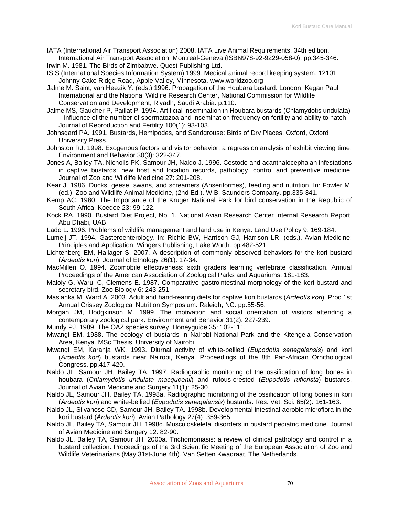IATA (International Air Transport Association) 2008. IATA Live Animal Requirements, 34th edition. International Air Transport Association, Montreal-Geneva (ISBN978-92-9229-058-0). pp.345-346. Irwin M. 1981. The Birds of Zimbabwe. Quest Publishing Ltd.

- ISIS (International Species Information System) 1999. Medical animal record keeping system. 12101 Johnny Cake Ridge Road, Apple Valley, Minnesota. www.worldzoo.org
- Jalme M. Saint, van Heezik Y. (eds.) 1996. Propagation of the Houbara bustard. London: Kegan Paul International and the National Wildlife Research Center, National Commission for Wildlife Conservation and Development, Riyadh, Saudi Arabia. p.110.
- Jalme MS, Gaucher P, Paillat P. 1994. Artificial insemination in Houbara bustards (Chlamydotis undulata) – influence of the number of spermatozoa and insemination frequency on fertility and ability to hatch. Journal of Reproduction and Fertility 100(1): 93-103.
- Johnsgard PA. 1991. Bustards, Hemipodes, and Sandgrouse: Birds of Dry Places. Oxford, Oxford University Press.
- Johnston RJ. 1998. Exogenous factors and visitor behavior: a regression analysis of exhibit viewing time. Environment and Behavior 30(3): 322-347.
- Jones A, Bailey TA, Nicholls PK, Samour JH, Naldo J. 1996. Cestode and acanthalocephalan infestations in captive bustards: new host and location records, pathology, control and preventive medicine. Journal of Zoo and Wildlife Medicine 27: 201-208.
- Kear J. 1986. Ducks, geese, swans, and screamers (Anseriformes), feeding and nutrition. In: Fowler M. (ed.), Zoo and Wildlife Animal Medicine, (2nd Ed.). W.B. Saunders Company. pp.335-341.
- Kemp AC. 1980. The Importance of the Kruger National Park for bird conservation in the Republic of South Africa. Koedoe 23: 99-122.
- Kock RA. 1990. Bustard Diet Project, No. 1. National Avian Research Center Internal Research Report. Abu Dhabi, UAB.
- Lado L. 1996. Problems of wildlife management and land use in Kenya. Land Use Policy 9: 169-184.
- Lumeij JT. 1994. Gasteroenterology. In: Richie BW, Harrison GJ, Harrison LR. (eds.), Avian Medicine: Principles and Application. Wingers Publishing, Lake Worth. pp.482-521.
- Lichtenberg EM, Hallager S. 2007. A description of commonly observed behaviors for the kori bustard (*Ardeotis kori*). Journal of Ethology 26(1): 17-34.
- MacMillen O. 1994. Zoomobile effectiveness: sixth graders learning vertebrate classification. Annual Proceedings of the American Association of Zoological Parks and Aquariums, 181-183.
- Maloiy G, Warui C, Clemens E. 1987. Comparative gastrointestinal morphology of the kori bustard and secretary bird. Zoo Biology 6: 243-251.
- Maslanka M, Ward A. 2003. Adult and hand-rearing diets for captive kori bustards (*Ardeotis kori*). Proc 1st Annual Crissey Zoological Nutrition Symposium. Raleigh, NC. pp.55-56.
- Morgan JM, Hodgkinson M. 1999. The motivation and social orientation of visitors attending a contemporary zoological park. Environment and Behavior 31(2): 227-239.
- Mundy PJ. 1989. The OAZ species survey. Honeyguide 35: 102-111.
- Mwangi EM. 1988. The ecology of bustards in Nairobi National Park and the Kitengela Conservation Area, Kenya. MSc Thesis, University of Nairobi.
- Mwangi EM, Karanja WK. 1993. Diurnal activity of white-bellied (*Eupodotis senegalensis*) and kori (*Ardeotis kori*) bustards near Nairobi, Kenya. Proceedings of the 8th Pan-African Ornithological Congress. pp.417-420.
- Naldo JL, Samour JH, Bailey TA. 1997. Radiographic monitoring of the ossification of long bones in houbara (*Chlamydotis undulata macqueenii*) and rufous-crested (*Eupodotis ruficrista*) bustards. Journal of Avian Medicine and Surgery 11(1): 25-30.
- Naldo JL, Samour JH, Bailey TA. 1998a. Radiographic monitoring of the ossification of long bones in kori (*Ardeotis kori*) and white-bellied (*Eupodotis senegalensis*) bustards. Res. Vet. Sci. 65(2): 161-163.
- Naldo JL, Silvanose CD, Samour JH, Bailey TA. 1998b. Developmental intestinal aerobic microflora in the kori bustard (*Ardeotis kori*). Avian Pathology 27(4): 359-365.
- Naldo JL, Bailey TA, Samour JH. 1998c. Musculoskeletal disorders in bustard pediatric medicine. Journal of Avian Medicine and Surgery 12: 82-90.
- Naldo JL, Bailey TA, Samour JH. 2000a. Trichomoniasis: a review of clinical pathology and control in a bustard collection. Proceedings of the 3rd Scientific Meeting of the European Association of Zoo and Wildlife Veterinarians (May 31st-June 4th). Van Setten Kwadraat, The Netherlands.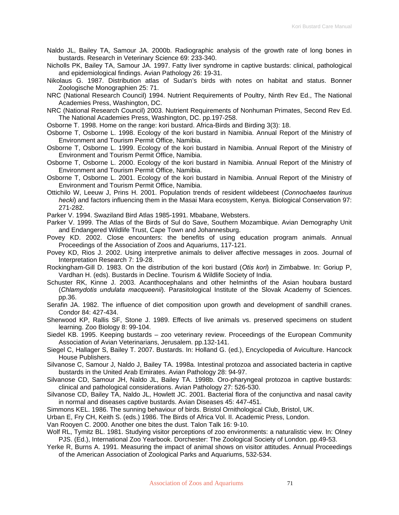- Naldo JL, Bailey TA, Samour JA. 2000b. Radiographic analysis of the growth rate of long bones in bustards. Research in Veterinary Science 69: 233-340.
- Nicholls PK, Bailey TA, Samour JA. 1997. Fatty liver syndrome in captive bustards: clinical, pathological and epidemiological findings. Avian Pathology 26: 19-31.
- Nikolaus G. 1987. Distribution atlas of Sudan's birds with notes on habitat and status. Bonner Zoologische Monographien 25: 71.
- NRC (National Research Council) 1994. Nutrient Requirements of Poultry, Ninth Rev Ed., The National Academies Press, Washington, DC.
- NRC (National Research Council) 2003. Nutrient Requirements of Nonhuman Primates, Second Rev Ed. The National Academies Press, Washington, DC. pp.197-258.

Osborne T. 1998. Home on the range: kori bustard. Africa-Birds and Birding 3(3): 18.

- Osborne T, Osborne L. 1998. Ecology of the kori bustard in Namibia. Annual Report of the Ministry of Environment and Tourism Permit Office, Namibia.
- Osborne T, Osborne L. 1999. Ecology of the kori bustard in Namibia. Annual Report of the Ministry of Environment and Tourism Permit Office, Namibia.
- Osborne T, Osborne L. 2000. Ecology of the kori bustard in Namibia. Annual Report of the Ministry of Environment and Tourism Permit Office, Namibia.
- Osborne T, Osborne L. 2001. Ecology of the kori bustard in Namibia. Annual Report of the Ministry of Environment and Tourism Permit Office, Namibia.
- Ottichilo W, Leeuw J, Prins H. 2001. Population trends of resident wildebeest (*Connochaetes taurinus hecki*) and factors influencing them in the Masai Mara ecosystem, Kenya. Biological Conservation 97: 271-282.
- Parker V. 1994. Swaziland Bird Atlas 1985-1991. Mbabane, Websters.
- Parker V. 1999. The Atlas of the Birds of Sul do Save, Southern Mozambique. Avian Demography Unit and Endangered Wildlife Trust, Cape Town and Johannesburg.
- Povey KD. 2002. Close encounters: the benefits of using education program animals. Annual Proceedings of the Association of Zoos and Aquariums, 117-121.
- Povey KD, Rios J. 2002. Using interpretive animals to deliver affective messages in zoos. Journal of Interpretation Research 7: 19-28.
- Rockingham-Gill D. 1983. On the distribution of the kori bustard (*Otis kori*) in Zimbabwe. In: Goriup P, Vardhan H. (eds). Bustards in Decline. Tourism & Wildlife Society of India.
- Schuster RK, Kinne J. 2003. Acanthocephalans and other helminths of the Asian houbara bustard (*Chlamydotis undulata macqueenii*). Parasitological Institute of the Slovak Academy of Sciences. pp.36.
- Serafin JA. 1982. The influence of diet composition upon growth and development of sandhill cranes. Condor 84: 427-434.
- Sherwood KP, Rallis SF, Stone J. 1989. Effects of live animals vs. preserved specimens on student learning. Zoo Biology 8: 99-104.

Siedel KB. 1995. Keeping bustards – zoo veterinary review. Proceedings of the European Community Association of Avian Veterinarians, Jerusalem. pp.132-141.

- Siegel C, Hallager S, Bailey T. 2007. Bustards. In: Holland G. (ed.), Encyclopedia of Aviculture. Hancock House Publishers.
- Silvanose C, Samour J, Naldo J, Bailey TA. 1998a. Intestinal protozoa and associated bacteria in captive bustards in the United Arab Emirates. Avian Pathology 28: 94-97.
- Silvanose CD, Samour JH, Naldo JL, Bailey TA. 1998b. Oro-pharyngeal protozoa in captive bustards: clinical and pathological considerations. Avian Pathology 27: 526-530.
- Silvanose CD, Bailey TA, Naldo JL, Howlett JC. 2001. Bacterial flora of the conjunctiva and nasal cavity in normal and diseases captive bustards. Avian Diseases 45: 447-451.
- Simmons KEL. 1986. The sunning behaviour of birds. Bristol Ornithological Club, Bristol, UK.

Urban E, Fry CH, Keith S. (eds.) 1986. The Birds of Africa Vol. II. Academic Press, London.

Van Rooyen C. 2000. Another one bites the dust. Talon Talk 16: 9-10.

- Wolf RL, Tymitz BL. 1981. Studying visitor perceptions of zoo environments: a naturalistic view. In: Olney PJS. (Ed.), International Zoo Yearbook. Dorchester: The Zoological Society of London. pp.49-53.
- Yerke R, Burns A. 1991. Measuring the impact of animal shows on visitor attitudes. Annual Proceedings of the American Association of Zoological Parks and Aquariums, 532-534.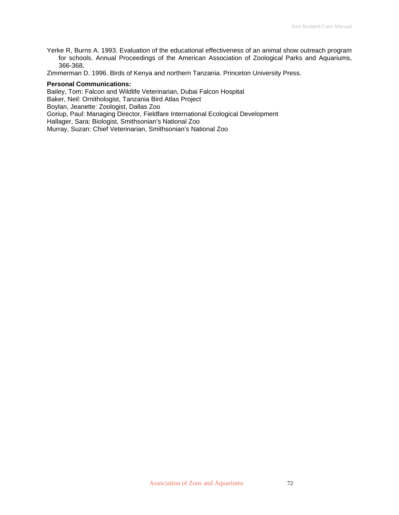Yerke R, Burns A. 1993. Evaluation of the educational effectiveness of an animal show outreach program for schools. Annual Proceedings of the American Association of Zoological Parks and Aquariums, 366-368.

Zimmerman D. 1996. Birds of Kenya and northern Tanzania. Princeton University Press.

#### **Personal Communications:**

Bailey, Tom: Falcon and Wildlife Veterinarian, Dubai Falcon Hospital

Baker, Neil: Ornithologist, Tanzania Bird Atlas Project

Boylan, Jeanette: Zoologist, Dallas Zoo

Goriup, Paul: Managing Director, Fieldfare International Ecological Development

Hallager, Sara: Biologist, Smithsonian's National Zoo

Murray, Suzan: Chief Veterinarian, Smithsonian's National Zoo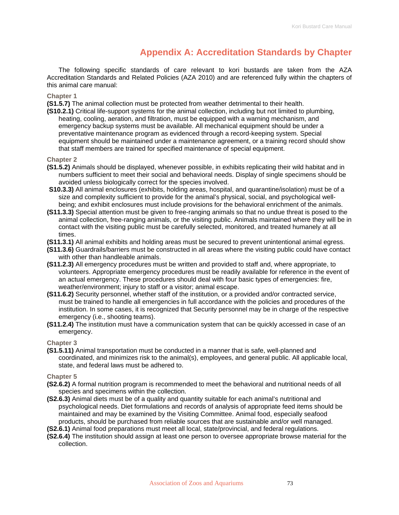### **Appendix A: Accreditation Standards by Chapter**

The following specific standards of care relevant to kori bustards are taken from the AZA Accreditation Standards and Related Policies (AZA 2010) and are referenced fully within the chapters of this animal care manual:

#### **Chapter 1**

**(S1.5.7)** The animal collection must be protected from weather detrimental to their health.

**(S10.2.1)** Critical life-support systems for the animal collection, including but not limited to plumbing, heating, cooling, aeration, and filtration, must be equipped with a warning mechanism, and emergency backup systems must be available. All mechanical equipment should be under a preventative maintenance program as evidenced through a record-keeping system. Special equipment should be maintained under a maintenance agreement, or a training record should show that staff members are trained for specified maintenance of special equipment.

#### **Chapter 2**

- **(S1.5.2)** Animals should be displayed, whenever possible, in exhibits replicating their wild habitat and in numbers sufficient to meet their social and behavioral needs. Display of single specimens should be avoided unless biologically correct for the species involved.
- **(S10.3.3)** All animal enclosures (exhibits, holding areas, hospital, and quarantine/isolation) must be of a size and complexity sufficient to provide for the animal's physical, social, and psychological wellbeing; and exhibit enclosures must include provisions for the behavioral enrichment of the animals.
- **(S11.3.3)** Special attention must be given to free-ranging animals so that no undue threat is posed to the animal collection, free-ranging animals, or the visiting public. Animals maintained where they will be in contact with the visiting public must be carefully selected, monitored, and treated humanely at all times.
- **(S11.3.1)** All animal exhibits and holding areas must be secured to prevent unintentional animal egress.
- **(S11.3.6)** Guardrails/barriers must be constructed in all areas where the visiting public could have contact with other than handleable animals.
- **(S11.2.3)** All emergency procedures must be written and provided to staff and, where appropriate, to volunteers. Appropriate emergency procedures must be readily available for reference in the event of an actual emergency. These procedures should deal with four basic types of emergencies: fire, weather/environment; injury to staff or a visitor; animal escape.
- **(S11.6.2)** Security personnel, whether staff of the institution, or a provided and/or contracted service, must be trained to handle all emergencies in full accordance with the policies and procedures of the institution. In some cases, it is recognized that Security personnel may be in charge of the respective emergency (i.e., shooting teams).
- **(S11.2.4)** The institution must have a communication system that can be quickly accessed in case of an emergency.

**Chapter 3** 

**(S1.5.11)** Animal transportation must be conducted in a manner that is safe, well-planned and coordinated, and minimizes risk to the animal(s), employees, and general public. All applicable local, state, and federal laws must be adhered to.

**Chapter 5** 

- **(S2.6.2)** A formal nutrition program is recommended to meet the behavioral and nutritional needs of all species and specimens within the collection.
- **(S2.6.3)** Animal diets must be of a quality and quantity suitable for each animal's nutritional and psychological needs. Diet formulations and records of analysis of appropriate feed items should be maintained and may be examined by the Visiting Committee. Animal food, especially seafood products, should be purchased from reliable sources that are sustainable and/or well managed.
- **(S2.6.1)** Animal food preparations must meet all local, state/provincial, and federal regulations.
- **(S2.6.4)** The institution should assign at least one person to oversee appropriate browse material for the collection.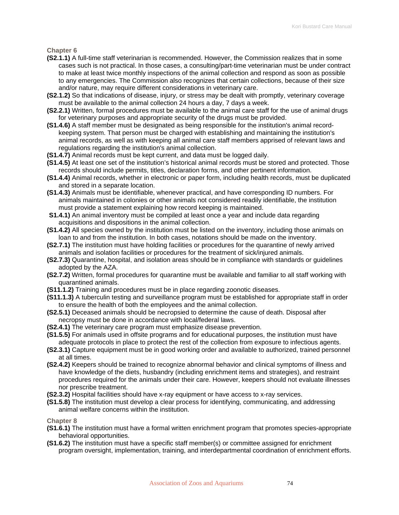**Chapter 6** 

- **(S2.1.1)** A full-time staff veterinarian is recommended. However, the Commission realizes that in some cases such is not practical. In those cases, a consulting/part-time veterinarian must be under contract to make at least twice monthly inspections of the animal collection and respond as soon as possible to any emergencies. The Commission also recognizes that certain collections, because of their size and/or nature, may require different considerations in veterinary care.
- **(S2.1.2)** So that indications of disease, injury, or stress may be dealt with promptly, veterinary coverage must be available to the animal collection 24 hours a day, 7 days a week.
- **(S2.2.1)** Written, formal procedures must be available to the animal care staff for the use of animal drugs for veterinary purposes and appropriate security of the drugs must be provided.
- **(S1.4.6)** A staff member must be designated as being responsible for the institution's animal recordkeeping system. That person must be charged with establishing and maintaining the institution's animal records, as well as with keeping all animal care staff members apprised of relevant laws and regulations regarding the institution's animal collection.
- **(S1.4.7)** Animal records must be kept current, and data must be logged daily.
- **(S1.4.5)** At least one set of the institution's historical animal records must be stored and protected. Those records should include permits, titles, declaration forms, and other pertinent information.
- **(S1.4.4)** Animal records, whether in electronic or paper form, including health records, must be duplicated and stored in a separate location.
- **(S1.4.3)** Animals must be identifiable, whenever practical, and have corresponding ID numbers. For animals maintained in colonies or other animals not considered readily identifiable, the institution must provide a statement explaining how record keeping is maintained.
- **S1.4.1)** An animal inventory must be compiled at least once a year and include data regarding acquisitions and dispositions in the animal collection.
- **(S1.4.2)** All species owned by the institution must be listed on the inventory, including those animals on loan to and from the institution. In both cases, notations should be made on the inventory.
- **(S2.7.1)** The institution must have holding facilities or procedures for the quarantine of newly arrived animals and isolation facilities or procedures for the treatment of sick/injured animals.
- **(S2.7.3)** Quarantine, hospital, and isolation areas should be in compliance with standards or guidelines adopted by the AZA.
- **(S2.7.2)** Written, formal procedures for quarantine must be available and familiar to all staff working with quarantined animals.
- **(S11.1.2)** Training and procedures must be in place regarding zoonotic diseases.
- **(S11.1.3)** A tuberculin testing and surveillance program must be established for appropriate staff in order to ensure the health of both the employees and the animal collection.
- **(S2.5.1)** Deceased animals should be necropsied to determine the cause of death. Disposal after necropsy must be done in accordance with local/federal laws.
- **(S2.4.1)** The veterinary care program must emphasize disease prevention.
- **(S1.5.5)** For animals used in offsite programs and for educational purposes, the institution must have adequate protocols in place to protect the rest of the collection from exposure to infectious agents.
- **(S2.3.1)** Capture equipment must be in good working order and available to authorized, trained personnel at all times.
- **(S2.4.2)** Keepers should be trained to recognize abnormal behavior and clinical symptoms of illness and have knowledge of the diets, husbandry (including enrichment items and strategies), and restraint procedures required for the animals under their care. However, keepers should not evaluate illnesses nor prescribe treatment.
- **(S2.3.2)** Hospital facilities should have x-ray equipment or have access to x-ray services.
- **(S1.5.8)** The institution must develop a clear process for identifying, communicating, and addressing animal welfare concerns within the institution.

**Chapter 8** 

- **(S1.6.1)** The institution must have a formal written enrichment program that promotes species-appropriate behavioral opportunities.
- **(S1.6.2)** The institution must have a specific staff member(s) or committee assigned for enrichment program oversight, implementation, training, and interdepartmental coordination of enrichment efforts.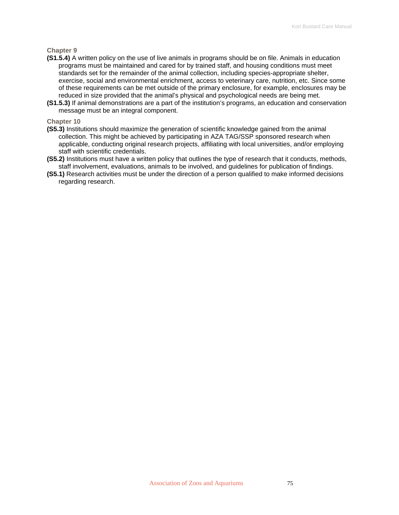#### **Chapter 9**

- **(S1.5.4)** A written policy on the use of live animals in programs should be on file. Animals in education programs must be maintained and cared for by trained staff, and housing conditions must meet standards set for the remainder of the animal collection, including species-appropriate shelter, exercise, social and environmental enrichment, access to veterinary care, nutrition, etc. Since some of these requirements can be met outside of the primary enclosure, for example, enclosures may be reduced in size provided that the animal's physical and psychological needs are being met.
- **(S1.5.3)** If animal demonstrations are a part of the institution's programs, an education and conservation message must be an integral component.

#### **Chapter 10**

- **(S5.3)** Institutions should maximize the generation of scientific knowledge gained from the animal collection. This might be achieved by participating in AZA TAG/SSP sponsored research when applicable, conducting original research projects, affiliating with local universities, and/or employing staff with scientific credentials.
- **(S5.2)** Institutions must have a written policy that outlines the type of research that it conducts, methods, staff involvement, evaluations, animals to be involved, and guidelines for publication of findings.
- **(S5.1)** Research activities must be under the direction of a person qualified to make informed decisions regarding research.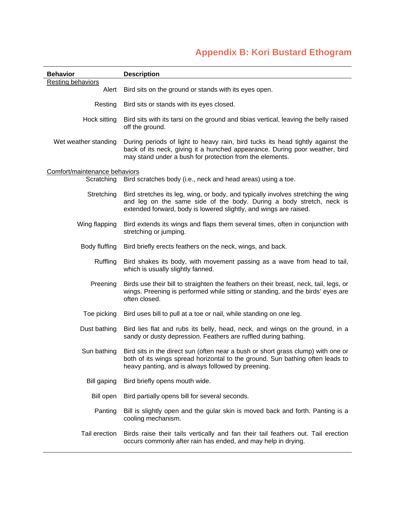# **Appendix B: Kori Bustard Ethogram**

| <b>Behavior</b>                   | <b>Description</b>                                                                                                                                                                                                             |
|-----------------------------------|--------------------------------------------------------------------------------------------------------------------------------------------------------------------------------------------------------------------------------|
| <b>Resting behaviors</b><br>Alert | Bird sits on the ground or stands with its eyes open.                                                                                                                                                                          |
|                                   |                                                                                                                                                                                                                                |
| Resting                           | Bird sits or stands with its eyes closed.                                                                                                                                                                                      |
| Hock sitting                      | Bird sits with its tarsi on the ground and tibias vertical, leaving the belly raised<br>off the ground.                                                                                                                        |
| Wet weather standing              | During periods of light to heavy rain, bird tucks its head tightly against the<br>back of its neck, giving it a hunched appearance. During poor weather, bird<br>may stand under a bush for protection from the elements.      |
| Comfort/maintenance behaviors     |                                                                                                                                                                                                                                |
| Scratching                        | Bird scratches body (i.e., neck and head areas) using a toe.                                                                                                                                                                   |
| Stretching                        | Bird stretches its leg, wing, or body, and typically involves stretching the wing<br>and leg on the same side of the body. During a body stretch, neck is<br>extended forward, body is lowered slightly, and wings are raised. |
| Wing flapping                     | Bird extends its wings and flaps them several times, often in conjunction with<br>stretching or jumping.                                                                                                                       |
| Body fluffing                     | Bird briefly erects feathers on the neck, wings, and back.                                                                                                                                                                     |
| Ruffling                          | Bird shakes its body, with movement passing as a wave from head to tail,<br>which is usually slightly fanned.                                                                                                                  |
| Preening                          | Birds use their bill to straighten the feathers on their breast, neck, tail, legs, or<br>wings. Preening is performed while sitting or standing, and the birds' eyes are<br>often closed.                                      |
| Toe picking                       | Bird uses bill to pull at a toe or nail, while standing on one leg.                                                                                                                                                            |
| Dust bathing                      | Bird lies flat and rubs its belly, head, neck, and wings on the ground, in a<br>sandy or dusty depression. Feathers are ruffled during bathing.                                                                                |
| Sun bathing                       | Bird sits in the direct sun (often near a bush or short grass clump) with one or<br>both of its wings spread horizontal to the ground. Sun bathing often leads to<br>heavy panting, and is always followed by preening.        |
| Bill gaping                       | Bird briefly opens mouth wide.                                                                                                                                                                                                 |
| Bill open                         | Bird partially opens bill for several seconds.                                                                                                                                                                                 |
| Panting                           | Bill is slightly open and the gular skin is moved back and forth. Panting is a<br>cooling mechanism.                                                                                                                           |
| Tail erection                     | Birds raise their tails vertically and fan their tail feathers out. Tail erection<br>occurs commonly after rain has ended, and may help in drying.                                                                             |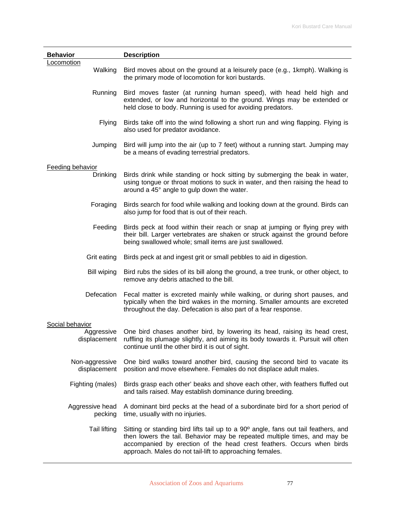| <b>Behavior</b>                               | <b>Description</b>                                                                                                                                                                                                                                                                                   |
|-----------------------------------------------|------------------------------------------------------------------------------------------------------------------------------------------------------------------------------------------------------------------------------------------------------------------------------------------------------|
| Locomotion<br>Walking                         | Bird moves about on the ground at a leisurely pace (e.g., 1 kmph). Walking is<br>the primary mode of locomotion for kori bustards.                                                                                                                                                                   |
| Running                                       | Bird moves faster (at running human speed), with head held high and<br>extended, or low and horizontal to the ground. Wings may be extended or<br>held close to body. Running is used for avoiding predators.                                                                                        |
| <b>Flying</b>                                 | Birds take off into the wind following a short run and wing flapping. Flying is<br>also used for predator avoidance.                                                                                                                                                                                 |
| Jumping                                       | Bird will jump into the air (up to 7 feet) without a running start. Jumping may<br>be a means of evading terrestrial predators.                                                                                                                                                                      |
| <b>Feeding behavior</b>                       |                                                                                                                                                                                                                                                                                                      |
| <b>Drinking</b>                               | Birds drink while standing or hock sitting by submerging the beak in water,<br>using tongue or throat motions to suck in water, and then raising the head to<br>around a 45° angle to gulp down the water.                                                                                           |
| Foraging                                      | Birds search for food while walking and looking down at the ground. Birds can<br>also jump for food that is out of their reach.                                                                                                                                                                      |
| Feeding                                       | Birds peck at food within their reach or snap at jumping or flying prey with<br>their bill. Larger vertebrates are shaken or struck against the ground before<br>being swallowed whole; small items are just swallowed.                                                                              |
| Grit eating                                   | Birds peck at and ingest grit or small pebbles to aid in digestion.                                                                                                                                                                                                                                  |
| <b>Bill wiping</b>                            | Bird rubs the sides of its bill along the ground, a tree trunk, or other object, to<br>remove any debris attached to the bill.                                                                                                                                                                       |
| Defecation                                    | Fecal matter is excreted mainly while walking, or during short pauses, and<br>typically when the bird wakes in the morning. Smaller amounts are excreted<br>throughout the day. Defecation is also part of a fear response.                                                                          |
|                                               |                                                                                                                                                                                                                                                                                                      |
| Social behavior<br>Aggressive<br>displacement | One bird chases another bird, by lowering its head, raising its head crest,<br>ruffling its plumage slightly, and aiming its body towards it. Pursuit will often<br>continue until the other bird it is out of sight.                                                                                |
| Non-aggressive<br>displacement                | One bird walks toward another bird, causing the second bird to vacate its<br>position and move elsewhere. Females do not displace adult males.                                                                                                                                                       |
| Fighting (males)                              | Birds grasp each other' beaks and shove each other, with feathers fluffed out<br>and tails raised. May establish dominance during breeding.                                                                                                                                                          |
| Aggressive head<br>pecking                    | A dominant bird pecks at the head of a subordinate bird for a short period of<br>time, usually with no injuries.                                                                                                                                                                                     |
| <b>Tail lifting</b>                           | Sitting or standing bird lifts tail up to a 90° angle, fans out tail feathers, and<br>then lowers the tail. Behavior may be repeated multiple times, and may be<br>accompanied by erection of the head crest feathers. Occurs when birds<br>approach. Males do not tail-lift to approaching females. |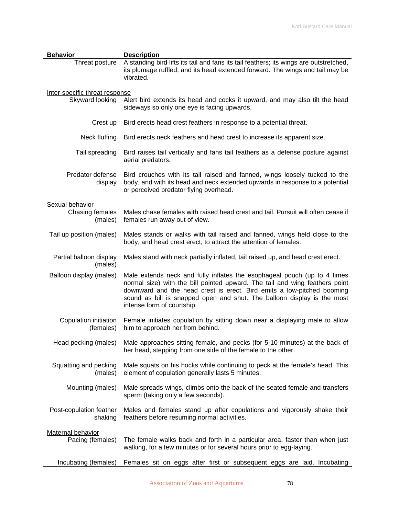| <b>Behavior</b>                                   | <b>Description</b>                                                                                                                                                                                                                                                                                                                         |
|---------------------------------------------------|--------------------------------------------------------------------------------------------------------------------------------------------------------------------------------------------------------------------------------------------------------------------------------------------------------------------------------------------|
| Threat posture                                    | A standing bird lifts its tail and fans its tail feathers; its wings are outstretched,<br>its plumage ruffled, and its head extended forward. The wings and tail may be<br>vibrated.                                                                                                                                                       |
| Inter-specific threat response<br>Skyward looking | Alert bird extends its head and cocks it upward, and may also tilt the head<br>sideways so only one eye is facing upwards.                                                                                                                                                                                                                 |
| Crest up                                          | Bird erects head crest feathers in response to a potential threat.                                                                                                                                                                                                                                                                         |
| Neck fluffing                                     | Bird erects neck feathers and head crest to increase its apparent size.                                                                                                                                                                                                                                                                    |
| Tail spreading                                    | Bird raises tail vertically and fans tail feathers as a defense posture against<br>aerial predators.                                                                                                                                                                                                                                       |
| Predator defense<br>display                       | Bird crouches with its tail raised and fanned, wings loosely tucked to the<br>body, and with its head and neck extended upwards in response to a potential<br>or perceived predator flying overhead.                                                                                                                                       |
| Sexual behavior                                   |                                                                                                                                                                                                                                                                                                                                            |
| Chasing females<br>(males)                        | Males chase females with raised head crest and tail. Pursuit will often cease if<br>females run away out of view.                                                                                                                                                                                                                          |
| Tail up position (males)                          | Males stands or walks with tail raised and fanned, wings held close to the<br>body, and head crest erect, to attract the attention of females.                                                                                                                                                                                             |
| Partial balloon display<br>(males)                | Males stand with neck partially inflated, tail raised up, and head crest erect.                                                                                                                                                                                                                                                            |
| Balloon display (males)                           | Male extends neck and fully inflates the esophageal pouch (up to 4 times<br>normal size) with the bill pointed upward. The tail and wing feathers point<br>downward and the head crest is erect. Bird emits a low-pitched booming<br>sound as bill is snapped open and shut. The balloon display is the most<br>intense form of courtship. |
| Copulation initiation<br>(females)                | Female initiates copulation by sitting down near a displaying male to allow<br>him to approach her from behind.                                                                                                                                                                                                                            |
| Head pecking (males)                              | Male approaches sitting female, and pecks (for 5-10 minutes) at the back of<br>her head, stepping from one side of the female to the other.                                                                                                                                                                                                |
| Squatting and pecking<br>(males)                  | Male squats on his hocks while continuing to peck at the female's head. This<br>element of copulation generally lasts 5 minutes.                                                                                                                                                                                                           |
| Mounting (males)                                  | Male spreads wings, climbs onto the back of the seated female and transfers<br>sperm (taking only a few seconds).                                                                                                                                                                                                                          |
| Post-copulation feather<br>shaking                | Males and females stand up after copulations and vigorously shake their<br>feathers before resuming normal activities.                                                                                                                                                                                                                     |
| <b>Maternal behavior</b>                          |                                                                                                                                                                                                                                                                                                                                            |
| Pacing (females)                                  | The female walks back and forth in a particular area, faster than when just<br>walking, for a few minutes or for several hours prior to egg-laying.                                                                                                                                                                                        |
| Incubating (females)                              | Females sit on eggs after first or subsequent eggs are laid. Incubating                                                                                                                                                                                                                                                                    |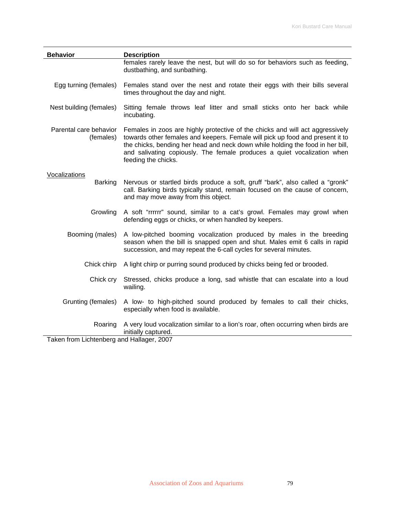| <b>Behavior</b>                           | <b>Description</b>                                                                                                                                                                                                                                                                                                                                 |
|-------------------------------------------|----------------------------------------------------------------------------------------------------------------------------------------------------------------------------------------------------------------------------------------------------------------------------------------------------------------------------------------------------|
|                                           | females rarely leave the nest, but will do so for behaviors such as feeding,<br>dustbathing, and sunbathing.                                                                                                                                                                                                                                       |
| Egg turning (females)                     | Females stand over the nest and rotate their eggs with their bills several<br>times throughout the day and night.                                                                                                                                                                                                                                  |
| Nest building (females)                   | Sitting female throws leaf litter and small sticks onto her back while<br>incubating.                                                                                                                                                                                                                                                              |
| Parental care behavior<br>(females)       | Females in zoos are highly protective of the chicks and will act aggressively<br>towards other females and keepers. Female will pick up food and present it to<br>the chicks, bending her head and neck down while holding the food in her bill,<br>and salivating copiously. The female produces a quiet vocalization when<br>feeding the chicks. |
|                                           |                                                                                                                                                                                                                                                                                                                                                    |
| Vocalizations<br><b>Barking</b>           | Nervous or startled birds produce a soft, gruff "bark", also called a "gronk"<br>call. Barking birds typically stand, remain focused on the cause of concern,<br>and may move away from this object.                                                                                                                                               |
| Growling                                  | A soft "rrrrrr" sound, similar to a cat's growl. Females may growl when<br>defending eggs or chicks, or when handled by keepers.                                                                                                                                                                                                                   |
| Booming (males)                           | A low-pitched booming vocalization produced by males in the breeding<br>season when the bill is snapped open and shut. Males emit 6 calls in rapid<br>succession, and may repeat the 6-call cycles for several minutes.                                                                                                                            |
| Chick chirp                               | A light chirp or purring sound produced by chicks being fed or brooded.                                                                                                                                                                                                                                                                            |
| Chick cry                                 | Stressed, chicks produce a long, sad whistle that can escalate into a loud<br>wailing.                                                                                                                                                                                                                                                             |
| Grunting (females)                        | A low- to high-pitched sound produced by females to call their chicks,<br>especially when food is available.                                                                                                                                                                                                                                       |
| Roaring                                   | A very loud vocalization similar to a lion's roar, often occurring when birds are<br>initially captured.                                                                                                                                                                                                                                           |
| Taken from Lichtenberg and Hallager, 2007 |                                                                                                                                                                                                                                                                                                                                                    |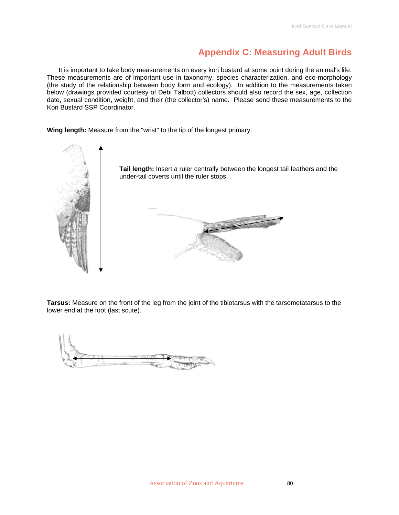### **Appendix C: Measuring Adult Birds**

It is important to take body measurements on every kori bustard at some point during the animal's life. These measurements are of important use in taxonomy, species characterization, and eco-morphology (the study of the relationship between body form and ecology). In addition to the measurements taken below (drawings provided courtesy of Debi Talbott) collectors should also record the sex, age, collection date, sexual condition, weight, and their (the collector's) name. Please send these measurements to the Kori Bustard SSP Coordinator.

**Wing length:** Measure from the "wrist" to the tip of the longest primary.



**Tarsus:** Measure on the front of the leg from the joint of the tibiotarsus with the tarsometatarsus to the lower end at the foot (last scute).

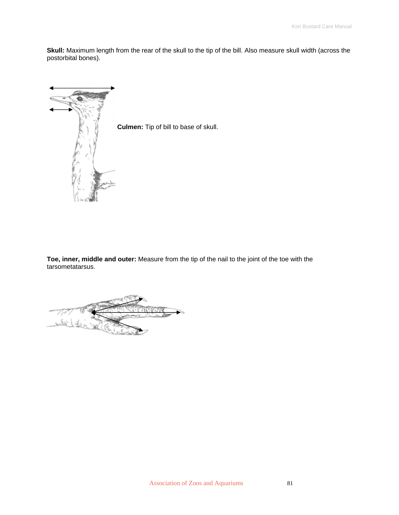**Skull:** Maximum length from the rear of the skull to the tip of the bill. Also measure skull width (across the postorbital bones).



**Culmen:** Tip of bill to base of skull.

**Toe, inner, middle and outer:** Measure from the tip of the nail to the joint of the toe with the tarsometatarsus.

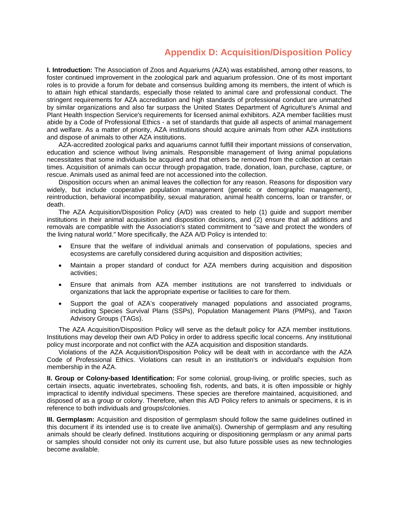### **Appendix D: Acquisition/Disposition Policy**

**I. Introduction:** The Association of Zoos and Aquariums (AZA) was established, among other reasons, to foster continued improvement in the zoological park and aquarium profession. One of its most important roles is to provide a forum for debate and consensus building among its members, the intent of which is to attain high ethical standards, especially those related to animal care and professional conduct. The stringent requirements for AZA accreditation and high standards of professional conduct are unmatched by similar organizations and also far surpass the United States Department of Agriculture's Animal and Plant Health Inspection Service's requirements for licensed animal exhibitors. AZA member facilities must abide by a Code of Professional Ethics - a set of standards that guide all aspects of animal management and welfare. As a matter of priority, AZA institutions should acquire animals from other AZA institutions and dispose of animals to other AZA institutions.

AZA-accredited zoological parks and aquariums cannot fulfill their important missions of conservation, education and science without living animals. Responsible management of living animal populations necessitates that some individuals be acquired and that others be removed from the collection at certain times. Acquisition of animals can occur through propagation, trade, donation, loan, purchase, capture, or rescue. Animals used as animal feed are not accessioned into the collection.

Disposition occurs when an animal leaves the collection for any reason. Reasons for disposition vary widely, but include cooperative population management (genetic or demographic management), reintroduction, behavioral incompatibility, sexual maturation, animal health concerns, loan or transfer, or death.

The AZA Acquisition/Disposition Policy (A/D) was created to help (1) guide and support member institutions in their animal acquisition and disposition decisions, and (2) ensure that all additions and removals are compatible with the Association's stated commitment to "save and protect the wonders of the living natural world." More specifically, the AZA A/D Policy is intended to:

- Ensure that the welfare of individual animals and conservation of populations, species and ecosystems are carefully considered during acquisition and disposition activities;
- Maintain a proper standard of conduct for AZA members during acquisition and disposition activities;
- Ensure that animals from AZA member institutions are not transferred to individuals or organizations that lack the appropriate expertise or facilities to care for them.
- Support the goal of AZA's cooperatively managed populations and associated programs, including Species Survival Plans (SSPs), Population Management Plans (PMPs), and Taxon Advisory Groups (TAGs).

The AZA Acquisition/Disposition Policy will serve as the default policy for AZA member institutions. Institutions may develop their own A/D Policy in order to address specific local concerns. Any institutional policy must incorporate and not conflict with the AZA acquisition and disposition standards.

Violations of the AZA Acquisition/Disposition Policy will be dealt with in accordance with the AZA Code of Professional Ethics. Violations can result in an institution's or individual's expulsion from membership in the AZA.

**II. Group or Colony-based Identification:** For some colonial, group-living, or prolific species, such as certain insects, aquatic invertebrates, schooling fish, rodents, and bats, it is often impossible or highly impractical to identify individual specimens. These species are therefore maintained, acquisitioned, and disposed of as a group or colony. Therefore, when this A/D Policy refers to animals or specimens, it is in reference to both individuals and groups/colonies.

**III. Germplasm:** Acquisition and disposition of germplasm should follow the same guidelines outlined in this document if its intended use is to create live animal(s). Ownership of germplasm and any resulting animals should be clearly defined. Institutions acquiring or dispositioning germplasm or any animal parts or samples should consider not only its current use, but also future possible uses as new technologies become available.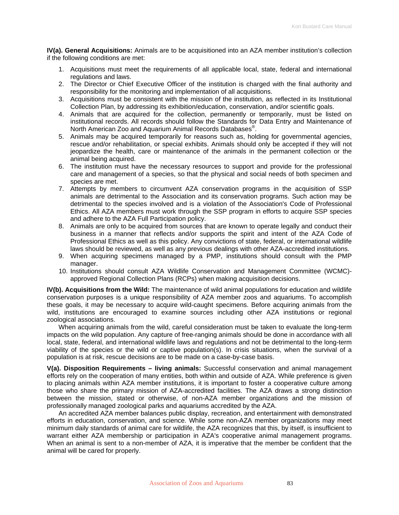**IV(a). General Acquisitions:** Animals are to be acquisitioned into an AZA member institution's collection if the following conditions are met:

- 1. Acquisitions must meet the requirements of all applicable local, state, federal and international regulations and laws.
- 2. The Director or Chief Executive Officer of the institution is charged with the final authority and responsibility for the monitoring and implementation of all acquisitions.
- 3. Acquisitions must be consistent with the mission of the institution, as reflected in its Institutional Collection Plan, by addressing its exhibition/education, conservation, and/or scientific goals.
- 4. Animals that are acquired for the collection, permanently or temporarily, must be listed on institutional records. All records should follow the Standards for Data Entry and Maintenance of North American Zoo and Aquarium Animal Records Databases<sup>®</sup>.
- 5. Animals may be acquired temporarily for reasons such as, holding for governmental agencies, rescue and/or rehabilitation, or special exhibits. Animals should only be accepted if they will not jeopardize the health, care or maintenance of the animals in the permanent collection or the animal being acquired.
- 6. The institution must have the necessary resources to support and provide for the professional care and management of a species, so that the physical and social needs of both specimen and species are met.
- 7. Attempts by members to circumvent AZA conservation programs in the acquisition of SSP animals are detrimental to the Association and its conservation programs. Such action may be detrimental to the species involved and is a violation of the Association's Code of Professional Ethics. All AZA members must work through the SSP program in efforts to acquire SSP species and adhere to the AZA Full Participation policy.
- 8. Animals are only to be acquired from sources that are known to operate legally and conduct their business in a manner that reflects and/or supports the spirit and intent of the AZA Code of Professional Ethics as well as this policy. Any convictions of state, federal, or international wildlife laws should be reviewed, as well as any previous dealings with other AZA-accredited institutions.
- 9. When acquiring specimens managed by a PMP, institutions should consult with the PMP manager.
- 10. Institutions should consult AZA Wildlife Conservation and Management Committee (WCMC) approved Regional Collection Plans (RCPs) when making acquisition decisions.

**IV(b). Acquisitions from the Wild:** The maintenance of wild animal populations for education and wildlife conservation purposes is a unique responsibility of AZA member zoos and aquariums. To accomplish these goals, it may be necessary to acquire wild-caught specimens. Before acquiring animals from the wild, institutions are encouraged to examine sources including other AZA institutions or regional zoological associations.

When acquiring animals from the wild, careful consideration must be taken to evaluate the long-term impacts on the wild population. Any capture of free-ranging animals should be done in accordance with all local, state, federal, and international wildlife laws and regulations and not be detrimental to the long-term viability of the species or the wild or captive population(s). In crisis situations, when the survival of a population is at risk, rescue decisions are to be made on a case-by-case basis.

**V(a). Disposition Requirements – living animals:** Successful conservation and animal management efforts rely on the cooperation of many entities, both within and outside of AZA. While preference is given to placing animals within AZA member institutions, it is important to foster a cooperative culture among those who share the primary mission of AZA-accredited facilities. The AZA draws a strong distinction between the mission, stated or otherwise, of non-AZA member organizations and the mission of professionally managed zoological parks and aquariums accredited by the AZA.

An accredited AZA member balances public display, recreation, and entertainment with demonstrated efforts in education, conservation, and science. While some non-AZA member organizations may meet minimum daily standards of animal care for wildlife, the AZA recognizes that this, by itself, is insufficient to warrant either AZA membership or participation in AZA's cooperative animal management programs. When an animal is sent to a non-member of AZA, it is imperative that the member be confident that the animal will be cared for properly.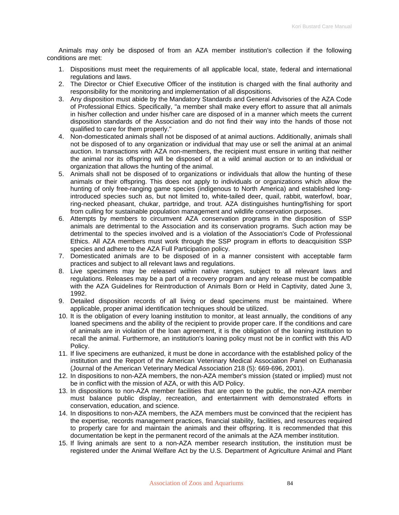Animals may only be disposed of from an AZA member institution's collection if the following conditions are met:

- 1. Dispositions must meet the requirements of all applicable local, state, federal and international regulations and laws.
- 2. The Director or Chief Executive Officer of the institution is charged with the final authority and responsibility for the monitoring and implementation of all dispositions.
- 3. Any disposition must abide by the Mandatory Standards and General Advisories of the AZA Code of Professional Ethics. Specifically, "a member shall make every effort to assure that all animals in his/her collection and under his/her care are disposed of in a manner which meets the current disposition standards of the Association and do not find their way into the hands of those not qualified to care for them properly."
- 4. Non-domesticated animals shall not be disposed of at animal auctions. Additionally, animals shall not be disposed of to any organization or individual that may use or sell the animal at an animal auction. In transactions with AZA non-members, the recipient must ensure in writing that neither the animal nor its offspring will be disposed of at a wild animal auction or to an individual or organization that allows the hunting of the animal.
- 5. Animals shall not be disposed of to organizations or individuals that allow the hunting of these animals or their offspring. This does not apply to individuals or organizations which allow the hunting of only free-ranging game species (indigenous to North America) and established longintroduced species such as, but not limited to, white-tailed deer, quail, rabbit, waterfowl, boar, ring-necked pheasant, chukar, partridge, and trout. AZA distinguishes hunting/fishing for sport from culling for sustainable population management and wildlife conservation purposes.
- 6. Attempts by members to circumvent AZA conservation programs in the disposition of SSP animals are detrimental to the Association and its conservation programs. Such action may be detrimental to the species involved and is a violation of the Association's Code of Professional Ethics. All AZA members must work through the SSP program in efforts to deacquisition SSP species and adhere to the AZA Full Participation policy.
- 7. Domesticated animals are to be disposed of in a manner consistent with acceptable farm practices and subject to all relevant laws and regulations.
- 8. Live specimens may be released within native ranges, subject to all relevant laws and regulations. Releases may be a part of a recovery program and any release must be compatible with the AZA Guidelines for Reintroduction of Animals Born or Held in Captivity, dated June 3, 1992.
- 9. Detailed disposition records of all living or dead specimens must be maintained. Where applicable, proper animal identification techniques should be utilized.
- 10. It is the obligation of every loaning institution to monitor, at least annually, the conditions of any loaned specimens and the ability of the recipient to provide proper care. If the conditions and care of animals are in violation of the loan agreement, it is the obligation of the loaning institution to recall the animal. Furthermore, an institution's loaning policy must not be in conflict with this A/D Policy.
- 11. If live specimens are euthanized, it must be done in accordance with the established policy of the institution and the Report of the American Veterinary Medical Association Panel on Euthanasia (Journal of the American Veterinary Medical Association 218 (5): 669-696, 2001).
- 12. In dispositions to non-AZA members, the non-AZA member's mission (stated or implied) must not be in conflict with the mission of AZA, or with this A/D Policy.
- 13. In dispositions to non-AZA member facilities that are open to the public, the non-AZA member must balance public display, recreation, and entertainment with demonstrated efforts in conservation, education, and science.
- 14. In dispositions to non-AZA members, the AZA members must be convinced that the recipient has the expertise, records management practices, financial stability, facilities, and resources required to properly care for and maintain the animals and their offspring. It is recommended that this documentation be kept in the permanent record of the animals at the AZA member institution.
- 15. If living animals are sent to a non-AZA member research institution, the institution must be registered under the Animal Welfare Act by the U.S. Department of Agriculture Animal and Plant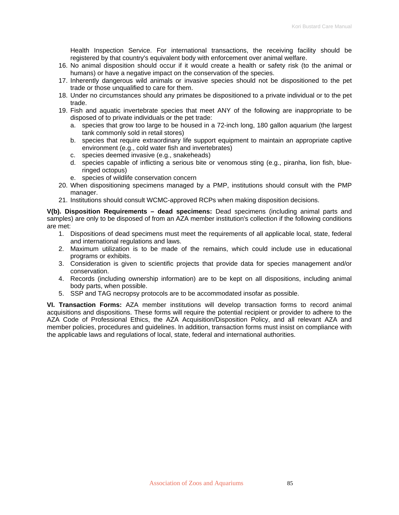Health Inspection Service. For international transactions, the receiving facility should be registered by that country's equivalent body with enforcement over animal welfare.

- 16. No animal disposition should occur if it would create a health or safety risk (to the animal or humans) or have a negative impact on the conservation of the species.
- 17. Inherently dangerous wild animals or invasive species should not be dispositioned to the pet trade or those unqualified to care for them.
- 18. Under no circumstances should any primates be dispositioned to a private individual or to the pet trade.
- 19. Fish and aquatic invertebrate species that meet ANY of the following are inappropriate to be disposed of to private individuals or the pet trade:
	- a. species that grow too large to be housed in a 72-inch long, 180 gallon aquarium (the largest tank commonly sold in retail stores)
	- b. species that require extraordinary life support equipment to maintain an appropriate captive environment (e.g., cold water fish and invertebrates)
	- c. species deemed invasive (e.g., snakeheads)
	- d. species capable of inflicting a serious bite or venomous sting (e.g., piranha, lion fish, blueringed octopus)
	- e. species of wildlife conservation concern
- 20. When dispositioning specimens managed by a PMP, institutions should consult with the PMP manager.
- 21. Institutions should consult WCMC-approved RCPs when making disposition decisions.

**V(b). Disposition Requirements – dead specimens:** Dead specimens (including animal parts and samples) are only to be disposed of from an AZA member institution's collection if the following conditions are met:

- 1. Dispositions of dead specimens must meet the requirements of all applicable local, state, federal and international regulations and laws.
- 2. Maximum utilization is to be made of the remains, which could include use in educational programs or exhibits.
- 3. Consideration is given to scientific projects that provide data for species management and/or conservation.
- 4. Records (including ownership information) are to be kept on all dispositions, including animal body parts, when possible.
- 5. SSP and TAG necropsy protocols are to be accommodated insofar as possible.

**VI. Transaction Forms:** AZA member institutions will develop transaction forms to record animal acquisitions and dispositions. These forms will require the potential recipient or provider to adhere to the AZA Code of Professional Ethics, the AZA Acquisition/Disposition Policy, and all relevant AZA and member policies, procedures and guidelines. In addition, transaction forms must insist on compliance with the applicable laws and regulations of local, state, federal and international authorities.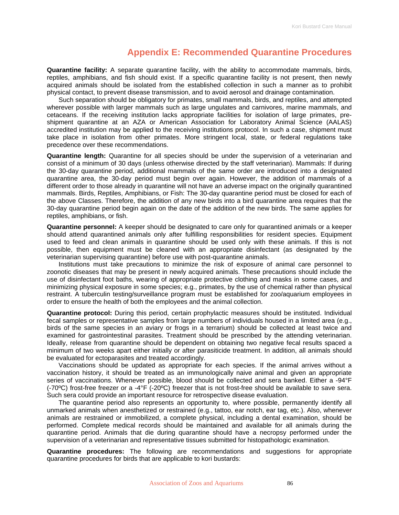### **Appendix E: Recommended Quarantine Procedures**

**Quarantine facility:** A separate quarantine facility, with the ability to accommodate mammals, birds, reptiles, amphibians, and fish should exist. If a specific quarantine facility is not present, then newly acquired animals should be isolated from the established collection in such a manner as to prohibit physical contact, to prevent disease transmission, and to avoid aerosol and drainage contamination.

Such separation should be obligatory for primates, small mammals, birds, and reptiles, and attempted wherever possible with larger mammals such as large ungulates and carnivores, marine mammals, and cetaceans. If the receiving institution lacks appropriate facilities for isolation of large primates, preshipment quarantine at an AZA or American Association for Laboratory Animal Science (AALAS) accredited institution may be applied to the receiving institutions protocol. In such a case, shipment must take place in isolation from other primates. More stringent local, state, or federal regulations take precedence over these recommendations.

**Quarantine length:** Quarantine for all species should be under the supervision of a veterinarian and consist of a minimum of 30 days (unless otherwise directed by the staff veterinarian). Mammals: If during the 30-day quarantine period, additional mammals of the same order are introduced into a designated quarantine area, the 30-day period must begin over again. However, the addition of mammals of a different order to those already in quarantine will not have an adverse impact on the originally quarantined mammals. Birds, Reptiles, Amphibians, or Fish: The 30-day quarantine period must be closed for each of the above Classes. Therefore, the addition of any new birds into a bird quarantine area requires that the 30-day quarantine period begin again on the date of the addition of the new birds. The same applies for reptiles, amphibians, or fish.

**Quarantine personnel:** A keeper should be designated to care only for quarantined animals or a keeper should attend quarantined animals only after fulfilling responsibilities for resident species. Equipment used to feed and clean animals in quarantine should be used only with these animals. If this is not possible, then equipment must be cleaned with an appropriate disinfectant (as designated by the veterinarian supervising quarantine) before use with post-quarantine animals.

Institutions must take precautions to minimize the risk of exposure of animal care personnel to zoonotic diseases that may be present in newly acquired animals. These precautions should include the use of disinfectant foot baths, wearing of appropriate protective clothing and masks in some cases, and minimizing physical exposure in some species; e.g., primates, by the use of chemical rather than physical restraint. A tuberculin testing/surveillance program must be established for zoo/aquarium employees in order to ensure the health of both the employees and the animal collection.

**Quarantine protocol:** During this period, certain prophylactic measures should be instituted. Individual fecal samples or representative samples from large numbers of individuals housed in a limited area (e.g., birds of the same species in an aviary or frogs in a terrarium) should be collected at least twice and examined for gastrointestinal parasites. Treatment should be prescribed by the attending veterinarian. Ideally, release from quarantine should be dependent on obtaining two negative fecal results spaced a minimum of two weeks apart either initially or after parasiticide treatment. In addition, all animals should be evaluated for ectoparasites and treated accordingly.

Vaccinations should be updated as appropriate for each species. If the animal arrives without a vaccination history, it should be treated as an immunologically naive animal and given an appropriate series of vaccinations. Whenever possible, blood should be collected and sera banked. Either a -94°F (-70ºC) frost-free freezer or a -4°F (-20ºC) freezer that is not frost-free should be available to save sera. Such sera could provide an important resource for retrospective disease evaluation.

The quarantine period also represents an opportunity to, where possible, permanently identify all unmarked animals when anesthetized or restrained (e.g., tattoo, ear notch, ear tag, etc.). Also, whenever animals are restrained or immobilized, a complete physical, including a dental examination, should be performed. Complete medical records should be maintained and available for all animals during the quarantine period. Animals that die during quarantine should have a necropsy performed under the supervision of a veterinarian and representative tissues submitted for histopathologic examination.

**Quarantine procedures:** The following are recommendations and suggestions for appropriate quarantine procedures for birds that are applicable to kori bustards: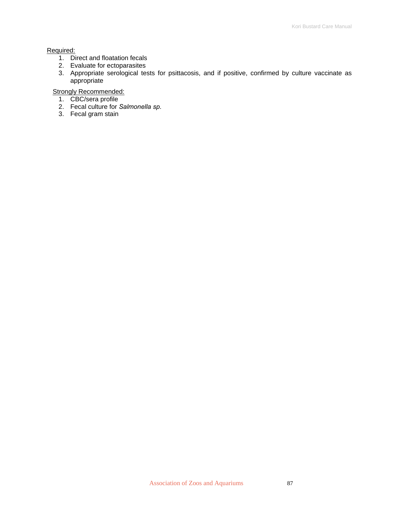#### Required:

- 1. Direct and floatation fecals
- 2. Evaluate for ectoparasites
- 3. Appropriate serological tests for psittacosis, and if positive, confirmed by culture vaccinate as appropriate

Strongly Recommended:

- 1. CBC/sera profile
- 2. Fecal culture for *Salmonella sp.*
- 3. Fecal gram stain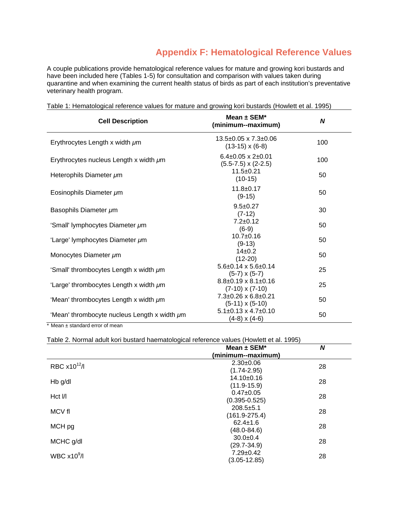## **Appendix F: Hematological Reference Values**

A couple publications provide hematological reference values for mature and growing kori bustards and have been included here (Tables 1-5) for consultation and comparison with values taken during quarantine and when examining the current health status of birds as part of each institution's preventative veterinary health program.

| <b>Cell Description</b>                      | Mean $\pm$ SEM*<br>(minimum--maximum)                          | $\boldsymbol{N}$ |
|----------------------------------------------|----------------------------------------------------------------|------------------|
| Erythrocytes Length x width $\mu$ m          | $13.5\pm0.05 \times 7.3\pm0.06$<br>$(13-15) \times (6-8)$      | 100              |
| Erythrocytes nucleus Length x width $\mu$ m  | $6.4\pm0.05 \times 2\pm0.01$<br>$(5.5 - 7.5) \times (2 - 2.5)$ | 100              |
| Heterophils Diameter µm                      | $11.5+0.21$<br>$(10-15)$                                       | 50               |
| Eosinophils Diameter µm                      | $11.8 \pm 0.17$<br>$(9-15)$                                    | 50               |
| Basophils Diameter um                        | $9.5 \pm 0.27$<br>$(7-12)$                                     | 30               |
| 'Small' lymphocytes Diameter µm              | $7.2 + 0.12$<br>$(6-9)$                                        | 50               |
| 'Large' lymphocytes Diameter µm              | $10.7 + 0.16$<br>$(9-13)$                                      | 50               |
| Monocytes Diameter µm                        | $14\pm0.2$<br>$(12-20)$                                        | 50               |
| 'Small' thrombocytes Length x width um       | $5.6\pm0.14 \times 5.6\pm0.14$<br>$(5-7) \times (5-7)$         | 25               |
| 'Large' thrombocytes Length x width $\mu$ m  | $8.8\pm0.19 \times 8.1\pm0.16$<br>$(7-10) \times (7-10)$       | 25               |
| 'Mean' thrombocytes Length x width $\mu$ m   | $7.3+0.26 \times 6.8+0.21$<br>$(5-11) \times (5-10)$           | 50               |
| 'Mean' thrombocyte nucleus Length x width um | $5.1\pm0.13 \times 4.7\pm0.10$<br>$(4-8)$ x $(4-6)$            | 50               |
| * Mean ± standard error of mean              |                                                                |                  |

Table 1: Hematological reference values for mature and growing kori bustards (Howlett et al. 1995)

|                          | Mean $\pm$ SEM*                      | N  |
|--------------------------|--------------------------------------|----|
|                          | (minimum--maximum)                   |    |
| RBC x10 <sup>12</sup> /l | $2.30+0.06$<br>$(1.74 - 2.95)$       | 28 |
| $Hb$ g/dl                | $14.10 \pm 0.16$<br>$(11.9 - 15.9)$  | 28 |
| $Hct$ $1/1$              | $0.47 \pm 0.05$<br>$(0.395 - 0.525)$ | 28 |
| MCV fl                   | $208.5 + 5.1$<br>$(161.9 - 275.4)$   | 28 |
| MCH pg                   | $62.4 \pm 1.6$<br>$(48.0 - 84.6)$    | 28 |
| MCHC g/dl                | $30.0 + 0.4$<br>$(29.7 - 34.9)$      | 28 |
| WBC $x10^9$ /I           | $7.29 \pm 0.42$<br>$(3.05 - 12.85)$  | 28 |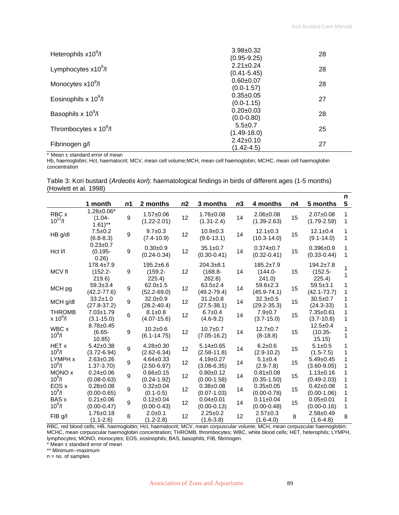| Heterophils $x10^9$ /l            | $3.98 \pm 0.32$<br>$(0.95 - 9.25)$ | 28 |
|-----------------------------------|------------------------------------|----|
| Lymphocytes $x10^9$ /l            | $2.21 \pm 0.24$<br>$(0.41 - 5.45)$ | 28 |
| Monocytes x10 <sup>9</sup> /l     | $0.60 + 0.07$<br>$(0.0 - 1.57)$    | 28 |
| Eosinophils x $10^9$ /l           | $0.35 \pm 0.05$<br>$(0.0 - 1.15)$  | 27 |
| Basophils x 10 <sup>9</sup> /l    | $0.20 \pm 0.03$<br>$(0.0 - 0.80)$  | 28 |
| Thrombocytes x 10 <sup>9</sup> /l | $5.5 \pm 0.7$<br>$(1.49 - 18.0)$   | 25 |
| Fibrinogen g/l                    | $2.42 \pm 0.10$<br>(1.42-4.5)      | 27 |

\* Mean ± standard error of mean

Hb, haemoglobin; Hct, haematocrit; MCV, mean cell volume;MCH, mean cell haemoglobin; MCHC, mean cell haemoglobin concentration

Table 3: Kori bustard (*Ardeotis kori*): haematological findings in birds of different ages (1-5 months) (Howlett et al. 1998)

|                             | 1 month                                               | n1 | 2 months                                | n2 | 3 months                             | n <sub>3</sub> | 4 months                               | n4 | 5 months                                | $\mathbf n$<br>5 |
|-----------------------------|-------------------------------------------------------|----|-----------------------------------------|----|--------------------------------------|----------------|----------------------------------------|----|-----------------------------------------|------------------|
| RBC x<br>$10^{12}/I$        | $1.28 \pm 0.06*$<br>$(1.04 -$<br>$1.61$ <sup>**</sup> | 9  | $1.57 \pm 0.06$<br>$(1.22 - 2.01)$      | 12 | $1.76 \pm 0.08$<br>$(1.31 - 2.4)$    | 14             | $2.06 \pm 0.08$<br>$(1.39 - 2.63)$     | 15 | $2.07 \pm 0.08$<br>$(1.79 - 2.59)$      | 1<br>1           |
| $HB$ g/dl                   | $7.5 \pm 0.2$<br>$(6.8 - 8.3)$                        | 9  | $9.7 \pm 0.3$<br>$(7.4 - 10.9)$         | 12 | $10.9 + 0.3$<br>$(9.6 - 13.1)$       | 14             | $12.1 \pm 0.3$<br>$(10.3 - 14.0)$      | 15 | $12.1 \pm 0.4$<br>$(9.1 - 14.0)$        | 1<br>1           |
| Hct I/I                     | $0.23 \pm 0.7$<br>$(0.195 -$<br>0.26                  | 9  | $0.30+0.9$<br>$(0.24 - 0.34)$           | 12 | $35.1 \pm 0.7$<br>$(0.30 - 0.41)$    | 14             | $0.374 \pm 0.7$<br>$(0.32 - 0.41)$     | 15 | $0.396 + 0.9$<br>$(0.33 - 0.44)$        | 1<br>1           |
| MCV fl                      | $178.4 \pm 7.9$<br>$(152.2 -$<br>219.6                | 9  | $195.2 \pm 6.6$<br>$(159.2 -$<br>225.4) | 12 | $204.3 + 8.1$<br>$(168.8 -$<br>262.8 | 14             | $185.2 \pm 7.9$<br>$(144.0 -$<br>241.0 | 15 | $194.2 \pm 7.8$<br>$(152.5 -$<br>225.4) |                  |
| MCH pg                      | $59.3 + 3.4$<br>$(42.2 - 77.6)$                       | 9  | $62.0 \pm 1.5$<br>$(52.2 - 69.0)$       | 12 | $63.5 \pm 2.4$<br>$(49.2 - 79.4)$    | 14             | $59.6 \pm 2.3$<br>$(45.9 - 74.1)$      | 15 | $59.5 + 3.1$<br>$(42.1 - 73.7)$         | 1                |
| MCH g/dl                    | $33.2 \pm 1.0$<br>$(27.8 - 37.2)$                     | 9  | $32.0+0.9$<br>$(28.2 - 40.4)$           | 12 | $31.2 \pm 0.8$<br>$(27.5 - 38.1)$    | 14             | $32.3 \pm 0.5$<br>$(29.2 - 35.3)$      | 15 | $30.5 \pm 0.7$<br>$(24.3 - 33)$         |                  |
| <b>THROMB</b><br>$x 10^9/l$ | $7.03 \pm 1.79$<br>$(3.1 - 15.0)$                     | 6  | $8.1 \pm 0.8$<br>$(4.07 - 15.6)$        | 12 | $6.7 \pm 0.4$<br>$(4.6-9.2)$         | 14             | $7.9 \pm 0.7$<br>$(3.7 - 15.0)$        | 15 | $7.35 \pm 0.61$<br>$(3.7 - 10.8)$       | 1                |
| WBC x<br>$10^{9}/I$         | $8.78 \pm 0.45$<br>$(6.65 -$<br>10.85                 | 9  | $10.2 \pm 0.6$<br>$(6.1 - 14.75)$       | 12 | $10.7 \pm 0.7$<br>$(7.05-16.2)$      | 14             | $12.7 + 0.7$<br>$(8-18.8)$             | 15 | $12.5 \pm 0.4$<br>$(10.35 -$<br>15.15)  |                  |
| HET x<br>$10^{9}/I$         | $5.42 \pm 0.38$<br>$(3.72 - 6.94)$                    | 9  | $4.28 \pm 0.30$<br>$(2.62 - 6.34)$      | 12 | $5.14 \pm 0.65$<br>$(2.58 - 11.8)$   | 14             | $6.2 \pm 0.6$<br>$(2.9 - 10.2)$        | 15 | $5.1 \pm 0.5$<br>$(1.5 - 7.5)$          |                  |
| LYMPH x<br>$10^{9}/I$       | $2.63 \pm 0.26$<br>$1.37 - 3.70$                      | 9  | $4.64 \pm 0.33$<br>$(2.50 - 6.97)$      | 12 | $4.19 \pm 0.27$<br>$(3.08 - 6.35)$   | 14             | $5.1 \pm 0.4$<br>$(2.9 - 7.8)$         | 15 | $5.49 \pm 0.45$<br>$(3.60 - 9.05)$      |                  |
| MONO x<br>$10^{9}/I$        | $0.24 \pm 0.06$<br>$(0.08 - 0.63)$                    | 9  | $0.66 \pm 0.15$<br>$(0.24 - 1.92)$      | 12 | $0.80 + 0.12$<br>$(0.00 - 1.58)$     | 14             | $0.81 \pm 0.08$<br>$(0.35 - 1.50)$     | 15 | $1.13 \pm 0.16$<br>$(0.49 - 2.03)$      | 1<br>1           |
| EOS x<br>$10^{9}/I$         | $0.28 \pm 0.08$<br>$(0.00 - 0.65)$                    | 9  | $0.32 \pm 0.04$<br>$(0.1 - 0.5)$        | 12 | $0.38 + 0.08$<br>$(0.07 - 1.03)$     | 14             | $0.35 \pm 0.05$<br>$(0.00 - 0.78)$     | 15 | $0.42 \pm 0.08$<br>$(0.00-1.06)$        | 1<br>1           |
| <b>BAS x</b><br>$10^9$ /l   | $0.21 \pm 0.06$<br>$(0.00 - 0.47)$                    | 9  | $0.12 \pm 0.04$<br>$(0.00 - 0.43)$      | 12 | $0.04 \pm 0.01$<br>$(0.00 - 0.13)$   | 14             | $0.11 \pm 0.04$<br>$(0.00 - 0.48)$     | 15 | $0.05 \pm 0.01$<br>$(0.00 - 0.16)$      | 1                |
| FIB g/l                     | $1.76 \pm 0.18$<br>$(1.1 - 2.6)$                      | 8  | $2.0 + 0.1$<br>(1.2-2.8)                | 12 | $2.25 \pm 0.2$<br>$(1.6 - 3.8)$      | 12             | $2.57+0.3$<br>$(1.6 - 4.0)$            | 8  | $2.58 + 0.49$<br>$(1.6 - 4.8)$          | 8                |

RBC, red blood cells; HB, haemoglobin; Hct, haematocrit; MCV, mean corpuscular volume; MCH, mean corpuscular haemoglobin; MCHC, mean corpuscular haemoglobin concentration; THROMB, thrombocytes; WBC, white blood cells; HET, heterophils; LYMPH, lymphocytes; MONO, monocytes; EOS, eosinophils; BAS, basophils; FIB, fibrinogen.

\* Mean ± standard error of mean

\*\* Minimum--maximum

n = no. of samples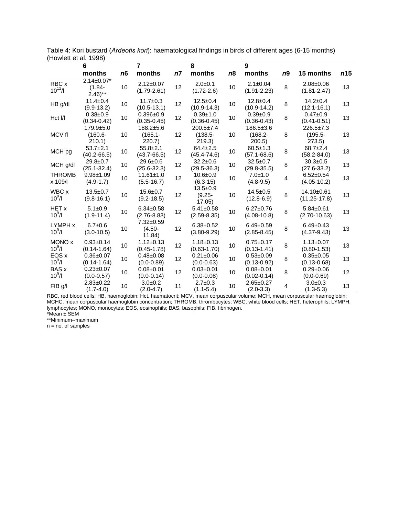|                            | 6                                           |    | 7                                      |                | 8                                       |    | 9                                 |    |                                         |     |
|----------------------------|---------------------------------------------|----|----------------------------------------|----------------|-----------------------------------------|----|-----------------------------------|----|-----------------------------------------|-----|
|                            | months                                      | n6 | months                                 | n <sub>7</sub> | months                                  | n8 | months                            | n9 | 15 months                               | m15 |
| RBC x<br>$10^{12}$ /I      | $2.14 \pm 0.07*$<br>$(1.84 -$<br>$2.46$ )** | 10 | $2.12 \pm 0.07$<br>$(1.79 - 2.61)$     | 12             | $2.0 + 0.1$<br>$(1.72 - 2.6)$           | 10 | $2.1 \pm 0.04$<br>$(1.91 - 2.23)$ | 8  | $2.08 \pm 0.06$<br>$(1.81 - 2.47)$      | 13  |
| HB g/dl                    | $11.4 \pm 0.4$<br>$(9.9-13.2)$              | 10 | $11.7 \pm 0.3$<br>$(10.5 - 13.1)$      | 12             | $12.5 + 0.4$<br>$(10.9 - 14.3)$         | 10 | $12.8 + 0.4$<br>$(10.9 - 14.2)$   | 8  | $14.2 \pm 0.4$<br>$(12.1 - 16.1)$       | 13  |
| Hct I/I                    | $0.38 + 0.9$<br>$(0.34 - 0.42)$             | 10 | $0.396 + 0.9$<br>$(0.35 - 0.45)$       | 12             | $0.39 + 1.0$<br>$(0.36 - 0.45)$         | 10 | $0.39 + 0.9$<br>$(0.36 - 0.43)$   | 8  | $0.47 + 0.9$<br>$(0.41 - 0.51)$         | 13  |
| MCV fl                     | $179.9 + 5.0$<br>$(160.6 -$<br>210.1)       | 10 | $188.2 + 5.6$<br>$(165.1 -$<br>220.7)  | 12             | $200.5 \pm 7.4$<br>$(138.5 -$<br>219.3) | 10 | 186.5±3.6<br>$(168.2 -$<br>200.5  | 8  | $226.5 \pm 7.3$<br>$(195.5 -$<br>273.5) | 13  |
| MCH pg                     | $53.7+2.1$<br>$(40.2 - 66.5)$               | 10 | $55.8 \pm 2.1$<br>$(43.7 - 66.5)$      | 12             | $64.4 \pm 2.5$<br>$(45.4 - 74.6)$       | 10 | $60.5 \pm 1.3$<br>$(57.1 - 68.6)$ | 8  | $68.7 \pm 2.4$<br>$(58.2 - 84.0)$       | 13  |
| MCH g/dl                   | $29.8 \pm 0.7$<br>$(25.1 - 32.4)$           | 10 | $29.6 + 0.6$<br>$(25.6 - 32.3)$        | 12             | $32.2 \pm 0.6$<br>$(29.5 - 36.3)$       | 10 | $32.5 \pm 0.7$<br>$(29.8 - 35.5)$ | 8  | $30.3 \pm 0.5$<br>$(27.6 - 33.2)$       | 13  |
| <b>THROMB</b><br>x 109/l   | $9.98 + 1.09$<br>$(4.9-1.7)$                | 10 | $11.61 \pm 1.0$<br>$(5.5 - 16.7)$      | 12             | $10.6 + 0.9$<br>$(6.3-15)$              | 10 | $7.0 + 1.0$<br>$(4.8-9.5)$        | 4  | $6.52 \pm 0.54$<br>$(4.05 - 10.2)$      | 13  |
| WBC x<br>$10^{9}/I$        | $13.5 \pm 0.7$<br>$(9.8 - 16.1)$            | 10 | $15.6 + 0.7$<br>$(9.2 - 18.5)$         | 12             | $13.5 + 0.9$<br>$(9.25 -$<br>17.05      | 10 | $14.5 + 0.5$<br>$(12.8 - 6.9)$    | 8  | 14.10±0.61<br>$(11.25 - 17.8)$          | 13  |
| <b>HET x</b><br>$10^9$ /l  | $5.1 \pm 0.9$<br>$(1.9 - 11.4)$             | 10 | $6.34 \pm 0.58$<br>$(2.76 - 8.83)$     | 12             | $5.41 \pm 0.58$<br>$(2.59 - 8.35)$      | 10 | $6.27 + 0.76$<br>$(4.08 - 10.8)$  | 8  | $5.84 \pm 0.61$<br>$(2.70 - 10.63)$     | 13  |
| LYMPH x<br>$10^{9}/I$      | $6.7 + 0.6$<br>$(3.0 - 10.5)$               | 10 | $7.32 \pm 0.59$<br>$(4.50 -$<br>11.84) | 12             | $6.38 \pm 0.52$<br>$(3.80 - 9.29)$      | 10 | $6.49 + 0.59$<br>$(2.85 - 8.45)$  | 8  | $6.49 \pm 0.43$<br>$(4.37 - 9.43)$      | 13  |
| MONO x<br>$10^{9}/I$       | $0.93 + 0.14$<br>$(0.14 - 1.64)$            | 10 | $1.12 \pm 0.13$<br>$(0.45 - 1.78)$     | 12             | $1.18 \pm 0.13$<br>$(0.63 - 1.70)$      | 10 | $0.75 + 0.17$<br>$(0.13 - 1.41)$  | 8  | $1.13 \pm 0.07$<br>$(0.80 - 1.53)$      | 13  |
| EOS x<br>$10^{9}$ /l       | $0.36 \pm 0.07$<br>$(0.14 - 1.64)$          | 10 | $0.48 \pm 0.08$<br>$(0.0 - 0.89)$      | 12             | $0.21 \pm 0.06$<br>$(0.0 - 0.63)$       | 10 | $0.53 + 0.09$<br>$(0.13 - 0.92)$  | 8  | $0.35 \pm 0.05$<br>$(0.13 - 0.68)$      | 13  |
| <b>BAS x</b><br>$10^{9}/I$ | $0.23 \pm 0.07$<br>$(0.0 - 0.57)$           | 10 | $0.08 + 0.01$<br>$(0.0 - 0.14)$        | 12             | $0.03 \pm 0.01$<br>$(0.0 - 0.08)$       | 10 | $0.08 + 0.01$<br>$(0.02 - 0.14)$  | 8  | $0.29 + 0.06$<br>$(0.0 - 0.69)$         | 12  |
| FIB g/l                    | $2.83 \pm 0.22$<br>$(1.7 - 4.0)$            | 10 | $3.0 + 0.2$<br>$(2.0 - 4.7)$           | 11             | $2.7 + 0.3$<br>$(1.1 - 5.4)$            | 10 | $2.65 \pm 0.27$<br>$(2.0-3.3)$    | 4  | $3.0 + 0.3$<br>$(1.3 - 5.3)$            | 13  |

Table 4: Kori bustard (*Ardeotis kori*): haematological findings in birds of different ages (6-15 months) (Howlett et al. 1998)

RBC, red blood cells; HB, haemoglobin; Hct, haematocrit; MCV, mean corpuscular volume; MCH, mean corpuscular haemoglobin; MCHC, mean corpuscular haemoglobin concentration; THROMB, thrombocytes; WBC, white blood cells; HET, heterophils; LYMPH, lymphocytes; MONO, monocytes; EOS, eosinophils; BAS, basophils; FIB, fibrinogen.

\*Mean ± SEM \*\*Minimum--maximum

 $n = no$ . of samples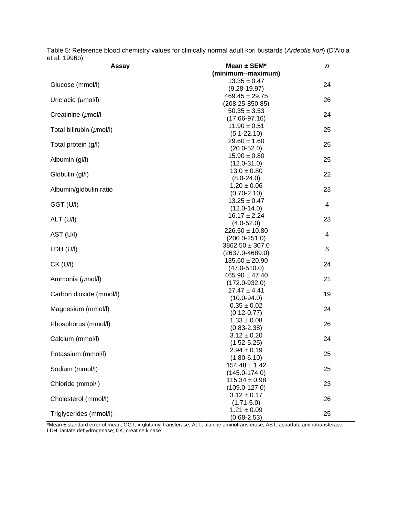| Assay                    | Mean ± SEM*                        | n  |
|--------------------------|------------------------------------|----|
|                          | (minimum--maximum)                 |    |
|                          | $13.35 \pm 0.47$                   |    |
| Glucose (mmol/l)         | $(9.28 - 19.97)$                   | 24 |
|                          | $469.45 \pm 29.75$                 | 26 |
| Uric acid $(\mu$ mol/l)  | $(208.25 - 850.85)$                |    |
|                          | $50.35 \pm 3.53$                   | 24 |
| Creatinine (umol/l       | $(17.66 - 97.16)$                  |    |
| Total bilirubin (µmol/l) | $11.90 \pm 0.51$                   | 25 |
|                          | $(5.1 - 22.10)$                    |    |
| Total protein (g/l)      | $29.60 \pm 1.60$                   | 25 |
|                          | $(20.0 - 52.0)$                    |    |
| Albumin (gl/l)           | $15.90 \pm 0.80$                   | 25 |
|                          | $(12.0 - 31.0)$                    |    |
| Globulin (gl/l)          | $13.0 \pm 0.80$                    | 22 |
|                          | $(8.0 - 24.0)$                     |    |
| Albumin/globulin ratio   | $1.20 \pm 0.06$                    | 23 |
|                          | $(0.70 - 2.10)$                    |    |
| GGT (U/I)                | $13.25 \pm 0.47$                   | 4  |
|                          | $(12.0 - 14.0)$                    |    |
| ALT (U/I)                | $16.17 \pm 2.24$                   | 23 |
|                          | $(4.0 - 52.0)$                     |    |
| AST (U/I)                | $226.50 \pm 10.80$                 | 4  |
|                          | $(200.0 - 251.0)$                  |    |
| LDH (U/I)                | $3862.50 \pm 307.0$                | 6  |
|                          | $(2637.0 - 4689.0)$                |    |
| $CK$ (U/I)               | $135.60 \pm 20.90$                 | 24 |
|                          | $(47.0 - 510.0)$                   |    |
| Ammonia (umol/l)         | $465.90 \pm 47.40$                 | 21 |
|                          | $(172.0 - 932.0)$                  |    |
| Carbon dioxide (mmol/l)  | $27.47 \pm 4.41$                   | 19 |
|                          | $(10.0 - 94.0)$                    |    |
| Magnesium (mmol/l)       | $0.35 \pm 0.02$                    | 24 |
|                          | $(0.12 - 0.77)$<br>$1.33 \pm 0.08$ |    |
| Phosphorus (mmol/l)      | $(0.83 - 2.38)$                    | 26 |
|                          | $3.12 \pm 0.20$                    |    |
| Calcium (mmol/l)         | $(1.52 - 5.25)$                    | 24 |
|                          | $2.94 \pm 0.19$                    |    |
| Potassium (mmol/l)       | $(1.80 - 6.10)$                    | 25 |
|                          | $154.48 \pm 1.42$                  |    |
| Sodium (mmol/l)          | $(145.0 - 174.0)$                  | 25 |
|                          | $115.34 \pm 0.98$                  |    |
| Chloride (mmol/l)        | $(109.0 - 127.0)$                  | 23 |
|                          | $3.12 \pm 0.17$                    |    |
| Cholesterol (mmol/l)     | $(1.71 - 5.0)$                     | 26 |
|                          | $1.21 \pm 0.09$                    |    |
| Triglycerides (mmol/l)   | $(0.68 - 2.53)$                    | 25 |

Table 5: Reference blood chemistry values for clinically normal adult kori bustards (*Ardeotis kori*) (D'Aloia et al. 1996b)

\*Mean ± standard error of mean; GGT, x-glutamyl transferase; ALT, alanine aminotransferase; AST, aspartate aminotransferase; LDH, lactate dehydrogenase; CK, creatine kinase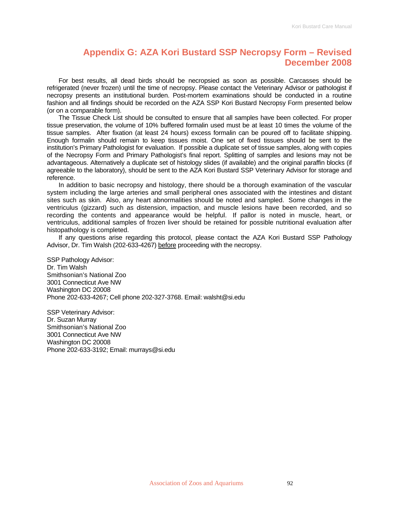### **Appendix G: AZA Kori Bustard SSP Necropsy Form – Revised December 2008**

For best results, all dead birds should be necropsied as soon as possible. Carcasses should be refrigerated (never frozen) until the time of necropsy. Please contact the Veterinary Advisor or pathologist if necropsy presents an institutional burden. Post-mortem examinations should be conducted in a routine fashion and all findings should be recorded on the AZA SSP Kori Bustard Necropsy Form presented below (or on a comparable form).

The Tissue Check List should be consulted to ensure that all samples have been collected. For proper tissue preservation, the volume of 10% buffered formalin used must be at least 10 times the volume of the tissue samples. After fixation (at least 24 hours) excess formalin can be poured off to facilitate shipping. Enough formalin should remain to keep tissues moist. One set of fixed tissues should be sent to the institution's Primary Pathologist for evaluation. If possible a duplicate set of tissue samples, along with copies of the Necropsy Form and Primary Pathologist's final report. Splitting of samples and lesions may not be advantageous. Alternatively a duplicate set of histology slides (if available) and the original paraffin blocks (if agreeable to the laboratory), should be sent to the AZA Kori Bustard SSP Veterinary Advisor for storage and reference.

In addition to basic necropsy and histology, there should be a thorough examination of the vascular system including the large arteries and small peripheral ones associated with the intestines and distant sites such as skin. Also, any heart abnormalities should be noted and sampled. Some changes in the ventriculus (gizzard) such as distension, impaction, and muscle lesions have been recorded, and so recording the contents and appearance would be helpful. If pallor is noted in muscle, heart, or ventriculus, additional samples of frozen liver should be retained for possible nutritional evaluation after histopathology is completed.

If any questions arise regarding this protocol, please contact the AZA Kori Bustard SSP Pathology Advisor, Dr. Tim Walsh (202-633-4267) before proceeding with the necropsy.

SSP Pathology Advisor: Dr. Tim Walsh Smithsonian's National Zoo 3001 Connecticut Ave NW Washington DC 20008 Phone 202-633-4267; Cell phone 202-327-3768. Email: walsht@si.edu

SSP Veterinary Advisor: Dr. Suzan Murray Smithsonian's National Zoo 3001 Connecticut Ave NW Washington DC 20008 Phone 202-633-3192; Email: murrays@si.edu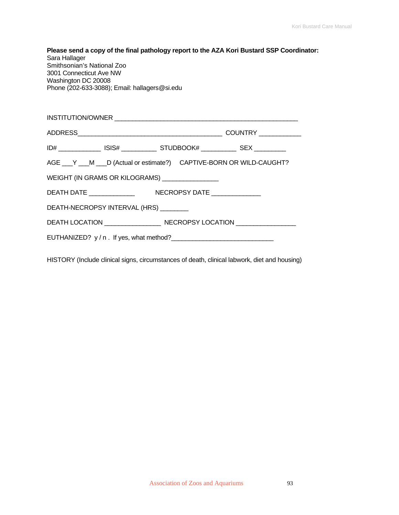| Sara Hallager<br>Smithsonian's National Zoo<br>3001 Connecticut Ave NW<br>Washington DC 20008<br>Phone (202-633-3088); Email: hallagers@si.edu |                                                                                  | Please send a copy of the final pathology report to the AZA Kori Bustard SSP Coordinator: |
|------------------------------------------------------------------------------------------------------------------------------------------------|----------------------------------------------------------------------------------|-------------------------------------------------------------------------------------------|
|                                                                                                                                                |                                                                                  |                                                                                           |
|                                                                                                                                                |                                                                                  |                                                                                           |
|                                                                                                                                                | ID# ________________ ISIS# _____________ STUDBOOK# _____________ SEX ___________ |                                                                                           |
|                                                                                                                                                | AGE ___ Y ___ M ___ D (Actual or estimate?) CAPTIVE-BORN OR WILD-CAUGHT?         |                                                                                           |
|                                                                                                                                                | WEIGHT (IN GRAMS OR KILOGRAMS) ________________                                  |                                                                                           |
|                                                                                                                                                |                                                                                  |                                                                                           |
| DEATH-NECROPSY INTERVAL (HRS) _______                                                                                                          |                                                                                  |                                                                                           |
|                                                                                                                                                |                                                                                  |                                                                                           |
|                                                                                                                                                |                                                                                  |                                                                                           |

HISTORY (Include clinical signs, circumstances of death, clinical labwork, diet and housing)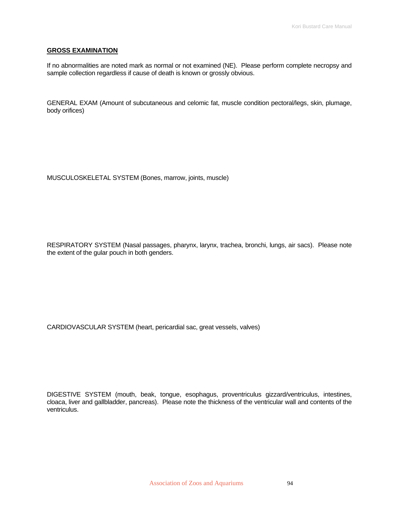#### **GROSS EXAMINATION**

If no abnormalities are noted mark as normal or not examined (NE). Please perform complete necropsy and sample collection regardless if cause of death is known or grossly obvious.

GENERAL EXAM (Amount of subcutaneous and celomic fat, muscle condition pectoral/legs, skin, plumage, body orifices)

MUSCULOSKELETAL SYSTEM (Bones, marrow, joints, muscle)

RESPIRATORY SYSTEM (Nasal passages, pharynx, larynx, trachea, bronchi, lungs, air sacs). Please note the extent of the gular pouch in both genders.

CARDIOVASCULAR SYSTEM (heart, pericardial sac, great vessels, valves)

DIGESTIVE SYSTEM (mouth, beak, tongue, esophagus, proventriculus gizzard/ventriculus, intestines, cloaca, liver and gallbladder, pancreas). Please note the thickness of the ventricular wall and contents of the ventriculus.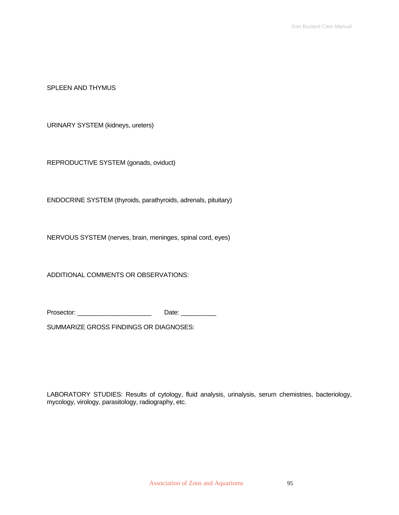SPLEEN AND THYMUS

URINARY SYSTEM (kidneys, ureters)

REPRODUCTIVE SYSTEM (gonads, oviduct)

ENDOCRINE SYSTEM (thyroids, parathyroids, adrenals, pituitary)

NERVOUS SYSTEM (nerves, brain, meninges, spinal cord, eyes)

ADDITIONAL COMMENTS OR OBSERVATIONS:

Prosector: \_\_\_\_\_\_\_\_\_\_\_\_\_\_\_\_\_\_\_\_\_ Date: \_\_\_\_\_\_\_\_\_\_

SUMMARIZE GROSS FINDINGS OR DIAGNOSES:

LABORATORY STUDIES: Results of cytology, fluid analysis, urinalysis, serum chemistries, bacteriology, mycology, virology, parasitology, radiography, etc.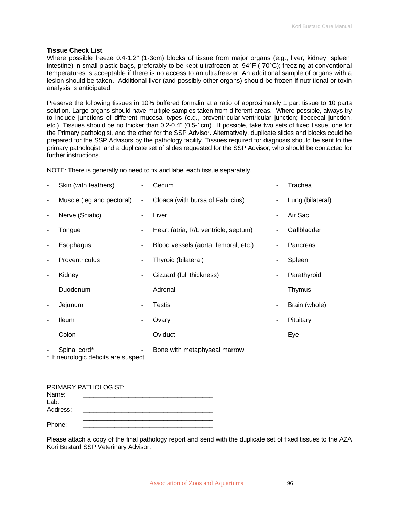#### **Tissue Check List**

Where possible freeze 0.4-1.2" (1-3cm) blocks of tissue from major organs (e.g., liver, kidney, spleen, intestine) in small plastic bags, preferably to be kept ultrafrozen at -94°F (-70°C); freezing at conventional temperatures is acceptable if there is no access to an ultrafreezer. An additional sample of organs with a lesion should be taken. Additional liver (and possibly other organs) should be frozen if nutritional or toxin analysis is anticipated.

Preserve the following tissues in 10% buffered formalin at a ratio of approximately 1 part tissue to 10 parts solution. Large organs should have multiple samples taken from different areas. Where possible, always try to include junctions of different mucosal types (e.g., proventricular-ventricular junction; ileocecal junction, etc.). Tissues should be no thicker than 0.2-0.4" (0.5-1cm). If possible, take two sets of fixed tissue, one for the Primary pathologist, and the other for the SSP Advisor. Alternatively, duplicate slides and blocks could be prepared for the SSP Advisors by the pathology facility. Tissues required for diagnosis should be sent to the primary pathologist, and a duplicate set of slides requested for the SSP Advisor, who should be contacted for further instructions.

NOTE: There is generally no need to fix and label each tissue separately.

|                          | Skin (with feathers)                                 | ۰.     | Cecum                                |                | Trachea          |
|--------------------------|------------------------------------------------------|--------|--------------------------------------|----------------|------------------|
| $\overline{\phantom{a}}$ | Muscle (leg and pectoral)                            | $\sim$ | Cloaca (with bursa of Fabricius)     | $\blacksquare$ | Lung (bilateral) |
| $\overline{\phantom{a}}$ | Nerve (Sciatic)                                      |        | Liver                                | ٠              | Air Sac          |
|                          | Tongue                                               | ۰      | Heart (atria, R/L ventricle, septum) | ۰              | Gallbladder      |
| $\overline{\phantom{a}}$ | Esophagus                                            | ۰.     | Blood vessels (aorta, femoral, etc.) | ٠              | Pancreas         |
| $\overline{\phantom{a}}$ | <b>Proventriculus</b>                                |        | Thyroid (bilateral)                  | ۰              | Spleen           |
| $\overline{\phantom{a}}$ | Kidney                                               |        | Gizzard (full thickness)             | ۰              | Parathyroid      |
|                          | Duodenum                                             |        | Adrenal                              | ٠              | Thymus           |
| $\overline{\phantom{a}}$ | Jejunum                                              |        | <b>Testis</b>                        | ٠              | Brain (whole)    |
|                          | <b>Ileum</b>                                         |        | Ovary                                |                | Pituitary        |
|                          | Colon                                                | ۰      | Oviduct                              |                | Eye              |
|                          | Spinal cord*<br>* If neurologic deficits are suspect | ٠      | Bone with metaphyseal marrow         |                |                  |

| Name:    |  |
|----------|--|
| Lab:     |  |
| Address: |  |
|          |  |
| Phone:   |  |

Please attach a copy of the final pathology report and send with the duplicate set of fixed tissues to the AZA Kori Bustard SSP Veterinary Advisor.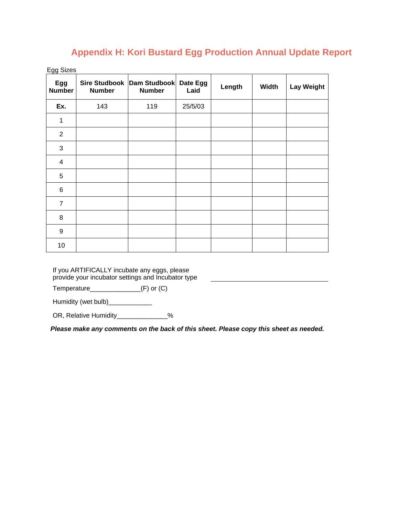## **Appendix H: Kori Bustard Egg Production Annual Update Report**

Egg Sizes

| Egg<br><b>Number</b> | <b>Number</b> | Sire Studbook   Dam Studbook   Date Egg<br><b>Number</b> | Laid    | Length | <b>Width</b> | <b>Lay Weight</b> |
|----------------------|---------------|----------------------------------------------------------|---------|--------|--------------|-------------------|
| Ex.                  | 143           | 119                                                      | 25/5/03 |        |              |                   |
| 1                    |               |                                                          |         |        |              |                   |
| $\overline{2}$       |               |                                                          |         |        |              |                   |
| $\sqrt{3}$           |               |                                                          |         |        |              |                   |
| $\overline{4}$       |               |                                                          |         |        |              |                   |
| $\sqrt{5}$           |               |                                                          |         |        |              |                   |
| $\,6$                |               |                                                          |         |        |              |                   |
| $\overline{7}$       |               |                                                          |         |        |              |                   |
| 8                    |               |                                                          |         |        |              |                   |
| $\boldsymbol{9}$     |               |                                                          |         |        |              |                   |
| 10                   |               |                                                          |         |        |              |                   |

If you ARTIFICALLY incubate any eggs, please provide your incubator settings and Incubator type

Temperature\_\_\_\_\_\_\_\_\_\_\_\_\_\_(F) or (C)

Humidity (wet bulb)\_\_\_\_\_\_\_\_\_\_\_\_\_\_

OR, Relative Humidity\_\_\_\_\_\_\_\_\_\_\_\_\_%

*Please make any comments on the back of this sheet. Please copy this sheet as needed.*

<u> 1989 - Johann Barbara, martxa a</u>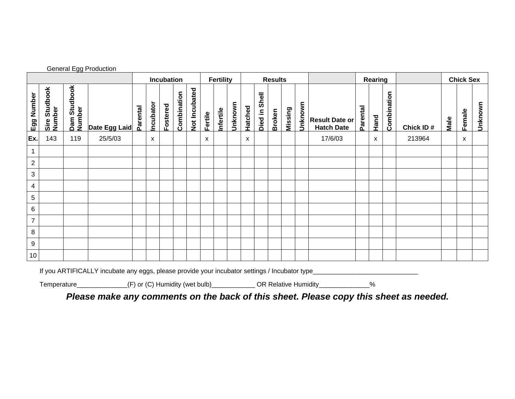|                |                         | <u>--------</u> --     | .                                                                                                                                                            | Incubation |           | <b>Fertility</b> |             | <b>Results</b> |         |           |         | Rearing |                  |        |         | <b>Chick Sex</b> |                                            |          |      |             |           |      |        |         |
|----------------|-------------------------|------------------------|--------------------------------------------------------------------------------------------------------------------------------------------------------------|------------|-----------|------------------|-------------|----------------|---------|-----------|---------|---------|------------------|--------|---------|------------------|--------------------------------------------|----------|------|-------------|-----------|------|--------|---------|
| Egg Number     | Sire Studbook<br>Number | Dam Studbook<br>Number | Date Egg Laid                                                                                                                                                | Parental   | Incubator | Fostered         | Combination | Not Incubated  | Fertile | Infertile | Unknown | Hatched | Shell<br>Died in | Broken | Missing | Unknown          | <b>Result Date or</b><br><b>Hatch Date</b> | Parental | Hand | Combination | Chick ID# | Male | Female | Unknown |
| Ex.            | 143                     | 119                    | 25/5/03                                                                                                                                                      |            | X         |                  |             |                | X       |           |         | х       |                  |        |         |                  | 17/6/03                                    |          | X    |             | 213964    |      | X      |         |
| $\mathbf{1}$   |                         |                        |                                                                                                                                                              |            |           |                  |             |                |         |           |         |         |                  |        |         |                  |                                            |          |      |             |           |      |        |         |
| $\mathbf{2}$   |                         |                        |                                                                                                                                                              |            |           |                  |             |                |         |           |         |         |                  |        |         |                  |                                            |          |      |             |           |      |        |         |
| $\mathbf{3}$   |                         |                        |                                                                                                                                                              |            |           |                  |             |                |         |           |         |         |                  |        |         |                  |                                            |          |      |             |           |      |        |         |
| $\overline{4}$ |                         |                        |                                                                                                                                                              |            |           |                  |             |                |         |           |         |         |                  |        |         |                  |                                            |          |      |             |           |      |        |         |
| $\overline{5}$ |                         |                        |                                                                                                                                                              |            |           |                  |             |                |         |           |         |         |                  |        |         |                  |                                            |          |      |             |           |      |        |         |
| $\,6\,$        |                         |                        |                                                                                                                                                              |            |           |                  |             |                |         |           |         |         |                  |        |         |                  |                                            |          |      |             |           |      |        |         |
| $\overline{7}$ |                         |                        |                                                                                                                                                              |            |           |                  |             |                |         |           |         |         |                  |        |         |                  |                                            |          |      |             |           |      |        |         |
| $\,$ 8         |                         |                        |                                                                                                                                                              |            |           |                  |             |                |         |           |         |         |                  |        |         |                  |                                            |          |      |             |           |      |        |         |
| $9\,$          |                         |                        |                                                                                                                                                              |            |           |                  |             |                |         |           |         |         |                  |        |         |                  |                                            |          |      |             |           |      |        |         |
| $10$           |                         |                        |                                                                                                                                                              |            |           |                  |             |                |         |           |         |         |                  |        |         |                  |                                            |          |      |             |           |      |        |         |
|                | Temperature_            |                        | If you ARTIFICALLY incubate any eggs, please provide your incubator settings / Incubator type<br>_______________(F) or (C) Humidity (wet bulb)______________ |            |           |                  |             |                |         |           |         |         |                  |        |         |                  | OR Relative Humidity_____________          |          | %    |             |           |      |        |         |

General Egg Production

*Please make any comments on the back of this sheet. Please copy this sheet as needed.*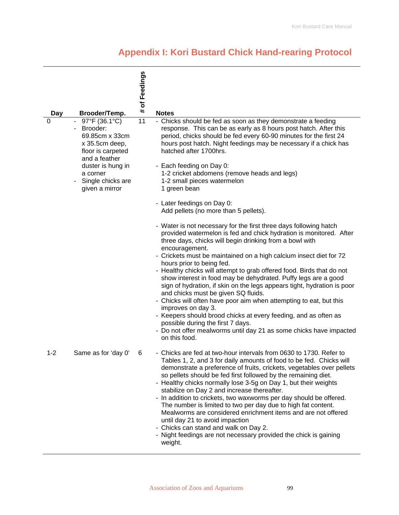# **Appendix I: Kori Bustard Chick Hand-rearing Protocol**

|         |                                                                                                                                                                             | of Feedings |                                                                                                                                                                                                                                                                                                                                                                                                                                                                                                                                                                                                                                                                                                                                                                                                                                                                                 |
|---------|-----------------------------------------------------------------------------------------------------------------------------------------------------------------------------|-------------|---------------------------------------------------------------------------------------------------------------------------------------------------------------------------------------------------------------------------------------------------------------------------------------------------------------------------------------------------------------------------------------------------------------------------------------------------------------------------------------------------------------------------------------------------------------------------------------------------------------------------------------------------------------------------------------------------------------------------------------------------------------------------------------------------------------------------------------------------------------------------------|
| Day     | Brooder/Temp.                                                                                                                                                               | #           | <b>Notes</b>                                                                                                                                                                                                                                                                                                                                                                                                                                                                                                                                                                                                                                                                                                                                                                                                                                                                    |
| 0       | 97°F (36.1°C)<br>Brooder:<br>69.85cm x 33cm<br>x 35.5cm deep,<br>floor is carpeted<br>and a feather<br>duster is hung in<br>a corner<br>Single chicks are<br>given a mirror | 11          | - Chicks should be fed as soon as they demonstrate a feeding<br>response. This can be as early as 8 hours post hatch. After this<br>period, chicks should be fed every 60-90 minutes for the first 24<br>hours post hatch. Night feedings may be necessary if a chick has<br>hatched after 1700hrs.<br>- Each feeding on Day 0:<br>1-2 cricket abdomens (remove heads and legs)<br>1-2 small pieces watermelon<br>1 green bean                                                                                                                                                                                                                                                                                                                                                                                                                                                  |
|         |                                                                                                                                                                             |             | - Later feedings on Day 0:<br>Add pellets (no more than 5 pellets).                                                                                                                                                                                                                                                                                                                                                                                                                                                                                                                                                                                                                                                                                                                                                                                                             |
|         |                                                                                                                                                                             |             | - Water is not necessary for the first three days following hatch<br>provided watermelon is fed and chick hydration is monitored. After<br>three days, chicks will begin drinking from a bowl with<br>encouragement.<br>- Crickets must be maintained on a high calcium insect diet for 72<br>hours prior to being fed.<br>- Healthy chicks will attempt to grab offered food. Birds that do not<br>show interest in food may be dehydrated. Puffy legs are a good<br>sign of hydration, if skin on the legs appears tight, hydration is poor<br>and chicks must be given SQ fluids.<br>- Chicks will often have poor aim when attempting to eat, but this<br>improves on day 3.<br>- Keepers should brood chicks at every feeding, and as often as<br>possible during the first 7 days.<br>- Do not offer mealworms until day 21 as some chicks have impacted<br>on this food. |
| $1 - 2$ | Same as for 'day 0'                                                                                                                                                         | 6           | - Chicks are fed at two-hour intervals from 0630 to 1730. Refer to<br>Tables 1, 2, and 3 for daily amounts of food to be fed. Chicks will<br>demonstrate a preference of fruits, crickets, vegetables over pellets<br>so pellets should be fed first followed by the remaining diet.<br>- Healthy chicks normally lose 3-5g on Day 1, but their weights<br>stabilize on Day 2 and increase thereafter.<br>- In addition to crickets, two waxworms per day should be offered.<br>The number is limited to two per day due to high fat content.<br>Mealworms are considered enrichment items and are not offered<br>until day 21 to avoid impaction<br>- Chicks can stand and walk on Day 2.<br>- Night feedings are not necessary provided the chick is gaining<br>weight.                                                                                                       |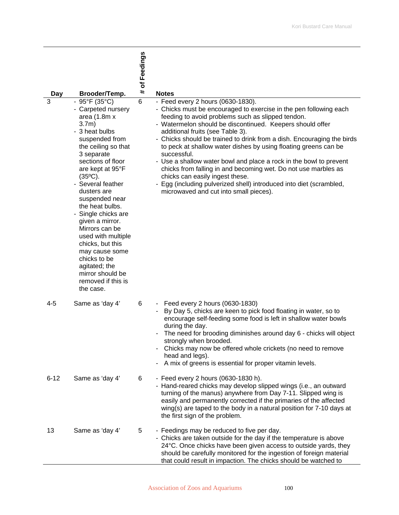| Day      | Brooder/Temp.                                                                                                                                                                                                                                                                                                                                                                                                                                                                                                   | # of Feedings  | <b>Notes</b>                                                                                                                                                                                                                                                                                                                                                                                                                                                                                                                                                                                                                                                                                                         |
|----------|-----------------------------------------------------------------------------------------------------------------------------------------------------------------------------------------------------------------------------------------------------------------------------------------------------------------------------------------------------------------------------------------------------------------------------------------------------------------------------------------------------------------|----------------|----------------------------------------------------------------------------------------------------------------------------------------------------------------------------------------------------------------------------------------------------------------------------------------------------------------------------------------------------------------------------------------------------------------------------------------------------------------------------------------------------------------------------------------------------------------------------------------------------------------------------------------------------------------------------------------------------------------------|
| 3        | $-95^{\circ}F(35^{\circ}C)$<br>- Carpeted nursery<br>area $(1.8m x)$<br>$3.7m$ )<br>- 3 heat bulbs<br>suspended from<br>the ceiling so that<br>3 separate<br>sections of floor<br>are kept at 95°F<br>$(35^{\circ}C).$<br>- Several feather<br>dusters are<br>suspended near<br>the heat bulbs.<br>- Single chicks are<br>given a mirror.<br>Mirrors can be<br>used with multiple<br>chicks, but this<br>may cause some<br>chicks to be<br>agitated; the<br>mirror should be<br>removed if this is<br>the case. | $\overline{6}$ | - Feed every 2 hours (0630-1830).<br>- Chicks must be encouraged to exercise in the pen following each<br>feeding to avoid problems such as slipped tendon.<br>- Watermelon should be discontinued. Keepers should offer<br>additional fruits (see Table 3).<br>- Chicks should be trained to drink from a dish. Encouraging the birds<br>to peck at shallow water dishes by using floating greens can be<br>successful.<br>- Use a shallow water bowl and place a rock in the bowl to prevent<br>chicks from falling in and becoming wet. Do not use marbles as<br>chicks can easily ingest these.<br>- Egg (including pulverized shell) introduced into diet (scrambled,<br>microwaved and cut into small pieces). |
| 4-5      | Same as 'day 4'                                                                                                                                                                                                                                                                                                                                                                                                                                                                                                 | 6              | Feed every 2 hours (0630-1830)<br>By Day 5, chicks are keen to pick food floating in water, so to<br>encourage self-feeding some food is left in shallow water bowls<br>during the day.<br>The need for brooding diminishes around day 6 - chicks will object<br>strongly when brooded.<br>Chicks may now be offered whole crickets (no need to remove<br>head and legs).<br>A mix of greens is essential for proper vitamin levels.                                                                                                                                                                                                                                                                                 |
| $6 - 12$ | Same as 'day 4'                                                                                                                                                                                                                                                                                                                                                                                                                                                                                                 | 6              | - Feed every 2 hours (0630-1830 h).<br>- Hand-reared chicks may develop slipped wings (i.e., an outward<br>turning of the manus) anywhere from Day 7-11. Slipped wing is<br>easily and permanently corrected if the primaries of the affected<br>wing(s) are taped to the body in a natural position for 7-10 days at<br>the first sign of the problem.                                                                                                                                                                                                                                                                                                                                                              |
| 13       | Same as 'day 4'                                                                                                                                                                                                                                                                                                                                                                                                                                                                                                 | 5              | - Feedings may be reduced to five per day.<br>- Chicks are taken outside for the day if the temperature is above<br>24°C. Once chicks have been given access to outside yards, they<br>should be carefully monitored for the ingestion of foreign material<br>that could result in impaction. The chicks should be watched to                                                                                                                                                                                                                                                                                                                                                                                        |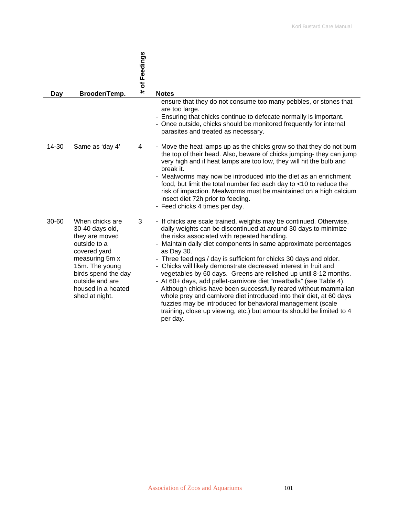| Day   | Brooder/Temp.                                                                                                                                                                                              | # of Feedings | <b>Notes</b>                                                                                                                                                                                                                                                                                                                                                                                                                                                                                                                                                                                                                                                                                                                                                                                                                                               |
|-------|------------------------------------------------------------------------------------------------------------------------------------------------------------------------------------------------------------|---------------|------------------------------------------------------------------------------------------------------------------------------------------------------------------------------------------------------------------------------------------------------------------------------------------------------------------------------------------------------------------------------------------------------------------------------------------------------------------------------------------------------------------------------------------------------------------------------------------------------------------------------------------------------------------------------------------------------------------------------------------------------------------------------------------------------------------------------------------------------------|
|       |                                                                                                                                                                                                            |               | ensure that they do not consume too many pebbles, or stones that<br>are too large.<br>- Ensuring that chicks continue to defecate normally is important.<br>- Once outside, chicks should be monitored frequently for internal<br>parasites and treated as necessary.                                                                                                                                                                                                                                                                                                                                                                                                                                                                                                                                                                                      |
| 14-30 | Same as 'day 4'                                                                                                                                                                                            | 4             | - Move the heat lamps up as the chicks grow so that they do not burn<br>the top of their head. Also, beware of chicks jumping- they can jump<br>very high and if heat lamps are too low, they will hit the bulb and<br>break it.<br>- Mealworms may now be introduced into the diet as an enrichment<br>food, but limit the total number fed each day to <10 to reduce the<br>risk of impaction. Mealworms must be maintained on a high calcium<br>insect diet 72h prior to feeding.<br>- Feed chicks 4 times per day.                                                                                                                                                                                                                                                                                                                                     |
| 30-60 | When chicks are<br>30-40 days old,<br>they are moved<br>outside to a<br>covered yard<br>measuring 5m x<br>15m. The young<br>birds spend the day<br>outside and are<br>housed in a heated<br>shed at night. | 3             | - If chicks are scale trained, weights may be continued. Otherwise,<br>daily weights can be discontinued at around 30 days to minimize<br>the risks associated with repeated handling.<br>- Maintain daily diet components in same approximate percentages<br>as Day 30.<br>- Three feedings / day is sufficient for chicks 30 days and older.<br>- Chicks will likely demonstrate decreased interest in fruit and<br>vegetables by 60 days. Greens are relished up until 8-12 months.<br>- At 60+ days, add pellet-carnivore diet "meatballs" (see Table 4).<br>Although chicks have been successfully reared without mammalian<br>whole prey and carnivore diet introduced into their diet, at 60 days<br>fuzzies may be introduced for behavioral management (scale<br>training, close up viewing, etc.) but amounts should be limited to 4<br>per day. |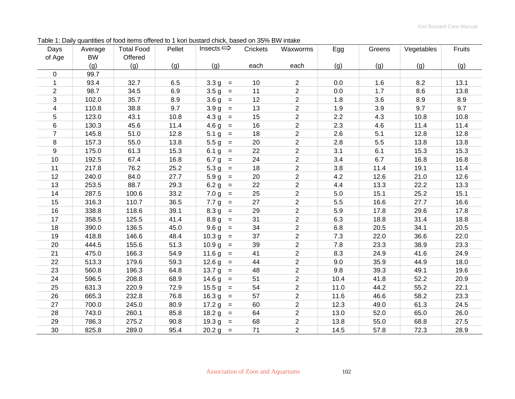| Days           | Average   | <b>Total Food</b> | Pellet | Insects $\Rightarrow$                                  | Crickets | Waxworms       | Egg  | Greens | Vegetables | Fruits |
|----------------|-----------|-------------------|--------|--------------------------------------------------------|----------|----------------|------|--------|------------|--------|
| of Age         | <b>BW</b> | Offered           |        |                                                        |          |                |      |        |            |        |
|                | (g)       | (g)               | (g)    | (g)                                                    | each     | each           | (g)  | (g)    | (g)        | (g)    |
| $\Omega$       | 99.7      |                   |        |                                                        |          |                |      |        |            |        |
| 1              | 93.4      | 32.7              | 6.5    | 3.3 <sub>g</sub><br>$\equiv$                           | 10       | $\overline{2}$ | 0.0  | 1.6    | 8.2        | 13.1   |
| $\overline{2}$ | 98.7      | 34.5              | 6.9    | $3.5 g =$                                              | 11       | $\overline{2}$ | 0.0  | 1.7    | 8.6        | 13.8   |
| 3              | 102.0     | 35.7              | 8.9    | 3.6 <sub>g</sub><br>$\qquad \qquad =$                  | 12       | $\overline{c}$ | 1.8  | 3.6    | 8.9        | 8.9    |
| 4              | 110.8     | 38.8              | 9.7    | $3.9 g =$                                              | 13       | $\overline{2}$ | 1.9  | 3.9    | 9.7        | 9.7    |
| 5              | 123.0     | 43.1              | 10.8   | $4.3 g =$                                              | 15       | $\overline{2}$ | 2.2  | 4.3    | 10.8       | 10.8   |
| 6              | 130.3     | 45.6              | 11.4   | $4.6 g =$                                              | 16       | $\overline{c}$ | 2.3  | 4.6    | 11.4       | 11.4   |
| $\overline{7}$ | 145.8     | 51.0              | 12.8   | $5.1 g =$                                              | 18       | $\overline{2}$ | 2.6  | 5.1    | 12.8       | 12.8   |
| 8              | 157.3     | 55.0              | 13.8   | $5.5 g =$                                              | 20       | $\overline{2}$ | 2.8  | 5.5    | 13.8       | 13.8   |
| 9              | 175.0     | 61.3              | 15.3   | 6.1 g =                                                | 22       | $\overline{2}$ | 3.1  | 6.1    | 15.3       | 15.3   |
| 10             | 192.5     | 67.4              | 16.8   | 6.7 g<br>$=$                                           | 24       | $\overline{2}$ | 3.4  | 6.7    | 16.8       | 16.8   |
| 11             | 217.8     | 76.2              | 25.2   | 5.3 <sub>g</sub><br>$=$                                | 18       | $\overline{2}$ | 3.8  | 11.4   | 19.1       | 11.4   |
| 12             | 240.0     | 84.0              | 27.7   | 5.9 <sub>g</sub><br>$=$                                | 20       | $\overline{2}$ | 4.2  | 12.6   | 21.0       | 12.6   |
| 13             | 253.5     | 88.7              | 29.3   | 6.2 <sub>g</sub><br>$=$                                | 22       | $\overline{2}$ | 4.4  | 13.3   | 22.2       | 13.3   |
| 14             | 287.5     | 100.6             | 33.2   | 7.0 <sub>g</sub><br>$=$                                | 25       | $\overline{2}$ | 5.0  | 15.1   | 25.2       | 15.1   |
| 15             | 316.3     | 110.7             | 36.5   | 7.7 g<br>$\,$ $\,$ $\,$                                | 27       | $\overline{c}$ | 5.5  | 16.6   | 27.7       | 16.6   |
| 16             | 338.8     | 118.6             | 39.1   | $8.3 g =$                                              | 29       | $\overline{2}$ | 5.9  | 17.8   | 29.6       | 17.8   |
| 17             | 358.5     | 125.5             | 41.4   | $8.8 g =$                                              | 31       | $\overline{2}$ | 6.3  | 18.8   | 31.4       | 18.8   |
| 18             | 390.0     | 136.5             | 45.0   | $9.6 g =$                                              | 34       | $\overline{2}$ | 6.8  | 20.5   | 34.1       | 20.5   |
| 19             | 418.8     | 146.6             | 48.4   | $10.3 g =$                                             | 37       | $\overline{2}$ | 7.3  | 22.0   | 36.6       | 22.0   |
| 20             | 444.5     | 155.6             | 51.3   | 10.9 <sub>g</sub><br>$=$                               | 39       | $\overline{2}$ | 7.8  | 23.3   | 38.9       | 23.3   |
| 21             | 475.0     | 166.3             | 54.9   | $11.6 g =$                                             | 41       | $\overline{2}$ | 8.3  | 24.9   | 41.6       | 24.9   |
| 22             | 513.3     | 179.6             | 59.3   | $12.6 g =$                                             | 44       | $\overline{2}$ | 9.0  | 35.9   | 44.9       | 18.0   |
| 23             | 560.8     | 196.3             | 64.8   | 13.7 <sub>g</sub><br>$\hspace{0.1cm} = \hspace{0.1cm}$ | 48       | $\overline{c}$ | 9.8  | 39.3   | 49.1       | 19.6   |
| 24             | 596.5     | 208.8             | 68.9   | 14.6 <sub>g</sub><br>$=$                               | 51       | $\overline{2}$ | 10.4 | 41.8   | 52.2       | 20.9   |
| 25             | 631.3     | 220.9             | 72.9   | 15.5 <sub>g</sub><br>$\qquad \qquad =$                 | 54       | $\overline{2}$ | 11.0 | 44.2   | 55.2       | 22.1   |
| 26             | 665.3     | 232.8             | 76.8   | 16.3 <sub>g</sub><br>$=$                               | 57       | $\overline{2}$ | 11.6 | 46.6   | 58.2       | 23.3   |
| 27             | 700.0     | 245.0             | 80.9   | 17.2 <sub>g</sub><br>$=$                               | 60       | $\overline{2}$ | 12.3 | 49.0   | 61.3       | 24.5   |
| 28             | 743.0     | 260.1             | 85.8   | 18.2 g<br>$=$                                          | 64       | $\overline{2}$ | 13.0 | 52.0   | 65.0       | 26.0   |
| 29             | 786.3     | 275.2             | 90.8   | $19.3 g =$                                             | 68       | $\overline{2}$ | 13.8 | 55.0   | 68.8       | 27.5   |
| 30             | 825.8     | 289.0             | 95.4   | $20.2 g =$                                             | 71       | $\overline{2}$ | 14.5 | 57.8   | 72.3       | 28.9   |

Table 1: Daily quantities of food items offered to 1 kori bustard chick, based on 35% BW intake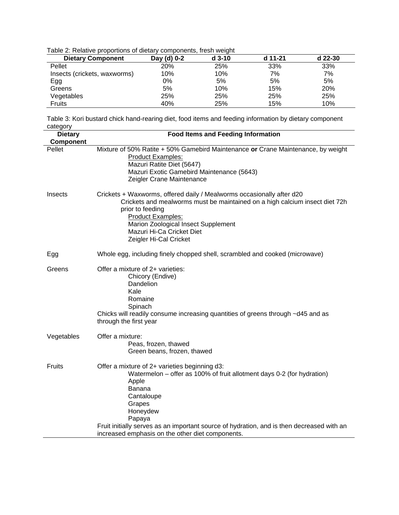Table 2: Relative proportions of dietary components, fresh weight

| <b>Dietary Component</b>     | Day (d) 0-2 | $d$ 3-10 | d 11-21 | d 22-30 |
|------------------------------|-------------|----------|---------|---------|
| Pellet                       | 20%         | 25%      | 33%     | 33%     |
| Insects (crickets, waxworms) | 10%         | 10%      | 7%      | 7%      |
| Egg                          | 0%          | 5%       | 5%      | 5%      |
| Greens                       | 5%          | 10%      | 15%     | 20%     |
| Vegetables                   | 25%         | 25%      | 25%     | 25%     |
| Fruits                       | 40%         | 25%      | 15%     | 10%     |

Table 3: Kori bustard chick hand-rearing diet, food items and feeding information by dietary component category

| oulogory<br><b>Dietary</b> | <b>Food Items and Feeding Information</b>                                                                                                                                                                                                                                                                                                        |
|----------------------------|--------------------------------------------------------------------------------------------------------------------------------------------------------------------------------------------------------------------------------------------------------------------------------------------------------------------------------------------------|
| Component                  |                                                                                                                                                                                                                                                                                                                                                  |
| Pellet                     | Mixture of 50% Ratite + 50% Gamebird Maintenance or Crane Maintenance, by weight<br><b>Product Examples:</b><br>Mazuri Ratite Diet (5647)<br>Mazuri Exotic Gamebird Maintenance (5643)<br>Zeigler Crane Maintenance                                                                                                                              |
| Insects                    | Crickets + Waxworms, offered daily / Mealworms occasionally after d20<br>Crickets and mealworms must be maintained on a high calcium insect diet 72h<br>prior to feeding<br><b>Product Examples:</b><br>Marion Zoological Insect Supplement<br>Mazuri Hi-Ca Cricket Diet<br>Zeigler Hi-Cal Cricket                                               |
| Egg                        | Whole egg, including finely chopped shell, scrambled and cooked (microwave)                                                                                                                                                                                                                                                                      |
| Greens                     | Offer a mixture of 2+ varieties:<br>Chicory (Endive)<br>Dandelion<br>Kale<br>Romaine<br>Spinach<br>Chicks will readily consume increasing quantities of greens through ~d45 and as<br>through the first year                                                                                                                                     |
| Vegetables                 | Offer a mixture:<br>Peas, frozen, thawed<br>Green beans, frozen, thawed                                                                                                                                                                                                                                                                          |
| Fruits                     | Offer a mixture of 2+ varieties beginning d3:<br>Watermelon – offer as 100% of fruit allotment days 0-2 (for hydration)<br>Apple<br><b>Banana</b><br>Cantaloupe<br>Grapes<br>Honeydew<br>Papaya<br>Fruit initially serves as an important source of hydration, and is then decreased with an<br>increased emphasis on the other diet components. |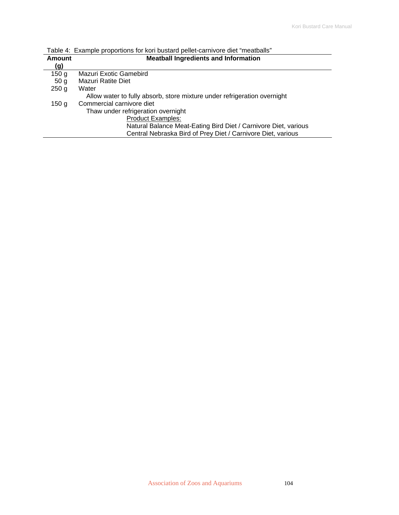| Amount           | <b>Meatball Ingredients and Information</b>                              |  |  |  |  |  |
|------------------|--------------------------------------------------------------------------|--|--|--|--|--|
| (g)              |                                                                          |  |  |  |  |  |
| 150 <sub>g</sub> | Mazuri Exotic Gamebird                                                   |  |  |  |  |  |
| 50 <sub>g</sub>  | <b>Mazuri Ratite Diet</b>                                                |  |  |  |  |  |
| 250 <sub>g</sub> | Water                                                                    |  |  |  |  |  |
|                  | Allow water to fully absorb, store mixture under refrigeration overnight |  |  |  |  |  |
| 150 <sub>g</sub> | Commercial carnivore diet                                                |  |  |  |  |  |
|                  | Thaw under refrigeration overnight                                       |  |  |  |  |  |
|                  | <b>Product Examples:</b>                                                 |  |  |  |  |  |
|                  | Natural Balance Meat-Eating Bird Diet / Carnivore Diet, various          |  |  |  |  |  |
|                  | Central Nebraska Bird of Prey Diet / Carnivore Diet, various             |  |  |  |  |  |

Table 4: Example proportions for kori bustard pellet-carnivore diet "meatballs"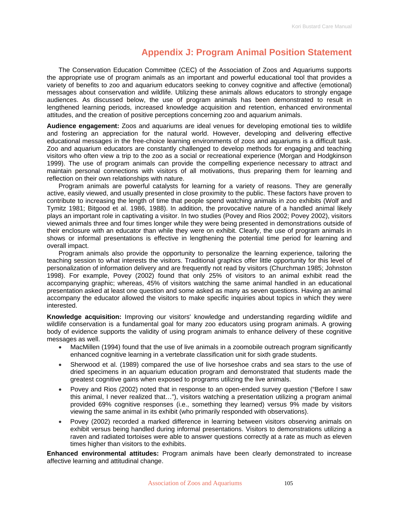### **Appendix J: Program Animal Position Statement**

The Conservation Education Committee (CEC) of the Association of Zoos and Aquariums supports the appropriate use of program animals as an important and powerful educational tool that provides a variety of benefits to zoo and aquarium educators seeking to convey cognitive and affective (emotional) messages about conservation and wildlife. Utilizing these animals allows educators to strongly engage audiences. As discussed below, the use of program animals has been demonstrated to result in lengthened learning periods, increased knowledge acquisition and retention, enhanced environmental attitudes, and the creation of positive perceptions concerning zoo and aquarium animals.

**Audience engagement:** Zoos and aquariums are ideal venues for developing emotional ties to wildlife and fostering an appreciation for the natural world. However, developing and delivering effective educational messages in the free-choice learning environments of zoos and aquariums is a difficult task. Zoo and aquarium educators are constantly challenged to develop methods for engaging and teaching visitors who often view a trip to the zoo as a social or recreational experience (Morgan and Hodgkinson 1999). The use of program animals can provide the compelling experience necessary to attract and maintain personal connections with visitors of all motivations, thus preparing them for learning and reflection on their own relationships with nature.

Program animals are powerful catalysts for learning for a variety of reasons. They are generally active, easily viewed, and usually presented in close proximity to the public. These factors have proven to contribute to increasing the length of time that people spend watching animals in zoo exhibits (Wolf and Tymitz 1981; Bitgood et al. 1986, 1988). In addition, the provocative nature of a handled animal likely plays an important role in captivating a visitor. In two studies (Povey and Rios 2002; Povey 2002), visitors viewed animals three and four times longer while they were being presented in demonstrations outside of their enclosure with an educator than while they were on exhibit. Clearly, the use of program animals in shows or informal presentations is effective in lengthening the potential time period for learning and overall impact.

Program animals also provide the opportunity to personalize the learning experience, tailoring the teaching session to what interests the visitors. Traditional graphics offer little opportunity for this level of personalization of information delivery and are frequently not read by visitors (Churchman 1985; Johnston 1998). For example, Povey (2002) found that only 25% of visitors to an animal exhibit read the accompanying graphic; whereas, 45% of visitors watching the same animal handled in an educational presentation asked at least one question and some asked as many as seven questions. Having an animal accompany the educator allowed the visitors to make specific inquiries about topics in which they were interested.

**Knowledge acquisition:** Improving our visitors' knowledge and understanding regarding wildlife and wildlife conservation is a fundamental goal for many zoo educators using program animals. A growing body of evidence supports the validity of using program animals to enhance delivery of these cognitive messages as well.

- MacMillen (1994) found that the use of live animals in a zoomobile outreach program significantly enhanced cognitive learning in a vertebrate classification unit for sixth grade students.
- Sherwood et al. (1989) compared the use of live horseshoe crabs and sea stars to the use of dried specimens in an aquarium education program and demonstrated that students made the greatest cognitive gains when exposed to programs utilizing the live animals.
- Povey and Rios (2002) noted that in response to an open-ended survey question ("Before I saw this animal, I never realized that…"), visitors watching a presentation utilizing a program animal provided 69% cognitive responses (i.e., something they learned) versus 9% made by visitors viewing the same animal in its exhibit (who primarily responded with observations).
- Povey (2002) recorded a marked difference in learning between visitors observing animals on exhibit versus being handled during informal presentations. Visitors to demonstrations utilizing a raven and radiated tortoises were able to answer questions correctly at a rate as much as eleven times higher than visitors to the exhibits.

**Enhanced environmental attitudes:** Program animals have been clearly demonstrated to increase affective learning and attitudinal change.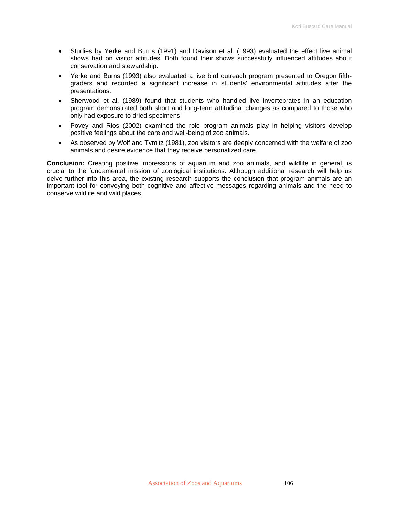- Studies by Yerke and Burns (1991) and Davison et al. (1993) evaluated the effect live animal shows had on visitor attitudes. Both found their shows successfully influenced attitudes about conservation and stewardship.
- Yerke and Burns (1993) also evaluated a live bird outreach program presented to Oregon fifthgraders and recorded a significant increase in students' environmental attitudes after the presentations.
- Sherwood et al. (1989) found that students who handled live invertebrates in an education program demonstrated both short and long-term attitudinal changes as compared to those who only had exposure to dried specimens.
- Povey and Rios (2002) examined the role program animals play in helping visitors develop positive feelings about the care and well-being of zoo animals.
- As observed by Wolf and Tymitz (1981), zoo visitors are deeply concerned with the welfare of zoo animals and desire evidence that they receive personalized care.

**Conclusion:** Creating positive impressions of aquarium and zoo animals, and wildlife in general, is crucial to the fundamental mission of zoological institutions. Although additional research will help us delve further into this area, the existing research supports the conclusion that program animals are an important tool for conveying both cognitive and affective messages regarding animals and the need to conserve wildlife and wild places.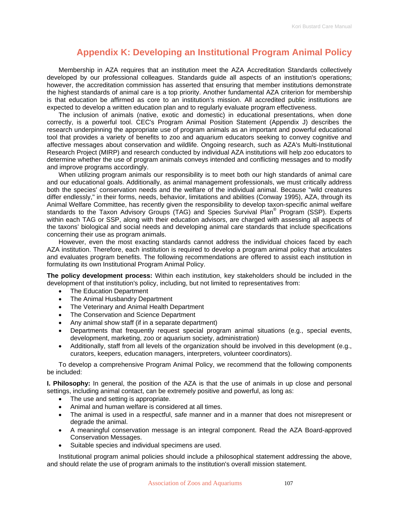### **Appendix K: Developing an Institutional Program Animal Policy**

Membership in AZA requires that an institution meet the AZA Accreditation Standards collectively developed by our professional colleagues. Standards guide all aspects of an institution's operations; however, the accreditation commission has asserted that ensuring that member institutions demonstrate the highest standards of animal care is a top priority. Another fundamental AZA criterion for membership is that education be affirmed as core to an institution's mission. All accredited public institutions are expected to develop a written education plan and to regularly evaluate program effectiveness.

The inclusion of animals (native, exotic and domestic) in educational presentations, when done correctly, is a powerful tool. CEC's Program Animal Position Statement (Appendix J) describes the research underpinning the appropriate use of program animals as an important and powerful educational tool that provides a variety of benefits to zoo and aquarium educators seeking to convey cognitive and affective messages about conservation and wildlife. Ongoing research, such as AZA's Multi-Institutional Research Project (MIRP) and research conducted by individual AZA institutions will help zoo educators to determine whether the use of program animals conveys intended and conflicting messages and to modify and improve programs accordingly.

When utilizing program animals our responsibility is to meet both our high standards of animal care and our educational goals. Additionally, as animal management professionals, we must critically address both the species' conservation needs and the welfare of the individual animal. Because "wild creatures differ endlessly," in their forms, needs, behavior, limitations and abilities (Conway 1995), AZA, through its Animal Welfare Committee, has recently given the responsibility to develop taxon-specific animal welfare standards to the Taxon Advisory Groups (TAG) and Species Survival Plan<sup>®</sup> Program (SSP). Experts within each TAG or SSP, along with their education advisors, are charged with assessing all aspects of the taxons' biological and social needs and developing animal care standards that include specifications concerning their use as program animals.

However, even the most exacting standards cannot address the individual choices faced by each AZA institution. Therefore, each institution is required to develop a program animal policy that articulates and evaluates program benefits. The following recommendations are offered to assist each institution in formulating its own Institutional Program Animal Policy.

**The policy development process:** Within each institution, key stakeholders should be included in the development of that institution's policy, including, but not limited to representatives from:

- The Education Department
- The Animal Husbandry Department
- The Veterinary and Animal Health Department
- The Conservation and Science Department
- Any animal show staff (if in a separate department)
- Departments that frequently request special program animal situations (e.g., special events, development, marketing, zoo or aquarium society, administration)
- Additionally, staff from all levels of the organization should be involved in this development (e.g., curators, keepers, education managers, interpreters, volunteer coordinators).

To develop a comprehensive Program Animal Policy, we recommend that the following components be included:

**I. Philosophy:** In general, the position of the AZA is that the use of animals in up close and personal settings, including animal contact, can be extremely positive and powerful, as long as:

- The use and setting is appropriate.
- Animal and human welfare is considered at all times.
- The animal is used in a respectful, safe manner and in a manner that does not misrepresent or degrade the animal.
- A meaningful conservation message is an integral component. Read the AZA Board-approved Conservation Messages.
- Suitable species and individual specimens are used.

Institutional program animal policies should include a philosophical statement addressing the above, and should relate the use of program animals to the institution's overall mission statement.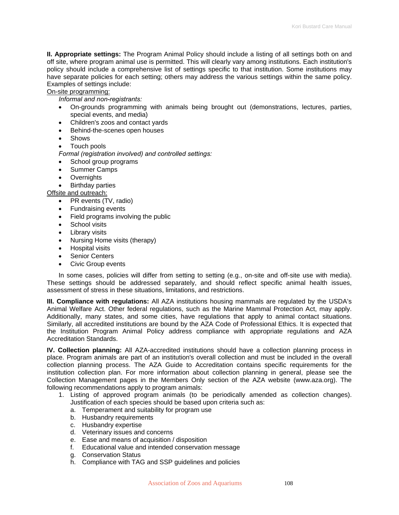**II. Appropriate settings:** The Program Animal Policy should include a listing of all settings both on and off site, where program animal use is permitted. This will clearly vary among institutions. Each institution's policy should include a comprehensive list of settings specific to that institution. Some institutions may have separate policies for each setting; others may address the various settings within the same policy. Examples of settings include:

On-site programming:

*Informal and non-registrants:* 

- On-grounds programming with animals being brought out (demonstrations, lectures, parties, special events, and media)
- Children's zoos and contact yards
- Behind-the-scenes open houses
- Shows
- Touch pools

*Formal (registration involved) and controlled settings:* 

- School group programs
- Summer Camps
- Overnights
- Birthday parties

Offsite and outreach:

- PR events (TV, radio)
- Fundraising events
- Field programs involving the public
- School visits
- Library visits
- Nursing Home visits (therapy)
- Hospital visits
- Senior Centers
- Civic Group events

In some cases, policies will differ from setting to setting (e.g., on-site and off-site use with media). These settings should be addressed separately, and should reflect specific animal health issues, assessment of stress in these situations, limitations, and restrictions.

**III. Compliance with regulations:** All AZA institutions housing mammals are regulated by the USDA's Animal Welfare Act. Other federal regulations, such as the Marine Mammal Protection Act, may apply. Additionally, many states, and some cities, have regulations that apply to animal contact situations. Similarly, all accredited institutions are bound by the AZA Code of Professional Ethics. It is expected that the Institution Program Animal Policy address compliance with appropriate regulations and AZA Accreditation Standards.

**IV. Collection planning:** All AZA-accredited institutions should have a collection planning process in place. Program animals are part of an institution's overall collection and must be included in the overall collection planning process. The AZA Guide to Accreditation contains specific requirements for the institution collection plan. For more information about collection planning in general, please see the Collection Management pages in the Members Only section of the AZA website (www.aza.org). The following recommendations apply to program animals:

- 1. Listing of approved program animals (to be periodically amended as collection changes). Justification of each species should be based upon criteria such as:
	- a. Temperament and suitability for program use
	- b. Husbandry requirements
	- c. Husbandry expertise
	- d. Veterinary issues and concerns
	- e. Ease and means of acquisition / disposition
	- f. Educational value and intended conservation message
	- g. Conservation Status
	- h. Compliance with TAG and SSP guidelines and policies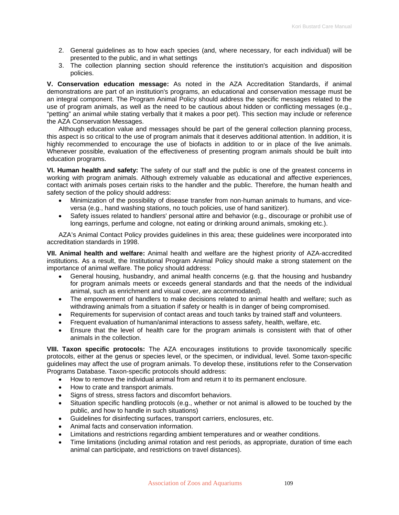- 2. General guidelines as to how each species (and, where necessary, for each individual) will be presented to the public, and in what settings
- 3. The collection planning section should reference the institution's acquisition and disposition policies.

**V. Conservation education message:** As noted in the AZA Accreditation Standards, if animal demonstrations are part of an institution's programs, an educational and conservation message must be an integral component. The Program Animal Policy should address the specific messages related to the use of program animals, as well as the need to be cautious about hidden or conflicting messages (e.g., "petting" an animal while stating verbally that it makes a poor pet). This section may include or reference the AZA Conservation Messages.

Although education value and messages should be part of the general collection planning process, this aspect is so critical to the use of program animals that it deserves additional attention. In addition, it is highly recommended to encourage the use of biofacts in addition to or in place of the live animals. Whenever possible, evaluation of the effectiveness of presenting program animals should be built into education programs.

**VI. Human health and safety:** The safety of our staff and the public is one of the greatest concerns in working with program animals. Although extremely valuable as educational and affective experiences, contact with animals poses certain risks to the handler and the public. Therefore, the human health and safety section of the policy should address:

- Minimization of the possibility of disease transfer from non-human animals to humans, and viceversa (e.g., hand washing stations, no touch policies, use of hand sanitizer).
- Safety issues related to handlers' personal attire and behavior (e.g., discourage or prohibit use of long earrings, perfume and cologne, not eating or drinking around animals, smoking etc.).

AZA's Animal Contact Policy provides guidelines in this area; these guidelines were incorporated into accreditation standards in 1998.

**VII. Animal health and welfare:** Animal health and welfare are the highest priority of AZA-accredited institutions. As a result, the Institutional Program Animal Policy should make a strong statement on the importance of animal welfare. The policy should address:

- General housing, husbandry, and animal health concerns (e.g. that the housing and husbandry for program animals meets or exceeds general standards and that the needs of the individual animal, such as enrichment and visual cover, are accommodated).
- The empowerment of handlers to make decisions related to animal health and welfare; such as withdrawing animals from a situation if safety or health is in danger of being compromised.
- Requirements for supervision of contact areas and touch tanks by trained staff and volunteers.
- Frequent evaluation of human/animal interactions to assess safety, health, welfare, etc.
- Ensure that the level of health care for the program animals is consistent with that of other animals in the collection.

**VIII. Taxon specific protocols:** The AZA encourages institutions to provide taxonomically specific protocols, either at the genus or species level, or the specimen, or individual, level. Some taxon-specific guidelines may affect the use of program animals. To develop these, institutions refer to the Conservation Programs Database. Taxon-specific protocols should address:

- How to remove the individual animal from and return it to its permanent enclosure.
- How to crate and transport animals.
- Signs of stress, stress factors and discomfort behaviors.
- Situation specific handling protocols (e.g., whether or not animal is allowed to be touched by the public, and how to handle in such situations)
- Guidelines for disinfecting surfaces, transport carriers, enclosures, etc.
- Animal facts and conservation information.
- Limitations and restrictions regarding ambient temperatures and or weather conditions.
- Time limitations (including animal rotation and rest periods, as appropriate, duration of time each animal can participate, and restrictions on travel distances).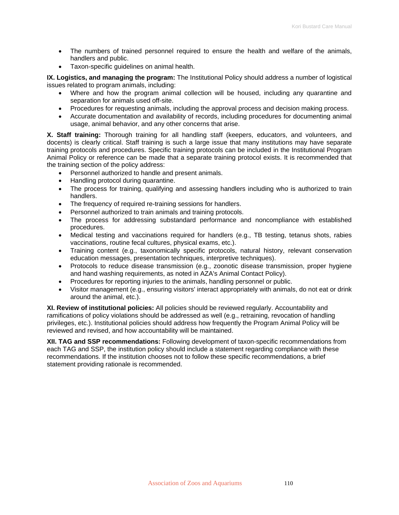- The numbers of trained personnel required to ensure the health and welfare of the animals, handlers and public.
- Taxon-specific guidelines on animal health.

**IX. Logistics, and managing the program:** The Institutional Policy should address a number of logistical issues related to program animals, including:

- Where and how the program animal collection will be housed, including any quarantine and separation for animals used off-site.
- Procedures for requesting animals, including the approval process and decision making process.
- Accurate documentation and availability of records, including procedures for documenting animal usage, animal behavior, and any other concerns that arise.

**X. Staff training:** Thorough training for all handling staff (keepers, educators, and volunteers, and docents) is clearly critical. Staff training is such a large issue that many institutions may have separate training protocols and procedures. Specific training protocols can be included in the Institutional Program Animal Policy or reference can be made that a separate training protocol exists. It is recommended that the training section of the policy address:

- Personnel authorized to handle and present animals.
- Handling protocol during quarantine.
- The process for training, qualifying and assessing handlers including who is authorized to train handlers.
- The frequency of required re-training sessions for handlers.
- Personnel authorized to train animals and training protocols.
- The process for addressing substandard performance and noncompliance with established procedures.
- Medical testing and vaccinations required for handlers (e.g., TB testing, tetanus shots, rabies vaccinations, routine fecal cultures, physical exams, etc.).
- Training content (e.g., taxonomically specific protocols, natural history, relevant conservation education messages, presentation techniques, interpretive techniques).
- Protocols to reduce disease transmission (e.g., zoonotic disease transmission, proper hygiene and hand washing requirements, as noted in AZA's Animal Contact Policy).
- Procedures for reporting injuries to the animals, handling personnel or public.
- Visitor management (e.g., ensuring visitors' interact appropriately with animals, do not eat or drink around the animal, etc.).

**XI. Review of institutional policies:** All policies should be reviewed regularly. Accountability and ramifications of policy violations should be addressed as well (e.g., retraining, revocation of handling privileges, etc.). Institutional policies should address how frequently the Program Animal Policy will be reviewed and revised, and how accountability will be maintained.

**XII. TAG and SSP recommendations:** Following development of taxon-specific recommendations from each TAG and SSP, the institution policy should include a statement regarding compliance with these recommendations. If the institution chooses not to follow these specific recommendations, a brief statement providing rationale is recommended.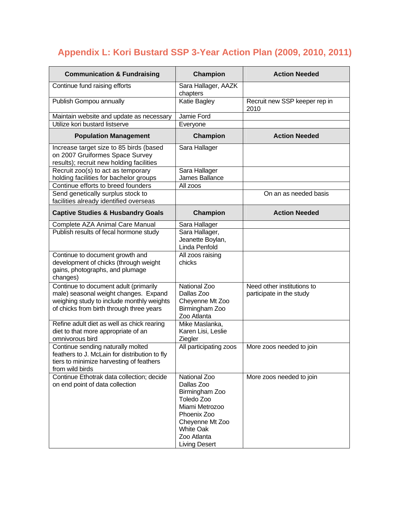## **Appendix L: Kori Bustard SSP 3-Year Action Plan (2009, 2010, 2011)**

| <b>Communication &amp; Fundraising</b>                                                                                                                                  | Champion                                                                                                                                                                  | <b>Action Needed</b>                                   |
|-------------------------------------------------------------------------------------------------------------------------------------------------------------------------|---------------------------------------------------------------------------------------------------------------------------------------------------------------------------|--------------------------------------------------------|
| Continue fund raising efforts                                                                                                                                           | Sara Hallager, AAZK<br>chapters                                                                                                                                           |                                                        |
| Publish Gompou annually                                                                                                                                                 | Katie Bagley                                                                                                                                                              | Recruit new SSP keeper rep in<br>2010                  |
| Maintain website and update as necessary                                                                                                                                | Jamie Ford                                                                                                                                                                |                                                        |
| Utilize kori bustard listserve                                                                                                                                          | Everyone                                                                                                                                                                  |                                                        |
| <b>Population Management</b>                                                                                                                                            | <b>Champion</b>                                                                                                                                                           | <b>Action Needed</b>                                   |
| Increase target size to 85 birds (based<br>on 2007 Gruiformes Space Survey<br>results); recruit new holding facilities                                                  | Sara Hallager                                                                                                                                                             |                                                        |
| Recruit zoo(s) to act as temporary<br>holding facilities for bachelor groups                                                                                            | Sara Hallager<br>James Ballance                                                                                                                                           |                                                        |
| Continue efforts to breed founders                                                                                                                                      | All zoos                                                                                                                                                                  |                                                        |
| Send genetically surplus stock to<br>facilities already identified overseas                                                                                             |                                                                                                                                                                           | On an as needed basis                                  |
| <b>Captive Studies &amp; Husbandry Goals</b>                                                                                                                            | <b>Champion</b>                                                                                                                                                           | <b>Action Needed</b>                                   |
| Complete AZA Animal Care Manual                                                                                                                                         | Sara Hallager                                                                                                                                                             |                                                        |
| Publish results of fecal hormone study                                                                                                                                  | Sara Hallager,<br>Jeanette Boylan,<br>Linda Penfold                                                                                                                       |                                                        |
| Continue to document growth and<br>development of chicks (through weight<br>gains, photographs, and plumage<br>changes)                                                 | All zoos raising<br>chicks                                                                                                                                                |                                                        |
| Continue to document adult (primarily<br>male) seasonal weight changes. Expand<br>weighing study to include monthly weights<br>of chicks from birth through three years | National Zoo<br>Dallas Zoo<br>Cheyenne Mt Zoo<br>Birmingham Zoo<br>Zoo Atlanta                                                                                            | Need other institutions to<br>participate in the study |
| Refine adult diet as well as chick rearing<br>diet to that more appropriate of an<br>omnivorous bird                                                                    | Mike Maslanka,<br>Karen Lisi, Leslie<br>Ziegler                                                                                                                           |                                                        |
| Continue sending naturally molted<br>feathers to J. McLain for distribution to fly<br>tiers to minimize harvesting of feathers<br>from wild birds                       | All participating zoos                                                                                                                                                    | More zoos needed to join                               |
| Continue Ethotrak data collection; decide<br>on end point of data collection                                                                                            | National Zoo<br>Dallas Zoo<br>Birmingham Zoo<br>Toledo Zoo<br>Miami Metrozoo<br>Phoenix Zoo<br>Cheyenne Mt Zoo<br><b>White Oak</b><br>Zoo Atlanta<br><b>Living Desert</b> | More zoos needed to join                               |